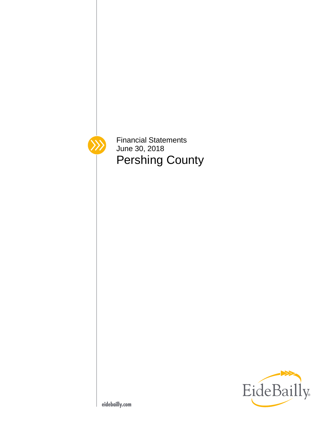

Financial Statements June 30, 2018 Pershing County

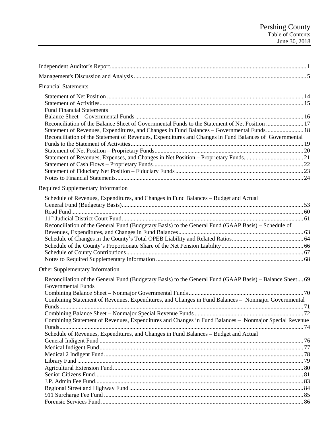| <b>Financial Statements</b>                                                                                                                                                                                                                                                                                                               |  |
|-------------------------------------------------------------------------------------------------------------------------------------------------------------------------------------------------------------------------------------------------------------------------------------------------------------------------------------------|--|
| <b>Fund Financial Statements</b><br>Reconciliation of the Balance Sheet of Governmental Funds to the Statement of Net Position 17<br>Statement of Revenues, Expenditures, and Changes in Fund Balances – Governmental Funds  18<br>Reconciliation of the Statement of Revenues, Expenditures and Changes in Fund Balances of Governmental |  |
|                                                                                                                                                                                                                                                                                                                                           |  |
|                                                                                                                                                                                                                                                                                                                                           |  |
| <b>Required Supplementary Information</b>                                                                                                                                                                                                                                                                                                 |  |
| Schedule of Revenues, Expenditures, and Changes in Fund Balances – Budget and Actual                                                                                                                                                                                                                                                      |  |
|                                                                                                                                                                                                                                                                                                                                           |  |
|                                                                                                                                                                                                                                                                                                                                           |  |
| Reconciliation of the General Fund (Budgetary Basis) to the General Fund (GAAP Basis) – Schedule of                                                                                                                                                                                                                                       |  |
|                                                                                                                                                                                                                                                                                                                                           |  |
|                                                                                                                                                                                                                                                                                                                                           |  |
|                                                                                                                                                                                                                                                                                                                                           |  |
|                                                                                                                                                                                                                                                                                                                                           |  |
|                                                                                                                                                                                                                                                                                                                                           |  |
| Other Supplementary Information                                                                                                                                                                                                                                                                                                           |  |
| Reconciliation of the General Fund (Budgetary Basis) to the General Fund (GAAP Basis) – Balance Sheet 69<br><b>Governmental Funds</b><br>Combining Statement of Revenues, Expenditures, and Changes in Fund Balances - Nonmajor Governmental                                                                                              |  |
|                                                                                                                                                                                                                                                                                                                                           |  |
| Combining Statement of Revenues, Expenditures and Changes in Fund Balances - Nonmajor Special Revenue                                                                                                                                                                                                                                     |  |
| Schedule of Revenues, Expenditures, and Changes in Fund Balances - Budget and Actual                                                                                                                                                                                                                                                      |  |
|                                                                                                                                                                                                                                                                                                                                           |  |
|                                                                                                                                                                                                                                                                                                                                           |  |
|                                                                                                                                                                                                                                                                                                                                           |  |
|                                                                                                                                                                                                                                                                                                                                           |  |
|                                                                                                                                                                                                                                                                                                                                           |  |
|                                                                                                                                                                                                                                                                                                                                           |  |
|                                                                                                                                                                                                                                                                                                                                           |  |
|                                                                                                                                                                                                                                                                                                                                           |  |
|                                                                                                                                                                                                                                                                                                                                           |  |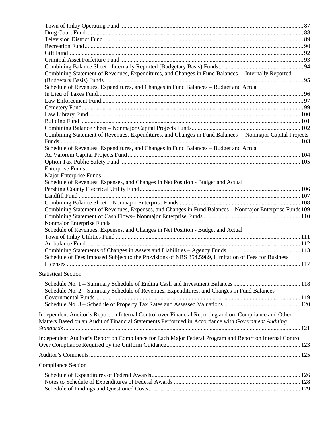| Combining Statement of Revenues, Expenditures, and Changes in Fund Balances – Internally Reported<br>Schedule of Revenues, Expenditures, and Changes in Fund Balances - Budget and Actual<br>Combining Statement of Revenues, Expenditures, and Changes in Fund Balances - Nonmajor Capital Projects<br>Schedule of Revenues, Expenditures, and Changes in Fund Balances – Budget and Actual<br><b>Enterprise Funds</b><br>Major Enterprise Funds<br>Schedule of Revenues, Expenses, and Changes in Net Position - Budget and Actual<br>Combining Statement of Revenues, Expenses, and Changes in Fund Balances - Nonmajor Enterprise Funds 109<br>Nonmajor Enterprise Funds<br>Schedule of Revenues, Expenses, and Changes in Net Position - Budget and Actual<br>Schedule of Fees Imposed Subject to the Provisions of NRS 354.5989, Limitation of Fees for Business<br><b>Statistical Section</b><br>Schedule No. 2 – Summary Schedule of Revenues, Expenditures, and Changes in Fund Balances –<br>Independent Auditor's Report on Internal Control over Financial Reporting and on Compliance and Other<br>Matters Based on an Audit of Financial Statements Performed in Accordance with Government Auditing<br>Independent Auditor's Report on Compliance for Each Major Federal Program and Report on Internal Control<br><b>Compliance Section</b> |  |
|-------------------------------------------------------------------------------------------------------------------------------------------------------------------------------------------------------------------------------------------------------------------------------------------------------------------------------------------------------------------------------------------------------------------------------------------------------------------------------------------------------------------------------------------------------------------------------------------------------------------------------------------------------------------------------------------------------------------------------------------------------------------------------------------------------------------------------------------------------------------------------------------------------------------------------------------------------------------------------------------------------------------------------------------------------------------------------------------------------------------------------------------------------------------------------------------------------------------------------------------------------------------------------------------------------------------------------------------------------------|--|
|                                                                                                                                                                                                                                                                                                                                                                                                                                                                                                                                                                                                                                                                                                                                                                                                                                                                                                                                                                                                                                                                                                                                                                                                                                                                                                                                                             |  |
|                                                                                                                                                                                                                                                                                                                                                                                                                                                                                                                                                                                                                                                                                                                                                                                                                                                                                                                                                                                                                                                                                                                                                                                                                                                                                                                                                             |  |
|                                                                                                                                                                                                                                                                                                                                                                                                                                                                                                                                                                                                                                                                                                                                                                                                                                                                                                                                                                                                                                                                                                                                                                                                                                                                                                                                                             |  |
|                                                                                                                                                                                                                                                                                                                                                                                                                                                                                                                                                                                                                                                                                                                                                                                                                                                                                                                                                                                                                                                                                                                                                                                                                                                                                                                                                             |  |
|                                                                                                                                                                                                                                                                                                                                                                                                                                                                                                                                                                                                                                                                                                                                                                                                                                                                                                                                                                                                                                                                                                                                                                                                                                                                                                                                                             |  |
|                                                                                                                                                                                                                                                                                                                                                                                                                                                                                                                                                                                                                                                                                                                                                                                                                                                                                                                                                                                                                                                                                                                                                                                                                                                                                                                                                             |  |
|                                                                                                                                                                                                                                                                                                                                                                                                                                                                                                                                                                                                                                                                                                                                                                                                                                                                                                                                                                                                                                                                                                                                                                                                                                                                                                                                                             |  |
|                                                                                                                                                                                                                                                                                                                                                                                                                                                                                                                                                                                                                                                                                                                                                                                                                                                                                                                                                                                                                                                                                                                                                                                                                                                                                                                                                             |  |
|                                                                                                                                                                                                                                                                                                                                                                                                                                                                                                                                                                                                                                                                                                                                                                                                                                                                                                                                                                                                                                                                                                                                                                                                                                                                                                                                                             |  |
|                                                                                                                                                                                                                                                                                                                                                                                                                                                                                                                                                                                                                                                                                                                                                                                                                                                                                                                                                                                                                                                                                                                                                                                                                                                                                                                                                             |  |
|                                                                                                                                                                                                                                                                                                                                                                                                                                                                                                                                                                                                                                                                                                                                                                                                                                                                                                                                                                                                                                                                                                                                                                                                                                                                                                                                                             |  |
|                                                                                                                                                                                                                                                                                                                                                                                                                                                                                                                                                                                                                                                                                                                                                                                                                                                                                                                                                                                                                                                                                                                                                                                                                                                                                                                                                             |  |
|                                                                                                                                                                                                                                                                                                                                                                                                                                                                                                                                                                                                                                                                                                                                                                                                                                                                                                                                                                                                                                                                                                                                                                                                                                                                                                                                                             |  |
|                                                                                                                                                                                                                                                                                                                                                                                                                                                                                                                                                                                                                                                                                                                                                                                                                                                                                                                                                                                                                                                                                                                                                                                                                                                                                                                                                             |  |
|                                                                                                                                                                                                                                                                                                                                                                                                                                                                                                                                                                                                                                                                                                                                                                                                                                                                                                                                                                                                                                                                                                                                                                                                                                                                                                                                                             |  |
|                                                                                                                                                                                                                                                                                                                                                                                                                                                                                                                                                                                                                                                                                                                                                                                                                                                                                                                                                                                                                                                                                                                                                                                                                                                                                                                                                             |  |
|                                                                                                                                                                                                                                                                                                                                                                                                                                                                                                                                                                                                                                                                                                                                                                                                                                                                                                                                                                                                                                                                                                                                                                                                                                                                                                                                                             |  |
|                                                                                                                                                                                                                                                                                                                                                                                                                                                                                                                                                                                                                                                                                                                                                                                                                                                                                                                                                                                                                                                                                                                                                                                                                                                                                                                                                             |  |
|                                                                                                                                                                                                                                                                                                                                                                                                                                                                                                                                                                                                                                                                                                                                                                                                                                                                                                                                                                                                                                                                                                                                                                                                                                                                                                                                                             |  |
|                                                                                                                                                                                                                                                                                                                                                                                                                                                                                                                                                                                                                                                                                                                                                                                                                                                                                                                                                                                                                                                                                                                                                                                                                                                                                                                                                             |  |
|                                                                                                                                                                                                                                                                                                                                                                                                                                                                                                                                                                                                                                                                                                                                                                                                                                                                                                                                                                                                                                                                                                                                                                                                                                                                                                                                                             |  |
|                                                                                                                                                                                                                                                                                                                                                                                                                                                                                                                                                                                                                                                                                                                                                                                                                                                                                                                                                                                                                                                                                                                                                                                                                                                                                                                                                             |  |
|                                                                                                                                                                                                                                                                                                                                                                                                                                                                                                                                                                                                                                                                                                                                                                                                                                                                                                                                                                                                                                                                                                                                                                                                                                                                                                                                                             |  |
|                                                                                                                                                                                                                                                                                                                                                                                                                                                                                                                                                                                                                                                                                                                                                                                                                                                                                                                                                                                                                                                                                                                                                                                                                                                                                                                                                             |  |
|                                                                                                                                                                                                                                                                                                                                                                                                                                                                                                                                                                                                                                                                                                                                                                                                                                                                                                                                                                                                                                                                                                                                                                                                                                                                                                                                                             |  |
|                                                                                                                                                                                                                                                                                                                                                                                                                                                                                                                                                                                                                                                                                                                                                                                                                                                                                                                                                                                                                                                                                                                                                                                                                                                                                                                                                             |  |
|                                                                                                                                                                                                                                                                                                                                                                                                                                                                                                                                                                                                                                                                                                                                                                                                                                                                                                                                                                                                                                                                                                                                                                                                                                                                                                                                                             |  |
|                                                                                                                                                                                                                                                                                                                                                                                                                                                                                                                                                                                                                                                                                                                                                                                                                                                                                                                                                                                                                                                                                                                                                                                                                                                                                                                                                             |  |
|                                                                                                                                                                                                                                                                                                                                                                                                                                                                                                                                                                                                                                                                                                                                                                                                                                                                                                                                                                                                                                                                                                                                                                                                                                                                                                                                                             |  |
|                                                                                                                                                                                                                                                                                                                                                                                                                                                                                                                                                                                                                                                                                                                                                                                                                                                                                                                                                                                                                                                                                                                                                                                                                                                                                                                                                             |  |
|                                                                                                                                                                                                                                                                                                                                                                                                                                                                                                                                                                                                                                                                                                                                                                                                                                                                                                                                                                                                                                                                                                                                                                                                                                                                                                                                                             |  |
|                                                                                                                                                                                                                                                                                                                                                                                                                                                                                                                                                                                                                                                                                                                                                                                                                                                                                                                                                                                                                                                                                                                                                                                                                                                                                                                                                             |  |
|                                                                                                                                                                                                                                                                                                                                                                                                                                                                                                                                                                                                                                                                                                                                                                                                                                                                                                                                                                                                                                                                                                                                                                                                                                                                                                                                                             |  |
|                                                                                                                                                                                                                                                                                                                                                                                                                                                                                                                                                                                                                                                                                                                                                                                                                                                                                                                                                                                                                                                                                                                                                                                                                                                                                                                                                             |  |
|                                                                                                                                                                                                                                                                                                                                                                                                                                                                                                                                                                                                                                                                                                                                                                                                                                                                                                                                                                                                                                                                                                                                                                                                                                                                                                                                                             |  |
|                                                                                                                                                                                                                                                                                                                                                                                                                                                                                                                                                                                                                                                                                                                                                                                                                                                                                                                                                                                                                                                                                                                                                                                                                                                                                                                                                             |  |
|                                                                                                                                                                                                                                                                                                                                                                                                                                                                                                                                                                                                                                                                                                                                                                                                                                                                                                                                                                                                                                                                                                                                                                                                                                                                                                                                                             |  |
|                                                                                                                                                                                                                                                                                                                                                                                                                                                                                                                                                                                                                                                                                                                                                                                                                                                                                                                                                                                                                                                                                                                                                                                                                                                                                                                                                             |  |
|                                                                                                                                                                                                                                                                                                                                                                                                                                                                                                                                                                                                                                                                                                                                                                                                                                                                                                                                                                                                                                                                                                                                                                                                                                                                                                                                                             |  |
|                                                                                                                                                                                                                                                                                                                                                                                                                                                                                                                                                                                                                                                                                                                                                                                                                                                                                                                                                                                                                                                                                                                                                                                                                                                                                                                                                             |  |
|                                                                                                                                                                                                                                                                                                                                                                                                                                                                                                                                                                                                                                                                                                                                                                                                                                                                                                                                                                                                                                                                                                                                                                                                                                                                                                                                                             |  |
|                                                                                                                                                                                                                                                                                                                                                                                                                                                                                                                                                                                                                                                                                                                                                                                                                                                                                                                                                                                                                                                                                                                                                                                                                                                                                                                                                             |  |
|                                                                                                                                                                                                                                                                                                                                                                                                                                                                                                                                                                                                                                                                                                                                                                                                                                                                                                                                                                                                                                                                                                                                                                                                                                                                                                                                                             |  |
|                                                                                                                                                                                                                                                                                                                                                                                                                                                                                                                                                                                                                                                                                                                                                                                                                                                                                                                                                                                                                                                                                                                                                                                                                                                                                                                                                             |  |
|                                                                                                                                                                                                                                                                                                                                                                                                                                                                                                                                                                                                                                                                                                                                                                                                                                                                                                                                                                                                                                                                                                                                                                                                                                                                                                                                                             |  |
|                                                                                                                                                                                                                                                                                                                                                                                                                                                                                                                                                                                                                                                                                                                                                                                                                                                                                                                                                                                                                                                                                                                                                                                                                                                                                                                                                             |  |
|                                                                                                                                                                                                                                                                                                                                                                                                                                                                                                                                                                                                                                                                                                                                                                                                                                                                                                                                                                                                                                                                                                                                                                                                                                                                                                                                                             |  |
|                                                                                                                                                                                                                                                                                                                                                                                                                                                                                                                                                                                                                                                                                                                                                                                                                                                                                                                                                                                                                                                                                                                                                                                                                                                                                                                                                             |  |
|                                                                                                                                                                                                                                                                                                                                                                                                                                                                                                                                                                                                                                                                                                                                                                                                                                                                                                                                                                                                                                                                                                                                                                                                                                                                                                                                                             |  |
|                                                                                                                                                                                                                                                                                                                                                                                                                                                                                                                                                                                                                                                                                                                                                                                                                                                                                                                                                                                                                                                                                                                                                                                                                                                                                                                                                             |  |
|                                                                                                                                                                                                                                                                                                                                                                                                                                                                                                                                                                                                                                                                                                                                                                                                                                                                                                                                                                                                                                                                                                                                                                                                                                                                                                                                                             |  |
|                                                                                                                                                                                                                                                                                                                                                                                                                                                                                                                                                                                                                                                                                                                                                                                                                                                                                                                                                                                                                                                                                                                                                                                                                                                                                                                                                             |  |
|                                                                                                                                                                                                                                                                                                                                                                                                                                                                                                                                                                                                                                                                                                                                                                                                                                                                                                                                                                                                                                                                                                                                                                                                                                                                                                                                                             |  |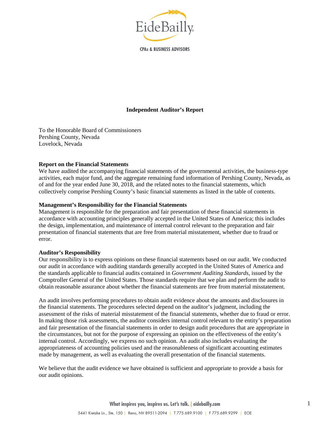

**CPAs & BUSINESS ADVISORS** 

### **Independent Auditor's Report**

<span id="page-3-0"></span>To the Honorable Board of Commissioners Pershing County, Nevada Lovelock, Nevada

### **Report on the Financial Statements**

We have audited the accompanying financial statements of the governmental activities, the business-type activities, each major fund, and the aggregate remaining fund information of Pershing County, Nevada, as of and for the year ended June 30, 2018, and the related notes to the financial statements, which collectively comprise Pershing County's basic financial statements as listed in the table of contents.

### **Management's Responsibility for the Financial Statements**

Management is responsible for the preparation and fair presentation of these financial statements in accordance with accounting principles generally accepted in the United States of America; this includes the design, implementation, and maintenance of internal control relevant to the preparation and fair presentation of financial statements that are free from material misstatement, whether due to fraud or error.

### **Auditor's Responsibility**

Our responsibility is to express opinions on these financial statements based on our audit. We conducted our audit in accordance with auditing standards generally accepted in the United States of America and the standards applicable to financial audits contained in *Government Auditing Standards*, issued by the Comptroller General of the United States. Those standards require that we plan and perform the audit to obtain reasonable assurance about whether the financial statements are free from material misstatement.

An audit involves performing procedures to obtain audit evidence about the amounts and disclosures in the financial statements. The procedures selected depend on the auditor's judgment, including the assessment of the risks of material misstatement of the financial statements, whether due to fraud or error. In making those risk assessments, the auditor considers internal control relevant to the entity's preparation and fair presentation of the financial statements in order to design audit procedures that are appropriate in the circumstances, but not for the purpose of expressing an opinion on the effectiveness of the entity's internal control. Accordingly, we express no such opinion. An audit also includes evaluating the appropriateness of accounting policies used and the reasonableness of significant accounting estimates made by management, as well as evaluating the overall presentation of the financial statements.

We believe that the audit evidence we have obtained is sufficient and appropriate to provide a basis for our audit opinions.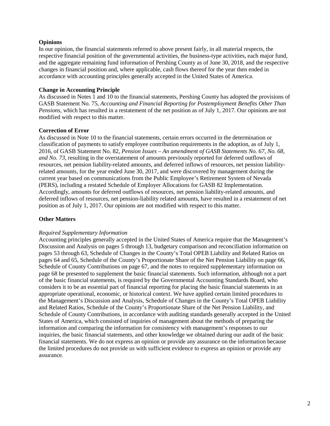### **Opinions**

In our opinion, the financial statements referred to above present fairly, in all material respects, the respective financial position of the governmental activities, the business-type activities, each major fund, and the aggregate remaining fund information of Pershing County as of June 30, 2018, and the respective changes in financial position and, where applicable, cash flows thereof for the year then ended in accordance with accounting principles generally accepted in the United States of America.

### **Change in Accounting Principle**

As discussed in Notes 1 and 10 to the financial statements, Pershing County has adopted the provisions of GASB Statement No. 75, *Accounting and Financial Reporting for Postemployment Benefits Other Than Pensions*, which has resulted in a restatement of the net position as of July 1, 2017. Our opinions are not modified with respect to this matter.

### **Correction of Error**

As discussed in Note 10 to the financial statements, certain errors occurred in the determination or classification of payments to satisfy employee contribution requirements in the adoption, as of July 1, 2016, of GASB Statement No. 82, *Pension Issues – An amendment of GASB Statements No. 67, No. 68, and No. 73*, resulting in the overstatement of amounts previously reported for deferred outflows of resources, net pension liability-related amounts, and deferred inflows of resources, net pension liabilityrelated amounts, for the year ended June 30, 2017, and were discovered by management during the current year based on communications from the Public Employee's Retirement System of Nevada (PERS), including a restated Schedule of Employer Allocations for GASB 82 Implementation. Accordingly, amounts for deferred outflows of resources, net pension liability-related amounts, and deferred inflows of resources, net pension-liability related amounts, have resulted in a restatement of net position as of July 1, 2017. Our opinions are not modified with respect to this matter.

### **Other Matters**

#### *Required Supplementary Information*

Accounting principles generally accepted in the United States of America require that the Management's Discussion and Analysis on pages 5 through 13, budgetary comparison and reconciliation information on pages 53 through 63, Schedule of Changes in the County's Total OPEB Liability and Related Ratios on pages 64 and 65, Schedule of the County's Proportionate Share of the Net Pension Liability on page 66, Schedule of County Contributions on page 67, and the notes to required supplementary information on page 68 be presented to supplement the basic financial statements. Such information, although not a part of the basic financial statements, is required by the Governmental Accounting Standards Board, who considers it to be an essential part of financial reporting for placing the basic financial statements in an appropriate operational, economic, or historical context. We have applied certain limited procedures to the Management's Discussion and Analysis, Schedule of Changes in the County's Total OPEB Liability and Related Ratios, Schedule of the County's Proportionate Share of the Net Pension Liability, and Schedule of County Contributions, in accordance with auditing standards generally accepted in the United States of America, which consisted of inquiries of management about the methods of preparing the information and comparing the information for consistency with management's responses to our inquiries, the basic financial statements, and other knowledge we obtained during our audit of the basic financial statements. We do not express an opinion or provide any assurance on the information because the limited procedures do not provide us with sufficient evidence to express an opinion or provide any assurance.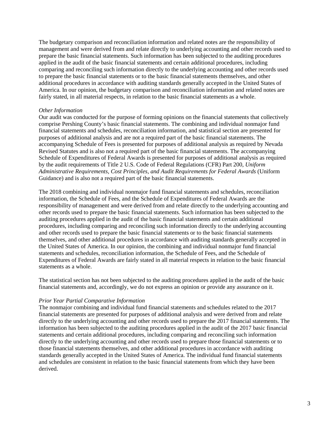The budgetary comparison and reconciliation information and related notes are the responsibility of management and were derived from and relate directly to underlying accounting and other records used to prepare the basic financial statements. Such information has been subjected to the auditing procedures applied in the audit of the basic financial statements and certain additional procedures, including comparing and reconciling such information directly to the underlying accounting and other records used to prepare the basic financial statements or to the basic financial statements themselves, and other additional procedures in accordance with auditing standards generally accepted in the United States of America. In our opinion, the budgetary comparison and reconciliation information and related notes are fairly stated, in all material respects, in relation to the basic financial statements as a whole.

### *Other Information*

Our audit was conducted for the purpose of forming opinions on the financial statements that collectively comprise Pershing County's basic financial statements. The combining and individual nonmajor fund financial statements and schedules, reconciliation information, and statistical section are presented for purposes of additional analysis and are not a required part of the basic financial statements. The accompanying Schedule of Fees is presented for purposes of additional analysis as required by Nevada Revised Statutes and is also not a required part of the basic financial statements. The accompanying Schedule of Expenditures of Federal Awards is presented for purposes of additional analysis as required by the audit requirements of Title 2 U.S. Code of Federal Regulations (CFR) Part 200, *Uniform Administrative Requirements, Cost Principles, and Audit Requirements for Federal Awards* (Uniform Guidance) and is also not a required part of the basic financial statements.

The 2018 combining and individual nonmajor fund financial statements and schedules, reconciliation information, the Schedule of Fees, and the Schedule of Expenditures of Federal Awards are the responsibility of management and were derived from and relate directly to the underlying accounting and other records used to prepare the basic financial statements. Such information has been subjected to the auditing procedures applied in the audit of the basic financial statements and certain additional procedures, including comparing and reconciling such information directly to the underlying accounting and other records used to prepare the basic financial statements or to the basic financial statements themselves, and other additional procedures in accordance with auditing standards generally accepted in the United States of America. In our opinion, the combining and individual nonmajor fund financial statements and schedules, reconciliation information, the Schedule of Fees, and the Schedule of Expenditures of Federal Awards are fairly stated in all material respects in relation to the basic financial statements as a whole.

The statistical section has not been subjected to the auditing procedures applied in the audit of the basic financial statements and, accordingly, we do not express an opinion or provide any assurance on it.

### *Prior Year Partial Comparative Information*

The nonmajor combining and individual fund financial statements and schedules related to the 2017 financial statements are presented for purposes of additional analysis and were derived from and relate directly to the underlying accounting and other records used to prepare the 2017 financial statements. The information has been subjected to the auditing procedures applied in the audit of the 2017 basic financial statements and certain additional procedures, including comparing and reconciling such information directly to the underlying accounting and other records used to prepare those financial statements or to those financial statements themselves, and other additional procedures in accordance with auditing standards generally accepted in the United States of America. The individual fund financial statements and schedules are consistent in relation to the basic financial statements from which they have been derived.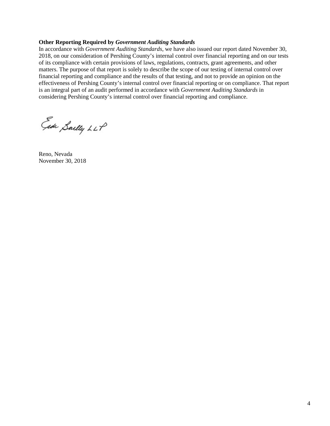#### **Other Reporting Required by** *Government Auditing Standards*

In accordance with *Government Auditing Standards*, we have also issued our report dated November 30, 2018, on our consideration of Pershing County's internal control over financial reporting and on our tests of its compliance with certain provisions of laws, regulations, contracts, grant agreements, and other matters. The purpose of that report is solely to describe the scope of our testing of internal control over financial reporting and compliance and the results of that testing, and not to provide an opinion on the effectiveness of Pershing County's internal control over financial reporting or on compliance. That report is an integral part of an audit performed in accordance with *Government Auditing Standards* in considering Pershing County's internal control over financial reporting and compliance.

Ede Sailly LLP

Reno, Nevada November 30, 2018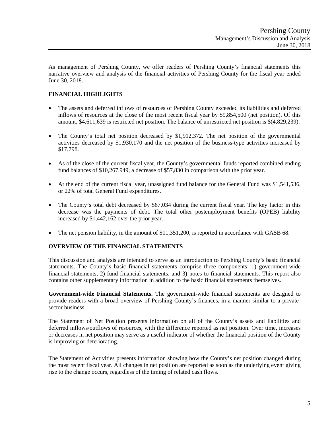<span id="page-7-0"></span>As management of Pershing County, we offer readers of Pershing County's financial statements this narrative overview and analysis of the financial activities of Pershing County for the fiscal year ended June 30, 2018.

# **FINANCIAL HIGHLIGHTS**

- The assets and deferred inflows of resources of Pershing County exceeded its liabilities and deferred inflows of resources at the close of the most recent fiscal year by \$9,854,500 (net position). Of this amount, \$4,611,639 is restricted net position. The balance of unrestricted net position is \$(4,829,239).
- The County's total net position decreased by \$1,912,372. The net position of the governmental activities decreased by \$1,930,170 and the net position of the business-type activities increased by \$17,798.
- As of the close of the current fiscal year, the County's governmental funds reported combined ending fund balances of \$10,267,949, a decrease of \$57,830 in comparison with the prior year.
- At the end of the current fiscal year, unassigned fund balance for the General Fund was \$1,541,536, or 22% of total General Fund expenditures.
- The County's total debt decreased by \$67,034 during the current fiscal year. The key factor in this decrease was the payments of debt. The total other postemployment benefits (OPEB) liability increased by \$1,442,162 over the prior year.
- The net pension liability, in the amount of \$11,351,200, is reported in accordance with GASB 68.

# **OVERVIEW OF THE FINANCIAL STATEMENTS**

This discussion and analysis are intended to serve as an introduction to Pershing County's basic financial statements. The County's basic financial statements comprise three components: 1) government-wide financial statements, 2) fund financial statements, and 3) notes to financial statements. This report also contains other supplementary information in addition to the basic financial statements themselves.

**Government-wide Financial Statements.** The government-wide financial statements are designed to provide readers with a broad overview of Pershing County's finances, in a manner similar to a privatesector business.

The Statement of Net Position presents information on all of the County's assets and liabilities and deferred inflows/outflows of resources, with the difference reported as net position. Over time, increases or decreases in net position may serve as a useful indicator of whether the financial position of the County is improving or deteriorating.

The Statement of Activities presents information showing how the County's net position changed during the most recent fiscal year. All changes in net position are reported as soon as the underlying event giving rise to the change occurs, regardless of the timing of related cash flows.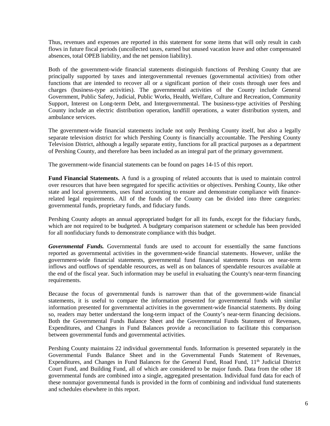Thus, revenues and expenses are reported in this statement for some items that will only result in cash flows in future fiscal periods (uncollected taxes, earned but unused vacation leave and other compensated absences, total OPEB liability, and the net pension liability).

Both of the government-wide financial statements distinguish functions of Pershing County that are principally supported by taxes and intergovernmental revenues (governmental activities) from other functions that are intended to recover all or a significant portion of their costs through user fees and charges (business-type activities). The governmental activities of the County include General Government, Public Safety, Judicial, Public Works, Health, Welfare, Culture and Recreation, Community Support, Interest on Long-term Debt, and Intergovernmental. The business-type activities of Pershing County include an electric distribution operation, landfill operations, a water distribution system, and ambulance services.

The government-wide financial statements include not only Pershing County itself, but also a legally separate television district for which Pershing County is financially accountable. The Pershing County Television District, although a legally separate entity, functions for all practical purposes as a department of Pershing County, and therefore has been included as an integral part of the primary government.

The government-wide financial statements can be found on pages 14-15 of this report.

**Fund Financial Statements.** A fund is a grouping of related accounts that is used to maintain control over resources that have been segregated for specific activities or objectives. Pershing County, like other state and local governments, uses fund accounting to ensure and demonstrate compliance with financerelated legal requirements. All of the funds of the County can be divided into three categories: governmental funds, proprietary funds, and fiduciary funds.

Pershing County adopts an annual appropriated budget for all its funds, except for the fiduciary funds, which are not required to be budgeted. A budgetary comparison statement or schedule has been provided for all nonfiduciary funds to demonstrate compliance with this budget.

*Governmental Funds.* Governmental funds are used to account for essentially the same functions reported as governmental activities in the government-wide financial statements. However, unlike the government-wide financial statements, governmental fund financial statements focus on near-term inflows and outflows of spendable resources, as well as on balances of spendable resources available at the end of the fiscal year. Such information may be useful in evaluating the County's near-term financing requirements.

Because the focus of governmental funds is narrower than that of the government-wide financial statements, it is useful to compare the information presented for governmental funds with similar information presented for governmental activities in the government-wide financial statements. By doing so, readers may better understand the long-term impact of the County's near-term financing decisions. Both the Governmental Funds Balance Sheet and the Governmental Funds Statement of Revenues, Expenditures, and Changes in Fund Balances provide a reconciliation to facilitate this comparison between governmental funds and governmental activities.

Pershing County maintains 22 individual governmental funds. Information is presented separately in the Governmental Funds Balance Sheet and in the Governmental Funds Statement of Revenues, Expenditures, and Changes in Fund Balances for the General Fund, Road Fund, 11<sup>th</sup> Judicial District Court Fund, and Building Fund, all of which are considered to be major funds. Data from the other 18 governmental funds are combined into a single, aggregated presentation. Individual fund data for each of these nonmajor governmental funds is provided in the form of combining and individual fund statements and schedules elsewhere in this report.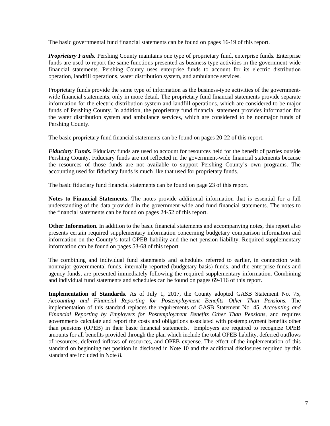The basic governmental fund financial statements can be found on pages 16-19 of this report.

*Proprietary Funds.* Pershing County maintains one type of proprietary fund, enterprise funds. Enterprise funds are used to report the same functions presented as business-type activities in the government-wide financial statements. Pershing County uses enterprise funds to account for its electric distribution operation, landfill operations, water distribution system, and ambulance services.

Proprietary funds provide the same type of information as the business-type activities of the governmentwide financial statements, only in more detail. The proprietary fund financial statements provide separate information for the electric distribution system and landfill operations, which are considered to be major funds of Pershing County. In addition, the proprietary fund financial statement provides information for the water distribution system and ambulance services, which are considered to be nonmajor funds of Pershing County.

The basic proprietary fund financial statements can be found on pages 20-22 of this report.

*Fiduciary Funds.* Fiduciary funds are used to account for resources held for the benefit of parties outside Pershing County. Fiduciary funds are not reflected in the government-wide financial statements because the resources of those funds are not available to support Pershing County's own programs. The accounting used for fiduciary funds is much like that used for proprietary funds.

The basic fiduciary fund financial statements can be found on page 23 of this report.

**Notes to Financial Statements.** The notes provide additional information that is essential for a full understanding of the data provided in the government-wide and fund financial statements. The notes to the financial statements can be found on pages 24-52 of this report.

**Other Information.** In addition to the basic financial statements and accompanying notes, this report also presents certain required supplementary information concerning budgetary comparison information and information on the County's total OPEB liability and the net pension liability. Required supplementary information can be found on pages 53-68 of this report.

The combining and individual fund statements and schedules referred to earlier, in connection with nonmajor governmental funds, internally reported (budgetary basis) funds, and the enterprise funds and agency funds, are presented immediately following the required supplementary information. Combining and individual fund statements and schedules can be found on pages 69-116 of this report.

**Implementation of Standards.** As of July 1, 2017, the County adopted GASB Statement No. 75, *Accounting and Financial Reporting for Postemployment Benefits Other Than Pensions.* The implementation of this standard replaces the requirements of GASB Statement No. 45, *Accounting and Financial Reporting by Employers for Postemployment Benefits Other Than Pensions*, and requires governments calculate and report the costs and obligations associated with postemployment benefits other than pensions (OPEB) in their basic financial statements. Employers are required to recognize OPEB amounts for all benefits provided through the plan which include the total OPEB liability, deferred outflows of resources, deferred inflows of resources, and OPEB expense. The effect of the implementation of this standard on beginning net position in disclosed in Note 10 and the additional disclosures required by this standard are included in Note 8.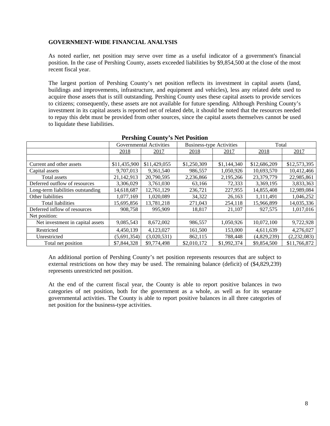### **GOVERNMENT-WIDE FINANCIAL ANALYSIS**

As noted earlier, net position may serve over time as a useful indicator of a government's financial position. In the case of Pershing County, assets exceeded liabilities by \$9,854,500 at the close of the most recent fiscal year.

The largest portion of Pershing County's net position reflects its investment in capital assets (land, buildings and improvements, infrastructure, and equipment and vehicles), less any related debt used to acquire those assets that is still outstanding. Pershing County uses these capital assets to provide services to citizens; consequently, these assets are not available for future spending. Although Pershing County's investment in its capital assets is reported net of related debt, it should be noted that the resources needed to repay this debt must be provided from other sources, since the capital assets themselves cannot be used to liquidate these liabilities.

|                                   |              | Governmental Activities | <b>Business-type Activities</b> |             | Total        |               |
|-----------------------------------|--------------|-------------------------|---------------------------------|-------------|--------------|---------------|
|                                   | 2018         | 2017                    | 2018                            | 2017        | 2018         | 2017          |
|                                   |              |                         |                                 |             |              |               |
| Current and other assets          | \$11,435,900 | \$11,429,055            | \$1,250,309                     | \$1,144,340 | \$12,686,209 | \$12,573,395  |
| Capital assets                    | 9,707,013    | 9,361,540               | 986,557                         | 1,050,926   | 10,693,570   | 10,412,466    |
| Total assets                      | 21,142,913   | 20,790,595              | 2,236,866                       | 2,195,266   | 23,379,779   | 22,985,861    |
| Deferred outflow of resources     | 3,306,029    | 3,761,030               | 63,166                          | 72,333      | 3,369,195    | 3,833,363     |
| Long-term liabilities outstanding | 14,618,687   | 12,761,129              | 236,721                         | 227,955     | 14,855,408   | 12,989,084    |
| Other liabilities                 | 1,077,169    | 1,020,089               | 34,322                          | 26,163      | 1,111,491    | 1,046,252     |
| <b>Total liabilities</b>          | 15,695,856   | 13,781,218              | 271,043                         | 254,118     | 15,966,899   | 14,035,336    |
| Deferred inflow of resources      | 908,758      | 995,909                 | 18,817                          | 21,107      | 927,575      | 1,017,016     |
| Net position:                     |              |                         |                                 |             |              |               |
| Net investment in capital assets  | 9,085,543    | 8,672,002               | 986,557                         | 1,050,926   | 10,072,100   | 9,722,928     |
| Restricted                        | 4,450,139    | 4,123,027               | 161,500                         | 153,000     | 4,611,639    | 4,276,027     |
| Unrestricted                      | (5,691,354)  | (3,020,531)             | 862,115                         | 788,448     | (4,829,239)  | (2, 232, 083) |
| Total net position                | \$7,844,328  | \$9,774,498             | \$2,010,172                     | \$1,992,374 | \$9,854,500  | \$11,766,872  |

### **Pershing County's Net Position**

An additional portion of Pershing County's net position represents resources that are subject to external restrictions on how they may be used. The remaining balance (deficit) of (\$4,829,239) represents unrestricted net position.

At the end of the current fiscal year, the County is able to report positive balances in two categories of net position, both for the government as a whole, as well as for its separate governmental activities. The County is able to report positive balances in all three categories of net position for the business-type activities.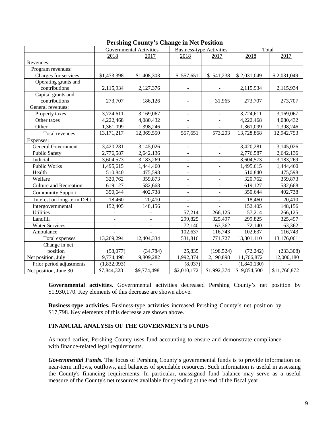|                               |                          | $\sim$<br>Governmental Activities | <b>Business-type Activities</b> |                         | Total       |              |
|-------------------------------|--------------------------|-----------------------------------|---------------------------------|-------------------------|-------------|--------------|
|                               | 2018                     | 2017                              | 2018                            | 2017                    | 2018        | 2017         |
| Revenues:                     |                          |                                   |                                 |                         |             |              |
| Program revenues:             |                          |                                   |                                 |                         |             |              |
| Charges for services          | \$1,473,398              | \$1,408,303                       | \$557,651                       | \$541,238               | \$2,031,049 | \$2,031,049  |
| Operating grants and          |                          |                                   |                                 |                         |             |              |
| contributions                 | 2,115,934                | 2,127,376                         |                                 |                         | 2,115,934   | 2,115,934    |
| Capital grants and            |                          |                                   |                                 |                         |             |              |
| contributions                 | 273,707                  | 186,126                           | $\overline{\phantom{a}}$        | 31,965                  | 273,707     | 273,707      |
| General revenues:             |                          |                                   |                                 |                         |             |              |
| Property taxes                | 3,724,611                | 3,169,067                         | $\overline{\phantom{a}}$        | $\blacksquare$          | 3,724,611   | 3,169,067    |
| Other taxes                   | 4,222,468                | 4,080,432                         |                                 | $\mathbf{r}$            | 4,222,468   | 4,080,432    |
| Other                         | 1,361,099                | 1,398,246                         |                                 | $\mathbf{r}$            | 1,361,099   | 1,398,246    |
| Total revenues                | 13, 171, 217             | 12,369,550                        | 557,651                         | 573,203                 | 13,728,868  | 12,942,753   |
| Expenses:                     |                          |                                   |                                 |                         |             |              |
| <b>General Government</b>     | 3,420,281                | 3,145,026                         | $\overline{\phantom{a}}$        | $\Box$                  | 3,420,281   | 3,145,026    |
| <b>Public Safety</b>          | 2,776,587                | 2,642,136                         | $\overline{\phantom{a}}$        | $\blacksquare$          | 2,776,587   | 2,642,136    |
| Judicial                      | 3,604,573                | 3,183,269                         | $\blacksquare$                  | $\blacksquare$          | 3,604,573   | 3,183,269    |
| <b>Public Works</b>           | 1,495,615                | 1,444,460                         | $\blacksquare$                  | ÷.                      | 1,495,615   | 1,444,460    |
| Health                        | 510,840                  | 475,598                           |                                 |                         | 510,840     | 475,598      |
| Welfare                       | 320,762                  | 359,873                           |                                 | $\blacksquare$          | 320,762     | 359,873      |
| <b>Culture and Recreation</b> | 619,127                  | 582,668                           |                                 |                         | 619,127     | 582,668      |
| <b>Community Support</b>      | 350,644                  | 402,738                           |                                 | $\Box$                  | 350,644     | 402,738      |
| Interest on long-term Debt    | 18,460                   | 20,410                            | $\overline{\phantom{a}}$        | $\blacksquare$          | 18,460      | 20,410       |
| Intergovernmental             | 152,405                  | 148,156                           |                                 |                         | 152,405     | 148,156      |
| <b>Utilities</b>              |                          |                                   | 57,214                          | 266,125                 | 57,214      | 266,125      |
| Landfill                      |                          |                                   | 299,825                         | 325,497                 | 299,825     | 325,497      |
| <b>Water Services</b>         | $\overline{\phantom{a}}$ |                                   | 72,140                          | 63,362                  | 72,140      | 63,362       |
| Ambulance                     |                          |                                   | 102,637                         | 116,743                 | 102,637     | 116,743      |
| Total expenses                | 13,269,294               | 12,404,334                        | 531,816                         | 771,727                 | 13,801,110  | 13,176,061   |
| Change in net                 |                          |                                   |                                 |                         |             |              |
| position                      | (98,077)                 | (34, 784)                         | 25,835                          | (198, 524)              | (72, 242)   | (233,308)    |
| Net position, July 1          | 9,774,498                | 9,809,282                         | 1,992,374                       | 2,190,898               | 11,766,872  | 12,000,180   |
| Prior period adjustments      | (1,832,093)              |                                   | (8,037)                         |                         | (1,840,130) |              |
| Net position, June 30         | \$7,844,328              | \$9,774,498                       | \$2,010,172                     | $\overline{$1,992,374}$ | \$9,854,500 | \$11,766,872 |

# **Pershing County's Change in Net Position**

**Governmental activities.** Governmental activities decreased Pershing County's net position by \$1,930,170. Key elements of this decrease are shown above.

**Business-type activities.** Business-type activities increased Pershing County's net position by \$17,798. Key elements of this decrease are shown above.

# **FINANCIAL ANALYSIS OF THE GOVERNMENT'S FUNDS**

As noted earlier, Pershing County uses fund accounting to ensure and demonstrate compliance with finance-related legal requirements.

*Governmental Funds.* The focus of Pershing County's governmental funds is to provide information on near-term inflows, outflows, and balances of spendable resources. Such information is useful in assessing the County's financing requirements. In particular, unassigned fund balance may serve as a useful measure of the County's net resources available for spending at the end of the fiscal year.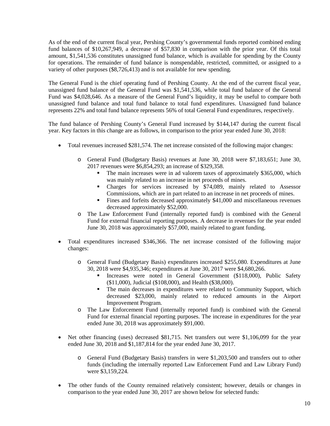As of the end of the current fiscal year, Pershing County's governmental funds reported combined ending fund balances of \$10,267,949, a decrease of \$57,830 in comparison with the prior year. Of this total amount, \$1,541,536 constitutes unassigned fund balance, which is available for spending by the County for operations. The remainder of fund balance is nonspendable, restricted, committed, or assigned to a variety of other purposes (\$8,726,413) and is not available for new spending.

The General Fund is the chief operating fund of Pershing County. At the end of the current fiscal year, unassigned fund balance of the General Fund was \$1,541,536, while total fund balance of the General Fund was \$4,028,646. As a measure of the General Fund's liquidity, it may be useful to compare both unassigned fund balance and total fund balance to total fund expenditures. Unassigned fund balance represents 22% and total fund balance represents 56% of total General Fund expenditures, respectively.

The fund balance of Pershing County's General Fund increased by \$144,147 during the current fiscal year. Key factors in this change are as follows, in comparison to the prior year ended June 30, 2018:

- Total revenues increased \$281,574. The net increase consisted of the following major changes:
	- o General Fund (Budgetary Basis) revenues at June 30, 2018 were \$7,183,651; June 30, 2017 revenues were \$6,854,293; an increase of \$329,358.
		- The main increases were in ad valorem taxes of approximately \$365,000, which was mainly related to an increase in net proceeds of mines.
		- Charges for services increased by \$74,089, mainly related to Assessor Commissions, which are in part related to an increase in net proceeds of mines.
		- Fines and forfeits decreased approximately \$41,000 and miscellaneous revenues decreased approximately \$52,000.
	- o The Law Enforcement Fund (internally reported fund) is combined with the General Fund for external financial reporting purposes. A decrease in revenues for the year ended June 30, 2018 was approximately \$57,000, mainly related to grant funding.
- Total expenditures increased \$346,366. The net increase consisted of the following major changes:
	- o General Fund (Budgetary Basis) expenditures increased \$255,080. Expenditures at June 30, 2018 were \$4,935,346; expenditures at June 30, 2017 were \$4,680,266.
		- **Increases were noted in General Government (\$118,000), Public Safety** (\$11,000), Judicial (\$108,000), and Health (\$38,000).
		- The main decreases in expenditures were related to Community Support, which decreased \$23,000, mainly related to reduced amounts in the Airport Improvement Program.
	- o The Law Enforcement Fund (internally reported fund) is combined with the General Fund for external financial reporting purposes. The increase in expenditures for the year ended June 30, 2018 was approximately \$91,000.
- Net other financing (uses) decreased \$81,715. Net transfers out were \$1,106,099 for the year ended June 30, 2018 and \$1,187,814 for the year ended June 30, 2017.
	- o General Fund (Budgetary Basis) transfers in were \$1,203,500 and transfers out to other funds (including the internally reported Law Enforcement Fund and Law Library Fund) were \$3,159,224.
- The other funds of the County remained relatively consistent; however, details or changes in comparison to the year ended June 30, 2017 are shown below for selected funds: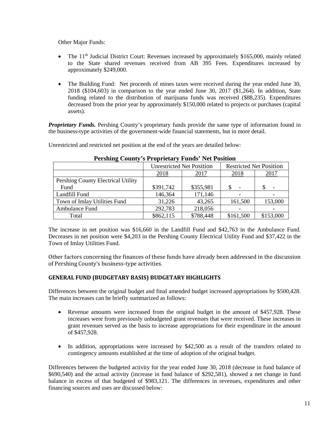Other Major Funds:

- The 11<sup>th</sup> Judicial District Court: Revenues increased by approximately \$165,000, mainly related to the State shared revenues received from AB 395 Fees. Expenditures increased by approximately \$249,000.
- The Building Fund: Net proceeds of mines taxes were received during the year ended June 30, 2018 (\$104,603) in comparison to the year ended June 30, 2017 (\$1,264). In addition, State funding related to the distribution of marijuana funds was received (\$88,235). Expenditures decreased from the prior year by approximately \$150,000 related to projects or purchases (capital assets).

*Proprietary Funds.* Pershing County's proprietary funds provide the same type of information found in the business-type activities of the government-wide financial statements, but in more detail.

Unrestricted and restricted net position at the end of the years are detailed below:

|                                    |           | <b>Unrestricted Net Position</b> | <b>Restricted Net Position</b> |             |  |
|------------------------------------|-----------|----------------------------------|--------------------------------|-------------|--|
|                                    | 2018      | 2017                             | 2018                           | <u>2017</u> |  |
| Pershing County Electrical Utility |           |                                  |                                |             |  |
| Fund                               | \$391,742 | \$355,981                        |                                |             |  |
| Landfill Fund                      | 146,364   | 171,146                          |                                |             |  |
| Town of Imlay Utilities Fund       | 31,226    | 43,265                           | 161,500                        | 153,000     |  |
| Ambulance Fund                     | 292,783   | 218,056                          |                                |             |  |
| Total                              | \$862,115 | \$788,448                        | \$161,500                      | \$153,000   |  |

### **Pershing County's Proprietary Funds' Net Position**

The increase in net position was \$16,660 in the Landfill Fund and \$42,763 in the Ambulance Fund. Decreases in net position were \$4,203 in the Pershing County Electrical Utility Fund and \$37,422 in the Town of Imlay Utilities Fund.

Other factors concerning the finances of these funds have already been addressed in the discussion of Pershing County's business-type activities.

# **GENERAL FUND (BUDGETARY BASIS) BUDGETARY HIGHLIGHTS**

Differences between the original budget and final amended budget increased appropriations by \$500,428. The main increases can be briefly summarized as follows:

- Revenue amounts were increased from the original budget in the amount of \$457,928. These increases were from previously unbudgeted grant revenues that were received. These increases in grant revenues served as the basis to increase appropriations for their expenditure in the amount of \$457,928.
- In addition, appropriations were increased by \$42,500 as a result of the transfers related to contingency amounts established at the time of adoption of the original budget.

Differences between the budgeted activity for the year ended June 30, 2018 (decrease in fund balance of \$690,540) and the actual activity (increase in fund balance of \$292,581), showed a net change in fund balance in excess of that budgeted of \$983,121. The differences in revenues, expenditures and other financing sources and uses are discussed below: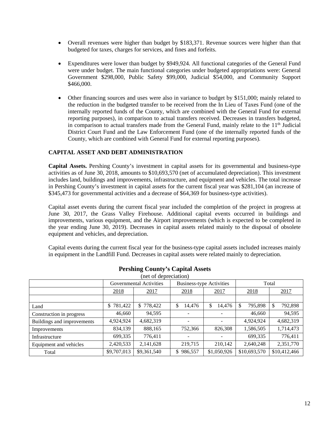- Overall revenues were higher than budget by \$183,371. Revenue sources were higher than that budgeted for taxes, charges for services, and fines and forfeits.
- Expenditures were lower than budget by \$949,924. All functional categories of the General Fund were under budget. The main functional categories under budgeted appropriations were: General Government \$298,000, Public Safety \$99,000, Judicial \$54,000, and Community Support \$466,000.
- Other financing sources and uses were also in variance to budget by \$151,000; mainly related to the reduction in the budgeted transfer to be received from the In Lieu of Taxes Fund (one of the internally reported funds of the County, which are combined with the General Fund for external reporting purposes), in comparison to actual transfers received. Decreases in transfers budgeted, in comparison to actual transfers made from the General Fund, mainly relate to the  $11<sup>th</sup>$  Judicial District Court Fund and the Law Enforcement Fund (one of the internally reported funds of the County, which are combined with General Fund for external reporting purposes).

# **CAPITAL ASSET AND DEBT ADMINISTRATION**

**Capital Assets.** Pershing County's investment in capital assets for its governmental and business-type activities as of June 30, 2018, amounts to \$10,693,570 (net of accumulated depreciation). This investment includes land, buildings and improvements, infrastructure, and equipment and vehicles. The total increase in Pershing County's investment in capital assets for the current fiscal year was \$281,104 (an increase of \$345,473 for governmental activities and a decrease of \$64,369 for business-type activities).

Capital asset events during the current fiscal year included the completion of the project in progress at June 30, 2017, the Grass Valley Firehouse. Additional capital events occurred in buildings and improvements, various equipment, and the Airport improvements (which is expected to be completed in the year ending June 30, 2019). Decreases in capital assets related mainly to the disposal of obsolete equipment and vehicles, and depreciation.

Capital events during the current fiscal year for the business-type capital assets included increases mainly in equipment in the Landfill Fund. Decreases in capital assets were related mainly to depreciation.

| (net of depreciation)      |             |                         |                                 |                          |               |               |  |
|----------------------------|-------------|-------------------------|---------------------------------|--------------------------|---------------|---------------|--|
|                            |             | Governmental Activities | <b>Business-type Activities</b> |                          | Total         |               |  |
|                            | 2018        | 2017                    | 2018                            | 2017                     | 2018          | 2017          |  |
|                            |             |                         |                                 |                          |               |               |  |
| Land                       | \$781,422   | \$778,422               | \$<br>14,476                    | 14,476<br>\$             | 795,898<br>\$ | \$<br>792,898 |  |
| Construction in progress   | 46,660      | 94,595                  |                                 |                          | 46,660        | 94,595        |  |
| Buildings and improvements | 4,924,924   | 4,682,319               |                                 | $\overline{\phantom{a}}$ | 4,924,924     | 4,682,319     |  |
| Improvements               | 834,139     | 888,165                 | 752,366                         | 826,308                  | 1,586,505     | 1,714,473     |  |
| Infrastructure             | 699,335     | 776,411                 |                                 |                          | 699,335       | 776,411       |  |
| Equipment and vehicles     | 2,420,533   | 2,141,628               | 219,715                         | 210.142                  | 2,640,248     | 2,351,770     |  |
| Total                      | \$9,707,013 | \$9,361,540             | \$986,557                       | \$1,050,926              | \$10,693,570  | \$10,412,466  |  |

# **Pershing County's Capital Assets**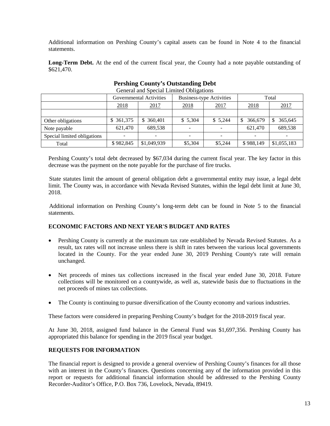Additional information on Pershing County's capital assets can be found in Note 4 to the financial statements.

**Long-Term Debt.** At the end of the current fiscal year, the County had a note payable outstanding of \$621,470.

| Ocheral and Special Linned Obligations |                         |             |         |                                 |              |              |  |
|----------------------------------------|-------------------------|-------------|---------|---------------------------------|--------------|--------------|--|
|                                        | Governmental Activities |             |         | <b>Business-type Activities</b> | Total        |              |  |
|                                        | 2018                    | 2017        | 2018    | <u>2017</u>                     |              | 2017         |  |
|                                        |                         |             |         |                                 |              |              |  |
| Other obligations                      | \$361,375               | \$ 360,401  | \$5,304 | \$5,244                         | 366,679<br>S | 365,645<br>S |  |
| Note payable                           | 621.470                 | 689,538     |         |                                 | 621.470      | 689,538      |  |
| Special limited obligations            |                         |             |         |                                 |              |              |  |
| Total                                  | \$982,845               | \$1,049,939 | \$5,304 | \$5,244                         | \$988,149    | \$1,055,183  |  |

# **Pershing County's Outstanding Debt**

General and Special Limited Obligations

Pershing County's total debt decreased by \$67,034 during the current fiscal year. The key factor in this decrease was the payment on the note payable for the purchase of fire trucks.

State statutes limit the amount of general obligation debt a governmental entity may issue, a legal debt limit. The County was, in accordance with Nevada Revised Statutes, within the legal debt limit at June 30, 2018.

Additional information on Pershing County's long-term debt can be found in Note 5 to the financial statements.

# **ECONOMIC FACTORS AND NEXT YEAR'S BUDGET AND RATES**

- Pershing County is currently at the maximum tax rate established by Nevada Revised Statutes. As a result, tax rates will not increase unless there is shift in rates between the various local governments located in the County. For the year ended June 30, 2019 Pershing County's rate will remain unchanged.
- Net proceeds of mines tax collections increased in the fiscal year ended June 30, 2018. Future collections will be monitored on a countywide, as well as, statewide basis due to fluctuations in the net proceeds of mines tax collections.
- The County is continuing to pursue diversification of the County economy and various industries.

These factors were considered in preparing Pershing County's budget for the 2018-2019 fiscal year.

At June 30, 2018, assigned fund balance in the General Fund was \$1,697,356. Pershing County has appropriated this balance for spending in the 2019 fiscal year budget.

# **REQUESTS FOR INFORMATION**

The financial report is designed to provide a general overview of Pershing County's finances for all those with an interest in the County's finances. Questions concerning any of the information provided in this report or requests for additional financial information should be addressed to the Pershing County Recorder-Auditor's Office, P.O. Box 736, Lovelock, Nevada, 89419.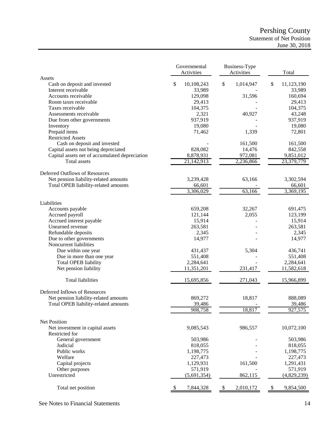# Pershing County Statement of Net Position June 30, 2018

<span id="page-16-1"></span><span id="page-16-0"></span>

|                                                | Governmental<br>Activities | Business-Type<br>Activities | Total            |
|------------------------------------------------|----------------------------|-----------------------------|------------------|
| Assets                                         |                            |                             |                  |
| Cash on deposit and invested                   | \$<br>10,108,243           | \$<br>1,014,947             | \$<br>11,123,190 |
| Interest receivable                            | 33,989                     |                             | 33,989           |
| Accounts receivable                            | 129,098                    | 31,596                      | 160,694          |
| Room taxes receivable                          | 29,413                     |                             | 29,413           |
| Taxes receivable                               | 104,375                    |                             | 104,375          |
| Assessments receivable                         | 2,321                      | 40,927                      | 43,248           |
| Due from other governments                     | 937,919                    |                             | 937,919          |
| Inventory                                      | 19,080                     |                             | 19,080           |
| Prepaid items                                  | 71,462                     | 1,339                       | 72,801           |
| <b>Restricted Assets</b>                       |                            |                             |                  |
| Cash on deposit and invested                   |                            | 161,500                     | 161,500          |
| Capital assets not being depreciated           | 828,082                    | 14,476                      | 842,558          |
| Capital assets net of accumulated depreciation | 8,878,931                  | 972,081                     | 9,851,012        |
| Total assets                                   | 21,142,913                 | 2,236,866                   | 23,379,779       |
| Deferred Outflows of Resources                 |                            |                             |                  |
| Net pension liability-related amounts          | 3,239,428                  | 63,166                      | 3,302,594        |
| Total OPEB liability-related amounts           | 66,601                     |                             | 66,601           |
|                                                | 3,306,029                  | 63,166                      | 3,369,195        |
| Liabilities                                    |                            |                             |                  |
| Accounts payable                               | 659,208                    | 32,267                      | 691,475          |
| Accrued payroll                                | 121,144                    | 2,055                       | 123,199          |
| Accrued interest payable                       | 15,914                     |                             | 15,914           |
| Unearned revenue                               | 263,581                    |                             | 263,581          |
| Refundable deposits                            | 2,345                      |                             | 2,345            |
| Due to other governments                       | 14,977                     |                             | 14,977           |
| Noncurrent liabilities                         |                            |                             |                  |
| Due within one year                            | 431,437                    | 5,304                       | 436,741          |
| Due in more than one year                      | 551,408                    |                             | 551,408          |
| <b>Total OPEB liability</b>                    | 2,284,641                  |                             | 2,284,641        |
| Net pension liability                          | 11,351,201                 | 231,417                     | 11,582,618       |
| Total liabilities                              | 15,695,856                 | 271,043                     | 15,966,899       |
| Deferred Inflows of Resources                  |                            |                             |                  |
| Net pension liability-related amounts          | 869,272                    | 18,817                      | 888,089          |
| Total OPEB liability-related amounts           | 39,486                     |                             | 39,486           |
|                                                | 908,758                    | 18,817                      | 927,575          |
| <b>Net Position</b>                            |                            |                             |                  |
| Net investment in capital assets               | 9,085,543                  | 986,557                     | 10,072,100       |
| Restricted for                                 |                            |                             |                  |
| General government                             | 503,986                    |                             | 503,986          |
| Judicial                                       | 818,055                    |                             | 818,055          |
| Public works                                   | 1,198,775                  |                             | 1,198,775        |
| Welfare                                        | 227,473                    |                             | 227,473          |
| Capital projects                               | 1,129,931                  | 161,500                     | 1,291,431        |
| Other purposes                                 | 571,919                    |                             | 571,919          |
| Unrestricted                                   | (5,691,354)                | 862,115                     | (4,829,239)      |
| Total net position                             | 7,844,328                  | 2,010,172<br>\$             | 9,854,500<br>\$  |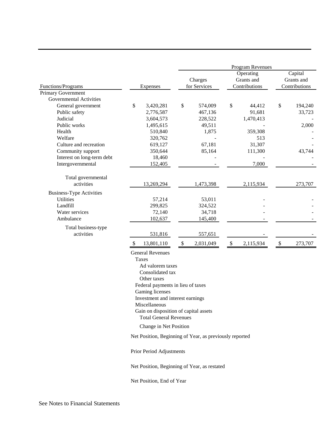|                                          |                                       | Program Revenues                                        |                                        |                                      |  |
|------------------------------------------|---------------------------------------|---------------------------------------------------------|----------------------------------------|--------------------------------------|--|
|                                          |                                       |                                                         | Operating                              | Capital                              |  |
|                                          |                                       | Charges                                                 | Grants and                             | Grants and                           |  |
| Functions/Programs<br>Primary Government | Expenses                              | for Services                                            | Contributions                          | Contributions                        |  |
| <b>Governmental Activities</b>           |                                       |                                                         |                                        |                                      |  |
| General government                       | \$<br>3,420,281                       | \$<br>574,009                                           | \$<br>44,412                           | \$<br>194,240                        |  |
| Public safety                            | 2,776,587                             | 467,136                                                 | 91,681                                 | 33,723                               |  |
| Judicial                                 | 3,604,573                             | 228,522                                                 | 1,470,413                              |                                      |  |
| Public works                             | 1,495,615                             | 49,511                                                  |                                        | 2,000                                |  |
| Health                                   | 510,840                               | 1,875                                                   | 359,308                                |                                      |  |
| Welfare                                  | 320,762                               |                                                         | 513                                    |                                      |  |
| Culture and recreation                   | 619,127                               | 67,181                                                  | 31,307                                 |                                      |  |
| Community support                        | 350,644                               | 85,164                                                  | 111,300                                | 43,744                               |  |
| Interest on long-term debt               | 18,460                                |                                                         |                                        |                                      |  |
| Intergovernmental                        | 152,405                               |                                                         | 7,000                                  |                                      |  |
|                                          |                                       |                                                         |                                        |                                      |  |
| Total governmental                       |                                       |                                                         |                                        |                                      |  |
| activities                               | 13,269,294                            | 1,473,398                                               | 2,115,934                              | 273,707                              |  |
| <b>Business-Type Activities</b>          |                                       |                                                         |                                        |                                      |  |
| <b>Utilities</b>                         | 57,214                                | 53,011                                                  |                                        |                                      |  |
| Landfill                                 | 299,825                               | 324,522                                                 |                                        |                                      |  |
| Water services                           | 72,140                                | 34,718                                                  |                                        |                                      |  |
| Ambulance                                | 102,637                               | 145,400                                                 |                                        |                                      |  |
|                                          |                                       |                                                         |                                        |                                      |  |
| Total business-type<br>activities        | 531,816                               | 557,651                                                 |                                        |                                      |  |
|                                          | 13,801,110<br><sup>\$</sup>           | 2,031,049<br>\$                                         | $\boldsymbol{\mathsf{S}}$<br>2,115,934 | $\boldsymbol{\mathsf{S}}$<br>273,707 |  |
|                                          |                                       |                                                         |                                        |                                      |  |
|                                          | <b>General Revenues</b>               |                                                         |                                        |                                      |  |
|                                          | Taxes                                 |                                                         |                                        |                                      |  |
|                                          | Ad valorem taxes                      |                                                         |                                        |                                      |  |
|                                          | Consolidated tax                      |                                                         |                                        |                                      |  |
|                                          | Other taxes                           |                                                         |                                        |                                      |  |
|                                          | Federal payments in lieu of taxes     |                                                         |                                        |                                      |  |
|                                          | Gaming licenses                       |                                                         |                                        |                                      |  |
|                                          | Investment and interest earnings      |                                                         |                                        |                                      |  |
|                                          | Miscellaneous                         |                                                         |                                        |                                      |  |
|                                          | Gain on disposition of capital assets |                                                         |                                        |                                      |  |
|                                          | <b>Total General Revenues</b>         |                                                         |                                        |                                      |  |
|                                          | Change in Net Position                |                                                         |                                        |                                      |  |
|                                          |                                       | Net Position, Beginning of Year, as previously reported |                                        |                                      |  |
|                                          | Prior Period Adjustments              |                                                         |                                        |                                      |  |
|                                          |                                       | Net Position, Beginning of Year, as restated            |                                        |                                      |  |
|                                          | Net Position, End of Year             |                                                         |                                        |                                      |  |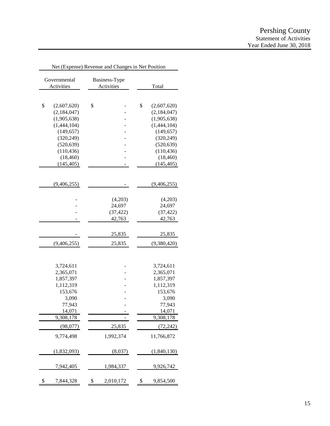| Governmental<br>Activities | <b>Business-Type</b><br>Activities | Total                      |
|----------------------------|------------------------------------|----------------------------|
|                            |                                    |                            |
| \$<br>(2,607,620)          | \$                                 | \$<br>(2,607,620)          |
| (2, 184, 047)              |                                    | (2,184,047)                |
| (1,905,638)                |                                    | (1,905,638)<br>(1,444,104) |
| (1,444,104)                |                                    |                            |
| (149, 657)<br>(320, 249)   |                                    | (149, 657)<br>(320, 249)   |
| (520, 639)                 |                                    | (520, 639)                 |
| (110, 436)                 |                                    | (110, 436)                 |
| (18, 460)                  |                                    | (18, 460)                  |
|                            |                                    |                            |
| (145, 405)                 |                                    | (145, 405)                 |
|                            |                                    |                            |
| (9,406,255)                |                                    | (9,406,255)                |
|                            |                                    |                            |
|                            | (4,203)                            | (4,203)                    |
|                            | 24,697                             | 24,697                     |
|                            | (37, 422)                          | (37, 422)                  |
|                            | 42,763                             | 42,763                     |
|                            |                                    |                            |
|                            | 25,835                             | 25,835                     |
| (9,406,255)                | 25,835                             | (9,380,420)                |
|                            |                                    |                            |
|                            |                                    |                            |
| 3,724,611                  |                                    | 3,724,611                  |
| 2,365,071                  |                                    | 2,365,071                  |
| 1,857,397                  |                                    | 1,857,397                  |
| 1,112,319                  |                                    | 1,112,319                  |
| 153,676<br>3,090           |                                    | 153,676                    |
| 77,943                     |                                    | 3,090<br>77,943            |
| 14,071                     |                                    |                            |
| 9,308,178                  |                                    | 14,071<br>9,308,178        |
| (98,077)                   | 25,835                             | (72, 242)                  |
|                            |                                    |                            |
| 9,774,498                  | 1,992,374                          | 11,766,872                 |
| (1,832,093)                | (8,037)                            | (1,840,130)                |
| 7,942,405                  | 1,984,337                          | 9,926,742                  |
| 7,844,328<br>\$            | 2,010,172<br>\$                    | 9,854,500<br>$\mathcal{S}$ |

<span id="page-18-0"></span>Net (Expense) Revenue and Changes in Net Position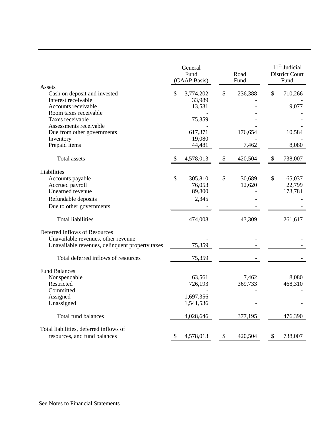|                                                 |                           | General<br>Fund<br>(GAAP Basis) | Road<br>Fund  |              | $11th$ Judicial<br><b>District Court</b><br>Fund |
|-------------------------------------------------|---------------------------|---------------------------------|---------------|--------------|--------------------------------------------------|
| Assets<br>Cash on deposit and invested          | \$                        | 3,774,202                       | \$<br>236,388 | \$           | 710,266                                          |
| Interest receivable                             |                           | 33,989                          |               |              |                                                  |
| Accounts receivable                             |                           | 13,531                          |               |              | 9,077                                            |
| Room taxes receivable<br>Taxes receivable       |                           | 75,359                          |               |              |                                                  |
| Assessments receivable                          |                           |                                 |               |              |                                                  |
| Due from other governments                      |                           | 617,371                         | 176,654       |              | 10,584                                           |
| Inventory<br>Prepaid items                      |                           | 19,080<br>44,481                |               |              | 8,080                                            |
|                                                 |                           |                                 | 7,462         |              |                                                  |
| <b>Total</b> assets                             | \$                        | 4,578,013                       | \$<br>420,504 | \$           | 738,007                                          |
| Liabilities                                     |                           |                                 |               |              |                                                  |
| Accounts payable                                | \$                        | 305,810                         | \$<br>30,689  | $\mathbb{S}$ | 65,037                                           |
| Accrued payroll                                 |                           | 76,053                          | 12,620        |              | 22,799                                           |
| Unearned revenue                                |                           | 89,800                          |               |              | 173,781                                          |
| Refundable deposits                             |                           | 2,345                           |               |              |                                                  |
| Due to other governments                        |                           |                                 |               |              |                                                  |
| <b>Total liabilities</b>                        |                           | 474,008                         | 43,309        |              | 261,617                                          |
| Deferred Inflows of Resources                   |                           |                                 |               |              |                                                  |
| Unavailable revenues, other revenue             |                           |                                 |               |              |                                                  |
| Unavailable revenues, delinquent property taxes |                           | 75,359                          |               |              |                                                  |
| Total deferred inflows of resources             |                           | 75,359                          |               |              |                                                  |
| <b>Fund Balances</b>                            |                           |                                 |               |              |                                                  |
| Nonspendable                                    |                           | 63,561                          | 7,462         |              | 8,080                                            |
| Restricted                                      |                           | 726,193                         | 369,733       |              | 468,310                                          |
| Committed                                       |                           |                                 |               |              |                                                  |
| Assigned                                        |                           | 1,697,356                       |               |              |                                                  |
| Unassigned                                      |                           | 1,541,536                       |               |              |                                                  |
| <b>Total fund balances</b>                      |                           | 4,028,646                       | 377,195       |              | 476,390                                          |
| Total liabilities, deferred inflows of          |                           |                                 |               |              |                                                  |
| resources, and fund balances                    | $\boldsymbol{\mathsf{S}}$ | 4,578,013                       | \$<br>420,504 | \$           | 738,007                                          |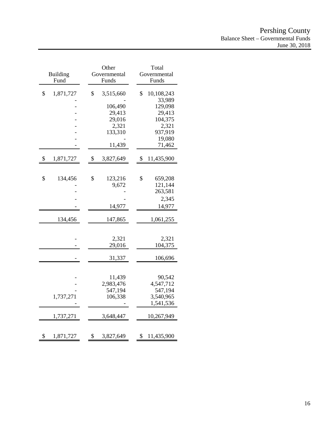<span id="page-20-1"></span><span id="page-20-0"></span>

| <b>Building</b><br>Fund | Other<br>Governmental<br>Funds | Total<br>Governmental<br>Funds |
|-------------------------|--------------------------------|--------------------------------|
| \$<br>1,871,727         | \$<br>3,515,660                | \$<br>10,108,243               |
|                         |                                | 33,989                         |
|                         | 106,490                        | 129,098                        |
|                         | 29,413                         | 29,413                         |
|                         | 29,016                         | 104,375                        |
|                         | 2,321                          | 2,321                          |
|                         | 133,310                        | 937,919                        |
|                         | 11,439                         | 19,080<br>71,462               |
|                         |                                |                                |
| \$<br>1,871,727         | \$<br>3,827,649                | \$<br>11,435,900               |
|                         |                                |                                |
| \$<br>134,456           | \$<br>123,216                  | \$<br>659,208                  |
|                         | 9,672                          | 121,144                        |
|                         |                                | 263,581                        |
|                         |                                | 2,345                          |
|                         | 14,977                         | 14,977                         |
| 134,456                 | 147,865                        | 1,061,255                      |
|                         |                                |                                |
|                         | 2,321                          | 2,321                          |
|                         | 29,016                         | 104,375                        |
|                         | 31,337                         | 106,696                        |
|                         |                                |                                |
|                         | 11,439                         | 90,542                         |
|                         | 2,983,476                      | 4,547,712                      |
|                         | 547,194                        | 547,194                        |
| 1,737,271               | 106,338                        | 3,540,965                      |
|                         |                                | 1,541,536                      |
| 1,737,271               | 3,648,447                      | 10,267,949                     |
|                         |                                |                                |
| \$<br>1,871,727         | \$<br>3,827,649                | \$<br>11,435,900               |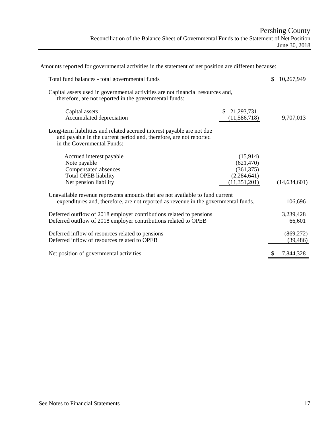| Total fund balances - total governmental funds                                                                                                                             |                                                                         | 10,267,949<br>S        |
|----------------------------------------------------------------------------------------------------------------------------------------------------------------------------|-------------------------------------------------------------------------|------------------------|
| Capital assets used in governmental activities are not financial resources and,<br>therefore, are not reported in the governmental funds:                                  |                                                                         |                        |
| Capital assets<br>Accumulated depreciation                                                                                                                                 | 21, 293, 731<br>(11, 586, 718)                                          | 9,707,013              |
| Long-term liabilities and related accrued interest payable are not due<br>and payable in the current period and, therefore, are not reported<br>in the Governmental Funds: |                                                                         |                        |
| Accrued interest payable<br>Note payable<br>Compensated absences<br><b>Total OPEB liability</b><br>Net pension liability                                                   | (15,914)<br>(621, 470)<br>(361, 375)<br>(2, 284, 641)<br>(11, 351, 201) | (14, 634, 601)         |
| Unavailable revenue represents amounts that are not available to fund current<br>expenditures and, therefore, are not reported as revenue in the governmental funds.       |                                                                         | 106,696                |
| Deferred outflow of 2018 employer contributions related to pensions<br>Deferred outflow of 2018 employer contributions related to OPEB                                     |                                                                         | 3,239,428<br>66,601    |
| Deferred inflow of resources related to pensions<br>Deferred inflow of resources related to OPEB                                                                           |                                                                         | (869,272)<br>(39, 486) |
| Net position of governmental activities                                                                                                                                    |                                                                         | 7,844,328<br>\$        |

<span id="page-21-0"></span>Amounts reported for governmental activities in the statement of net position are different because: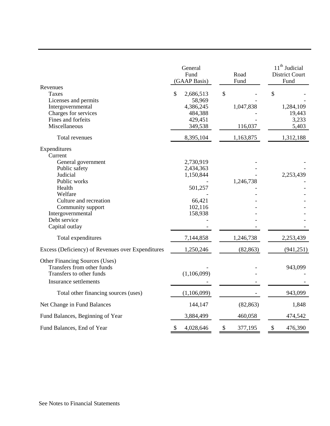|                                                   | General<br>Fund<br>(GAAP Basis)      | Road<br>Fund  | $11th$ Judicial<br><b>District Court</b><br>Fund |  |  |
|---------------------------------------------------|--------------------------------------|---------------|--------------------------------------------------|--|--|
| Revenues                                          |                                      |               |                                                  |  |  |
| <b>Taxes</b>                                      | $\mathcal{S}$<br>2,686,513<br>58,969 | $\mathcal{S}$ | $\mathcal{S}$                                    |  |  |
| Licenses and permits<br>Intergovernmental         | 4,386,245                            | 1,047,838     | 1,284,109                                        |  |  |
| Charges for services                              | 484,388                              |               | 19,443                                           |  |  |
| Fines and forfeits                                | 429,451                              |               | 3,233                                            |  |  |
| Miscellaneous                                     | 349,538                              | 116,037       | 5,403                                            |  |  |
| Total revenues                                    | 8,395,104                            | 1,163,875     | 1,312,188                                        |  |  |
| Expenditures                                      |                                      |               |                                                  |  |  |
| Current                                           |                                      |               |                                                  |  |  |
| General government                                | 2,730,919                            |               |                                                  |  |  |
| Public safety                                     | 2,434,363                            |               |                                                  |  |  |
| Judicial                                          | 1,150,844                            |               | 2,253,439                                        |  |  |
| Public works                                      |                                      | 1,246,738     |                                                  |  |  |
| Health                                            | 501,257                              |               |                                                  |  |  |
| Welfare                                           |                                      |               |                                                  |  |  |
| Culture and recreation                            | 66,421                               |               |                                                  |  |  |
| Community support                                 | 102,116                              |               |                                                  |  |  |
| Intergovernmental<br>Debt service                 | 158,938                              |               |                                                  |  |  |
| Capital outlay                                    |                                      |               |                                                  |  |  |
|                                                   |                                      |               |                                                  |  |  |
| Total expenditures                                | 7,144,858                            | 1,246,738     | 2,253,439                                        |  |  |
| Excess (Deficiency) of Revenues over Expenditures | 1,250,246                            | (82, 863)     | (941,251)                                        |  |  |
| Other Financing Sources (Uses)                    |                                      |               |                                                  |  |  |
| Transfers from other funds                        |                                      |               | 943,099                                          |  |  |
| Transfers to other funds                          | (1,106,099)                          |               |                                                  |  |  |
| <b>Insurance settlements</b>                      |                                      |               |                                                  |  |  |
| Total other financing sources (uses)              | (1,106,099)                          |               | 943,099                                          |  |  |
| Net Change in Fund Balances                       | 144,147                              | (82, 863)     | 1,848                                            |  |  |
| Fund Balances, Beginning of Year                  | 3,884,499                            | 460,058       | 474,542                                          |  |  |
| Fund Balances, End of Year                        | $\mathcal{S}$<br>4,028,646           | \$<br>377,195 | \$<br>476,390                                    |  |  |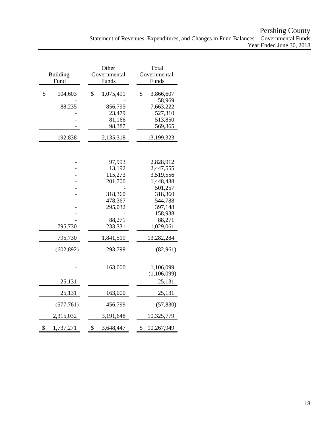<span id="page-23-0"></span>

| Building<br>Fund        | Other<br>Governmental<br>Funds                                                               | Total<br>Governmental<br>Funds                                                                                                 |
|-------------------------|----------------------------------------------------------------------------------------------|--------------------------------------------------------------------------------------------------------------------------------|
| \$<br>104,603<br>88,235 | \$<br>1,075,491<br>856,795<br>23,479<br>81,166<br>98,387                                     | \$<br>3,866,607<br>58,969<br>7,663,222<br>527,310<br>513,850<br>569,365                                                        |
| 192,838                 | 2,135,318                                                                                    | 13,199,323                                                                                                                     |
| 795,730                 | 97,993<br>13,192<br>115,273<br>201,700<br>318,360<br>478,367<br>295,032<br>88,271<br>233,331 | 2,828,912<br>2,447,555<br>3,519,556<br>1,448,438<br>501,257<br>318,360<br>544,788<br>397,148<br>158,938<br>88,271<br>1,029,061 |
| 795,730                 | 1,841,519                                                                                    | 13,282,284                                                                                                                     |
| (602, 892)              | 293,799                                                                                      | (82,961)                                                                                                                       |
| 25,131<br>25,131        | 163,000<br>163,000                                                                           | 1,106,099<br>(1,106,099)<br>25,131<br>25,131                                                                                   |
|                         |                                                                                              |                                                                                                                                |
| (577,761)               | 456,799                                                                                      | (57, 830)                                                                                                                      |
| 2,315,032               | 3, 191, 648                                                                                  | 10,325,779                                                                                                                     |
| \$<br>1,737,271         | \$<br>3,648,447                                                                              | \$<br>10,267,949                                                                                                               |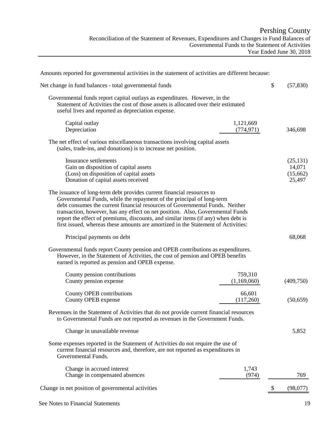<span id="page-24-0"></span>

| Amounts reported for governmental activities in the statement of activities are different because:                                                                                                                                                                                                                                                                                                                |                                           |
|-------------------------------------------------------------------------------------------------------------------------------------------------------------------------------------------------------------------------------------------------------------------------------------------------------------------------------------------------------------------------------------------------------------------|-------------------------------------------|
| Net change in fund balances - total governmental funds                                                                                                                                                                                                                                                                                                                                                            | \$<br>(57, 830)                           |
| Governmental funds report capital outlays as expenditures. However, in the<br>Statement of Activities the cost of those assets is allocated over their estimated<br>useful lives and reported as depreciation expense.                                                                                                                                                                                            |                                           |
| Capital outlay<br>1,121,669<br>Depreciation<br>(774, 971)                                                                                                                                                                                                                                                                                                                                                         | 346,698                                   |
| The net effect of various miscellaneous transactions involving capital assets<br>(sales, trade-ins, and donations) is to increase net position.                                                                                                                                                                                                                                                                   |                                           |
| <b>Insurance settlements</b><br>Gain on disposition of capital assets<br>(Loss) on disposition of capital assets<br>Donation of capital assets received<br>The issuance of long-term debt provides current financial resources to                                                                                                                                                                                 | (25, 131)<br>14,071<br>(15,662)<br>25,497 |
| Governmental Funds, while the repayment of the principal of long-term<br>debt consumes the current financial resources of Governmental Funds. Neither<br>transaction, however, has any effect on net position. Also, Governmental Funds<br>report the effect of premiums, discounts, and similar items (if any) when debt is<br>first issued, whereas these amounts are amortized in the Statement of Activities: |                                           |
| Principal payments on debt                                                                                                                                                                                                                                                                                                                                                                                        | 68,068                                    |
| Governmental funds report County pension and OPEB contributions as expenditures.<br>However, in the Statement of Activities, the cost of pension and OPEB benefits<br>earned is reported as pension and OPEB expense.                                                                                                                                                                                             |                                           |
| County pension contributions<br>759,310<br>County pension expense<br>(1,169,060)                                                                                                                                                                                                                                                                                                                                  | (409,750)                                 |
| County OPEB contributions<br>66,601<br>County OPEB expense<br>(117,260)                                                                                                                                                                                                                                                                                                                                           | (50, 659)                                 |
| Revenues in the Statement of Activities that do not provide current financial resources<br>to Governmental Funds are not reported as revenues in the Government Funds.                                                                                                                                                                                                                                            |                                           |
| Change in unavailable revenue                                                                                                                                                                                                                                                                                                                                                                                     | 5,852                                     |
| Some expenses reported in the Statement of Activities do not require the use of<br>current financial resources and, therefore, are not reported as expenditures in<br>Governmental Funds.                                                                                                                                                                                                                         |                                           |
| Change in accrued interest<br>1,743                                                                                                                                                                                                                                                                                                                                                                               | 769                                       |
| Change in compensated absences<br>(974)                                                                                                                                                                                                                                                                                                                                                                           |                                           |
| Change in net position of governmental activities                                                                                                                                                                                                                                                                                                                                                                 | (98,077)                                  |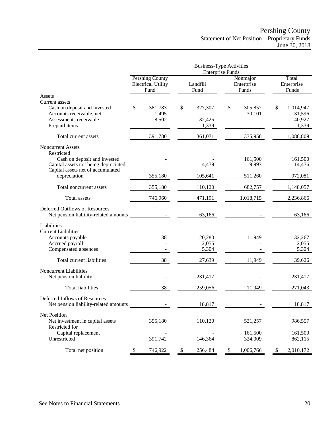<span id="page-25-0"></span>

|                                                                                                           | <b>Business-Type Activities</b><br><b>Enterprise Funds</b> |                         |                         |                                     |  |  |  |
|-----------------------------------------------------------------------------------------------------------|------------------------------------------------------------|-------------------------|-------------------------|-------------------------------------|--|--|--|
|                                                                                                           | Pershing County<br><b>Electrical Utility</b><br>Fund       | Landfill<br>Fund        |                         | Total<br>Enterprise<br>Funds        |  |  |  |
| Assets                                                                                                    |                                                            |                         |                         |                                     |  |  |  |
| Current assets<br>Cash on deposit and invested<br>Accounts receivable, net<br>Assessments receivable      | \$<br>381,783<br>1,495<br>8,502                            | \$<br>327,307<br>32,425 | 305,857<br>\$<br>30,101 | \$<br>1,014,947<br>31,596<br>40,927 |  |  |  |
| Prepaid items                                                                                             |                                                            | 1,339                   |                         | 1,339                               |  |  |  |
| Total current assets                                                                                      | 391,780                                                    | 361,071                 | 335,958                 | 1,088,809                           |  |  |  |
| <b>Noncurrent Assets</b>                                                                                  |                                                            |                         |                         |                                     |  |  |  |
| Restricted                                                                                                |                                                            |                         |                         |                                     |  |  |  |
| Cash on deposit and invested<br>Capital assets not being depreciated<br>Capital assets net of accumulated |                                                            | 4,479                   | 161,500<br>9,997        | 161,500<br>14,476                   |  |  |  |
| depreciation                                                                                              | 355,180                                                    | 105,641                 | 511,260                 | 972,081                             |  |  |  |
| Total noncurrent assets                                                                                   | 355,180                                                    | 110,120                 | 682,757                 | 1,148,057                           |  |  |  |
| Total assets                                                                                              | 746,960                                                    | 471,191                 | 1,018,715               | 2,236,866                           |  |  |  |
| Deferred Outflows of Resources<br>Net pension liability-related amounts                                   |                                                            | 63,166                  |                         | 63,166                              |  |  |  |
| Liabilities                                                                                               |                                                            |                         |                         |                                     |  |  |  |
| <b>Current Liabilities</b>                                                                                |                                                            |                         |                         |                                     |  |  |  |
| Accounts payable                                                                                          | 38                                                         | 20,280                  | 11,949                  | 32,267                              |  |  |  |
| Accrued payroll                                                                                           |                                                            | 2,055                   |                         | 2,055                               |  |  |  |
| Compensated absences                                                                                      |                                                            | 5,304                   |                         | 5,304                               |  |  |  |
| Total current liabilities                                                                                 | 38                                                         | 27,639                  | 11,949                  | 39,626                              |  |  |  |
| Noncurrent Liabilities                                                                                    |                                                            |                         |                         |                                     |  |  |  |
| Net pension liability                                                                                     |                                                            | 231,417                 |                         | 231,417                             |  |  |  |
| <b>Total liabilities</b>                                                                                  | 38                                                         | 259,056                 | 11,949                  | 271,043                             |  |  |  |
| Deferred Inflows of Resources<br>Net pension liability-related amounts                                    |                                                            | 18,817                  |                         | 18,817                              |  |  |  |
| <b>Net Position</b>                                                                                       |                                                            |                         |                         |                                     |  |  |  |
| Net investment in capital assets<br>Restricted for                                                        | 355,180                                                    | 110,120                 | 521,257                 | 986,557                             |  |  |  |
| Capital replacement<br>Unrestricted                                                                       | 391,742                                                    | 146,364                 | 161,500<br>324,009      | 161,500<br>862,115                  |  |  |  |
| Total net position                                                                                        | \$<br>746,922                                              | \$<br>256,484           | \$<br>1,006,766         | \$<br>2,010,172                     |  |  |  |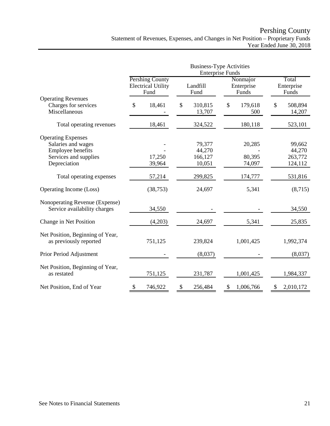<span id="page-26-0"></span>

|                                                                                                                      | <b>Business-Type Activities</b><br><b>Enterprise Funds</b> |                  |                  |                                       |                                 |                            |                              |                                        |  |
|----------------------------------------------------------------------------------------------------------------------|------------------------------------------------------------|------------------|------------------|---------------------------------------|---------------------------------|----------------------------|------------------------------|----------------------------------------|--|
| <b>Pershing County</b><br><b>Electrical Utility</b><br>Fund                                                          |                                                            |                  | Landfill<br>Fund |                                       | Nonmajor<br>Enterprise<br>Funds |                            | Total<br>Enterprise<br>Funds |                                        |  |
| <b>Operating Revenues</b><br>Charges for services<br>Miscellaneous                                                   | $\mathcal{S}$                                              | 18,461           | \$               | 310,815<br>13,707                     | \$                              | 179,618<br>500             | \$                           | 508,894<br>14,207                      |  |
| Total operating revenues                                                                                             |                                                            | 18,461           |                  | 324,522                               |                                 | 180,118                    |                              | 523,101                                |  |
| <b>Operating Expenses</b><br>Salaries and wages<br><b>Employee benefits</b><br>Services and supplies<br>Depreciation |                                                            | 17,250<br>39,964 |                  | 79,377<br>44,270<br>166,127<br>10,051 |                                 | 20,285<br>80,395<br>74,097 |                              | 99,662<br>44,270<br>263,772<br>124,112 |  |
| Total operating expenses                                                                                             |                                                            | 57,214           |                  | 299,825                               |                                 | 174,777                    |                              | 531,816                                |  |
| Operating Income (Loss)                                                                                              |                                                            | (38, 753)        |                  | 24,697                                |                                 | 5,341                      |                              | (8,715)                                |  |
| Nonoperating Revenue (Expense)<br>Service availability charges                                                       |                                                            | 34,550           |                  |                                       |                                 |                            |                              | 34,550                                 |  |
| Change in Net Position                                                                                               |                                                            | (4,203)          |                  | 24,697                                |                                 | 5,341                      |                              | 25,835                                 |  |
| Net Position, Beginning of Year,<br>as previously reported                                                           |                                                            | 751,125          |                  | 239,824                               |                                 | 1,001,425                  |                              | 1,992,374                              |  |
| Prior Period Adjustment                                                                                              |                                                            |                  |                  | (8,037)                               |                                 |                            |                              | (8,037)                                |  |
| Net Position, Beginning of Year,<br>as restated                                                                      |                                                            | 751,125          |                  | 231,787                               |                                 | 1,001,425                  |                              | 1,984,337                              |  |
| Net Position, End of Year                                                                                            | $\boldsymbol{\mathsf{S}}$                                  | 746,922          | \$               | 256,484                               | \$                              | 1,006,766                  | \$                           | 2,010,172                              |  |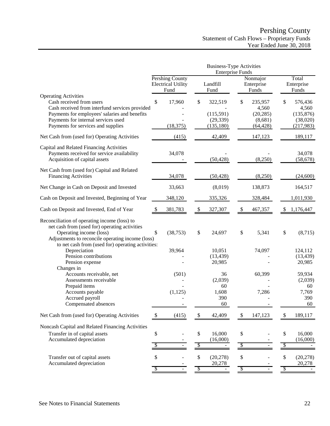# Pershing County Statement of Cash Flows – Proprietary Funds Year Ended June 30, 2018

<span id="page-27-0"></span>

|                                                                                                                                                                                                                                                   |                           |                                                      |          | <b>Business-Type Activities</b><br><b>Enterprise Funds</b> |          |                                                       |                     |                                                          |
|---------------------------------------------------------------------------------------------------------------------------------------------------------------------------------------------------------------------------------------------------|---------------------------|------------------------------------------------------|----------|------------------------------------------------------------|----------|-------------------------------------------------------|---------------------|----------------------------------------------------------|
|                                                                                                                                                                                                                                                   |                           | Pershing County<br><b>Electrical Utility</b><br>Fund |          | Landfill<br>Fund                                           |          | Nonmajor<br>Enterprise<br>Funds                       |                     | Total<br>Enterprise<br>Funds                             |
| <b>Operating Activities</b><br>Cash received from users<br>Cash received from interfund services provided<br>Payments for employees' salaries and benefits<br>Payments for internal services used<br>Payments for services and supplies           | $\boldsymbol{\mathsf{S}}$ | 17,960<br>(18, 375)                                  | \$       | 322,519<br>(115,591)<br>(29, 339)<br>(135, 180)            | \$       | 235,957<br>4,560<br>(20, 285)<br>(8,681)<br>(64, 428) | \$                  | 576,436<br>4,560<br>(135, 876)<br>(38,020)<br>(217, 983) |
| Net Cash from (used for) Operating Activities                                                                                                                                                                                                     |                           | (415)                                                |          | 42,409                                                     |          | 147,123                                               |                     | 189,117                                                  |
| Capital and Related Financing Activities<br>Payments received for service availability<br>Acquisition of capital assets                                                                                                                           |                           | 34,078                                               |          | (50, 428)                                                  |          | (8,250)                                               |                     | 34,078<br>(58, 678)                                      |
| Net Cash from (used for) Capital and Related<br><b>Financing Activities</b>                                                                                                                                                                       |                           | 34,078                                               |          | (50, 428)                                                  |          | (8,250)                                               |                     | (24,600)                                                 |
| Net Change in Cash on Deposit and Invested                                                                                                                                                                                                        |                           | 33,663                                               |          | (8,019)                                                    |          | 138,873                                               |                     | 164,517                                                  |
| Cash on Deposit and Invested, Beginning of Year                                                                                                                                                                                                   |                           | 348,120                                              |          | 335,326                                                    |          | 328,484                                               |                     | 1,011,930                                                |
| Cash on Deposit and Invested, End of Year                                                                                                                                                                                                         | S                         | 381,783                                              | \$       | 327,307                                                    | \$       | 467,357                                               | S                   | 1,176,447                                                |
| Reconciliation of operating income (loss) to<br>net cash from (used for) operating activities<br>Operating income (loss)<br>Adjustments to reconcile operating income (loss)<br>to net cash from (used for) operating activities:<br>Depreciation | \$                        | (38, 753)<br>39,964                                  | \$       | 24,697<br>10,051                                           | \$       | 5,341<br>74,097                                       | \$                  | (8,715)<br>124,112                                       |
| Pension contributions<br>Pension expense                                                                                                                                                                                                          |                           |                                                      |          | (13, 439)<br>20,985                                        |          |                                                       |                     | (13, 439)<br>20,985                                      |
| Changes in<br>Accounts receivable, net<br>Assessments receivable<br>Prepaid items<br>Accounts payable<br>Accrued payroll<br>Compensated absences                                                                                                  |                           | (501)<br>(1, 125)                                    |          | 36<br>(2,039)<br>60<br>1,608<br>390<br>60                  |          | 60,399<br>7,286                                       |                     | 59,934<br>(2,039)<br>60<br>7,769<br>390<br>60            |
| Net Cash from (used for) Operating Activities                                                                                                                                                                                                     | \$                        | (415)                                                | \$       | 42,409                                                     | \$       | 147,123                                               | \$                  | 189,117                                                  |
| Noncash Capital and Related Financing Activities<br>Transfer in of capital assets<br>Accumulated depreciation                                                                                                                                     | \$<br>P.                  |                                                      | \$<br>\$ | 16,000<br>(16,000)                                         | \$<br>-S |                                                       | \$<br>$\mathcal{E}$ | 16,000<br>(16,000)                                       |
| Transfer out of capital assets<br>Accumulated depreciation                                                                                                                                                                                        | \$                        |                                                      | \$       | (20, 278)<br>20,278                                        | \$       |                                                       | \$                  | (20, 278)<br>20,278                                      |
|                                                                                                                                                                                                                                                   | \$                        |                                                      | \$       |                                                            | \$       |                                                       | \$                  |                                                          |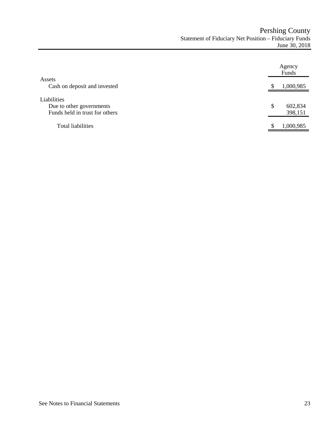<span id="page-28-0"></span>

|                                                                           |    | Agency<br>Funds    |
|---------------------------------------------------------------------------|----|--------------------|
| Assets                                                                    |    |                    |
| Cash on deposit and invested                                              |    | 1,000,985          |
| Liabilities<br>Due to other governments<br>Funds held in trust for others | \$ | 602,834<br>398,151 |
| Total liabilities                                                         |    | 1,000,985          |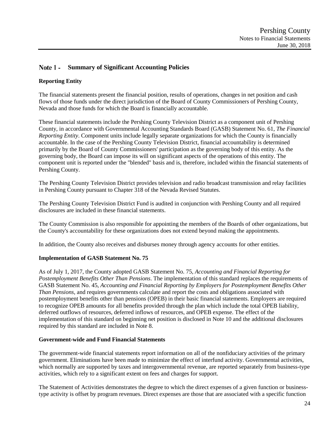# <span id="page-29-0"></span>**Summary of Significant Accounting Policies**

### **Reporting Entity**

The financial statements present the financial position, results of operations, changes in net position and cash flows of those funds under the direct jurisdiction of the Board of County Commissioners of Pershing County, Nevada and those funds for which the Board is financially accountable.

These financial statements include the Pershing County Television District as a component unit of Pershing County, in accordance with Governmental Accounting Standards Board (GASB) Statement No. 61, *The Financial Reporting Entity*. Component units include legally separate organizations for which the County is financially accountable. In the case of the Pershing County Television District, financial accountability is determined primarily by the Board of County Commissioners' participation as the governing body of this entity. As the governing body, the Board can impose its will on significant aspects of the operations of this entity. The component unit is reported under the "blended" basis and is, therefore, included within the financial statements of Pershing County.

The Pershing County Television District provides television and radio broadcast transmission and relay facilities in Pershing County pursuant to Chapter 318 of the Nevada Revised Statutes.

The Pershing County Television District Fund is audited in conjunction with Pershing County and all required disclosures are included in these financial statements.

The County Commission is also responsible for appointing the members of the Boards of other organizations, but the County's accountability for these organizations does not extend beyond making the appointments.

In addition, the County also receives and disburses money through agency accounts for other entities.

### **Implementation of GASB Statement No. 75**

As of July 1, 2017, the County adopted GASB Statement No. 75, *Accounting and Financial Reporting for Postemployment Benefits Other Than Pensions*. The implementation of this standard replaces the requirements of GASB Statement No. 45, *Accounting and Financial Reporting by Employers for Postemployment Benefits Other Than Pensions*, and requires governments calculate and report the costs and obligations associated with postemployment benefits other than pensions (OPEB) in their basic financial statements. Employers are required to recognize OPEB amounts for all benefits provided through the plan which include the total OPEB liability, deferred outflows of resources, deferred inflows of resources, and OPEB expense. The effect of the implementation of this standard on beginning net position is disclosed in Note 10 and the additional disclosures required by this standard are included in Note 8.

### **Government-wide and Fund Financial Statements**

The government-wide financial statements report information on all of the nonfiduciary activities of the primary government. Eliminations have been made to minimize the effect of interfund activity. Governmental activities, which normally are supported by taxes and intergovernmental revenue, are reported separately from business-type activities, which rely to a significant extent on fees and charges for support.

The Statement of Activities demonstrates the degree to which the direct expenses of a given function or businesstype activity is offset by program revenues. Direct expenses are those that are associated with a specific function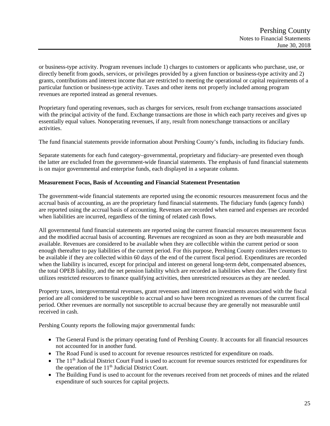or business-type activity. Program revenues include 1) charges to customers or applicants who purchase, use, or directly benefit from goods, services, or privileges provided by a given function or business-type activity and 2) grants, contributions and interest income that are restricted to meeting the operational or capital requirements of a particular function or business-type activity. Taxes and other items not properly included among program revenues are reported instead as general revenues.

Proprietary fund operating revenues, such as charges for services, result from exchange transactions associated with the principal activity of the fund. Exchange transactions are those in which each party receives and gives up essentially equal values. Nonoperating revenues, if any, result from nonexchange transactions or ancillary activities.

The fund financial statements provide information about Pershing County's funds, including its fiduciary funds.

Separate statements for each fund category–governmental, proprietary and fiduciary–are presented even though the latter are excluded from the government-wide financial statements. The emphasis of fund financial statements is on major governmental and enterprise funds, each displayed in a separate column.

### **Measurement Focus, Basis of Accounting and Financial Statement Presentation**

The government-wide financial statements are reported using the economic resources measurement focus and the accrual basis of accounting, as are the proprietary fund financial statements. The fiduciary funds (agency funds) are reported using the accrual basis of accounting. Revenues are recorded when earned and expenses are recorded when liabilities are incurred, regardless of the timing of related cash flows.

All governmental fund financial statements are reported using the current financial resources measurement focus and the modified accrual basis of accounting. Revenues are recognized as soon as they are both measurable and available. Revenues are considered to be available when they are collectible within the current period or soon enough thereafter to pay liabilities of the current period. For this purpose, Pershing County considers revenues to be available if they are collected within 60 days of the end of the current fiscal period. Expenditures are recorded when the liability is incurred, except for principal and interest on general long-term debt, compensated absences, the total OPEB liability, and the net pension liability which are recorded as liabilities when due. The County first utilizes restricted resources to finance qualifying activities, then unrestricted resources as they are needed.

Property taxes, intergovernmental revenues, grant revenues and interest on investments associated with the fiscal period are all considered to be susceptible to accrual and so have been recognized as revenues of the current fiscal period. Other revenues are normally not susceptible to accrual because they are generally not measurable until received in cash.

Pershing County reports the following major governmental funds:

- The General Fund is the primary operating fund of Pershing County. It accounts for all financial resources not accounted for in another fund.
- The Road Fund is used to account for revenue resources restricted for expenditure on roads.
- The 11<sup>th</sup> Judicial District Court Fund is used to account for revenue sources restricted for expenditures for the operation of the  $11<sup>th</sup>$  Judicial District Court.
- The Building Fund is used to account for the revenues received from net proceeds of mines and the related expenditure of such sources for capital projects.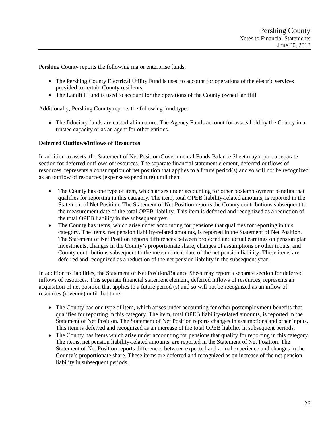Pershing County reports the following major enterprise funds:

- The Pershing County Electrical Utility Fund is used to account for operations of the electric services provided to certain County residents.
- The Landfill Fund is used to account for the operations of the County owned landfill.

Additionally, Pershing County reports the following fund type:

• The fiduciary funds are custodial in nature. The Agency Funds account for assets held by the County in a trustee capacity or as an agent for other entities.

### **Deferred Outflows/Inflows of Resources**

In addition to assets, the Statement of Net Position/Governmental Funds Balance Sheet may report a separate section for deferred outflows of resources. The separate financial statement element, deferred outflows of resources, represents a consumption of net position that applies to a future period(s) and so will not be recognized as an outflow of resources (expense/expenditure) until then.

- The County has one type of item, which arises under accounting for other postemployment benefits that qualifies for reporting in this category. The item, total OPEB liability-related amounts, is reported in the Statement of Net Position. The Statement of Net Position reports the County contributions subsequent to the measurement date of the total OPEB liability. This item is deferred and recognized as a reduction of the total OPEB liability in the subsequent year.
- The County has items, which arise under accounting for pensions that qualifies for reporting in this category. The items, net pension liability-related amounts, is reported in the Statement of Net Position. The Statement of Net Position reports differences between projected and actual earnings on pension plan investments, changes in the County's proportionate share, changes of assumptions or other inputs, and County contributions subsequent to the measurement date of the net pension liability. These items are deferred and recognized as a reduction of the net pension liability in the subsequent year.

In addition to liabilities, the Statement of Net Position/Balance Sheet may report a separate section for deferred inflows of resources. This separate financial statement element, deferred inflows of resources, represents an acquisition of net position that applies to a future period (s) and so will not be recognized as an inflow of resources (revenue) until that time.

- The County has one type of item, which arises under accounting for other postemployment benefits that qualifies for reporting in this category. The item, total OPEB liability-related amounts, is reported in the Statement of Net Position. The Statement of Net Position reports changes in assumptions and other inputs. This item is deferred and recognized as an increase of the total OPEB liability in subsequent periods.
- The County has items which arise under accounting for pensions that qualify for reporting in this category. The items, net pension liability-related amounts, are reported in the Statement of Net Position. The Statement of Net Position reports differences between expected and actual experience and changes in the County's proportionate share. These items are deferred and recognized as an increase of the net pension liability in subsequent periods.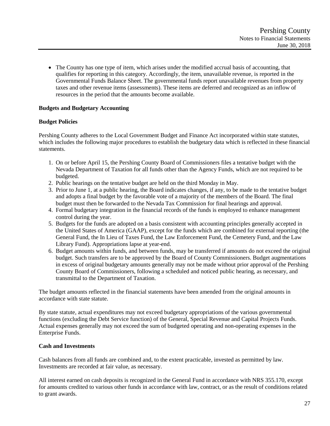• The County has one type of item, which arises under the modified accrual basis of accounting, that qualifies for reporting in this category. Accordingly, the item, unavailable revenue, is reported in the Governmental Funds Balance Sheet. The governmental funds report unavailable revenues from property taxes and other revenue items (assessments). These items are deferred and recognized as an inflow of resources in the period that the amounts become available.

# **Budgets and Budgetary Accounting**

### **Budget Policies**

Pershing County adheres to the Local Government Budget and Finance Act incorporated within state statutes, which includes the following major procedures to establish the budgetary data which is reflected in these financial statements.

- 1. On or before April 15, the Pershing County Board of Commissioners files a tentative budget with the Nevada Department of Taxation for all funds other than the Agency Funds, which are not required to be budgeted.
- 2. Public hearings on the tentative budget are held on the third Monday in May.
- 3. Prior to June 1, at a public hearing, the Board indicates changes, if any, to be made to the tentative budget and adopts a final budget by the favorable vote of a majority of the members of the Board. The final budget must then be forwarded to the Nevada Tax Commission for final hearings and approval.
- 4. Formal budgetary integration in the financial records of the funds is employed to enhance management control during the year.
- 5. Budgets for the funds are adopted on a basis consistent with accounting principles generally accepted in the United States of America (GAAP), except for the funds which are combined for external reporting (the General Fund, the In Lieu of Taxes Fund, the Law Enforcement Fund, the Cemetery Fund, and the Law Library Fund). Appropriations lapse at year-end.
- 6. Budget amounts within funds, and between funds, may be transferred if amounts do not exceed the original budget. Such transfers are to be approved by the Board of County Commissioners. Budget augmentations in excess of original budgetary amounts generally may not be made without prior approval of the Pershing County Board of Commissioners, following a scheduled and noticed public hearing, as necessary, and transmittal to the Department of Taxation.

The budget amounts reflected in the financial statements have been amended from the original amounts in accordance with state statute.

By state statute, actual expenditures may not exceed budgetary appropriations of the various governmental functions (excluding the Debt Service function) of the General, Special Revenue and Capital Projects Funds. Actual expenses generally may not exceed the sum of budgeted operating and non-operating expenses in the Enterprise Funds.

### **Cash and Investments**

Cash balances from all funds are combined and, to the extent practicable, invested as permitted by law. Investments are recorded at fair value, as necessary.

All interest earned on cash deposits is recognized in the General Fund in accordance with NRS 355.170, except for amounts credited to various other funds in accordance with law, contract, or as the result of conditions related to grant awards.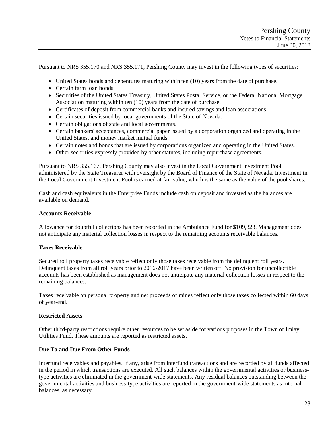Pursuant to NRS 355.170 and NRS 355.171, Pershing County may invest in the following types of securities:

- United States bonds and debentures maturing within ten (10) years from the date of purchase.
- Certain farm loan bonds.
- Securities of the United States Treasury, United States Postal Service, or the Federal National Mortgage Association maturing within ten (10) years from the date of purchase.
- Certificates of deposit from commercial banks and insured savings and loan associations.
- Certain securities issued by local governments of the State of Nevada.
- Certain obligations of state and local governments.
- Certain bankers' acceptances, commercial paper issued by a corporation organized and operating in the United States, and money market mutual funds.
- Certain notes and bonds that are issued by corporations organized and operating in the United States.
- Other securities expressly provided by other statutes, including repurchase agreements.

Pursuant to NRS 355.167, Pershing County may also invest in the Local Government Investment Pool administered by the State Treasurer with oversight by the Board of Finance of the State of Nevada. Investment in the Local Government Investment Pool is carried at fair value, which is the same as the value of the pool shares.

Cash and cash equivalents in the Enterprise Funds include cash on deposit and invested as the balances are available on demand.

### **Accounts Receivable**

Allowance for doubtful collections has been recorded in the Ambulance Fund for \$109,323. Management does not anticipate any material collection losses in respect to the remaining accounts receivable balances.

### **Taxes Receivable**

Secured roll property taxes receivable reflect only those taxes receivable from the delinquent roll years. Delinquent taxes from all roll years prior to 2016-2017 have been written off. No provision for uncollectible accounts has been established as management does not anticipate any material collection losses in respect to the remaining balances.

Taxes receivable on personal property and net proceeds of mines reflect only those taxes collected within 60 days of year-end.

### **Restricted Assets**

Other third-party restrictions require other resources to be set aside for various purposes in the Town of Imlay Utilities Fund. These amounts are reported as restricted assets.

### **Due To and Due From Other Funds**

Interfund receivables and payables, if any, arise from interfund transactions and are recorded by all funds affected in the period in which transactions are executed. All such balances within the governmental activities or businesstype activities are eliminated in the government-wide statements. Any residual balances outstanding between the governmental activities and business-type activities are reported in the government-wide statements as internal balances, as necessary.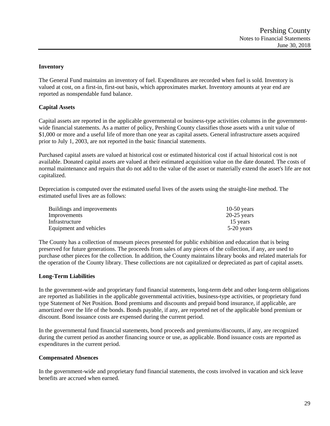### **Inventory**

The General Fund maintains an inventory of fuel. Expenditures are recorded when fuel is sold. Inventory is valued at cost, on a first-in, first-out basis, which approximates market. Inventory amounts at year end are reported as nonspendable fund balance.

### **Capital Assets**

Capital assets are reported in the applicable governmental or business-type activities columns in the governmentwide financial statements. As a matter of policy, Pershing County classifies those assets with a unit value of \$1,000 or more and a useful life of more than one year as capital assets. General infrastructure assets acquired prior to July 1, 2003, are not reported in the basic financial statements.

Purchased capital assets are valued at historical cost or estimated historical cost if actual historical cost is not available. Donated capital assets are valued at their estimated acquisition value on the date donated. The costs of normal maintenance and repairs that do not add to the value of the asset or materially extend the asset's life are not capitalized.

Depreciation is computed over the estimated useful lives of the assets using the straight-line method. The estimated useful lives are as follows:

| Buildings and improvements | 10-50 years   |
|----------------------------|---------------|
| Improvements               | $20-25$ years |
| Infrastructure             | 15 years      |
| Equipment and vehicles     | $5-20$ years  |

The County has a collection of museum pieces presented for public exhibition and education that is being preserved for future generations. The proceeds from sales of any pieces of the collection, if any, are used to purchase other pieces for the collection. In addition, the County maintains library books and related materials for the operation of the County library. These collections are not capitalized or depreciated as part of capital assets.

### **Long-Term Liabilities**

In the government-wide and proprietary fund financial statements, long-term debt and other long-term obligations are reported as liabilities in the applicable governmental activities, business-type activities, or proprietary fund type Statement of Net Position. Bond premiums and discounts and prepaid bond insurance, if applicable, are amortized over the life of the bonds. Bonds payable, if any, are reported net of the applicable bond premium or discount. Bond issuance costs are expensed during the current period.

In the governmental fund financial statements, bond proceeds and premiums/discounts, if any, are recognized during the current period as another financing source or use, as applicable. Bond issuance costs are reported as expenditures in the current period.

### **Compensated Absences**

In the government-wide and proprietary fund financial statements, the costs involved in vacation and sick leave benefits are accrued when earned.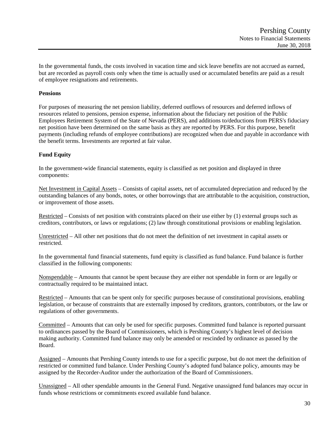In the governmental funds, the costs involved in vacation time and sick leave benefits are not accrued as earned, but are recorded as payroll costs only when the time is actually used or accumulated benefits are paid as a result of employee resignations and retirements.

### **Pensions**

For purposes of measuring the net pension liability, deferred outflows of resources and deferred inflows of resources related to pensions, pension expense, information about the fiduciary net position of the Public Employees Retirement System of the State of Nevada (PERS), and additions to/deductions from PERS's fiduciary net position have been determined on the same basis as they are reported by PERS. For this purpose, benefit payments (including refunds of employee contributions) are recognized when due and payable in accordance with the benefit terms. Investments are reported at fair value.

### **Fund Equity**

In the government-wide financial statements, equity is classified as net position and displayed in three components:

Net Investment in Capital Assets – Consists of capital assets, net of accumulated depreciation and reduced by the outstanding balances of any bonds, notes, or other borrowings that are attributable to the acquisition, construction, or improvement of those assets.

Restricted – Consists of net position with constraints placed on their use either by (1) external groups such as creditors, contributors, or laws or regulations; (2) law through constitutional provisions or enabling legislation.

Unrestricted – All other net positions that do not meet the definition of net investment in capital assets or restricted.

In the governmental fund financial statements, fund equity is classified as fund balance. Fund balance is further classified in the following components:

Nonspendable – Amounts that cannot be spent because they are either not spendable in form or are legally or contractually required to be maintained intact.

Restricted – Amounts that can be spent only for specific purposes because of constitutional provisions, enabling legislation, or because of constraints that are externally imposed by creditors, grantors, contributors, or the law or regulations of other governments.

Committed – Amounts that can only be used for specific purposes. Committed fund balance is reported pursuant to ordinances passed by the Board of Commissioners, which is Pershing County's highest level of decision making authority. Committed fund balance may only be amended or rescinded by ordinance as passed by the Board.

Assigned – Amounts that Pershing County intends to use for a specific purpose, but do not meet the definition of restricted or committed fund balance. Under Pershing County's adopted fund balance policy, amounts may be assigned by the Recorder-Auditor under the authorization of the Board of Commissioners.

Unassigned – All other spendable amounts in the General Fund. Negative unassigned fund balances may occur in funds whose restrictions or commitments exceed available fund balance.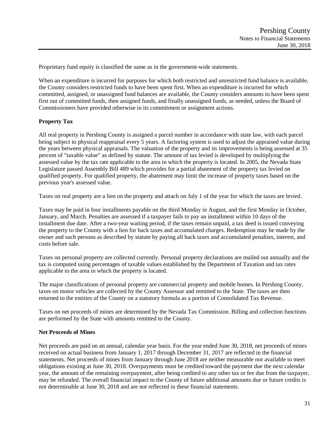Proprietary fund equity is classified the same as in the government-wide statements.

When an expenditure is incurred for purposes for which both restricted and unrestricted fund balance is available, the County considers restricted funds to have been spent first. When an expenditure is incurred for which committed, assigned, or unassigned fund balances are available, the County considers amounts to have been spent first out of committed funds, then assigned funds, and finally unassigned funds, as needed, unless the Board of Commissioners have provided otherwise in its commitment or assignment actions.

### **Property Tax**

All real property in Pershing County is assigned a parcel number in accordance with state law, with each parcel being subject to physical reappraisal every 5 years. A factoring system is used to adjust the appraised value during the years between physical appraisals. The valuation of the property and its improvements is being assessed at 35 percent of "taxable value" as defined by statute. The amount of tax levied is developed by multiplying the assessed value by the tax rate applicable to the area in which the property is located. In 2005, the Nevada State Legislature passed Assembly Bill 489 which provides for a partial abatement of the property tax levied on qualified property. For qualified property, the abatement may limit the increase of property taxes based on the previous year's assessed value.

Taxes on real property are a lien on the property and attach on July 1 of the year for which the taxes are levied.

Taxes may be paid in four installments payable on the third Monday in August, and the first Monday in October, January, and March. Penalties are assessed if a taxpayer fails to pay an installment within 10 days of the installment due date. After a two-year waiting period, if the taxes remain unpaid, a tax deed is issued conveying the property to the County with a lien for back taxes and accumulated charges. Redemption may be made by the owner and such persons as described by statute by paying all back taxes and accumulated penalties, interest, and costs before sale.

Taxes on personal property are collected currently. Personal property declarations are mailed out annually and the tax is computed using percentages of taxable values established by the Department of Taxation and tax rates applicable to the area in which the property is located.

The major classifications of personal property are commercial property and mobile homes. In Pershing County, taxes on motor vehicles are collected by the County Assessor and remitted to the State. The taxes are then returned to the entities of the County on a statutory formula as a portion of Consolidated Tax Revenue.

Taxes on net proceeds of mines are determined by the Nevada Tax Commission. Billing and collection functions are performed by the State with amounts remitted to the County.

#### **Net Proceeds of Mines**

Net proceeds are paid on an annual, calendar year basis. For the year ended June 30, 2018, net proceeds of mines received on actual business from January 1, 2017 through December 31, 2017 are reflected in the financial statements. Net proceeds of mines from January through June 2018 are neither measurable nor available to meet obligations existing at June 30, 2018. Overpayments must be credited toward the payment due the next calendar year, the amount of the remaining overpayment, after being credited to any other tax or fee due from the taxpayer, may be refunded. The overall financial impact to the County of future additional amounts due or future credits is not determinable at June 30, 2018 and are not reflected in these financial statements.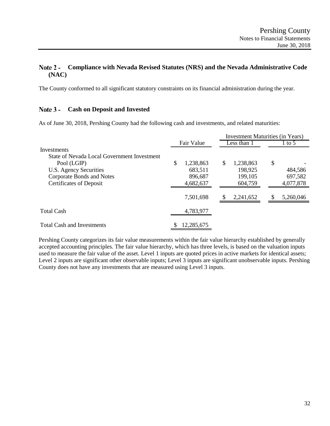#### Note  $2 -$ **Compliance with Nevada Revised Statutes (NRS) and the Nevada Administrative Code (NAC)**

The County conformed to all significant statutory constraints on its financial administration during the year.

#### Note  $3 -$ **Cash on Deposit and Invested**

As of June 30, 2018, Pershing County had the following cash and investments, and related maturities:

|                                                                                                                                                                    |                                                    | <b>Investment Maturities (in Years)</b> |                                            |    |                                 |  |
|--------------------------------------------------------------------------------------------------------------------------------------------------------------------|----------------------------------------------------|-----------------------------------------|--------------------------------------------|----|---------------------------------|--|
|                                                                                                                                                                    | Fair Value                                         |                                         | Less than 1                                |    | 1 to 5                          |  |
| Investments<br>State of Nevada Local Government Investment<br>Pool (LGIP)<br>U.S. Agency Securities<br>Corporate Bonds and Notes<br><b>Certificates of Deposit</b> | \$<br>1,238,863<br>683,511<br>896,687<br>4,682,637 | \$                                      | 1,238,863<br>198,925<br>199,105<br>604,759 | \$ | 484,586<br>697,582<br>4,077,878 |  |
|                                                                                                                                                                    | 7,501,698                                          |                                         | 2,241,652                                  | S  | 5,260,046                       |  |
| <b>Total Cash</b>                                                                                                                                                  | 4,783,977                                          |                                         |                                            |    |                                 |  |
| <b>Total Cash and Investments</b>                                                                                                                                  | 12,285,675                                         |                                         |                                            |    |                                 |  |

Pershing County categorizes its fair value measurements within the fair value hierarchy established by generally accepted accounting principles. The fair value hierarchy, which has three levels, is based on the valuation inputs used to measure the fair value of the asset. Level 1 inputs are quoted prices in active markets for identical assets; Level 2 inputs are significant other observable inputs; Level 3 inputs are significant unobservable inputs. Pershing County does not have any investments that are measured using Level 3 inputs.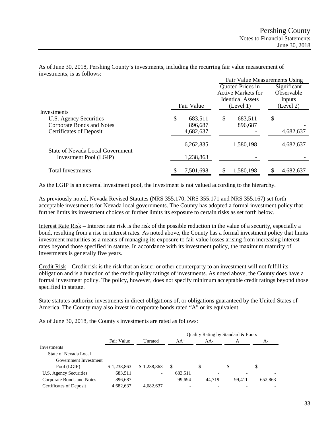|                                                                   | Fair Value Measurements Using |            |    |                           |    |             |  |
|-------------------------------------------------------------------|-------------------------------|------------|----|---------------------------|----|-------------|--|
|                                                                   |                               |            |    | Quoted Prices in          |    | Significant |  |
|                                                                   |                               |            |    | <b>Active Markets for</b> |    | Observable  |  |
|                                                                   |                               |            |    | <b>Identical Assets</b>   |    | Inputs      |  |
|                                                                   |                               | Fair Value |    | (Level 1)                 |    | (Level 2)   |  |
| Investments                                                       |                               |            |    |                           |    |             |  |
| U.S. Agency Securities                                            | \$                            | 683,511    | \$ | 683,511                   | \$ |             |  |
| Corporate Bonds and Notes                                         |                               | 896,687    |    | 896,687                   |    |             |  |
| <b>Certificates of Deposit</b>                                    |                               | 4,682,637  |    |                           |    | 4,682,637   |  |
|                                                                   |                               | 6,262,835  |    | 1,580,198                 |    | 4,682,637   |  |
| <b>State of Nevada Local Government</b><br>Investment Pool (LGIP) |                               | 1,238,863  |    |                           |    |             |  |
| <b>Total Investments</b>                                          |                               | 7,501,698  |    | 1,580,198                 |    | 4,682,637   |  |

As of June 30, 2018, Pershing County's investments, including the recurring fair value measurement of investments, is as follows:

As the LGIP is an external investment pool, the investment is not valued according to the hierarchy.

As previously noted, Nevada Revised Statutes (NRS 355.170, NRS 355.171 and NRS 355.167) set forth acceptable investments for Nevada local governments. The County has adopted a formal investment policy that further limits its investment choices or further limits its exposure to certain risks as set forth below.

Interest Rate Risk – Interest rate risk is the risk of the possible reduction in the value of a security, especially a bond, resulting from a rise in interest rates. As noted above, the County has a formal investment policy that limits investment maturities as a means of managing its exposure to fair value losses arising from increasing interest rates beyond those specified in statute. In accordance with its investment policy, the maximum maturity of investments is generally five years.

Credit Risk – Credit risk is the risk that an issuer or other counterparty to an investment will not fulfill its obligation and is a function of the credit quality ratings of investments. As noted above, the County does have a formal investment policy. The policy, however, does not specify minimum acceptable credit ratings beyond those specified in statute.

State statutes authorize investments in direct obligations of, or obligations guaranteed by the United States of America. The County may also invest in corporate bonds rated "A" or its equivalent.

As of June 30, 2018, the County's investments are rated as follows:

|                           |             | Quality Rating by Standard & Poors |                          |                          |                                |         |  |  |  |  |
|---------------------------|-------------|------------------------------------|--------------------------|--------------------------|--------------------------------|---------|--|--|--|--|
|                           | Fair Value  | Unrated                            | $AA+$                    | AA-                      | А                              | A-      |  |  |  |  |
| Investments               |             |                                    |                          |                          |                                |         |  |  |  |  |
| State of Nevada Local     |             |                                    |                          |                          |                                |         |  |  |  |  |
| Government Investment     |             |                                    |                          |                          |                                |         |  |  |  |  |
| Pool (LGIP)               | \$1,238,863 | \$1,238,863                        | $\overline{\phantom{a}}$ | $\blacksquare$           | -S<br>$\overline{\phantom{0}}$ | S       |  |  |  |  |
| U.S. Agency Securities    | 683,511     | $\overline{\phantom{a}}$           | 683,511                  | $\overline{\phantom{0}}$ |                                |         |  |  |  |  |
| Corporate Bonds and Notes | 896,687     |                                    | 99.694                   | 44.719                   | 99.411                         | 652.863 |  |  |  |  |
| Certificates of Deposit   | 4.682.637   | 4,682,637                          |                          |                          |                                |         |  |  |  |  |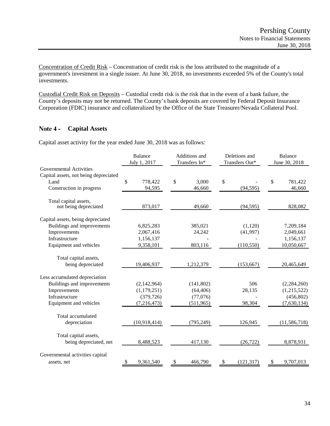Concentration of Credit Risk – Concentration of credit risk is the loss attributed to the magnitude of a government's investment in a single issuer. At June 30, 2018, no investments exceeded 5% of the County's total investments.

Custodial Credit Risk on Deposits – Custodial credit risk is the risk that in the event of a bank failure, the County's deposits may not be returned. The County's bank deposits are covered by Federal Deposit Insurance Corporation (FDIC) insurance and collateralized by the Office of the State Treasurer/Nevada Collateral Pool.

#### Note 4 -**Capital Assets**

Capital asset activity for the year ended June 30, 2018 was as follows:

|                                       | <b>Balance</b>            |              |               | Additions and |                | Deletions and | <b>Balance</b> |                |  |
|---------------------------------------|---------------------------|--------------|---------------|---------------|----------------|---------------|----------------|----------------|--|
|                                       |                           | July 1, 2017 | Transfers In* |               | Transfers Out* |               |                | June 30, 2018  |  |
| Governmental Activities               |                           |              |               |               |                |               |                |                |  |
| Capital assets, not being depreciated |                           |              |               |               |                |               |                |                |  |
| Land                                  | \$                        | 778,422      | \$            | 3,000         | \$             |               | \$             | 781,422        |  |
| Construction in progress              |                           | 94,595       |               | 46,660        |                | (94, 595)     |                | 46,660         |  |
| Total capital assets,                 |                           |              |               |               |                |               |                |                |  |
| not being depreciated                 |                           | 873,017      |               | 49,660        |                | (94, 595)     |                | 828,082        |  |
| Capital assets, being depreciated     |                           |              |               |               |                |               |                |                |  |
| Buildings and improvements            |                           | 6,825,283    |               | 385,021       |                | (1,120)       |                | 7,209,184      |  |
| Improvements                          |                           | 2,067,416    |               | 24,242        |                | (41,997)      |                | 2,049,661      |  |
| Infrastructure                        |                           | 1,156,137    |               |               |                |               |                | 1,156,137      |  |
| Equipment and vehicles                |                           | 9,358,101    |               | 803,116       |                | (110, 550)    |                | 10,050,667     |  |
| Total capital assets,                 |                           |              |               |               |                |               |                |                |  |
| being depreciated                     |                           | 19,406,937   |               | 1,212,379     |                | (153, 667)    |                | 20,465,649     |  |
| Less accumulated depreciation         |                           |              |               |               |                |               |                |                |  |
| Buildings and improvements            |                           | (2,142,964)  |               | (141,802)     |                | 506           |                | (2, 284, 260)  |  |
| Improvements                          |                           | (1,179,251)  |               | (64, 406)     |                | 28,135        |                | (1,215,522)    |  |
| Infrastructure                        |                           | (379, 726)   |               | (77,076)      |                |               |                | (456, 802)     |  |
| Equipment and vehicles                |                           | (7,216,473)  |               | (511, 965)    |                | 98,304        |                | (7,630,134)    |  |
| Total accumulated                     |                           |              |               |               |                |               |                |                |  |
| depreciation                          |                           | (10,918,414) |               | (795, 249)    |                | 126,945       |                | (11, 586, 718) |  |
| Total capital assets,                 |                           |              |               |               |                |               |                |                |  |
| being depreciated, net                |                           | 8,488,523    |               | 417,130       |                | (26, 722)     |                | 8,878,931      |  |
| Governmental activities capital       |                           |              |               |               |                |               |                |                |  |
| assets, net                           | $\boldsymbol{\mathsf{S}}$ | 9,361,540    | \$            | 466,790       | \$             | (121, 317)    | \$             | 9,707,013      |  |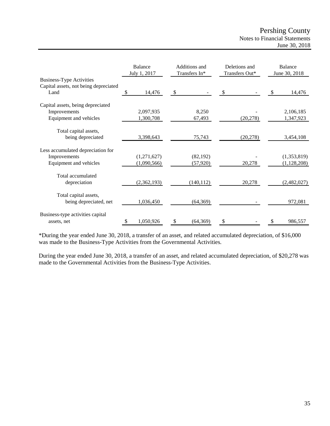|                                                                          | <b>Balance</b><br>July 1, 2017 | Additions and<br>Transfers In* | Deletions and<br>Transfers Out* | Balance<br>June 30, 2018 |  |
|--------------------------------------------------------------------------|--------------------------------|--------------------------------|---------------------------------|--------------------------|--|
| <b>Business-Type Activities</b><br>Capital assets, not being depreciated |                                |                                |                                 |                          |  |
| Land                                                                     | 14,476<br>\$                   | \$                             | S                               | 14,476<br>\$             |  |
| Capital assets, being depreciated                                        |                                |                                |                                 |                          |  |
| Improvements<br>Equipment and vehicles                                   | 2,097,935<br>1,300,708         | 8,250                          | (20, 278)                       | 2,106,185<br>1,347,923   |  |
|                                                                          |                                | 67,493                         |                                 |                          |  |
| Total capital assets,                                                    |                                |                                |                                 |                          |  |
| being depreciated                                                        | 3,398,643                      | 75,743                         | (20, 278)                       | 3,454,108                |  |
| Less accumulated depreciation for                                        |                                |                                |                                 |                          |  |
| Improvements                                                             | (1,271,627)                    | (82, 192)                      |                                 | (1,353,819)              |  |
| Equipment and vehicles                                                   | (1,090,566)                    | (57, 920)                      | 20,278                          | (1, 128, 208)            |  |
| Total accumulated                                                        |                                |                                |                                 |                          |  |
| depreciation                                                             | (2,362,193)                    | (140, 112)                     | 20,278                          | (2,482,027)              |  |
| Total capital assets,                                                    |                                |                                |                                 |                          |  |
| being depreciated, net                                                   | 1,036,450                      | (64, 369)                      |                                 | 972,081                  |  |
| Business-type activities capital                                         |                                |                                |                                 |                          |  |
| assets, net                                                              | 1,050,926                      | (64, 369)                      |                                 | 986,557                  |  |

\*During the year ended June 30, 2018, a transfer of an asset, and related accumulated depreciation, of \$16,000 was made to the Business-Type Activities from the Governmental Activities.

During the year ended June 30, 2018, a transfer of an asset, and related accumulated depreciation, of \$20,278 was made to the Governmental Activities from the Business-Type Activities.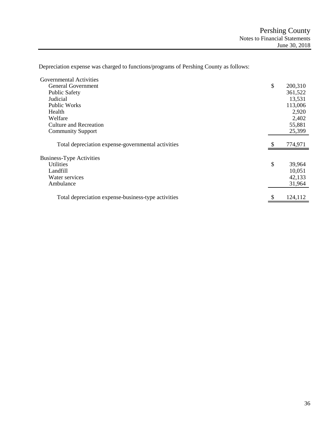Depreciation expense was charged to functions/programs of Pershing County as follows:

| Governmental Activities                             |               |
|-----------------------------------------------------|---------------|
| General Government                                  | \$<br>200,310 |
| <b>Public Safety</b>                                | 361,522       |
| Judicial                                            | 13,531        |
| <b>Public Works</b>                                 | 113,006       |
| Health                                              | 2,920         |
| Welfare                                             | 2,402         |
| <b>Culture and Recreation</b>                       | 55,881        |
| <b>Community Support</b>                            | 25,399        |
|                                                     |               |
| Total depreciation expense-governmental activities  | 774,971       |
| <b>Business-Type Activities</b>                     |               |
| <b>Utilities</b>                                    | \$<br>39,964  |
| Landfill                                            | 10,051        |
| Water services                                      | 42,133        |
| Ambulance                                           | 31,964        |
|                                                     |               |
| Total depreciation expense-business-type activities | \$<br>124,112 |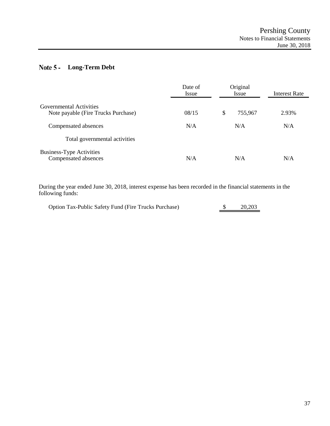# **Long-Term Debt**

|                                                                | Date of<br>Issue | Original<br>Issue | Interest Rate |
|----------------------------------------------------------------|------------------|-------------------|---------------|
| Governmental Activities<br>Note payable (Fire Trucks Purchase) | 08/15            | 755,967<br>S      | 2.93%         |
| Compensated absences                                           | N/A              | N/A               | N/A           |
| Total governmental activities                                  |                  |                   |               |
| <b>Business-Type Activities</b><br>Compensated absences        | N/A              | N/A               | N/A           |

During the year ended June 30, 2018, interest expense has been recorded in the financial statements in the following funds:

| <b>Option Tax-Public Safety Fund (Fire Trucks Purchase)</b> |  | 20,203 |
|-------------------------------------------------------------|--|--------|
|-------------------------------------------------------------|--|--------|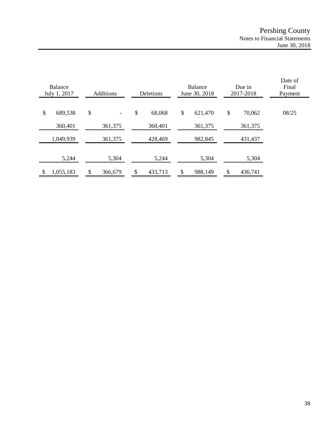| Balance<br>July 1, 2017 | <b>Additions</b> | Deletions     | Balance<br>June 30, 2018 | Due in<br>2017-2018 | Date of<br>Final<br>Payment |
|-------------------------|------------------|---------------|--------------------------|---------------------|-----------------------------|
| \$<br>689,538           | \$               | \$<br>68,068  | \$<br>621,470            | \$<br>70,062        | 08/25                       |
| 360,401                 | 361,375          | 360,401       | 361,375                  | 361,375             |                             |
| 1,049,939               | 361,375          | 428,469       | 982,845                  | 431,437             |                             |
| 5,244                   | 5,304            | 5,244         | 5,304                    | 5,304               |                             |
| \$<br>1,055,183         | \$<br>366,679    | \$<br>433,713 | \$<br>988,149            | \$<br>436,741       |                             |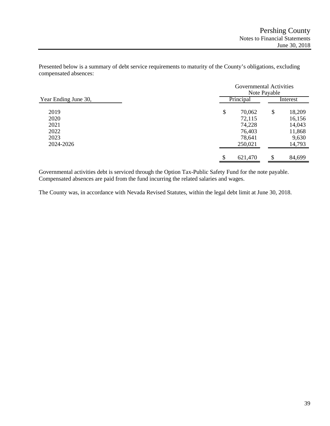Presented below is a summary of debt service requirements to maturity of the County's obligations, excluding compensated absences:

|                      | Governmental Activities<br>Note Payable |           |          |        |  |  |  |
|----------------------|-----------------------------------------|-----------|----------|--------|--|--|--|
| Year Ending June 30, |                                         | Principal | Interest |        |  |  |  |
| 2019                 | \$                                      | 70,062    | \$       | 18,209 |  |  |  |
| 2020                 |                                         | 72,115    |          | 16,156 |  |  |  |
| 2021                 |                                         | 74,228    |          | 14,043 |  |  |  |
| 2022                 |                                         | 76,403    |          | 11,868 |  |  |  |
| 2023                 |                                         | 78,641    |          | 9,630  |  |  |  |
| 2024-2026            |                                         | 250,021   |          | 14,793 |  |  |  |
|                      | \$                                      | 621,470   | \$       | 84,699 |  |  |  |

Governmental activities debt is serviced through the Option Tax-Public Safety Fund for the note payable. Compensated absences are paid from the fund incurring the related salaries and wages.

The County was, in accordance with Nevada Revised Statutes, within the legal debt limit at June 30, 2018.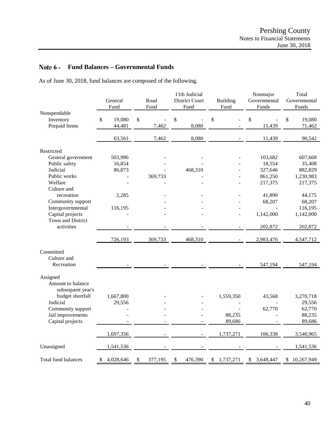# **Fund Balances – Governmental Funds**

As of June 30, 2018, fund balances are composed of the following.

|                                                    | General<br>Fund            |      | Road<br>Fund | 11th Judicial<br>District Court<br>Fund | Building<br>Fund                  | Nonmajor<br>Governmental<br>Funds | Total<br>Governmental<br>Funds |
|----------------------------------------------------|----------------------------|------|--------------|-----------------------------------------|-----------------------------------|-----------------------------------|--------------------------------|
| Nonspendable<br>Inventory<br>Prepaid Items         | \$<br>19,080<br>44,481     | \$   | 7,462        | \$<br>8,080                             | \$                                | \$<br>11,439                      | \$<br>19,080<br>71,462         |
|                                                    | 63,561                     |      | 7,462        | 8,080                                   |                                   | 11,439                            | 90,542                         |
| Restricted                                         |                            |      |              |                                         |                                   |                                   |                                |
| General government                                 | 503,986                    |      |              |                                         |                                   | 103,682                           | 607,668                        |
| Public safety                                      | 16,854                     |      |              |                                         |                                   | 18,554                            | 35,408                         |
| Judicial                                           | 86,873                     |      |              | 468,310                                 |                                   | 327,646                           | 882,829                        |
| Public works                                       |                            |      | 369,733      |                                         |                                   | 861,250                           | 1,230,983                      |
| Welfare                                            |                            |      |              |                                         |                                   | 217,375                           | 217,375                        |
| Culture and                                        |                            |      |              |                                         |                                   |                                   |                                |
| recreation                                         | 2,285                      |      |              |                                         |                                   | 41,890                            | 44,175                         |
| Community support                                  |                            |      |              |                                         |                                   | 68,207                            | 68,207                         |
| Intergovernmental                                  | 116,195                    |      |              |                                         |                                   |                                   | 116,195                        |
| Capital projects                                   |                            |      |              |                                         |                                   | 1,142,000                         | 1,142,000                      |
| Town and District                                  |                            |      |              |                                         |                                   |                                   |                                |
| activities                                         |                            |      |              |                                         |                                   | 202,872                           | 202,872                        |
|                                                    | 726,193                    |      | 369,733      | 468,310                                 |                                   | 2,983,476                         | 4,547,712                      |
| Committed<br>Culture and<br>Recreation             |                            |      |              |                                         |                                   | 547,194                           | 547,194                        |
| Assigned<br>Amount to balance<br>subsequent year's |                            |      |              |                                         |                                   |                                   |                                |
| budget shortfall                                   | 1,667,800                  |      |              |                                         | 1,559,350                         | 43,568                            | 3,270,718                      |
| Judicial                                           | 29,556                     |      |              |                                         |                                   |                                   | 29,556                         |
| Community support                                  |                            |      |              |                                         |                                   | 62,770                            | 62,770                         |
| Jail improvements                                  |                            |      |              |                                         | 88,235                            |                                   | 88,235                         |
| Capital projects                                   |                            |      |              |                                         | 89,686                            |                                   | 89,686                         |
|                                                    | 1,697,356                  |      |              |                                         | 1,737,271                         | 106,338                           | 3,540,965                      |
| Unassigned                                         | 1,541,536                  |      |              |                                         |                                   |                                   | 1,541,536                      |
| Total fund balances                                | 4,028,646<br>$\mathcal{P}$ | - \$ | 377,195      | $\frac{\mathsf{s}}{\mathsf{s}}$         | 476,390 \$ 1,737,271 \$ 3,648,447 |                                   | \$10,267,949                   |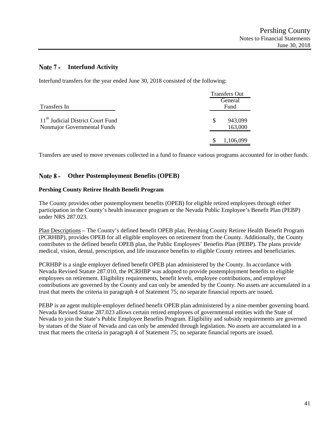#### **Interfund Activity**

Interfund transfers for the year ended June 30, 2018 consisted of the following:

|                                                                              |    | <b>Transfers Out</b> |  |
|------------------------------------------------------------------------------|----|----------------------|--|
| Transfers In                                                                 |    | General<br>Fund      |  |
| 11 <sup>th</sup> Judicial District Court Fund<br>Nonmajor Governmental Funds | \$ | 943,099<br>163,000   |  |
|                                                                              |    | 1,106,099            |  |

Transfers are used to move revenues collected in a fund to finance various programs accounted for in other funds.

#### Note  $8 -$ **Other Postemployment Benefits (OPEB)**

#### **Pershing County Retiree Health Benefit Program**

The County provides other postemployment benefits (OPEB) for eligible retired employees through either participation in the County's health insurance program or the Nevada Public Employee's Benefit Plan (PEBP) under NRS 287.023.

Plan Descriptions – The County's defined benefit OPEB plan, Pershing County Retiree Health Benefit Program (PCRHBP), provides OPEB for all eligible employees on retirement from the County. Additionally, the County contributes to the defined benefit OPEB plan, the Public Employees' Benefits Plan (PEBP). The plans provide medical, vision, dental, prescription, and life insurance benefits to eligible County retirees and beneficiaries.

PCRHBP is a single employer defined benefit OPEB plan administered by the County. In accordance with Nevada Revised Statute 287.010, the PCRHBP was adopted to provide postemployment benefits to eligible employees on retirement. Eligibility requirements, benefit levels, employee contributions, and employer contributions are governed by the County and can only be amended by the County. No assets are accumulated in a trust that meets the criteria in paragraph 4 of Statement 75; no separate financial reports are issued.

PEBP is an agent multiple-employer defined benefit OPEB plan administered by a nine-member governing board. Nevada Revised Statue 287.023 allows certain retired employees of governmental entities with the State of Nevada to join the State's Public Employee Benefits Program. Eligibility and subsidy requirements are governed by statues of the State of Nevada and can only be amended through legislation. No assets are accumulated in a trust that meets the criteria in paragraph 4 of Statement 75; no separate financial reports are issued.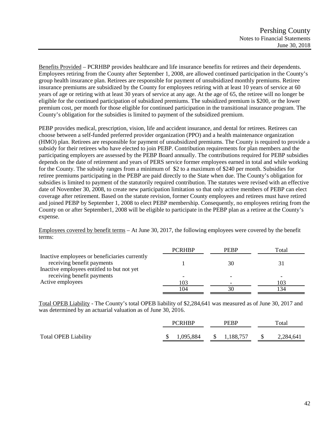Benefits Provided – PCRHBP provides healthcare and life insurance benefits for retirees and their dependents. Employees retiring from the County after September 1, 2008, are allowed continued participation in the County's group health insurance plan. Retirees are responsible for payment of unsubsidized monthly premiums. Retiree insurance premiums are subsidized by the County for employees retiring with at least 10 years of service at 60 years of age or retiring with at least 30 years of service at any age. At the age of 65, the retiree will no longer be eligible for the continued participation of subsidized premiums. The subsidized premium is \$200, or the lower premium cost, per month for those eligible for continued participation in the transitional insurance program. The County's obligation for the subsidies is limited to payment of the subsidized premium.

PEBP provides medical, prescription, vision, life and accident insurance, and dental for retirees. Retirees can choose between a self-funded preferred provider organization (PPO) and a health maintenance organization (HMO) plan. Retirees are responsible for payment of unsubsidized premiums. The County is required to provide a subsidy for their retirees who have elected to join PEBP. Contribution requirements for plan members and the participating employers are assessed by the PEBP Board annually. The contributions required for PEBP subsidies depends on the date of retirement and years of PERS service former employees earned in total and while working for the County. The subsidy ranges from a minimum of \$2 to a maximum of \$240 per month. Subsidies for retiree premiums participating in the PEBP are paid directly to the State when due. The County's obligation for subsidies is limited to payment of the statutorily required contribution. The statutes were revised with an effective date of November 30, 2008, to create new participation limitation so that only active members of PEBP can elect coverage after retirement. Based on the statute revision, former County employees and retirees must have retired and joined PEBP by September 1, 2008 to elect PEBP membership. Consequently, no employees retiring from the County on or after September1, 2008 will be eligible to participate in the PEBP plan as a retiree at the County's expense.

Employees covered by benefit terms – At June 30, 2017, the following employees were covered by the benefit terms:

|                                               | <b>PCRHRP</b> | PERP | Total |
|-----------------------------------------------|---------------|------|-------|
| Inactive employees or beneficiaries currently |               |      |       |
| receiving benefit payments                    |               |      |       |
| Inactive employees entitled to but not yet    |               |      |       |
| receiving benefit payments                    |               |      |       |
| Active employees                              | 103           |      | 103   |
|                                               | 104           |      | 34    |

Total OPEB Liability - The County's total OPEB liability of \$2,284,641 was measured as of June 30, 2017 and was determined by an actuarial valuation as of June 30, 2016.

|                             | <b>PERP</b><br><b>PCRHBP</b> |             | Total     |  |  |
|-----------------------------|------------------------------|-------------|-----------|--|--|
| <b>Total OPEB Liability</b> | 1,095,884                    | \$1,188,757 | 2,284,641 |  |  |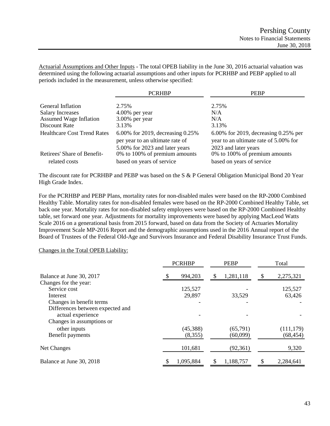Actuarial Assumptions and Other Inputs - The total OPEB liability in the June 30, 2016 actuarial valuation was determined using the following actuarial assumptions and other inputs for PCRHBP and PEBP applied to all periods included in the measurement, unless otherwise specified:

|                                    | <b>PCRHBP</b>                                                       | <b>PEBP</b>                                                                      |
|------------------------------------|---------------------------------------------------------------------|----------------------------------------------------------------------------------|
| General Inflation                  | 2.75%                                                               | 2.75%                                                                            |
| <b>Salary Increases</b>            | $4.00\%$ per year                                                   | N/A                                                                              |
| Assumed Wage Inflation             | $3.00\%$ per year                                                   | N/A                                                                              |
| Discount Rate                      | 3.13%                                                               | 3.13%                                                                            |
| <b>Healthcare Cost Trend Rates</b> | 6.00% for 2019, decreasing 0.25%<br>per year to an ultimate rate of | $6.00\%$ for 2019, decreasing 0.25% per<br>year to an ultimate rate of 5.00% for |
| Retirees' Share of Benefit-        | 5.00% for 2023 and later years<br>0% to 100% of premium amounts     | 2023 and later years<br>0% to 100% of premium amounts                            |
| related costs                      | based on years of service                                           | based on years of service                                                        |

The discount rate for PCRHBP and PEBP was based on the S & P General Obligation Municipal Bond 20 Year High Grade Index.

For the PCRHBP and PEBP Plans, mortality rates for non-disabled males were based on the RP-2000 Combined Healthy Table. Mortality rates for non-disabled females were based on the RP-2000 Combined Healthy Table, set back one year. Mortality rates for non-disabled safety employees were based on the RP-2000 Combined Healthy table, set forward one year. Adjustments for mortality improvements were based by applying MacLeod Watts Scale 2016 on a generational basis from 2015 forward, based on data from the Society of Actuaries Mortality Improvement Scale MP-2016 Report and the demographic assumptions used in the 2016 Annual report of the Board of Trustees of the Federal Old-Age and Survivors Insurance and Federal Disability Insurance Trust Funds.

#### Changes in the Total OPEB Liability:

|                                  |  | <b>PCRHBP</b> | <b>PEBP</b> | Total |            |  |
|----------------------------------|--|---------------|-------------|-------|------------|--|
| Balance at June 30, 2017         |  | 994,203       | 1,281,118   | \$    | 2,275,321  |  |
| Changes for the year:            |  |               |             |       |            |  |
| Service cost                     |  | 125,527       |             |       | 125,527    |  |
| Interest                         |  | 29,897        | 33,529      |       | 63,426     |  |
| Changes in benefit terms         |  |               |             |       |            |  |
| Differences between expected and |  |               |             |       |            |  |
| actual experience                |  |               |             |       |            |  |
| Changes in assumptions or        |  |               |             |       |            |  |
| other inputs                     |  | (45,388)      | (65,791)    |       | (111, 179) |  |
| Benefit payments                 |  | (8,355)       | (60,099)    |       | (68, 454)  |  |
| Net Changes                      |  | 101,681       | (92, 361)   |       | 9,320      |  |
| Balance at June 30, 2018         |  | 1,095,884     | 1,188,757   |       | 2,284,641  |  |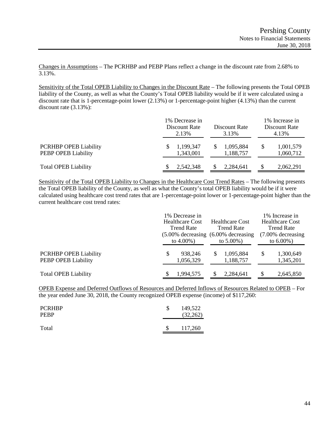Changes in Assumptions – The PCRHBP and PEBP Plans reflect a change in the discount rate from 2.68% to 3.13%.

Sensitivity of the Total OPEB Liability to Changes in the Discount Rate – The following presents the Total OPEB liability of the County, as well as what the County's Total OPEB liability would be if it were calculated using a discount rate that is 1-percentage-point lower (2.13%) or 1-percentage-point higher (4.13%) than the current discount rate (3.13%):

|                                                     | 1% Decrease in<br>Discount Rate<br>Discount Rate<br>3.13%<br>2.13% |                        |  |                        | 1% Increase in<br>Discount Rate<br>4.13% |                        |  |
|-----------------------------------------------------|--------------------------------------------------------------------|------------------------|--|------------------------|------------------------------------------|------------------------|--|
| <b>PCRHBP OPEB Liability</b><br>PEBP OPEB Liability |                                                                    | 1,199,347<br>1,343,001 |  | 1,095,884<br>1,188,757 |                                          | 1,001,579<br>1,060,712 |  |
| <b>Total OPEB Liability</b>                         |                                                                    | 2,542,348              |  | 2,284,641              |                                          | 2,062,291              |  |

Sensitivity of the Total OPEB Liability to Changes in the Healthcare Cost Trend Rates – The following presents the Total OPEB liability of the County, as well as what the County's total OPEB liability would be if it were calculated using healthcare cost trend rates that are 1-percentage-point lower or 1-percentage-point higher than the current healthcare cost trend rates:

|                                                     | 1% Decrease in<br><b>Healthcare Cost</b> | <b>Healthcare Cost</b>                                     | 1% Increase in<br><b>Healthcare Cost</b> |  |
|-----------------------------------------------------|------------------------------------------|------------------------------------------------------------|------------------------------------------|--|
|                                                     | <b>Trend Rate</b>                        | <b>Trend Rate</b>                                          | <b>Trend Rate</b>                        |  |
|                                                     | to $4.00\%$ )                            | $(5.00\%$ decreasing $(6.00\%$ decreasing<br>to $5.00\%$ ) | $(7.00\%$ decreasing<br>to $6.00\%$ )    |  |
| <b>PCRHBP OPEB Liability</b><br>PEBP OPEB Liability | 938,246<br>1,056,329                     | 1,095,884<br>1,188,757                                     | 1,300,649<br>1,345,201                   |  |
| <b>Total OPEB Liability</b>                         | 1,994,575                                | 2,284,641                                                  | 2,645,850                                |  |

OPEB Expense and Deferred Outflows of Resources and Deferred Inflows of Resources Related to OPEB – For the year ended June 30, 2018, the County recognized OPEB expense (income) of \$117,260:

| <b>PCRHBP</b><br><b>PEBP</b> | 149,522<br>(32, 262) |
|------------------------------|----------------------|
| Total                        | 117,260              |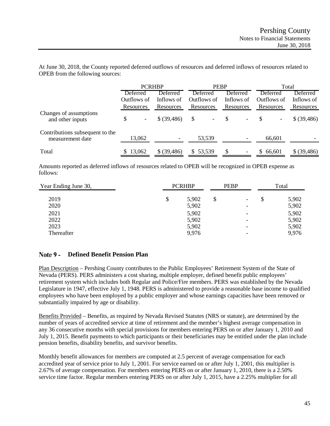At June 30, 2018, the County reported deferred outflows of resources and deferred inflows of resources related to OPEB from the following sources:

|                                                     | <b>PCRHBP</b> |                          | <b>PEBP</b>  |               |                          | Total        |                          |             |                          |             |  |
|-----------------------------------------------------|---------------|--------------------------|--------------|---------------|--------------------------|--------------|--------------------------|-------------|--------------------------|-------------|--|
|                                                     | Deferred      |                          | Deferred     |               | Deferred                 |              | Deferred                 | Deferred    |                          | Deferred    |  |
|                                                     | Outflows of   |                          | Inflows of   |               | Outflows of              |              | Inflows of               | Outflows of |                          | Inflows of  |  |
|                                                     | Resources     |                          | Resources    |               | Resources                |              | Resources                | Resources   |                          | Resources   |  |
| Changes of assumptions<br>and other inputs          |               | $\overline{\phantom{a}}$ | \$ (39, 486) | <sup>\$</sup> | $\overline{\phantom{a}}$ | <sup>S</sup> | $\overline{\phantom{a}}$ |             | $\overline{\phantom{a}}$ | \$ (39,486) |  |
| Contributions subsequent to the<br>measurement date |               | 13,062                   | -            |               | 53,539                   |              | $\overline{\phantom{a}}$ |             | 66,601                   |             |  |
| Total                                               |               | 13,062                   | \$ (39, 486) | S.            | 53,539                   | \$           | $\overline{\phantom{0}}$ | \$ 66,601   |                          | \$ (39,486) |  |

Amounts reported as deferred inflows of resources related to OPEB will be recognized in OPEB expense as follows:

| Year Ending June 30, | <b>PCRHBP</b> |       | <b>PEBP</b> |                          | Total |       |
|----------------------|---------------|-------|-------------|--------------------------|-------|-------|
| 2019                 | \$            | 5,902 | \$          | -                        |       | 5,902 |
| 2020                 |               | 5,902 |             | -                        |       | 5,902 |
| 2021                 |               | 5,902 |             | $\overline{\phantom{0}}$ |       | 5,902 |
| 2022                 |               | 5,902 |             |                          |       | 5,902 |
| 2023                 |               | 5,902 |             | ۰                        |       | 5,902 |
| Thereafter           |               | 9,976 |             | $\overline{\phantom{0}}$ |       | 9,976 |

## **Defined Benefit Pension Plan**

Plan Description – Pershing County contributes to the Public Employees' Retirement System of the State of Nevada (PERS). PERS administers a cost sharing, multiple employer, defined benefit public employees' retirement system which includes both Regular and Police/Fire members. PERS was established by the Nevada Legislature in 1947, effective July 1, 1948. PERS is administered to provide a reasonable base income to qualified employees who have been employed by a public employer and whose earnings capacities have been removed or substantially impaired by age or disability.

Benefits Provided – Benefits, as required by Nevada Revised Statutes (NRS or statute), are determined by the number of years of accredited service at time of retirement and the member's highest average compensation in any 36 consecutive months with special provisions for members entering PERS on or after January 1, 2010 and July 1, 2015. Benefit payments to which participants or their beneficiaries may be entitled under the plan include pension benefits, disability benefits, and survivor benefits.

Monthly benefit allowances for members are computed at 2.5 percent of average compensation for each accredited year of service prior to July 1, 2001. For service earned on or after July 1, 2001, this multiplier is 2.67% of average compensation. For members entering PERS on or after January 1, 2010, there is a 2.50% service time factor. Regular members entering PERS on or after July 1, 2015, have a 2.25% multiplier for all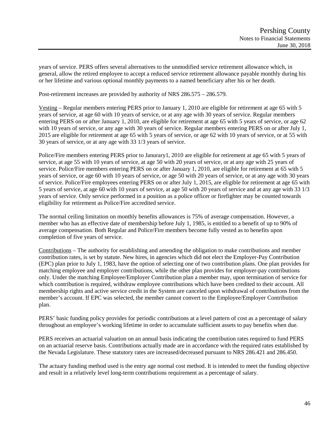years of service. PERS offers several alternatives to the unmodified service retirement allowance which, in general, allow the retired employee to accept a reduced service retirement allowance payable monthly during his or her lifetime and various optional monthly payments to a named beneficiary after his or her death.

Post-retirement increases are provided by authority of NRS 286.575 – 286.579.

Vesting – Regular members entering PERS prior to January 1, 2010 are eligible for retirement at age 65 with 5 years of service, at age 60 with 10 years of service, or at any age with 30 years of service. Regular members entering PERS on or after January 1, 2010, are eligible for retirement at age 65 with 5 years of service, or age 62 with 10 years of service, or any age with 30 years of service. Regular members entering PERS on or after July 1, 2015 are eligible for retirement at age 65 with 5 years of service, or age 62 with 10 years of service, or at 55 with 30 years of service, or at any age with 33 1/3 years of service.

Police/Fire members entering PERS prior to Janurary1, 2010 are eligible for retirement at age 65 with 5 years of service, at age 55 with 10 years of service, at age 50 with 20 years of service, or at any age with 25 years of service. Police/Fire members entering PERS on or after January 1, 2010, are eligible for retirement at 65 with 5 years of service, or age 60 with 10 years of service, or age 50 with 20 years of service, or at any age with 30 years of service. Police/Fire employees entering PERS on or after July 1, 2015, are eligible for retirement at age 65 with 5 years of service, at age 60 with 10 years of service, at age 50 with 20 years of service and at any age with 33 1/3 years of service. Only service performed in a position as a police officer or firefighter may be counted towards eligibility for retirement as Police/Fire accredited service.

The normal ceiling limitation on monthly benefits allowances is 75% of average compensation. However, a member who has an effective date of membership before July 1, 1985, is entitled to a benefit of up to 90% of average compensation. Both Regular and Police/Fire members become fully vested as to benefits upon completion of five years of service.

Contributions – The authority for establishing and amending the obligation to make contributions and member contribution rates, is set by statute. New hires, in agencies which did not elect the Employer-Pay Contribution (EPC) plan prior to July 1, 1983, have the option of selecting one of two contribution plans. One plan provides for matching employee and employer contributions, while the other plan provides for employer-pay contributions only. Under the matching Employee/Employer Contribution plan a member may, upon termination of service for which contribution is required, withdraw employee contributions which have been credited to their account. All membership rights and active service credit in the System are canceled upon withdrawal of contributions from the member's account. If EPC was selected, the member cannot convert to the Employee/Employer Contribution plan.

PERS' basic funding policy provides for periodic contributions at a level pattern of cost as a percentage of salary throughout an employee's working lifetime in order to accumulate sufficient assets to pay benefits when due.

PERS receives an actuarial valuation on an annual basis indicating the contribution rates required to fund PERS on an actuarial reserve basis. Contributions actually made are in accordance with the required rates established by the Nevada Legislature. These statutory rates are increased/decreased pursuant to NRS 286.421 and 286.450.

The actuary funding method used is the entry age normal cost method. It is intended to meet the funding objective and result in a relatively level long-term contributions requirement as a percentage of salary.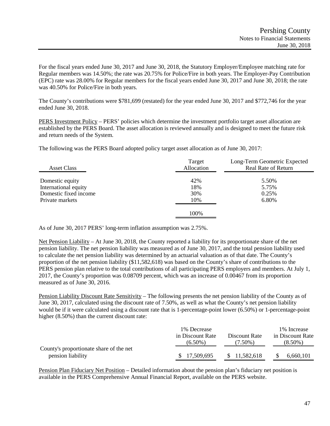For the fiscal years ended June 30, 2017 and June 30, 2018, the Statutory Employer/Employee matching rate for Regular members was 14.50%; the rate was 20.75% for Police/Fire in both years. The Employer-Pay Contribution (EPC) rate was 28.00% for Regular members for the fiscal years ended June 30, 2017 and June 30, 2018; the rate was 40.50% for Police/Fire in both years.

The County's contributions were \$781,699 (restated) for the year ended June 30, 2017 and \$772,746 for the year ended June 30, 2018.

PERS Investment Policy – PERS' policies which determine the investment portfolio target asset allocation are established by the PERS Board. The asset allocation is reviewed annually and is designed to meet the future risk and return needs of the System.

The following was the PERS Board adopted policy target asset allocation as of June 30, 2017:

| <b>Asset Class</b>    | Target<br>Allocation | Long-Term Geometric Expected<br><b>Real Rate of Return</b> |
|-----------------------|----------------------|------------------------------------------------------------|
| Domestic equity       | 42%                  | 5.50%                                                      |
| International equity  | 18%                  | 5.75%                                                      |
| Domestic fixed income | 30%                  | 0.25%                                                      |
| Private markets       | 10%                  | 6.80%                                                      |
|                       | 100%                 |                                                            |

As of June 30, 2017 PERS' long-term inflation assumption was 2.75%.

Net Pension Liability – At June 30, 2018, the County reported a liability for its proportionate share of the net pension liability. The net pension liability was measured as of June 30, 2017, and the total pension liability used to calculate the net pension liability was determined by an actuarial valuation as of that date. The County's proportion of the net pension liability (\$11,582,618) was based on the County's share of contributions to the PERS pension plan relative to the total contributions of all participating PERS employers and members. At July 1, 2017, the County's proportion was 0.08709 percent, which was an increase of 0.00467 from its proportion measured as of June 30, 2016.

Pension Liability Discount Rate Sensitivity – The following presents the net pension liability of the County as of June 30, 2017, calculated using the discount rate of 7.50%, as well as what the County's net pension liability would be if it were calculated using a discount rate that is 1-percentage-point lower (6.50%) or 1-percentage-point higher (8.50%) than the current discount rate:

|                                         | 1\% Decrease                   |                             | 1\% Increase                   |
|-----------------------------------------|--------------------------------|-----------------------------|--------------------------------|
|                                         | in Discount Rate<br>$(6.50\%)$ | Discount Rate<br>$(7.50\%)$ | in Discount Rate<br>$(8.50\%)$ |
| County's proportionate share of the net |                                |                             |                                |
| pension liability                       | 17,509,695                     | 11,582,618                  | 6,660,101                      |

Pension Plan Fiduciary Net Position – Detailed information about the pension plan's fiduciary net position is available in the PERS Comprehensive Annual Financial Report, available on the PERS website.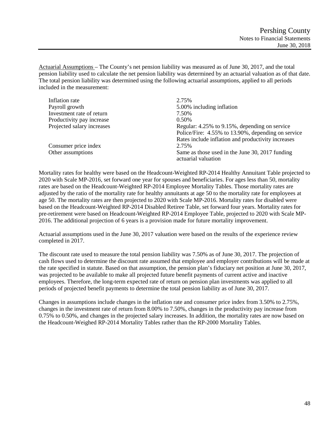Actuarial Assumptions – The County's net pension liability was measured as of June 30, 2017, and the total pension liability used to calculate the net pension liability was determined by an actuarial valuation as of that date. The total pension liability was determined using the following actuarial assumptions, applied to all periods included in the measurement:

| Inflation rate             | 2.75%                                              |
|----------------------------|----------------------------------------------------|
| Payroll growth             | 5.00% including inflation                          |
| Investment rate of return  | 7.50%                                              |
| Productivity pay increase  | $0.50\%$                                           |
| Projected salary increases | Regular: 4.25% to 9.15%, depending on service      |
|                            | Police/Fire: 4.55% to 13.90%, depending on service |
|                            | Rates include inflation and productivity increases |
| Consumer price index       | 2.75%                                              |
| Other assumptions          | Same as those used in the June 30, 2017 funding    |
|                            | actuarial valuation                                |

Mortality rates for healthy were based on the Headcount-Weighted RP-2014 Healthy Annuitant Table projected to 2020 with Scale MP-2016, set forward one year for spouses and beneficiaries. For ages less than 50, mortality rates are based on the Headcount-Weighted RP-2014 Employee Mortality Tables. Those mortality rates are adjusted by the ratio of the mortality rate for healthy annuitants at age 50 to the mortality rate for employees at age 50. The mortality rates are then projected to 2020 with Scale MP-2016. Mortality rates for disabled were based on the Headcount-Weighted RP-2014 Disabled Retiree Table, set forward four years. Mortality rates for pre-retirement were based on Headcount-Weighted RP-2014 Employee Table, projected to 2020 with Scale MP-2016. The additional projection of 6 years is a provision made for future mortality improvement.

Actuarial assumptions used in the June 30, 2017 valuation were based on the results of the experience review completed in 2017.

The discount rate used to measure the total pension liability was 7.50% as of June 30, 2017. The projection of cash flows used to determine the discount rate assumed that employee and employer contributions will be made at the rate specified in statute. Based on that assumption, the pension plan's fiduciary net position at June 30, 2017, was projected to be available to make all projected future benefit payments of current active and inactive employees. Therefore, the long-term expected rate of return on pension plan investments was applied to all periods of projected benefit payments to determine the total pension liability as of June 30, 2017.

Changes in assumptions include changes in the inflation rate and consumer price index from 3.50% to 2.75%, changes in the investment rate of return from 8.00% to 7.50%, changes in the productivity pay increase from 0.75% to 0.50%, and changes in the projected salary increases. In addition, the mortality rates are now based on the Headcount-Weighed RP-2014 Mortality Tables rather than the RP-2000 Mortality Tables.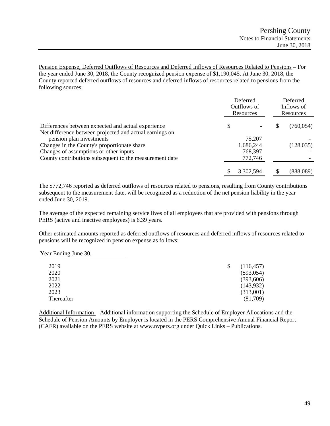Pension Expense, Deferred Outflows of Resources and Deferred Inflows of Resources Related to Pensions – For the year ended June 30, 2018, the County recognized pension expense of \$1,190,045. At June 30, 2018, the County reported deferred outflows of resources and deferred inflows of resources related to pensions from the following sources:

|                                                         | Deferred<br>Outflows of<br>Resources | Deferred<br>Inflows of<br>Resources |  |            |
|---------------------------------------------------------|--------------------------------------|-------------------------------------|--|------------|
| Differences between expected and actual experience      | \$                                   |                                     |  | (760, 054) |
| Net difference between projected and actual earnings on |                                      |                                     |  |            |
| pension plan investments                                |                                      | 75,207                              |  |            |
| Changes in the County's proportionate share             |                                      | 1,686,244                           |  | (128, 035) |
| Changes of assumptions or other inputs                  |                                      | 768,397                             |  |            |
| County contributions subsequent to the measurement date |                                      | 772,746                             |  |            |
|                                                         |                                      | 3,302,594                           |  | (888,089)  |

The \$772,746 reported as deferred outflows of resources related to pensions, resulting from County contributions subsequent to the measurement date, will be recognized as a reduction of the net pension liability in the year ended June 30, 2019.

The average of the expected remaining service lives of all employees that are provided with pensions through PERS (active and inactive employees) is 6.39 years.

Other estimated amounts reported as deferred outflows of resources and deferred inflows of resources related to pensions will be recognized in pension expense as follows:

Year Ending June 30,

| 2019       | (116, 457) |
|------------|------------|
| 2020       | (593, 054) |
| 2021       | (393,606)  |
| 2022       | (143,932)  |
| 2023       | (313,001)  |
| Thereafter | (81,709)   |

Additional Information – Additional information supporting the Schedule of Employer Allocations and the Schedule of Pension Amounts by Employer is located in the PERS Comprehensive Annual Financial Report (CAFR) available on the PERS website at www.nvpers.org under Quick Links – Publications.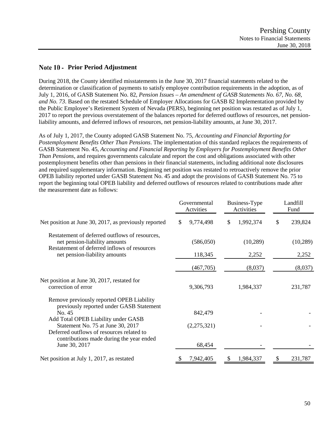### **Note 10 - Prior Period Adjustment**

During 2018, the County identified misstatements in the June 30, 2017 financial statements related to the determination or classification of payments to satisfy employee contribution requirements in the adoption, as of July 1, 2016, of GASB Statement No. 82, *Pension Issues – An amendment of GASB Statements No. 67, No. 68, and No. 73*. Based on the restated Schedule of Employer Allocations for GASB 82 Implementation provided by the Public Employee's Retirement System of Nevada (PERS), beginning net position was restated as of July 1, 2017 to report the previous overstatement of the balances reported for deferred outflows of resources, net pensionliability amounts, and deferred inflows of resources, net pension-liability amounts, at June 30, 2017.

As of July 1, 2017, the County adopted GASB Statement No. 75, *Accounting and Financial Reporting for Postemployment Benefits Other Than Pensions*. The implementation of this standard replaces the requirements of GASB Statement No. 45, *Accounting and Financial Reporting by Employers for Postemployment Benefits Other Than Pensions*, and requires governments calculate and report the cost and obligations associated with other postemployment benefits other than pensions in their financial statements, including additional note disclosures and required supplementary information. Beginning net position was restated to retroactively remove the prior OPEB liability reported under GASB Statement No. 45 and adopt the provisions of GASB Statement No. 75 to report the beginning total OPEB liability and deferred outflows of resources related to contributions made after the measurement date as follows:

|                                                                                                                                                                                                                                                                                       | Governmental<br>Actvities        | Business-Type<br>Activities | Landfill<br>Fund   |
|---------------------------------------------------------------------------------------------------------------------------------------------------------------------------------------------------------------------------------------------------------------------------------------|----------------------------------|-----------------------------|--------------------|
| Net position at June 30, 2017, as previously reported                                                                                                                                                                                                                                 | \$<br>9,774,498                  | 1,992,374<br>\$             | 239,824<br>\$      |
| Restatement of deferred outflows of resources,<br>net pension-liability amounts<br>Restatement of deferred inflows of resources<br>net pension-liability amounts                                                                                                                      | (586,050)<br>118,345             | (10, 289)<br>2,252          | (10, 289)<br>2,252 |
|                                                                                                                                                                                                                                                                                       | (467,705)                        | (8,037)                     | (8,037)            |
| Net position at June 30, 2017, restated for<br>correction of error                                                                                                                                                                                                                    | 9,306,793                        | 1,984,337                   | 231,787            |
| Remove previously reported OPEB Liability<br>previously reported under GASB Statement<br>No. 45<br>Add Total OPEB Liability under GASB<br>Statement No. 75 at June 30, 2017<br>Deferred outflows of resources related to<br>contributions made during the year ended<br>June 30, 2017 | 842,479<br>(2,275,321)<br>68,454 |                             |                    |
| Net position at July 1, 2017, as restated                                                                                                                                                                                                                                             | 7,942,405                        | 1,984,337                   | 231,787            |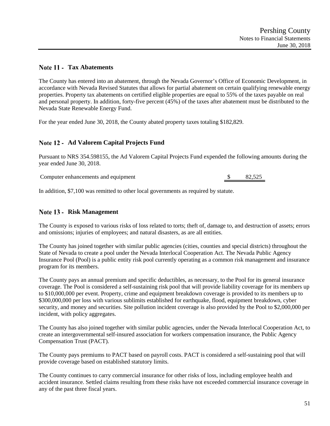#### **Tax Abatements**

The County has entered into an abatement, through the Nevada Governor's Office of Economic Development, in accordance with Nevada Revised Statutes that allows for partial abatement on certain qualifying renewable energy properties. Property tax abatements on certified eligible properties are equal to 55% of the taxes payable on real and personal property. In addition, forty-five percent (45%) of the taxes after abatement must be distributed to the Nevada State Renewable Energy Fund.

For the year ended June 30, 2018, the County abated property taxes totaling \$182,829.

## **Ad Valorem Capital Projects Fund**

Pursuant to NRS 354.598155, the Ad Valorem Capital Projects Fund expended the following amounts during the year ended June 30, 2018.

Computer enhancements and equipment  $\qquad$  \$ 82,525

In addition, \$7,100 was remitted to other local governments as required by statute.

#### **Risk Management**

The County is exposed to various risks of loss related to torts; theft of, damage to, and destruction of assets; errors and omissions; injuries of employees; and natural disasters, as are all entities.

The County has joined together with similar public agencies (cities, counties and special districts) throughout the State of Nevada to create a pool under the Nevada Interlocal Cooperation Act. The Nevada Public Agency Insurance Pool (Pool) is a public entity risk pool currently operating as a common risk management and insurance program for its members.

The County pays an annual premium and specific deductibles, as necessary, to the Pool for its general insurance coverage. The Pool is considered a self-sustaining risk pool that will provide liability coverage for its members up to \$10,000,000 per event. Property, crime and equipment breakdown coverage is provided to its members up to \$300,000,000 per loss with various sublimits established for earthquake, flood, equipment breakdown, cyber security, and money and securities. Site pollution incident coverage is also provided by the Pool to \$2,000,000 per incident, with policy aggregates.

The County has also joined together with similar public agencies, under the Nevada Interlocal Cooperation Act, to create an intergovernmental self-insured association for workers compensation insurance, the Public Agency Compensation Trust (PACT).

The County pays premiums to PACT based on payroll costs. PACT is considered a self-sustaining pool that will provide coverage based on established statutory limits.

The County continues to carry commercial insurance for other risks of loss, including employee health and accident insurance. Settled claims resulting from these risks have not exceeded commercial insurance coverage in any of the past three fiscal years.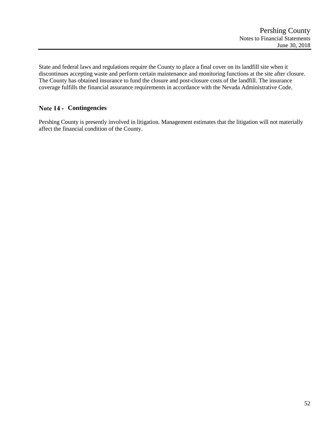State and federal laws and regulations require the County to place a final cover on its landfill site when it discontinues accepting waste and perform certain maintenance and monitoring functions at the site after closure. The County has obtained insurance to fund the closure and post-closure costs of the landfill. The insurance coverage fulfills the financial assurance requirements in accordance with the Nevada Administrative Code.

## **Note 14 - Contingencies**

Pershing County is presently involved in litigation. Management estimates that the litigation will not materially affect the financial condition of the County.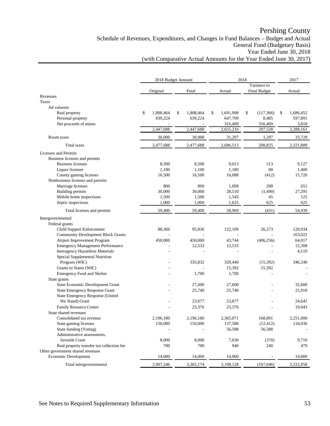#### Pershing County Schedule of Revenues, Expenditures, and Changes in Fund Balances – Budget and Actual General Fund (Budgetary Basis) Year Ended June 30, 2018

### (with Comparative Actual Amounts for the Year Ended June 30, 2017)

|                                           | 2018 Budget Amount |                 |                 | 2018                |                    |  |
|-------------------------------------------|--------------------|-----------------|-----------------|---------------------|--------------------|--|
|                                           |                    |                 |                 | Variance to         |                    |  |
|                                           | Original           | Final           | Actual          | <b>Final Budget</b> | Actual             |  |
| Revenues                                  |                    |                 |                 |                     |                    |  |
| Taxes                                     |                    |                 |                 |                     |                    |  |
| Ad valorem                                |                    |                 |                 |                     |                    |  |
| Real property                             | \$<br>1,808,464    | \$<br>1,808,464 | \$<br>1,691,098 | \$<br>(117, 366)    | \$<br>1,686,452    |  |
| Personal property                         | 639,224            | 639,224         | 647,709         | 8,485               | 597,891            |  |
| Net proceeds of mines                     |                    | 2,447,688       | 316,409         | 316,409             | 3,818<br>2,288,161 |  |
|                                           | 2,447,688          |                 | 2,655,216       | 207,528             |                    |  |
| Room taxes                                | 30,000             | 30,000          | 31,297          | 1,297               | 33,728             |  |
| <b>Total</b> taxes                        | 2,477,688          | 2,477,688       | 2,686,513       | 208,825             | 2,321,889          |  |
| Licenses and Permits                      |                    |                 |                 |                     |                    |  |
| Business licenses and permits             |                    |                 |                 |                     |                    |  |
| <b>Business licenses</b>                  | 8,500              | 8,500           | 9,013           | 513                 | 9,127              |  |
| Liquor licenses                           | 1,100              | 1,100           | 1,180           | 80                  | 1,400              |  |
| County gaming licenses                    | 16,500             | 16,500          | 16,088          | (412)               | 15,720             |  |
| Nonbusiness licenses and permits          |                    |                 |                 |                     |                    |  |
| Marriage licenses                         | 800                | 800             | 1,008           | 208                 | 651                |  |
| <b>Building permits</b>                   | 30,000             | 30,000          | 28,510          | (1,490)             | 27,291             |  |
| Mobile home inspections                   | 1,500              | 1,500           | 1,545           | 45                  | 125                |  |
| Septic inspections                        | 1,000              | 1,000           | 1,625           | 625                 | 625                |  |
| Total licenses and permits                | 59,400             | 59,400          | 58,969          | (431)               | 54,939             |  |
| Intergovernmental                         |                    |                 |                 |                     |                    |  |
| Federal grants                            |                    |                 |                 |                     |                    |  |
| <b>Child Support Enforcement</b>          | 88,366             | 95,836          | 122,109         | 26,273              | 120,934            |  |
| <b>Community Development Block Grants</b> |                    |                 |                 |                     | 163,022            |  |
| Airport Improvement Program               | 450,000            | 450,000         | 43,744          | (406, 256)          | 64,017             |  |
| <b>Emergency Management Performance</b>   |                    | 12,533          | 12,533          |                     | 12,308             |  |
| <b>Interagency Hazardous Materials</b>    |                    |                 |                 |                     | 4,110              |  |
| Special Supplemental Nutrition            |                    |                 |                 |                     |                    |  |
| Program (WIC)                             |                    | 335,832         | 320,440         | (15,392)            | 346,240            |  |
| Grants to States (WIC)                    |                    |                 | 15,392          | 15,392              |                    |  |
| <b>Emergency Food and Shelter</b>         |                    | 1,700           | 1,700           |                     |                    |  |
| State grants                              |                    |                 |                 |                     |                    |  |
| State Economic Development Grant          |                    | 27.600          | 27,600          |                     | 32,600             |  |
| <b>State Emergency Response Grant</b>     |                    | 25,740          | 25,740          |                     | 25,918             |  |
| <b>State Emergency Response (United</b>   |                    |                 |                 |                     |                    |  |
| We Stand) Grant                           |                    | 23,677          | 23,677          |                     | 24,641             |  |
| <b>Family Resource Center</b>             |                    | 23,376          | 23,376          |                     | 19.043             |  |
| State shared revenues                     |                    |                 |                 |                     |                    |  |
| Consolidated tax revenue                  | 2,196,180          | 2,196,180       | 2,365,071       | 168,891             | 2,251,000          |  |
| State gaming licenses                     | 150,000            | 150,000         | 137,588         | (12, 412)           | 134,036            |  |
| State funding (Voting)                    |                    |                 | 56,588          | 56,588              |                    |  |
| Administrative assessments,               |                    |                 |                 |                     |                    |  |
| Juvenile Court                            | 8,000              | 8,000           | 7,630           | (370)               | 9,710              |  |
| Real property transfer tax collection fee | 700                | 700             | 940             | 240                 | 479                |  |
| Other government shared revenues          |                    |                 |                 |                     |                    |  |
| Economic Development                      | 14,000             | 14,000          | 14,000          |                     | 14,000             |  |
| Total intergovernmental                   | 2,907,246          | 3,365,174       | 3,198,128       | (167, 046)          | 3,222,058          |  |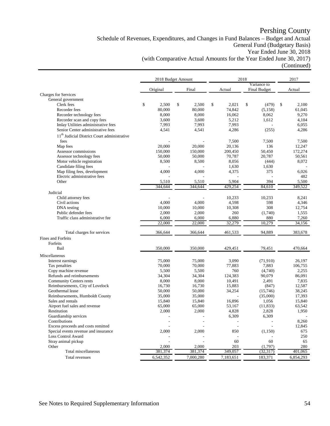Schedule of Revenues, Expenditures, and Changes in Fund Balances – Budget and Actual General Fund (Budgetary Basis) Year Ended June 30, 2018 (with Comparative Actual Amounts for the Year Ended June 30, 2017)

(Continued)

|                                                         |             | 2018<br>2018 Budget Amount |           |             | 2017 |                     |    |           |
|---------------------------------------------------------|-------------|----------------------------|-----------|-------------|------|---------------------|----|-----------|
|                                                         |             |                            |           |             |      | Variance to         |    |           |
| Charges for Services                                    | Original    |                            | Final     | Actual      |      | <b>Final Budget</b> |    | Actual    |
| General government                                      |             |                            |           |             |      |                     |    |           |
| Clerk fees                                              | \$<br>2,500 | \$                         | 2,500     | \$<br>2,021 | \$   | (479)               | \$ | 2,100     |
| Recorder fees                                           | 80,000      |                            | 80,000    | 74,842      |      | (5, 158)            |    | 61,045    |
| Recorder technology fees                                | 8,000       |                            | 8,000     | 16,062      |      | 8,062               |    | 9,270     |
| Recorder scan and copy fees                             | 3,600       |                            | 3,600     | 5,212       |      | 1,612               |    | 4,104     |
| Imlay Utilities administrative fees                     | 7,993       |                            | 7,993     | 7,993       |      |                     |    | 6,055     |
| Senior Center administrative fees                       | 4,541       |                            | 4,541     | 4,286       |      | (255)               |    | 4,286     |
| 11 <sup>th</sup> Judicial District Court administrative |             |                            |           |             |      |                     |    |           |
| fees                                                    |             |                            |           | 7,500       |      | 7,500               |    | 7,500     |
| Map fees                                                | 20,000      |                            | 20,000    | 20,136      |      | 136                 |    | 12,247    |
| Assessor commissions                                    | 150,000     |                            | 150,000   | 200,450     |      | 50,450              |    | 172,274   |
| Assessor technology fees                                | 50,000      |                            | 50,000    | 70,787      |      | 20,787              |    | 50,561    |
| Motor vehicle registration                              | 8,500       |                            | 8,500     | 8,056       |      | (444)               |    | 8,072     |
| Candidate filing fees                                   |             |                            |           | 1,630       |      | 1,630               |    |           |
| Map filing fees, development                            | 4,000       |                            | 4,000     | 4,375       |      | 375                 |    | 6,026     |
| Electric administrative fees                            |             |                            |           |             |      |                     |    | 482       |
| Other                                                   | 5,510       |                            | 5,510     | 5,904       |      | 394                 |    | 5,500     |
|                                                         | 344,644     |                            | 344,644   | 429,254     |      | 84,610              |    | 349,522   |
| Judicial                                                |             |                            |           |             |      |                     |    |           |
| Child attorney fees                                     |             |                            |           | 10,233      |      | 10,233              |    | 8,241     |
| Civil actions                                           | 4,000       |                            | 4,000     | 4,598       |      | 598                 |    | 4,346     |
| DNA testing                                             | 10,000      |                            | 10,000    | 10,308      |      | 308                 |    | 12,754    |
| Public defender fees                                    | 2,000       |                            | 2,000     | 260         |      | (1,740)             |    | 1,555     |
| Traffic class administrative fee                        | 6,000       |                            | 6,000     | 6,880       |      | 880                 |    | 7,260     |
|                                                         | 22,000      |                            | 22,000    | 32,279      |      | 10,279              |    | 34,156    |
| Total charges for services                              | 366,644     |                            | 366,644   | 461,533     |      | 94,889              |    | 383,678   |
|                                                         |             |                            |           |             |      |                     |    |           |
| Fines and Forfeits                                      |             |                            |           |             |      |                     |    |           |
| Forfeits                                                |             |                            |           |             |      |                     |    |           |
| Bail                                                    | 350,000     |                            | 350,000   | 429,451     |      | 79,451              |    | 470,664   |
| Miscellaneous                                           |             |                            |           |             |      |                     |    |           |
| Interest earnings                                       | 75,000      |                            | 75,000    | 3,090       |      | (71,910)            |    | 26,197    |
| Tax penalties                                           | 70,000      |                            | 70,000    | 77,883      |      | 7,883               |    | 106,755   |
| Copy machine revenue                                    | 5,500       |                            | 5,500     | 760         |      | (4,740)             |    | 2,255     |
| Refunds and reimbursements                              | 34,304      |                            | 34,304    | 124,383     |      | 90,079              |    | 86,091    |
| <b>Community Centers rents</b>                          | 8,000       |                            | 8,000     | 10,491      |      | 2,491               |    | 7,835     |
| Reimbursements, City of Lovelock                        | 16,730      |                            | 16,730    | 15,883      |      | (847)               |    | 12,587    |
| Geothermal lease                                        | 50,000      |                            | 50,000    | 34,254      |      | (15,746)            |    | 38,245    |
| Reimbursements, Humboldt County                         | 35,000      |                            | 35,000    |             |      | (35,000)            |    | 17,393    |
| Sales and rentals                                       | 15,840      |                            | 15,840    | 16,896      |      | 1,056               |    | 15,840    |
| Airport fuel sales and revenue                          | 65,000      |                            | 65,000    | 53,167      |      | (11, 833)           |    | 63,542    |
| Restitution                                             | 2,000       |                            | 2,000     | 4,828       |      | 2,828               |    | 1,950     |
| Guardianship services                                   |             |                            |           | 6,309       |      | 6,309               |    |           |
| Contributions                                           |             |                            |           |             |      |                     |    | 8,260     |
| Excess proceeds and costs remitted                      |             |                            |           |             |      |                     |    | 12,845    |
| Special events revenue and insurance                    | 2,000       |                            | 2,000     | 850         |      | (1,150)             |    | 675       |
| <b>Loss Control Award</b>                               |             |                            |           |             |      |                     |    | 250       |
| Stray animal pickup                                     |             |                            |           | 60          |      | 60                  |    | 65        |
| Other                                                   | 2,000       |                            | 2,000     | 203         |      | (1,797)             |    | 280       |
| Total miscellaneous                                     | 381,374     |                            | 381,374   | 349,057     |      | (32, 317)           |    | 401,065   |
| Total revenues                                          | 6,542,352   |                            | 7,000,280 | 7,183,651   |      | 183,371             |    | 6,854,293 |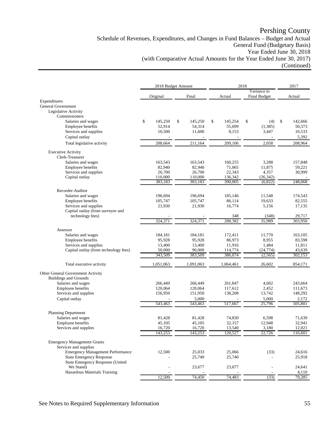#### Pershing County Schedule of Revenues, Expenditures, and Changes in Fund Balances – Budget and Actual General Fund (Budgetary Basis) Year Ended June 30, 2018 (with Comparative Actual Amounts for the Year Ended June 30, 2017)

(Continued)

| Variance to<br>Original<br>Final<br>Actual<br>Final Budget<br>Actual<br>Expenditures<br>General Government<br>Legislative Activity<br>Commissioners<br>\$<br>145,250<br>\$<br>\$<br>\$<br>Salaries and wages<br>145,250<br>145,254<br>(4)<br>\$<br>142,666<br>Employee benefits<br>52,914<br>54,314<br>55,699<br>50,373<br>(1,385)<br>Services and supplies<br>10,500<br>11,600<br>8,153<br>3,447<br>10,533<br>Capital outlay<br>5,392<br>Total legislative activity<br>208,664<br>209,106<br>2,058<br>208,964<br>211,164<br><b>Executive Activity</b><br>Clerk-Treasurer<br>Salaries and wages<br>163,543<br>163,543<br>160,255<br>3,288<br>157,848<br><b>Employee benefits</b><br>82,940<br>82,940<br>71,065<br>11,875<br>59,221<br>Services and supplies<br>26,700<br>26,700<br>22,343<br>4,357<br>30,999<br>Capital outlay<br>110,000<br>110,000<br>136,342<br>(26, 342)<br>248,068<br>383,183<br>383,183<br>390,005<br>(6,822)<br>Recorder-Auditor<br>196,694<br>196,694<br>185.146<br>174,543<br>Salaries and wages<br>11,548<br>Employee benefits<br>105,747<br>105,747<br>86,114<br>19,633<br>82,555<br>Services and supplies<br>21,930<br>21,930<br>16,774<br>5,156<br>17,135<br>Capital outlay (from surveyor and<br>technology fees)<br>348<br>(348)<br>29,717<br>324,371<br>324,371<br>288,382<br>35,989<br>303,950<br>Assessor<br>Salaries and wages<br>184,181<br>184,181<br>163,105<br>172,411<br>11,770<br>Employee benefits<br>95,928<br>86,973<br>95,928<br>8,955<br>83,598<br>Services and supplies<br>11,916<br>1,484<br>11,811<br>13,400<br>13,400<br>Capital outlay (from technology fees)<br>114,774<br>(24, 774)<br>50,000<br>90,000<br>43,639<br>343,509<br>383,509<br>386,074<br>302,153<br>(2,565)<br>26,602<br>Total executive activity<br>1,051,063<br>1,091,063<br>1,064,461<br>854,171<br>Other General Government Activity<br><b>Buildings and Grounds</b><br>Salaries and wages<br>266,449<br>266,449<br>261,847<br>4,602<br>243,664<br>Employee benefits<br>120,064<br>2,452<br>120,064<br>117,612<br>111,673<br>Services and supplies<br>156,950<br>151,950<br>138,208<br>13,742<br>148,292<br>2,172<br>Capital outlay<br>5,000<br>5,000<br>543,463<br>543,463<br>517,667<br>25,796<br>505,801<br><b>Planning Department</b><br>74,830<br>6,598<br>Salaries and wages<br>81,428<br>81,428<br>71,639<br>45,105<br>45,105<br>32,157<br>12,948<br>32,941<br>Employee benefits<br>12,021<br>Services and supplies<br>16,720<br>16,720<br>13,540<br>3,180<br>143,253<br>143,253<br>120,527<br>22,726<br>116,601<br><b>Emergency Management Grants</b><br>Services and supplies<br><b>Emergency Management Performance</b><br>25,033<br>12,500<br>25,066<br>(33)<br>24,616<br><b>State Emergency Response</b><br>25,740<br>25,918<br>25,740<br>State Emergency Response (United<br>We Stand)<br>24,641<br>23,677<br>23,677<br>Hazardous Materials Training<br>4,110 | 2018 Budget Amount |        |        | 2018 |      |  |
|--------------------------------------------------------------------------------------------------------------------------------------------------------------------------------------------------------------------------------------------------------------------------------------------------------------------------------------------------------------------------------------------------------------------------------------------------------------------------------------------------------------------------------------------------------------------------------------------------------------------------------------------------------------------------------------------------------------------------------------------------------------------------------------------------------------------------------------------------------------------------------------------------------------------------------------------------------------------------------------------------------------------------------------------------------------------------------------------------------------------------------------------------------------------------------------------------------------------------------------------------------------------------------------------------------------------------------------------------------------------------------------------------------------------------------------------------------------------------------------------------------------------------------------------------------------------------------------------------------------------------------------------------------------------------------------------------------------------------------------------------------------------------------------------------------------------------------------------------------------------------------------------------------------------------------------------------------------------------------------------------------------------------------------------------------------------------------------------------------------------------------------------------------------------------------------------------------------------------------------------------------------------------------------------------------------------------------------------------------------------------------------------------------------------------------------------------------------------------------------------------------------------------------------------------------------------------------------------------------------------------------------------------------------------------------------------------------------------------------------------------------------------------------------------------------------------------------------------------------------------------------------------------|--------------------|--------|--------|------|------|--|
|                                                                                                                                                                                                                                                                                                                                                                                                                                                                                                                                                                                                                                                                                                                                                                                                                                                                                                                                                                                                                                                                                                                                                                                                                                                                                                                                                                                                                                                                                                                                                                                                                                                                                                                                                                                                                                                                                                                                                                                                                                                                                                                                                                                                                                                                                                                                                                                                                                                                                                                                                                                                                                                                                                                                                                                                                                                                                                  |                    |        |        |      | 2017 |  |
|                                                                                                                                                                                                                                                                                                                                                                                                                                                                                                                                                                                                                                                                                                                                                                                                                                                                                                                                                                                                                                                                                                                                                                                                                                                                                                                                                                                                                                                                                                                                                                                                                                                                                                                                                                                                                                                                                                                                                                                                                                                                                                                                                                                                                                                                                                                                                                                                                                                                                                                                                                                                                                                                                                                                                                                                                                                                                                  |                    |        |        |      |      |  |
|                                                                                                                                                                                                                                                                                                                                                                                                                                                                                                                                                                                                                                                                                                                                                                                                                                                                                                                                                                                                                                                                                                                                                                                                                                                                                                                                                                                                                                                                                                                                                                                                                                                                                                                                                                                                                                                                                                                                                                                                                                                                                                                                                                                                                                                                                                                                                                                                                                                                                                                                                                                                                                                                                                                                                                                                                                                                                                  |                    |        |        |      |      |  |
|                                                                                                                                                                                                                                                                                                                                                                                                                                                                                                                                                                                                                                                                                                                                                                                                                                                                                                                                                                                                                                                                                                                                                                                                                                                                                                                                                                                                                                                                                                                                                                                                                                                                                                                                                                                                                                                                                                                                                                                                                                                                                                                                                                                                                                                                                                                                                                                                                                                                                                                                                                                                                                                                                                                                                                                                                                                                                                  |                    |        |        |      |      |  |
|                                                                                                                                                                                                                                                                                                                                                                                                                                                                                                                                                                                                                                                                                                                                                                                                                                                                                                                                                                                                                                                                                                                                                                                                                                                                                                                                                                                                                                                                                                                                                                                                                                                                                                                                                                                                                                                                                                                                                                                                                                                                                                                                                                                                                                                                                                                                                                                                                                                                                                                                                                                                                                                                                                                                                                                                                                                                                                  |                    |        |        |      |      |  |
|                                                                                                                                                                                                                                                                                                                                                                                                                                                                                                                                                                                                                                                                                                                                                                                                                                                                                                                                                                                                                                                                                                                                                                                                                                                                                                                                                                                                                                                                                                                                                                                                                                                                                                                                                                                                                                                                                                                                                                                                                                                                                                                                                                                                                                                                                                                                                                                                                                                                                                                                                                                                                                                                                                                                                                                                                                                                                                  |                    |        |        |      |      |  |
|                                                                                                                                                                                                                                                                                                                                                                                                                                                                                                                                                                                                                                                                                                                                                                                                                                                                                                                                                                                                                                                                                                                                                                                                                                                                                                                                                                                                                                                                                                                                                                                                                                                                                                                                                                                                                                                                                                                                                                                                                                                                                                                                                                                                                                                                                                                                                                                                                                                                                                                                                                                                                                                                                                                                                                                                                                                                                                  |                    |        |        |      |      |  |
|                                                                                                                                                                                                                                                                                                                                                                                                                                                                                                                                                                                                                                                                                                                                                                                                                                                                                                                                                                                                                                                                                                                                                                                                                                                                                                                                                                                                                                                                                                                                                                                                                                                                                                                                                                                                                                                                                                                                                                                                                                                                                                                                                                                                                                                                                                                                                                                                                                                                                                                                                                                                                                                                                                                                                                                                                                                                                                  |                    |        |        |      |      |  |
|                                                                                                                                                                                                                                                                                                                                                                                                                                                                                                                                                                                                                                                                                                                                                                                                                                                                                                                                                                                                                                                                                                                                                                                                                                                                                                                                                                                                                                                                                                                                                                                                                                                                                                                                                                                                                                                                                                                                                                                                                                                                                                                                                                                                                                                                                                                                                                                                                                                                                                                                                                                                                                                                                                                                                                                                                                                                                                  |                    |        |        |      |      |  |
|                                                                                                                                                                                                                                                                                                                                                                                                                                                                                                                                                                                                                                                                                                                                                                                                                                                                                                                                                                                                                                                                                                                                                                                                                                                                                                                                                                                                                                                                                                                                                                                                                                                                                                                                                                                                                                                                                                                                                                                                                                                                                                                                                                                                                                                                                                                                                                                                                                                                                                                                                                                                                                                                                                                                                                                                                                                                                                  |                    |        |        |      |      |  |
|                                                                                                                                                                                                                                                                                                                                                                                                                                                                                                                                                                                                                                                                                                                                                                                                                                                                                                                                                                                                                                                                                                                                                                                                                                                                                                                                                                                                                                                                                                                                                                                                                                                                                                                                                                                                                                                                                                                                                                                                                                                                                                                                                                                                                                                                                                                                                                                                                                                                                                                                                                                                                                                                                                                                                                                                                                                                                                  |                    |        |        |      |      |  |
|                                                                                                                                                                                                                                                                                                                                                                                                                                                                                                                                                                                                                                                                                                                                                                                                                                                                                                                                                                                                                                                                                                                                                                                                                                                                                                                                                                                                                                                                                                                                                                                                                                                                                                                                                                                                                                                                                                                                                                                                                                                                                                                                                                                                                                                                                                                                                                                                                                                                                                                                                                                                                                                                                                                                                                                                                                                                                                  |                    |        |        |      |      |  |
|                                                                                                                                                                                                                                                                                                                                                                                                                                                                                                                                                                                                                                                                                                                                                                                                                                                                                                                                                                                                                                                                                                                                                                                                                                                                                                                                                                                                                                                                                                                                                                                                                                                                                                                                                                                                                                                                                                                                                                                                                                                                                                                                                                                                                                                                                                                                                                                                                                                                                                                                                                                                                                                                                                                                                                                                                                                                                                  |                    |        |        |      |      |  |
|                                                                                                                                                                                                                                                                                                                                                                                                                                                                                                                                                                                                                                                                                                                                                                                                                                                                                                                                                                                                                                                                                                                                                                                                                                                                                                                                                                                                                                                                                                                                                                                                                                                                                                                                                                                                                                                                                                                                                                                                                                                                                                                                                                                                                                                                                                                                                                                                                                                                                                                                                                                                                                                                                                                                                                                                                                                                                                  |                    |        |        |      |      |  |
|                                                                                                                                                                                                                                                                                                                                                                                                                                                                                                                                                                                                                                                                                                                                                                                                                                                                                                                                                                                                                                                                                                                                                                                                                                                                                                                                                                                                                                                                                                                                                                                                                                                                                                                                                                                                                                                                                                                                                                                                                                                                                                                                                                                                                                                                                                                                                                                                                                                                                                                                                                                                                                                                                                                                                                                                                                                                                                  |                    |        |        |      |      |  |
|                                                                                                                                                                                                                                                                                                                                                                                                                                                                                                                                                                                                                                                                                                                                                                                                                                                                                                                                                                                                                                                                                                                                                                                                                                                                                                                                                                                                                                                                                                                                                                                                                                                                                                                                                                                                                                                                                                                                                                                                                                                                                                                                                                                                                                                                                                                                                                                                                                                                                                                                                                                                                                                                                                                                                                                                                                                                                                  |                    |        |        |      |      |  |
|                                                                                                                                                                                                                                                                                                                                                                                                                                                                                                                                                                                                                                                                                                                                                                                                                                                                                                                                                                                                                                                                                                                                                                                                                                                                                                                                                                                                                                                                                                                                                                                                                                                                                                                                                                                                                                                                                                                                                                                                                                                                                                                                                                                                                                                                                                                                                                                                                                                                                                                                                                                                                                                                                                                                                                                                                                                                                                  |                    |        |        |      |      |  |
|                                                                                                                                                                                                                                                                                                                                                                                                                                                                                                                                                                                                                                                                                                                                                                                                                                                                                                                                                                                                                                                                                                                                                                                                                                                                                                                                                                                                                                                                                                                                                                                                                                                                                                                                                                                                                                                                                                                                                                                                                                                                                                                                                                                                                                                                                                                                                                                                                                                                                                                                                                                                                                                                                                                                                                                                                                                                                                  |                    |        |        |      |      |  |
|                                                                                                                                                                                                                                                                                                                                                                                                                                                                                                                                                                                                                                                                                                                                                                                                                                                                                                                                                                                                                                                                                                                                                                                                                                                                                                                                                                                                                                                                                                                                                                                                                                                                                                                                                                                                                                                                                                                                                                                                                                                                                                                                                                                                                                                                                                                                                                                                                                                                                                                                                                                                                                                                                                                                                                                                                                                                                                  |                    |        |        |      |      |  |
|                                                                                                                                                                                                                                                                                                                                                                                                                                                                                                                                                                                                                                                                                                                                                                                                                                                                                                                                                                                                                                                                                                                                                                                                                                                                                                                                                                                                                                                                                                                                                                                                                                                                                                                                                                                                                                                                                                                                                                                                                                                                                                                                                                                                                                                                                                                                                                                                                                                                                                                                                                                                                                                                                                                                                                                                                                                                                                  |                    |        |        |      |      |  |
|                                                                                                                                                                                                                                                                                                                                                                                                                                                                                                                                                                                                                                                                                                                                                                                                                                                                                                                                                                                                                                                                                                                                                                                                                                                                                                                                                                                                                                                                                                                                                                                                                                                                                                                                                                                                                                                                                                                                                                                                                                                                                                                                                                                                                                                                                                                                                                                                                                                                                                                                                                                                                                                                                                                                                                                                                                                                                                  |                    |        |        |      |      |  |
|                                                                                                                                                                                                                                                                                                                                                                                                                                                                                                                                                                                                                                                                                                                                                                                                                                                                                                                                                                                                                                                                                                                                                                                                                                                                                                                                                                                                                                                                                                                                                                                                                                                                                                                                                                                                                                                                                                                                                                                                                                                                                                                                                                                                                                                                                                                                                                                                                                                                                                                                                                                                                                                                                                                                                                                                                                                                                                  |                    |        |        |      |      |  |
|                                                                                                                                                                                                                                                                                                                                                                                                                                                                                                                                                                                                                                                                                                                                                                                                                                                                                                                                                                                                                                                                                                                                                                                                                                                                                                                                                                                                                                                                                                                                                                                                                                                                                                                                                                                                                                                                                                                                                                                                                                                                                                                                                                                                                                                                                                                                                                                                                                                                                                                                                                                                                                                                                                                                                                                                                                                                                                  |                    |        |        |      |      |  |
|                                                                                                                                                                                                                                                                                                                                                                                                                                                                                                                                                                                                                                                                                                                                                                                                                                                                                                                                                                                                                                                                                                                                                                                                                                                                                                                                                                                                                                                                                                                                                                                                                                                                                                                                                                                                                                                                                                                                                                                                                                                                                                                                                                                                                                                                                                                                                                                                                                                                                                                                                                                                                                                                                                                                                                                                                                                                                                  |                    |        |        |      |      |  |
|                                                                                                                                                                                                                                                                                                                                                                                                                                                                                                                                                                                                                                                                                                                                                                                                                                                                                                                                                                                                                                                                                                                                                                                                                                                                                                                                                                                                                                                                                                                                                                                                                                                                                                                                                                                                                                                                                                                                                                                                                                                                                                                                                                                                                                                                                                                                                                                                                                                                                                                                                                                                                                                                                                                                                                                                                                                                                                  |                    |        |        |      |      |  |
|                                                                                                                                                                                                                                                                                                                                                                                                                                                                                                                                                                                                                                                                                                                                                                                                                                                                                                                                                                                                                                                                                                                                                                                                                                                                                                                                                                                                                                                                                                                                                                                                                                                                                                                                                                                                                                                                                                                                                                                                                                                                                                                                                                                                                                                                                                                                                                                                                                                                                                                                                                                                                                                                                                                                                                                                                                                                                                  |                    |        |        |      |      |  |
|                                                                                                                                                                                                                                                                                                                                                                                                                                                                                                                                                                                                                                                                                                                                                                                                                                                                                                                                                                                                                                                                                                                                                                                                                                                                                                                                                                                                                                                                                                                                                                                                                                                                                                                                                                                                                                                                                                                                                                                                                                                                                                                                                                                                                                                                                                                                                                                                                                                                                                                                                                                                                                                                                                                                                                                                                                                                                                  |                    |        |        |      |      |  |
|                                                                                                                                                                                                                                                                                                                                                                                                                                                                                                                                                                                                                                                                                                                                                                                                                                                                                                                                                                                                                                                                                                                                                                                                                                                                                                                                                                                                                                                                                                                                                                                                                                                                                                                                                                                                                                                                                                                                                                                                                                                                                                                                                                                                                                                                                                                                                                                                                                                                                                                                                                                                                                                                                                                                                                                                                                                                                                  |                    |        |        |      |      |  |
|                                                                                                                                                                                                                                                                                                                                                                                                                                                                                                                                                                                                                                                                                                                                                                                                                                                                                                                                                                                                                                                                                                                                                                                                                                                                                                                                                                                                                                                                                                                                                                                                                                                                                                                                                                                                                                                                                                                                                                                                                                                                                                                                                                                                                                                                                                                                                                                                                                                                                                                                                                                                                                                                                                                                                                                                                                                                                                  |                    |        |        |      |      |  |
|                                                                                                                                                                                                                                                                                                                                                                                                                                                                                                                                                                                                                                                                                                                                                                                                                                                                                                                                                                                                                                                                                                                                                                                                                                                                                                                                                                                                                                                                                                                                                                                                                                                                                                                                                                                                                                                                                                                                                                                                                                                                                                                                                                                                                                                                                                                                                                                                                                                                                                                                                                                                                                                                                                                                                                                                                                                                                                  |                    |        |        |      |      |  |
|                                                                                                                                                                                                                                                                                                                                                                                                                                                                                                                                                                                                                                                                                                                                                                                                                                                                                                                                                                                                                                                                                                                                                                                                                                                                                                                                                                                                                                                                                                                                                                                                                                                                                                                                                                                                                                                                                                                                                                                                                                                                                                                                                                                                                                                                                                                                                                                                                                                                                                                                                                                                                                                                                                                                                                                                                                                                                                  |                    |        |        |      |      |  |
|                                                                                                                                                                                                                                                                                                                                                                                                                                                                                                                                                                                                                                                                                                                                                                                                                                                                                                                                                                                                                                                                                                                                                                                                                                                                                                                                                                                                                                                                                                                                                                                                                                                                                                                                                                                                                                                                                                                                                                                                                                                                                                                                                                                                                                                                                                                                                                                                                                                                                                                                                                                                                                                                                                                                                                                                                                                                                                  |                    |        |        |      |      |  |
|                                                                                                                                                                                                                                                                                                                                                                                                                                                                                                                                                                                                                                                                                                                                                                                                                                                                                                                                                                                                                                                                                                                                                                                                                                                                                                                                                                                                                                                                                                                                                                                                                                                                                                                                                                                                                                                                                                                                                                                                                                                                                                                                                                                                                                                                                                                                                                                                                                                                                                                                                                                                                                                                                                                                                                                                                                                                                                  |                    |        |        |      |      |  |
|                                                                                                                                                                                                                                                                                                                                                                                                                                                                                                                                                                                                                                                                                                                                                                                                                                                                                                                                                                                                                                                                                                                                                                                                                                                                                                                                                                                                                                                                                                                                                                                                                                                                                                                                                                                                                                                                                                                                                                                                                                                                                                                                                                                                                                                                                                                                                                                                                                                                                                                                                                                                                                                                                                                                                                                                                                                                                                  |                    |        |        |      |      |  |
|                                                                                                                                                                                                                                                                                                                                                                                                                                                                                                                                                                                                                                                                                                                                                                                                                                                                                                                                                                                                                                                                                                                                                                                                                                                                                                                                                                                                                                                                                                                                                                                                                                                                                                                                                                                                                                                                                                                                                                                                                                                                                                                                                                                                                                                                                                                                                                                                                                                                                                                                                                                                                                                                                                                                                                                                                                                                                                  |                    |        |        |      |      |  |
|                                                                                                                                                                                                                                                                                                                                                                                                                                                                                                                                                                                                                                                                                                                                                                                                                                                                                                                                                                                                                                                                                                                                                                                                                                                                                                                                                                                                                                                                                                                                                                                                                                                                                                                                                                                                                                                                                                                                                                                                                                                                                                                                                                                                                                                                                                                                                                                                                                                                                                                                                                                                                                                                                                                                                                                                                                                                                                  |                    |        |        |      |      |  |
|                                                                                                                                                                                                                                                                                                                                                                                                                                                                                                                                                                                                                                                                                                                                                                                                                                                                                                                                                                                                                                                                                                                                                                                                                                                                                                                                                                                                                                                                                                                                                                                                                                                                                                                                                                                                                                                                                                                                                                                                                                                                                                                                                                                                                                                                                                                                                                                                                                                                                                                                                                                                                                                                                                                                                                                                                                                                                                  |                    |        |        |      |      |  |
|                                                                                                                                                                                                                                                                                                                                                                                                                                                                                                                                                                                                                                                                                                                                                                                                                                                                                                                                                                                                                                                                                                                                                                                                                                                                                                                                                                                                                                                                                                                                                                                                                                                                                                                                                                                                                                                                                                                                                                                                                                                                                                                                                                                                                                                                                                                                                                                                                                                                                                                                                                                                                                                                                                                                                                                                                                                                                                  |                    |        |        |      |      |  |
|                                                                                                                                                                                                                                                                                                                                                                                                                                                                                                                                                                                                                                                                                                                                                                                                                                                                                                                                                                                                                                                                                                                                                                                                                                                                                                                                                                                                                                                                                                                                                                                                                                                                                                                                                                                                                                                                                                                                                                                                                                                                                                                                                                                                                                                                                                                                                                                                                                                                                                                                                                                                                                                                                                                                                                                                                                                                                                  |                    |        |        |      |      |  |
|                                                                                                                                                                                                                                                                                                                                                                                                                                                                                                                                                                                                                                                                                                                                                                                                                                                                                                                                                                                                                                                                                                                                                                                                                                                                                                                                                                                                                                                                                                                                                                                                                                                                                                                                                                                                                                                                                                                                                                                                                                                                                                                                                                                                                                                                                                                                                                                                                                                                                                                                                                                                                                                                                                                                                                                                                                                                                                  |                    |        |        |      |      |  |
|                                                                                                                                                                                                                                                                                                                                                                                                                                                                                                                                                                                                                                                                                                                                                                                                                                                                                                                                                                                                                                                                                                                                                                                                                                                                                                                                                                                                                                                                                                                                                                                                                                                                                                                                                                                                                                                                                                                                                                                                                                                                                                                                                                                                                                                                                                                                                                                                                                                                                                                                                                                                                                                                                                                                                                                                                                                                                                  |                    |        |        |      |      |  |
|                                                                                                                                                                                                                                                                                                                                                                                                                                                                                                                                                                                                                                                                                                                                                                                                                                                                                                                                                                                                                                                                                                                                                                                                                                                                                                                                                                                                                                                                                                                                                                                                                                                                                                                                                                                                                                                                                                                                                                                                                                                                                                                                                                                                                                                                                                                                                                                                                                                                                                                                                                                                                                                                                                                                                                                                                                                                                                  |                    |        |        |      |      |  |
|                                                                                                                                                                                                                                                                                                                                                                                                                                                                                                                                                                                                                                                                                                                                                                                                                                                                                                                                                                                                                                                                                                                                                                                                                                                                                                                                                                                                                                                                                                                                                                                                                                                                                                                                                                                                                                                                                                                                                                                                                                                                                                                                                                                                                                                                                                                                                                                                                                                                                                                                                                                                                                                                                                                                                                                                                                                                                                  |                    |        |        |      |      |  |
|                                                                                                                                                                                                                                                                                                                                                                                                                                                                                                                                                                                                                                                                                                                                                                                                                                                                                                                                                                                                                                                                                                                                                                                                                                                                                                                                                                                                                                                                                                                                                                                                                                                                                                                                                                                                                                                                                                                                                                                                                                                                                                                                                                                                                                                                                                                                                                                                                                                                                                                                                                                                                                                                                                                                                                                                                                                                                                  |                    |        |        |      |      |  |
|                                                                                                                                                                                                                                                                                                                                                                                                                                                                                                                                                                                                                                                                                                                                                                                                                                                                                                                                                                                                                                                                                                                                                                                                                                                                                                                                                                                                                                                                                                                                                                                                                                                                                                                                                                                                                                                                                                                                                                                                                                                                                                                                                                                                                                                                                                                                                                                                                                                                                                                                                                                                                                                                                                                                                                                                                                                                                                  |                    |        |        |      |      |  |
|                                                                                                                                                                                                                                                                                                                                                                                                                                                                                                                                                                                                                                                                                                                                                                                                                                                                                                                                                                                                                                                                                                                                                                                                                                                                                                                                                                                                                                                                                                                                                                                                                                                                                                                                                                                                                                                                                                                                                                                                                                                                                                                                                                                                                                                                                                                                                                                                                                                                                                                                                                                                                                                                                                                                                                                                                                                                                                  |                    |        |        |      |      |  |
| (33)<br>79,285                                                                                                                                                                                                                                                                                                                                                                                                                                                                                                                                                                                                                                                                                                                                                                                                                                                                                                                                                                                                                                                                                                                                                                                                                                                                                                                                                                                                                                                                                                                                                                                                                                                                                                                                                                                                                                                                                                                                                                                                                                                                                                                                                                                                                                                                                                                                                                                                                                                                                                                                                                                                                                                                                                                                                                                                                                                                                   | 12,500             | 74,450 | 74,483 |      |      |  |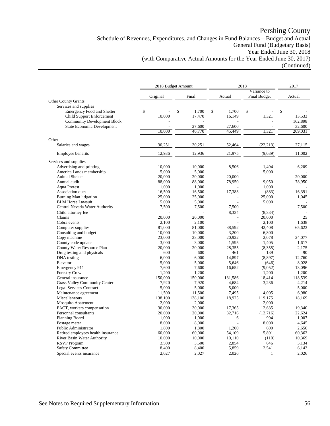Schedule of Revenues, Expenditures, and Changes in Fund Balances – Budget and Actual General Fund (Budgetary Basis) Year Ended June 30, 2018 (with Comparative Actual Amounts for the Year Ended June 30, 2017) (Continued)

2017 Variance to Original Final Actual Final Budget Actual Other County Grants Services and supplies Emergency Food and Shelter  $\begin{array}{cccccccc} \text{S} & - & \text{S} & 1,700 & \text{S} & 1,700 & \text{S} & - & \text{S} & - \\ \text{Child Support Enforcement} & 10,000 & 17,470 & 16,149 & 1,321 & 13,533 \end{array}$ Child Support Enforcement Community Development Block - - - - 162,898 State Economic Development<br>
10,000 27,600 27,600 27,600 - 32,600 27,600 27,600 27,600 27,600 27,600 209,031 10,000 46,770 45,449 1,321 209,031 **Other** Salaries and wages 30,251 30,251 52,464 (22,213) 27,115 Employee benefits 12,936 12,936 12,936 21,975 (9,039) 11,002 Services and supplies Advertising and printing  $10,000$   $10,000$   $8,506$   $1,494$   $6,209$ America Lands membership  $5,000$   $5,000$   $5,000$   $5,000$   $5,000$   $5,000$   $5,000$   $5,000$   $5,000$   $5,000$   $5,000$   $5,000$   $5,000$   $5,000$   $5,000$   $5,000$   $5,000$   $5,000$   $5,000$   $5,000$   $5,000$   $5,000$   $5,000$   $5,000$   $5,00$ Animal Shelter 20,000 20,000 20,000 20,000 20,000 20,000 20,000 20,000 20,000 20,000 20,000 20,000 20,000 20,000 Annual audit 88,000 88,000 78,950 9,050 78,950 Aqua Protest 1,000 1,000 1,000 - 1,000 - 1,000 - 1,000 - 1,000 - 1,000 - 1,000 - 1,000 - 1,000 - 1,000 - 1,000 Association dues 16,500 16,500 16,500 17,383 (883) 16,391 Burning Man litigation 1,045<br>BLM Horse Lawsuit 1,045<br>BLM Horse Lawsuit 1,045<br>5.000 5.000 5.000 - 25,000 - 25,000 - 25,000 - 25,000 - 25,000 - 25,000 - 25,000 - 25,000 - 25,000 - 25,000 - 25,000 - 25,000 - 25,000 - 25,000 -**BLM Horse Lawsuit** Central Nevada Water Authority 7,500 7,500 7,500 - 7,500 Child attorney fee <sup>-</sup> 8,334 (8,334) - 7,000 (8,334) - 7,000 (8,334) - 8,334 (8,334) - 7,000 (8,334) - 7,000 (8,334) - 7,000 (8,334) - 7,000 (8,334) - 7,000 (8,334) - 7,000 (8,334) - 7,000 (8,354) - 7,000 (8,354) - 7,000 ( Claims 20,000 20,000 20,000 - 20,000 25 Cobra events 2,100 2,100 2,100 2,100 1,638 Computer supplies 81,000 81,000 38,592 42,408 65,623 Consulting and budget 10,000 10,000 10,000 3,200 6,800 -<br>
Copy machine 23,000 23,000 23,000 20,922 2,078 24,077 Copy machine 23,000 23,000 23,000 20,922 2,078 24,077 County code update 1,617<br>
County Water Resource Plan 20,000 1,600 1,595 1,405 1,617<br>
20,000 28,355 (8,355) 2,175 County Water Resource Plan Drug testing and physicals 600 600 461 139 90<br>DNA testing 6,000 6,000 6,000 14,897 (8,897) 12,760 DNA testing 6,000 6,000 6,000 14,897 (8,897) 12,760 Elevator 646) 5,000 5,000 5,000 5,000 5,000 5,000 5,000 5,000 Emergency 911 **7,600** 7,600 16,652 (9,052) 13,096 Forestry Crew 1,200 1,200 1,200 1,200 1,200 1,200 General insurance 150,000 150,000 150,000 131,586 18,414 118,539 Grass Valley Community Center 7,920 7,920 4,684 3,236 4,214<br>
Legal Services Contract 5,000 5,000 5,000 5,000 5,000 Legal Services Contract 1 11,500 5,000 5,000 5,000 5,000 5,000 5,000 5,000 5,000 5,000 5,000 5,000 5,000 5,000 Maintenance agreement 11,500 11,500 7,495 4,005 6,980<br>Miscellaneous 138,100 138,100 138,100 158,925 119,175 18,169 Miscellaneous 138,100 138,100 18,925 119,175 18,169 Mosquito Abatement 2,000 2,000 - 2,000 - PACT, workers compensation 30,000 30,000 30,000 17,365 12,635 19,340<br>Personnel consultants 20,000 20,000 32,716 (12,716) 22,624 Personnel consultants Planning Board 1,007 1,000 1,000 6 994 1,007 Postage meter **8,000** 8,000 8,000 - 8,000 8,000 4,645 Public Administrator **1,800** 1,800 1,200 600 2,650 Retired employees health insurance 60,000 60,000 60,000 54,109 5,891 60,362 River Basin Water Authority 10,000 10,000 10,110 (110) 10,369 RSVP Program 3,500 3,500 3,500 2,854 646 3,134 Safety Committee 8,400 8,400 5,859 2,541 6,143 Special events insurance 2,027 2,027 2,026 1 2,026 2018 Budget Amount 2018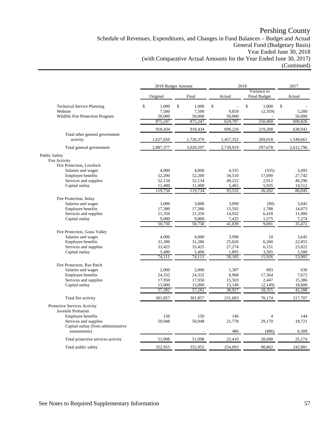Schedule of Revenues, Expenditures, and Changes in Fund Balances – Budget and Actual General Fund (Budgetary Basis) Year Ended June 30, 2018 (with Comparative Actual Amounts for the Year Ended June 30, 2017) (Continued)

|                                                                                                                                                         | 2018 Budget Amount                             |                                                |                                              | 2018                                         | 2017                                          |  |
|---------------------------------------------------------------------------------------------------------------------------------------------------------|------------------------------------------------|------------------------------------------------|----------------------------------------------|----------------------------------------------|-----------------------------------------------|--|
|                                                                                                                                                         | Original                                       | Final                                          | Actual                                       | Variance to<br><b>Final Budget</b>           | Actual                                        |  |
| <b>Technical Service Planning</b><br>Website<br>Wildlife Fire Protection Program                                                                        | \$<br>1,000<br>7,500<br>50,000                 | \$<br>1,000<br>7,500<br>50,000                 | \$<br>9.859<br>50,000                        | \$<br>1,000<br>(2,359)<br>250,460            | \$<br>5,200<br>50,000                         |  |
|                                                                                                                                                         | 875,247                                        | 875,247                                        | 624,787                                      |                                              | 600,826                                       |  |
|                                                                                                                                                         | 918,434                                        | 918,434                                        | 699,226                                      | 219,208                                      | 638,943                                       |  |
| Total other general government<br>activity                                                                                                              | 1,627,650                                      | 1,726,370                                      | 1,457,352                                    | 269,018                                      | 1,549,661                                     |  |
| Total general government                                                                                                                                | 2,887,377                                      | 3,028,597                                      | 2,730,919                                    | 297,678                                      | 2,612,796                                     |  |
| <b>Public Safety</b><br>Fire Activity<br>Fire Protection, Lovelock                                                                                      |                                                |                                                |                                              |                                              |                                               |  |
| Salaries and wages<br>Employee benefits<br>Services and supplies<br>Capital outlay                                                                      | 4.000<br>52,200<br>52,134<br>11,400<br>119,734 | 4.000<br>52,200<br>52,134<br>11,400<br>119,734 | 4.335<br>34,510<br>49,222<br>5,465<br>93,532 | (335)<br>17,690<br>2,912<br>5,935<br>26,202  | 3,495<br>27,742<br>40,296<br>14,512<br>86,045 |  |
| Fire Protection, Imlay<br>Salaries and wages<br>Employee benefits<br>Services and supplies<br>Capital outlay                                            | 3,000<br>17,380<br>21,350<br>9,000<br>50,730   | 3,000<br>17,380<br>21,350<br>9,000<br>50,730   | 3,090<br>15,592<br>14,932<br>7,425<br>41,039 | (90)<br>1,788<br>6,418<br>1,575<br>9.691     | 3,045<br>14,073<br>11,080<br>7,274<br>35,472  |  |
| Fire Protection, Grass Valley<br>Salaries and wages<br>Employee benefits<br>Services and supplies<br>Capital outlay                                     | 4,000<br>31,286<br>33,425<br>5,400<br>74,111   | 4,000<br>31,286<br>33,425<br>5,400<br>74,111   | 3,990<br>25,026<br>27,274<br>1,895<br>58,185 | 10<br>6,260<br>6,151<br>3,505<br>15,926      | 3,645<br>22,855<br>23,822<br>3,580<br>53,902  |  |
| Fire Protection, Rye Patch<br>Salaries and wages<br>Employee benefits<br>Services and supplies<br>Capital outlay                                        | 2,000<br>24,332<br>17,950<br>13,000<br>57,282  | 2,000<br>24,332<br>17,950<br>13,000<br>57,282  | 1,307<br>6,968<br>15,503<br>15,149<br>38,927 | 693<br>17,364<br>2,447<br>(2, 149)<br>18,355 | 630<br>7,672<br>15,386<br>18,600<br>42,288    |  |
| Total fire activity                                                                                                                                     | 301,857                                        | 301,857                                        | 231,683                                      | 70,174                                       | 217,707                                       |  |
| Protective Services Activity<br>Juvenile Probation<br>Employee benefits<br>Services and supplies<br>Capital outlay (from administrative<br>assessments) | 150<br>50,948                                  | 150<br>50,948                                  | 146<br>21,778<br>486                         | $\overline{4}$<br>29,170<br>(486)            | 144<br>18,721<br>6,309                        |  |
| Total protective services activity                                                                                                                      | 51,098                                         | 51,098                                         | 22,410                                       | 28,688                                       | 25,174                                        |  |
| Total public safety                                                                                                                                     | 352,955                                        | 352,955                                        | 254,093                                      | 98,862                                       | 242,881                                       |  |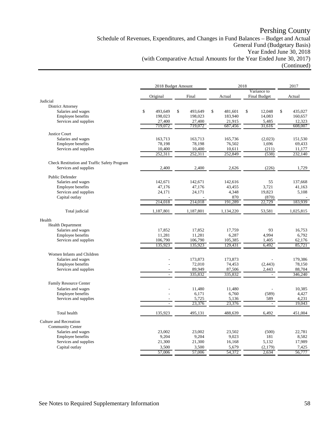Schedule of Revenues, Expenditures, and Changes in Fund Balances – Budget and Actual General Fund (Budgetary Basis) Year Ended June 30, 2018 (with Comparative Actual Amounts for the Year Ended June 30, 2017) (Continued)

|                                                   | 2018 Budget Amount |                  | 2018             |                  |    | 2017                |    |                   |
|---------------------------------------------------|--------------------|------------------|------------------|------------------|----|---------------------|----|-------------------|
|                                                   |                    |                  |                  |                  |    | Variance to         |    |                   |
| Judicial                                          |                    | Original         | Final            | Actual           |    | <b>Final Budget</b> |    | Actual            |
| <b>District Attorney</b>                          |                    |                  |                  |                  |    |                     |    |                   |
| Salaries and wages                                | \$                 | 493.649          | \$<br>493,649    | \$<br>481,601    | \$ | 12,048              | \$ | 435,027           |
| Employee benefits                                 |                    | 198,023          | 198,023          | 183,940          |    | 14,083              |    | 160,657           |
| Services and supplies                             |                    | 27,400           | 27,400           | 21,915           |    | 5,485<br>31,616     |    | 12,323<br>608,007 |
|                                                   |                    | 719,072          | 719,072          | 687,456          |    |                     |    |                   |
| Justice Court                                     |                    |                  |                  |                  |    |                     |    |                   |
| Salaries and wages                                |                    | 163,713          | 163,713          | 165,736          |    | (2,023)             |    | 151,530           |
| <b>Employee benefits</b><br>Services and supplies |                    | 78,198<br>10,400 | 78,198<br>10,400 | 76,502<br>10,611 |    | 1,696<br>(211)      |    | 69,433<br>11,177  |
|                                                   |                    | 252,311          | 252,311          | 252,849          |    | (538)               |    | 232,140           |
|                                                   |                    |                  |                  |                  |    |                     |    |                   |
| Check Restitution and Traffic Safety Program      |                    |                  |                  |                  |    |                     |    |                   |
| Services and supplies                             |                    | 2,400            | 2,400            | 2,626            |    | (226)               |    | 1,729             |
| Public Defender                                   |                    |                  |                  |                  |    |                     |    |                   |
| Salaries and wages                                |                    | 142,671          | 142,671          | 142,616          |    | 55                  |    | 137,668           |
| <b>Employee benefits</b>                          |                    | 47,176           | 47,176           | 43,455           |    | 3,721               |    | 41,163            |
| Services and supplies                             |                    | 24,171           | 24,171           | 4,348            |    | 19,823              |    | 5,108             |
| Capital outlay                                    |                    |                  |                  | 870              |    | (870)               |    |                   |
|                                                   |                    | 214,018          | 214,018          | 191,289          |    | 22,729              |    | 183,939           |
| Total judicial                                    |                    | 1,187,801        | 1,187,801        | 1,134,220        |    | 53,581              |    | 1,025,815         |
| Health                                            |                    |                  |                  |                  |    |                     |    |                   |
| Health Department                                 |                    |                  |                  |                  |    |                     |    |                   |
| Salaries and wages                                |                    | 17,852           | 17,852           | 17,759           |    | 93                  |    | 16,753            |
| Employee benefits                                 |                    | 11,281           | 11,281           | 6,287            |    | 4,994               |    | 6,792             |
| Services and supplies                             |                    | 106,790          | 106,790          | 105,385          |    | 1,405               |    | 62,176            |
|                                                   |                    | 135,923          | 135,923          | 129,431          |    | 6,492               |    | 85,721            |
| Women Infants and Children                        |                    |                  |                  |                  |    |                     |    |                   |
| Salaries and wages                                |                    |                  | 173,873          | 173,873          |    |                     |    | 179,386           |
| Employee benefits                                 |                    |                  | 72,010           | 74,453           |    | (2, 443)            |    | 78,150            |
| Services and supplies                             |                    |                  | 89,949           | 87,506           |    | 2,443               |    | 88,704            |
|                                                   |                    | $\sim$           | 335,832          | 335,832          |    | $\overline{a}$      |    | 346,240           |
| Family Resource Center                            |                    |                  |                  |                  |    |                     |    |                   |
| Salaries and wages                                |                    |                  | 11,480           | 11,480           |    |                     |    | 10,385            |
| Employee benefits                                 |                    |                  | 6,171            | 6,760            |    | (589)               |    | 4,427             |
| Services and supplies                             |                    |                  | 5,725            | 5,136            |    | 589                 |    | 4,231             |
|                                                   |                    |                  | 23,376           | 23,376           |    | $\overline{a}$      |    | 19,043            |
| Total health                                      |                    | 135,923          | 495,131          | 488,639          |    | 6,492               |    | 451,004           |
| <b>Culture and Recreation</b>                     |                    |                  |                  |                  |    |                     |    |                   |
| <b>Community Center</b>                           |                    |                  |                  |                  |    |                     |    |                   |
| Salaries and wages                                |                    | 23,002           | 23,002           | 23,502           |    | (500)               |    | 22,781            |
| Employee benefits                                 |                    | 9,204            | 9,204            | 9,023            |    | 181                 |    | 8,582             |
| Services and supplies                             |                    | 21,300           | 21,300           | 16,168           |    | 5,132               |    | 17,989            |
| Capital outlay                                    |                    | 3,500            | 3,500            | 5,679            |    | (2,179)             |    | 7,425             |
|                                                   |                    | 57,006           | 57,006           | 54,372           |    | 2,634               |    | 56,777            |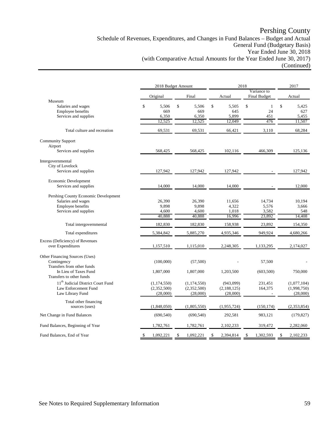Schedule of Revenues, Expenditures, and Changes in Fund Balances – Budget and Actual General Fund (Budgetary Basis) Year Ended June 30, 2018 (with Comparative Actual Amounts for the Year Ended June 30, 2017) (Continued)

2017 Variance to Original Final Actual Final Budget Actual Museum Salaries and wages <br>
Solaries and wages 5,506 \$ 5,506 \$ 5,505 \$ 5,505 \$ 5,425<br>
Employee benefits 669 669 645 24 627 Employee benefits 669 669 645 24 Services and supplies <br>12,525 6,350 6,350 5,899 451 5,455 6,350 6,350 6,350 6,350 6,350 6,350 6,476 6,550 6,550 6,476 6,550 6,476 6,550 6,476 6,550 6,476 6,500 6,476 6,6350 6,6350 6,476 6,476 6,476 6,476 6,476 6,476 6,476 12,525 12,525 12,049 476 11,507 Total culture and recreation 69,531 69,531 66,421 3,110 68,284 Community Support Airport Services and supplies 568,425 568,425 568,425 102,116 466,309 125,136 Intergovernmental City of Lovelock Services and supplies 127,942 127,942 127,942 127,942 127,942 Economic Development Services and supplies 14,000 14,000 14,000 14,000 16 14,000 14,000 14,000 14,000 14,000 16 12,000 Pershing County Economic Development Salaries and wages 26,390 26,390 26,390 11,656 14,734 10,194 Employee benefits **Employee** benefits **9,898** 9,898 4,322 5,576 3,666<br>Services and supplies **9,898** 4,600 4,600 4,600 1.018 3,582 548 Services and supplies  $\frac{4,600}{40,888}$   $\frac{4,600}{40,888}$   $\frac{1,018}{16,996}$   $\frac{3,582}{23,892}$   $\frac{548}{14,408}$ 40,888 40,888 16,996 23,892 14,408 Total intergovernmental 182,830 182,830 158,938 23,892 154,350 Total expenditures 5,384,842 5,885,270 4,935,346 949,924 4,680,266 Excess (Deficiency) of Revenues over Expenditures 1,157,510 1,115,010 2,248,305 1,133,295 2,174,027 Other Financing Sources (Uses) Contingency 2001 2003 2006 100,000 (100,000) (57,500) - 57,500 Transfers from other funds In Lieu of Taxes Fund 1,807,000 1,807,000 1,807,000 1,203,500 (603,500) 750,000 Transfers to other funds 11<sup>th</sup> Judicial District Court Fund (1,174,550) (1,174,550) (1,174,550) (943,099) 231,451 (1,077,104)<br>
Law Enforcement Fund (2,352,500) (2,352,500) (2,188,125) 164,375 (1,998,750) Law Enforcement Fund Law Library Fund (28,000) (28,000) (28,000) - (28,000) Total other financing sources (uses) (1,848,050) (1,805,550) (1,955,724) (150,174) (2,353,854) Net Change in Fund Balances (690,540) (690,540) (690,540) 292,581 983,121 (179,827) Fund Balances, Beginning of Year 1,782,761 1,782,761 2,102,233 319,472 2,282,060 Fund Balances, End of Year \$ 1,092,221 \$ 1,092,221 \$ 2,394,814 \$ 1,302,593 \$ 2,102,233 2018 Budget Amount 2018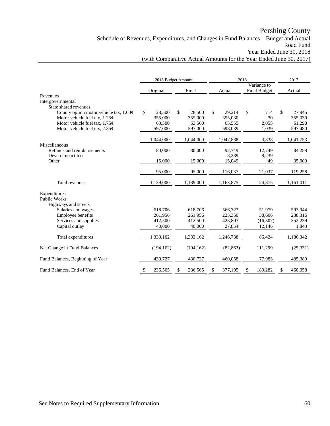#### Pershing County Schedule of Revenues, Expenditures, and Changes in Fund Balances – Budget and Actual Road Fund Year Ended June 30, 2018

## (with Comparative Actual Amounts for the Year Ended June 30, 2017)

|                                                                       |                   | 2018 Budget Amount | 2018              | 2017                        |                   |
|-----------------------------------------------------------------------|-------------------|--------------------|-------------------|-----------------------------|-------------------|
|                                                                       | Original          | Final              | Actual            | Variance to<br>Final Budget | Actual            |
| Revenues                                                              |                   |                    |                   |                             |                   |
| Intergovernmental                                                     |                   |                    |                   |                             |                   |
| State shared revenues                                                 |                   |                    |                   |                             |                   |
| County option motor vehicle tax, $1.00¢$                              | \$<br>28,500      | \$<br>28,500       | \$<br>29,214      | \$<br>714                   | \$<br>27,945      |
| Motor vehicle fuel tax, $1.25\phi$<br>Motor vehicle fuel tax, $1.75¢$ | 355,000<br>63,500 | 355,000<br>63,500  | 355,030<br>65,555 | 30<br>2,055                 | 355,030<br>61,298 |
| Motor vehicle fuel tax, $2.35\phi$                                    | 597,000           | 597,000            | 598,039           | 1,039                       | 597,480           |
|                                                                       |                   |                    |                   |                             |                   |
|                                                                       | 1,044,000         | 1,044,000          | 1,047,838         | 3,838                       | 1,041,753         |
| Miscellaneous                                                         |                   |                    |                   |                             |                   |
| Refunds and reimbursements                                            | 80,000            | 80,000             | 92,749            | 12,749                      | 84,258            |
| Devco impact fees                                                     |                   |                    | 8,239             | 8,239                       |                   |
| Other                                                                 | 15,000            | 15,000             | 15,049            | 49                          | 35,000            |
|                                                                       | 95,000            | 95,000             | 116,037           | 21,037                      | 119,258           |
| Total revenues                                                        | 1,139,000         | 1,139,000          | 1,163,875         | 24,875                      | 1,161,011         |
| Expenditures                                                          |                   |                    |                   |                             |                   |
| <b>Public Works</b>                                                   |                   |                    |                   |                             |                   |
| Highways and streets                                                  |                   |                    |                   |                             |                   |
| Salaries and wages                                                    | 618,706           | 618,706            | 566,727           | 51,979                      | 593,944           |
| Employee benefits                                                     | 261,956           | 261,956            | 223,350           | 38,606                      | 238,316           |
| Services and supplies                                                 | 412,500           | 412,500            | 428,807           | (16, 307)                   | 352,239           |
| Capital outlay                                                        | 40,000            | 40,000             | 27,854            | 12,146                      | 1,843             |
| Total expenditures                                                    | 1,333,162         | 1,333,162          | 1,246,738         | 86,424                      | 1,186,342         |
| Net Change in Fund Balances                                           | (194, 162)        | (194, 162)         | (82, 863)         | 111,299                     | (25, 331)         |
| Fund Balances, Beginning of Year                                      | 430,727           | 430,727            | 460,058           | 77,983                      | 485,389           |
| Fund Balances, End of Year                                            | 236,565<br>\$     | 236,565<br>\$      | 377,195<br>S      | 189,282                     | 460,058<br>\$     |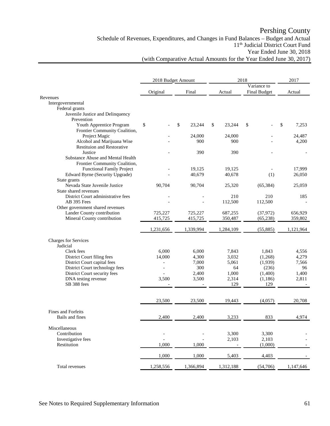#### Pershing County Schedule of Revenues, Expenditures, and Changes in Fund Balances – Budget and Actual 11<sup>th</sup> Judicial District Court Fund Year Ended June 30, 2018

### (with Comparative Actual Amounts for the Year Ended June 30, 2017)

|                                              | 2018 Budget Amount |              | 2018         | 2017                |             |
|----------------------------------------------|--------------------|--------------|--------------|---------------------|-------------|
|                                              |                    |              |              | Variance to         |             |
|                                              | Original           | Final        | Actual       | <b>Final Budget</b> | Actual      |
| Revenues                                     |                    |              |              |                     |             |
| Intergovernmental                            |                    |              |              |                     |             |
| Federal grants                               |                    |              |              |                     |             |
| Juvenile Justice and Delinquency             |                    |              |              |                     |             |
| Prevention                                   |                    |              |              |                     |             |
| Youth Apprentice Program                     | \$                 | \$<br>23,244 | \$<br>23,244 | \$                  | \$<br>7,253 |
| Frontier Community Coalition,                |                    |              |              |                     |             |
| Project Magic                                |                    | 24,000       | 24,000       |                     | 24,487      |
| Alcohol and Marijuana Wise                   |                    | 900          | 900          |                     | 4,200       |
| <b>Restituion and Restorative</b><br>Justice |                    | 390          | 390          |                     |             |
| <b>Substance Abuse and Mental Health</b>     |                    |              |              |                     |             |
| Frontier Community Coalition,                |                    |              |              |                     |             |
| <b>Functional Family Project</b>             |                    | 19,125       | 19,125       |                     | 17,999      |
| Edward Byrne (Security Upgrade)              |                    | 40,679       | 40,678       | (1)                 | 26,050      |
| State grants                                 |                    |              |              |                     |             |
| Nevada State Juvenile Justice                | 90,704             | 90,704       | 25,320       | (65, 384)           | 25,059      |
| State shared revenues                        |                    |              |              |                     |             |
| District Court administrative fees           |                    |              | 210          | 210                 | 185         |
| AB 395 Fees                                  |                    |              | 112,500      | 112,500             |             |
| Other government shared revenues             |                    |              |              |                     |             |
| Lander County contribution                   | 725,227            | 725,227      | 687,255      | (37, 972)           | 656,929     |
| Mineral County contribution                  | 415,725            | 415,725      | 350,487      | (65, 238)           | 359,802     |
|                                              | 1,231,656          | 1,339,994    | 1,284,109    | (55,885)            | 1,121,964   |
|                                              |                    |              |              |                     |             |
| <b>Charges for Services</b>                  |                    |              |              |                     |             |
| Judicial                                     |                    |              |              |                     |             |
| Clerk fees                                   | 6,000              | 6,000        | 7,843        | 1,843               | 4,556       |
| District Court filing fees                   | 14,000             | 4,300        | 3,032        | (1,268)             | 4,279       |
| District Court capital fees                  |                    | 7,000        | 5,061        | (1,939)             | 7,566       |
| District Court technology fees               |                    | 300          | 64           | (236)               | 96          |
| District Court security fees                 |                    | 2,400        | 1,000        | (1,400)             | 1,400       |
| DNA testing revenue                          | 3,500              | 3,500        | 2,314        | (1,186)             | 2,811       |
| SB 388 fees                                  |                    |              | 129          | 129                 |             |
|                                              |                    |              |              |                     |             |
|                                              | 23,500             | 23,500       | 19,443       | (4,057)             | 20,708      |
|                                              |                    |              |              |                     |             |
| Fines and Forfeits                           |                    |              |              |                     |             |
| Bails and fines                              | 2,400              | 2,400        | 3,233        | 833                 | 4,974       |
|                                              |                    |              |              |                     |             |
| Miscellaneous                                |                    |              |              |                     |             |
| Contribution                                 |                    |              | 3,300        | 3,300               |             |
| Investigative fees                           |                    |              | 2,103        | 2,103               |             |
| Restitution                                  | 1,000              | 1,000        |              | (1,000)             |             |
|                                              | 1,000              | 1,000        | 5,403        | 4,403               |             |
|                                              |                    |              |              |                     |             |
| <b>Total revenues</b>                        | 1,258,556          | 1,366,894    | 1,312,188    | (54,706)            | 1,147,646   |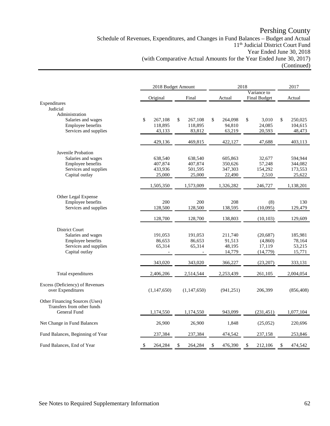#### Pershing County Schedule of Revenues, Expenditures, and Changes in Fund Balances – Budget and Actual 11<sup>th</sup> Judicial District Court Fund Year Ended June 30, 2018 (with Comparative Actual Amounts for the Year Ended June 30, 2017)

(Continued)

|                                                      |                   | 2018 Budget Amount | 2018             | 2017                        |                   |
|------------------------------------------------------|-------------------|--------------------|------------------|-----------------------------|-------------------|
|                                                      | Original          | Final              | Actual           | Variance to<br>Final Budget | Actual            |
| Expenditures                                         |                   |                    |                  |                             |                   |
| Judicial                                             |                   |                    |                  |                             |                   |
| Administration                                       |                   |                    |                  |                             |                   |
| Salaries and wages                                   | \$<br>267,108     | \$<br>267,108      | \$<br>264,098    | \$<br>3,010                 | 250,025<br>\$     |
| Employee benefits<br>Services and supplies           | 118,895<br>43,133 | 118,895<br>83,812  | 94,810<br>63,219 | 24,085<br>20,593            | 104,615<br>48,473 |
|                                                      |                   |                    |                  |                             |                   |
|                                                      | 429,136           | 469,815            | 422,127          | 47,688                      | 403,113           |
| Juvenile Probation                                   |                   |                    |                  |                             |                   |
| Salaries and wages                                   | 638,540           | 638,540            | 605,863          | 32,677                      | 594,944           |
| Employee benefits                                    | 407,874           | 407,874            | 350,626          | 57,248                      | 344,082           |
| Services and supplies                                | 433,936           | 501,595            | 347,303          | 154,292                     | 173,553           |
| Capital outlay                                       | 25,000            | 25,000             | 22,490           | 2,510                       | 25,622            |
|                                                      | 1,505,350         | 1,573,009          | 1,326,282        | 246,727                     | 1,138,201         |
| Other Legal Expense                                  |                   |                    |                  |                             |                   |
| <b>Employee benefits</b>                             | 200               | 200                | 208              | (8)                         | 130               |
| Services and supplies                                | 128,500           | 128,500            | 138,595          | (10,095)                    | 129,479           |
|                                                      | 128,700           | 128,700            | 138,803          | (10, 103)                   | 129,609           |
| <b>District Court</b>                                |                   |                    |                  |                             |                   |
| Salaries and wages                                   | 191,053           | 191,053            | 211,740          | (20, 687)                   | 185,981           |
| Employee benefits                                    | 86,653            | 86,653             | 91,513           | (4,860)                     | 78,164            |
| Services and supplies                                | 65,314            | 65,314             | 48,195           | 17,119                      | 53,215            |
| Capital outlay                                       |                   |                    | 14,779           | (14, 779)                   | 15,771            |
|                                                      | 343,020           | 343,020            | 366,227          | (23, 207)                   | 333,131           |
| Total expenditures                                   | 2,406,206         | 2,514,544          | 2,253,439        | 261,105                     | 2,004,054         |
| Excess (Deficiency) of Revenues<br>over Expenditures | (1, 147, 650)     | (1, 147, 650)      | (941, 251)       | 206,399                     | (856, 408)        |
| Other Financing Sources (Uses)                       |                   |                    |                  |                             |                   |
| Transfers from other funds                           |                   |                    |                  |                             |                   |
| General Fund                                         | 1,174,550         | 1,174,550          | 943,099          | (231, 451)                  | 1,077,104         |
| Net Change in Fund Balances                          | 26,900            | 26,900             | 1,848            | (25,052)                    | 220,696           |
| Fund Balances, Beginning of Year                     | 237,384           | 237,384            | 474,542          | 237,158                     | 253,846           |
| Fund Balances, End of Year                           | 264,284<br>\$     | 264,284<br>S       | 476,390<br>\$    | 212,106<br>\$               | 474,542<br>\$     |
|                                                      |                   |                    |                  |                             |                   |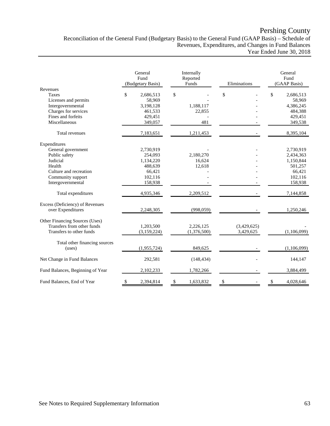Reconciliation of the General Fund (Budgetary Basis) to the General Fund (GAAP Basis) – Schedule of Revenues, Expenditures, and Changes in Fund Balances Year Ended June 30, 2018

|                                  | General<br>Fund<br>(Budgetary Basis) |             | Internally<br>Reported<br>Funds | Eliminations | General<br>Fund<br>(GAAP Basis) |             |  |
|----------------------------------|--------------------------------------|-------------|---------------------------------|--------------|---------------------------------|-------------|--|
| Revenues                         |                                      |             |                                 |              |                                 |             |  |
| <b>Taxes</b>                     | \$                                   | 2,686,513   | \$                              | \$           | \$                              | 2,686,513   |  |
| Licenses and permits             |                                      | 58,969      |                                 |              |                                 | 58,969      |  |
| Intergovernmental                |                                      | 3,198,128   | 1,188,117                       |              |                                 | 4,386,245   |  |
| Charges for services             |                                      | 461,533     | 22,855                          |              |                                 | 484,388     |  |
| Fines and forfeits               |                                      | 429,451     |                                 |              |                                 | 429,451     |  |
| Miscellaneous                    |                                      | 349,057     | 481                             |              |                                 | 349,538     |  |
| Total revenues                   |                                      | 7,183,651   | 1,211,453                       |              |                                 | 8,395,104   |  |
| Expenditures                     |                                      |             |                                 |              |                                 |             |  |
| General government               |                                      | 2,730,919   |                                 |              |                                 | 2,730,919   |  |
| Public safety                    |                                      | 254,093     | 2,180,270                       |              |                                 | 2,434,363   |  |
| Judicial                         |                                      | 1,134,220   | 16,624                          |              |                                 | 1,150,844   |  |
| Health                           |                                      | 488,639     | 12,618                          |              |                                 | 501,257     |  |
| Culture and recreation           |                                      | 66,421      |                                 |              |                                 | 66,421      |  |
| Community support                |                                      | 102,116     |                                 |              |                                 | 102,116     |  |
| Intergovernmental                |                                      | 158,938     |                                 |              |                                 | 158,938     |  |
| Total expenditures               |                                      | 4,935,346   | 2,209,512                       |              |                                 | 7,144,858   |  |
| Excess (Deficiency) of Revenues  |                                      |             |                                 |              |                                 |             |  |
| over Expenditures                |                                      | 2,248,305   | (998, 059)                      |              |                                 | 1,250,246   |  |
| Other Financing Sources (Uses)   |                                      |             |                                 |              |                                 |             |  |
| Transfers from other funds       |                                      | 1,203,500   | 2,226,125                       | (3,429,625)  |                                 |             |  |
| Transfers to other funds         |                                      | (3,159,224) | (1,376,500)                     | 3,429,625    |                                 | (1,106,099) |  |
| Total other financing sources    |                                      |             |                                 |              |                                 |             |  |
| (uses)                           |                                      | (1,955,724) | 849,625                         |              |                                 | (1,106,099) |  |
| Net Change in Fund Balances      |                                      | 292,581     | (148, 434)                      |              |                                 | 144,147     |  |
| Fund Balances, Beginning of Year |                                      | 2,102,233   | 1,782,266                       |              |                                 | 3,884,499   |  |
| Fund Balances, End of Year       | \$                                   | 2,394,814   | \$<br>1,633,832                 | \$           | \$                              | 4,028,646   |  |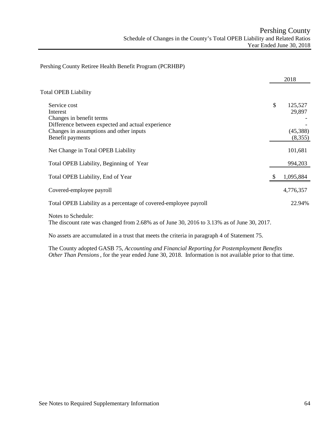#### Pershing County Retiree Health Benefit Program (PCRHBP)

|                                                                                                                        | 2018                    |
|------------------------------------------------------------------------------------------------------------------------|-------------------------|
| <b>Total OPEB Liability</b>                                                                                            |                         |
| Service cost<br><b>Interest</b><br>Changes in benefit terms                                                            | \$<br>125,527<br>29,897 |
| Difference between expected and actual experience<br>Changes in assumptions and other inputs<br>Benefit payments       | (45,388)<br>(8,355)     |
| Net Change in Total OPEB Liability                                                                                     | 101,681                 |
| Total OPEB Liability, Beginning of Year                                                                                | 994,203                 |
| Total OPEB Liability, End of Year                                                                                      | 1,095,884               |
| Covered-employee payroll                                                                                               | 4,776,357               |
| Total OPEB Liability as a percentage of covered-employee payroll                                                       | 22.94%                  |
| Notes to Schedule:<br>The discount rate was changed from $2.68\%$ as of June 30, 2016 to $3.13\%$ as of June 30, 2017. |                         |

No assets are accumulated in a trust that meets the criteria in paragraph 4 of Statement 75.

The County adopted GASB 75, *Accounting and Financial Reporting for Postemployment Benefits Other Than Pensions*, for the year ended June 30, 2018. Information is not available prior to that time.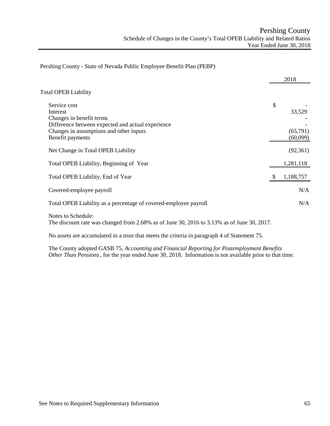| Pershing County - State of Nevada Public Employee Benefit Plan (PEBP) |  |
|-----------------------------------------------------------------------|--|
|-----------------------------------------------------------------------|--|

|                                                                                                                                                                          | 2018                                 |
|--------------------------------------------------------------------------------------------------------------------------------------------------------------------------|--------------------------------------|
| <b>Total OPEB Liability</b>                                                                                                                                              |                                      |
| Service cost<br>Interest<br>Changes in benefit terms<br>Difference between expected and actual experience<br>Changes in assumptions and other inputs<br>Benefit payments | \$<br>33,529<br>(65,791)<br>(60,099) |
| Net Change in Total OPEB Liability                                                                                                                                       | (92, 361)                            |
| Total OPEB Liability, Beginning of Year                                                                                                                                  | 1,281,118                            |
| Total OPEB Liability, End of Year                                                                                                                                        | 1,188,757                            |
| Covered-employee payroll                                                                                                                                                 | N/A                                  |
| Total OPEB Liability as a percentage of covered-employee payroll                                                                                                         | N/A                                  |
| Notes to Schedule:<br>The discount rate was changed from $2.68\%$ as of June 30, 2016 to $3.13\%$ as of June 30, 2017.                                                   |                                      |

No assets are accumulated in a trust that meets the criteria in paragraph 4 of Statement 75.

The County adopted GASB 75, *Accounting and Financial Reporting for Postemployment Benefits Other Than Pensions*, for the year ended June 30, 2018. Information is not available prior to that time.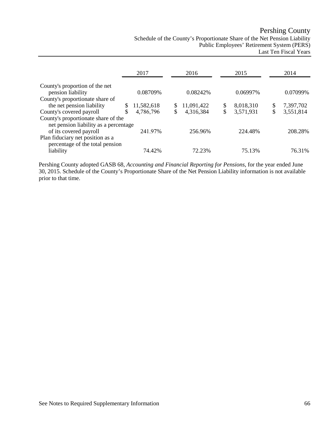Pershing County Schedule of the County's Proportionate Share of the Net Pension Liability Public Employees' Retirement System (PERS) Last Ten Fiscal Years

|                                                      |    | 2017       | 2016             | 2015            | 2014            |
|------------------------------------------------------|----|------------|------------------|-----------------|-----------------|
| County's proportion of the net                       |    |            | 0.08242\%        |                 |                 |
| pension liability<br>County's proportionate share of |    | 0.08709%   |                  | 0.06997%        | 0.07099%        |
| the net pension liability                            | S. | 11,582,618 | \$<br>11,091,422 | \$<br>8,018,310 | \$<br>7,397,702 |
| County's covered payroll                             | S  | 4,786,796  | \$<br>4,316,384  | \$<br>3,571,931 | \$<br>3,551,814 |
| County's proportionate share of the                  |    |            |                  |                 |                 |
| net pension liability as a percentage                |    |            |                  |                 |                 |
| of its covered payroll                               |    | 241.97%    | 256.96%          | 224.48%         | 208.28%         |
| Plan fiduciary net position as a                     |    |            |                  |                 |                 |
| percentage of the total pension                      |    |            |                  |                 |                 |
| liability                                            |    | 74.42%     | 72.23%           | 75.13%          | 76.31%          |

Pershing County adopted GASB 68, *Accounting and Financial Reporting for Pensions*, for the year ended June 30, 2015. Schedule of the County's Proportionate Share of the Net Pension Liability information is not available prior to that time.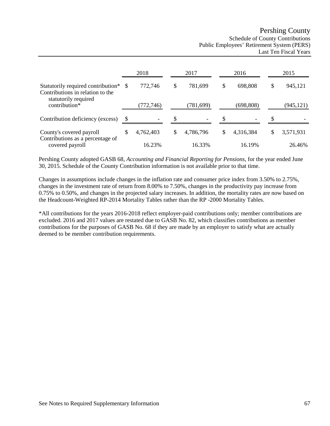Pershing County Schedule of County Contributions Public Employees' Retirement System (PERS) Last Ten Fiscal Years

|                                                                                                   |    | 2018       |    | 2017       |    | 2016       |    | 2015       |  |
|---------------------------------------------------------------------------------------------------|----|------------|----|------------|----|------------|----|------------|--|
| Statutorily required contribution* \$<br>Contributions in relation to the<br>statutorily required |    | 772,746    | \$ | 781,699    | \$ | 698,808    | \$ | 945,121    |  |
| contribution*                                                                                     |    | (772, 746) |    | (781, 699) |    | (698, 808) |    | (945, 121) |  |
| Contribution deficiency (excess)                                                                  |    |            |    |            |    |            |    |            |  |
| County's covered payroll<br>Contributions as a percentage of                                      | \$ | 4,762,403  | \$ | 4,786,796  |    | 4,316,384  | \$ | 3,571,931  |  |
| covered payroll                                                                                   |    | 16.23%     |    | 16.33%     |    | 16.19%     |    | 26.46%     |  |

Pershing County adopted GASB 68, *Accounting and Financial Reporting for Pensions*, for the year ended June 30, 2015. Schedule of the County Contribution information is not available prior to that time.

Changes in assumptions include changes in the inflation rate and consumer price index from 3.50% to 2.75%, changes in the investment rate of return from 8.00% to 7.50%, changes in the productivity pay increase from 0.75% to 0.50%, and changes in the projected salary increases. In addition, the mortality rates are now based on the Headcount-Weighted RP-2014 Mortality Tables rather than the RP -2000 Mortality Tables.

\*All contributions for the years 2016-2018 reflect employer-paid contributions only; member contributions are excluded. 2016 and 2017 values are restated due to GASB No. 82, which classifies contributions as member contributions for the purposes of GASB No. 68 if they are made by an employer to satisfy what are actually deemed to be member contribution requirements.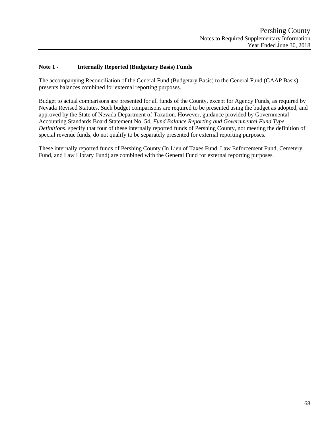#### **Note 1 - Internally Reported (Budgetary Basis) Funds**

The accompanying Reconciliation of the General Fund (Budgetary Basis) to the General Fund (GAAP Basis) presents balances combined for external reporting purposes.

Budget to actual comparisons are presented for all funds of the County, except for Agency Funds, as required by Nevada Revised Statutes. Such budget comparisons are required to be presented using the budget as adopted, and approved by the State of Nevada Department of Taxation. However, guidance provided by Governmental Accounting Standards Board Statement No. 54, *Fund Balance Reporting and Governmental Fund Type Definitions*, specify that four of these internally reported funds of Pershing County, not meeting the definition of special revenue funds, do not qualify to be separately presented for external reporting purposes.

These internally reported funds of Pershing County (In Lieu of Taxes Fund, Law Enforcement Fund, Cemetery Fund, and Law Library Fund) are combined with the General Fund for external reporting purposes.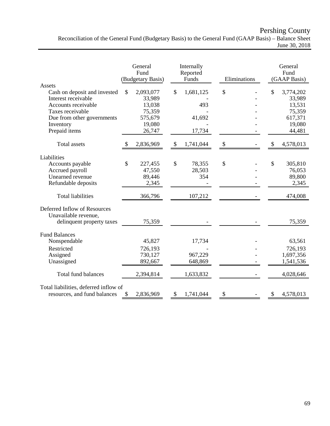Pershing County

Reconciliation of the General Fund (Budgetary Basis) to the General Fund (GAAP Basis) – Balance Sheet June 30, 2018

|                                                      |               | General<br>Fund<br>(Budgetary Basis) |              | Internally<br>Reported<br>Funds | Eliminations |  | General<br>Fund<br>(GAAP Basis) |                     |
|------------------------------------------------------|---------------|--------------------------------------|--------------|---------------------------------|--------------|--|---------------------------------|---------------------|
| Assets                                               |               |                                      |              |                                 |              |  |                                 |                     |
| Cash on deposit and invested<br>Interest receivable  | \$            | 2,093,077<br>33,989                  | $\mathbb{S}$ | 1,681,125                       | \$           |  | \$                              | 3,774,202<br>33,989 |
| Accounts receivable                                  |               | 13,038                               |              | 493                             |              |  |                                 | 13,531              |
| Taxes receivable                                     |               | 75,359                               |              |                                 |              |  |                                 | 75,359              |
| Due from other governments                           |               | 575,679                              |              | 41,692                          |              |  |                                 | 617,371             |
| Inventory                                            |               | 19,080                               |              |                                 |              |  |                                 | 19,080              |
| Prepaid items                                        |               | 26,747                               |              | 17,734                          |              |  |                                 | 44,481              |
| <b>Total assets</b>                                  | $\mathcal{S}$ | 2,836,969                            | \$           | 1,741,044                       | \$           |  | \$                              | 4,578,013           |
|                                                      |               |                                      |              |                                 |              |  |                                 |                     |
| Liabilities                                          |               |                                      |              |                                 |              |  |                                 |                     |
| Accounts payable                                     | \$            | 227,455                              | \$           | 78,355                          | \$           |  | \$                              | 305,810             |
| Accrued payroll                                      |               | 47,550                               |              | 28,503                          |              |  |                                 | 76,053              |
| Unearned revenue                                     |               | 89,446                               |              | 354                             |              |  |                                 | 89,800              |
| Refundable deposits                                  |               | 2,345                                |              |                                 |              |  |                                 | 2,345               |
| <b>Total liabilities</b>                             |               | 366,796                              |              | 107,212                         |              |  |                                 | 474,008             |
| Deferred Inflow of Resources<br>Unavailable revenue, |               |                                      |              |                                 |              |  |                                 |                     |
| delinquent property taxes                            |               | 75,359                               |              |                                 |              |  |                                 | 75,359              |
| <b>Fund Balances</b>                                 |               |                                      |              |                                 |              |  |                                 |                     |
| Nonspendable                                         |               | 45,827                               |              | 17,734                          |              |  |                                 | 63,561              |
| Restricted                                           |               | 726,193                              |              |                                 |              |  |                                 | 726,193             |
| Assigned                                             |               | 730,127                              |              | 967,229                         |              |  |                                 | 1,697,356           |
| Unassigned                                           |               | 892,667                              |              | 648,869                         |              |  |                                 | 1,541,536           |
|                                                      |               |                                      |              |                                 |              |  |                                 |                     |
| <b>Total fund balances</b>                           |               | 2,394,814                            |              | 1,633,832                       |              |  |                                 | 4,028,646           |
| Total liabilities, deferred inflow of                |               |                                      |              |                                 |              |  |                                 |                     |
| resources, and fund balances                         |               | 2,836,969                            | \$           | 1,741,044                       | S            |  |                                 | 4,578,013           |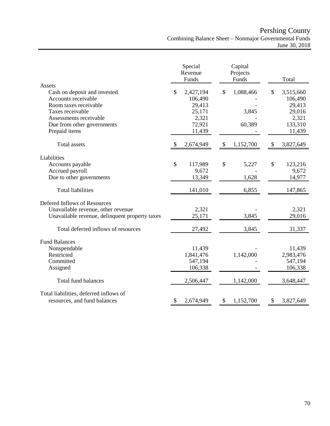Pershing County Combining Balance Sheet – Nonmajor Governmental Funds June 30, 2018

|                                                                                                                                                                                     | Special<br>Revenue<br>Funds                                                 | Capital<br>Projects<br>Funds           | Total                                                                        |
|-------------------------------------------------------------------------------------------------------------------------------------------------------------------------------------|-----------------------------------------------------------------------------|----------------------------------------|------------------------------------------------------------------------------|
| Assets<br>Cash on deposit and invested<br>Accounts receivable<br>Room taxes receivable<br>Taxes receivable<br>Assessments receivable<br>Due from other governments<br>Prepaid items | \$<br>2,427,194<br>106,490<br>29,413<br>25,171<br>2,321<br>72,921<br>11,439 | \$<br>1,088,466<br>3,845<br>60,389     | \$<br>3,515,660<br>106,490<br>29,413<br>29,016<br>2,321<br>133,310<br>11,439 |
| <b>Total assets</b>                                                                                                                                                                 | 2,674,949                                                                   | 1,152,700<br>$\boldsymbol{\mathsf{S}}$ | 3,827,649<br>\$                                                              |
| Liabilities<br>Accounts payable<br>Accrued payroll<br>Due to other governments                                                                                                      | \$<br>117,989<br>9,672<br>13,349                                            | \$<br>5,227<br>1,628                   | \$<br>123,216<br>9,672<br>14,977                                             |
| <b>Total liabilities</b>                                                                                                                                                            | 141,010                                                                     | 6,855                                  | 147,865                                                                      |
| Defered Inflows of Resources<br>Unavailable revenue, other revenue<br>Unavailable revenue, delinquent property taxes<br>Total deferred inflows of resources                         | 2,321<br>25,171<br>27,492                                                   | 3,845<br>3,845                         | 2,321<br>29,016<br>31,337                                                    |
| <b>Fund Balances</b><br>Nonspendable<br>Restricted<br>Committed<br>Assigned<br><b>Total fund balances</b>                                                                           | 11,439<br>1,841,476<br>547,194<br>106,338<br>2,506,447                      | 1,142,000<br>1,142,000                 | 11,439<br>2,983,476<br>547,194<br>106,338<br>3,648,447                       |
| Total liabilities, deferred inflows of<br>resources, and fund balances                                                                                                              | 2,674,949<br>\$                                                             | \$<br>1,152,700                        | \$<br>3,827,649                                                              |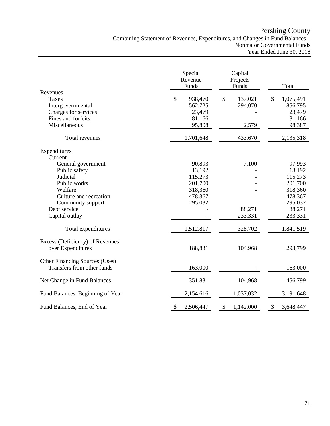|                                                                                                                                                                                                                                 | Special<br>Revenue<br>Funds                                                          | Capital<br>Projects<br>Funds          | Total                                                                                                     |
|---------------------------------------------------------------------------------------------------------------------------------------------------------------------------------------------------------------------------------|--------------------------------------------------------------------------------------|---------------------------------------|-----------------------------------------------------------------------------------------------------------|
| Revenues<br>Taxes<br>Intergovernmental<br>Charges for services<br>Fines and forfeits<br>Miscellaneous                                                                                                                           | \$<br>938,470<br>562,725<br>23,479<br>81,166<br>95,808                               | \$<br>137,021<br>294,070<br>2,579     | \$<br>1,075,491<br>856,795<br>23,479<br>81,166<br>98,387                                                  |
| Total revenues                                                                                                                                                                                                                  | 1,701,648                                                                            | 433,670                               | 2,135,318                                                                                                 |
| Expenditures                                                                                                                                                                                                                    |                                                                                      |                                       |                                                                                                           |
| Current<br>General government<br>Public safety<br>Judicial<br>Public works<br>Welfare<br>Culture and recreation<br>Community support<br>Debt service<br>Capital outlay<br>Total expenditures<br>Excess (Deficiency) of Revenues | 90,893<br>13,192<br>115,273<br>201,700<br>318,360<br>478,367<br>295,032<br>1,512,817 | 7,100<br>88,271<br>233,331<br>328,702 | 97,993<br>13,192<br>115,273<br>201,700<br>318,360<br>478,367<br>295,032<br>88,271<br>233,331<br>1,841,519 |
| over Expenditures<br>Other Financing Sources (Uses)                                                                                                                                                                             | 188,831                                                                              | 104,968                               | 293,799                                                                                                   |
| Transfers from other funds                                                                                                                                                                                                      | 163,000                                                                              |                                       | 163,000                                                                                                   |
| Net Change in Fund Balances                                                                                                                                                                                                     | 351,831                                                                              | 104,968                               | 456,799                                                                                                   |
| Fund Balances, Beginning of Year                                                                                                                                                                                                | 2,154,616                                                                            | 1,037,032                             | 3,191,648                                                                                                 |
| Fund Balances, End of Year                                                                                                                                                                                                      | \$<br>2,506,447                                                                      | \$<br>1,142,000                       | \$<br>3,648,447                                                                                           |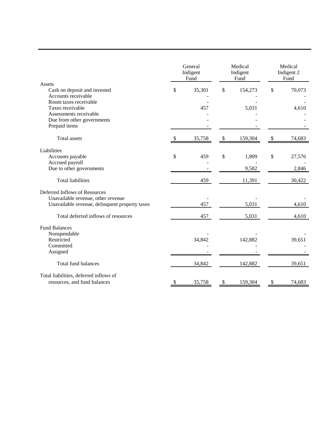|                                                                                                                       |                           | General<br>Indigent<br>Fund |                           | Medical<br>Indigent<br>Fund | Medical<br>Indigent 2<br>Fund |        |
|-----------------------------------------------------------------------------------------------------------------------|---------------------------|-----------------------------|---------------------------|-----------------------------|-------------------------------|--------|
| Assets<br>Cash on deposit and invested<br>Accounts receivable                                                         | \$                        | 35,301                      | \$                        | 154,273                     | \$                            | 70,073 |
| Room taxes receivable<br>Taxes receivable<br>Assessments receivable                                                   |                           | 457                         |                           | 5,031                       |                               | 4,610  |
| Due from other governments<br>Prepaid items                                                                           |                           |                             |                           |                             |                               |        |
| <b>Total assets</b>                                                                                                   |                           | 35,758                      | \$                        | 159,304                     | \$                            | 74,683 |
| Liabilities<br>Accounts payable                                                                                       | \$                        | 459                         | \$                        | 1,809                       | \$                            | 27,576 |
| Accrued payroll<br>Due to other governments                                                                           |                           |                             |                           | 9,582                       |                               | 2,846  |
| <b>Total liabilities</b>                                                                                              |                           | 459                         |                           | 11,391                      |                               | 30,422 |
| Deferred Inflows of Resources<br>Unavailable revenue, other revenue<br>Unavailable revenue, delinquent property taxes |                           | 457                         |                           | 5,031                       |                               | 4,610  |
| Total deferred inflows of resources                                                                                   |                           | 457                         |                           | 5,031                       |                               | 4,610  |
| <b>Fund Balances</b><br>Nonspendable<br>Restricted<br>Committed<br>Assigned                                           |                           | 34,842                      |                           | 142,882                     |                               | 39,651 |
| Total fund balances                                                                                                   |                           | 34,842                      |                           | 142,882                     |                               | 39,651 |
| Total liabilities, deferred inflows of<br>resources, and fund balances                                                | $\boldsymbol{\mathsf{S}}$ | 35,758                      | $\boldsymbol{\mathsf{S}}$ | 159,304                     | \$                            | 74,683 |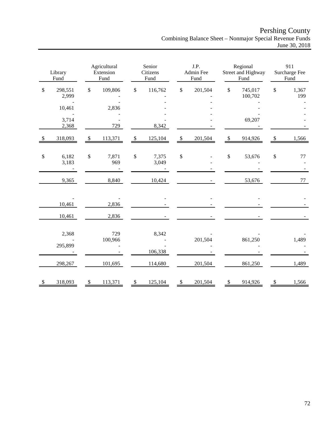Pershing County Combining Balance Sheet – Nonmajor Special Revenue Funds June 30, 2018

|                           | Library<br>Fund                    |               | Agricultural<br>Extension<br>Fund | Senior<br>Citizens<br>Fund                   |              | J.P.<br>Admin Fee<br>Fund |                           | Regional<br>Street and Highway<br>Fund |                           | 911<br>Surcharge Fee<br>Fund |
|---------------------------|------------------------------------|---------------|-----------------------------------|----------------------------------------------|--------------|---------------------------|---------------------------|----------------------------------------|---------------------------|------------------------------|
| \$                        | 298,551<br>2,999                   | \$            | 109,806                           | \$<br>116,762                                | $\mathbb{S}$ | 201,504                   | \$                        | 745,017<br>100,702                     | \$                        | 1,367<br>199                 |
|                           | $\overline{\phantom{a}}$<br>10,461 |               | 2,836                             |                                              |              |                           |                           |                                        |                           |                              |
|                           | 3,714<br>2,368                     |               | 729                               | 8,342                                        |              |                           |                           | 69,207                                 |                           |                              |
| $\mathcal{S}$             | 318,093                            | \$            | 113,371                           | \$<br>125,104                                | \$           | 201,504                   | $\boldsymbol{\mathsf{S}}$ | 914,926                                | $\boldsymbol{\mathsf{S}}$ | 1,566                        |
| \$                        | 6,182<br>3,183<br>$\pm$            | \$            | 7,871<br>969<br>$\sim$            | \$<br>7,375<br>3,049<br>$\sim 100$ m $^{-1}$ | \$           |                           | \$                        | 53,676                                 | $\$$                      | 77                           |
|                           | 9,365                              |               | 8,840                             | 10,424                                       |              |                           |                           | 53,676                                 |                           | 77                           |
|                           | 10,461                             |               | 2,836                             |                                              |              |                           |                           |                                        |                           |                              |
|                           | 10,461                             |               | 2,836                             |                                              |              |                           |                           |                                        |                           |                              |
|                           | 2,368<br>295,899<br>298,267        |               | 729<br>100,966<br>101,695         | 8,342<br>106,338<br>114,680                  |              | 201,504<br>201,504        |                           | 861,250<br>861,250                     |                           | 1,489<br>1,489               |
| $\boldsymbol{\mathsf{S}}$ | 318,093                            | $\frac{1}{2}$ | 113,371                           | \$<br>125,104                                | \$           | 201,504                   | \$                        | 914,926                                | \$                        | 1,566                        |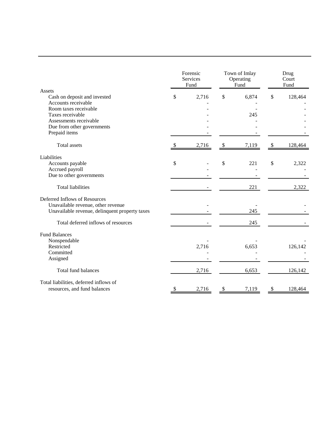|                                                                                                                       | Forensic<br>Services<br>Fund | Town of Imlay<br>Operating<br>Fund | Drug<br>Court<br>Fund |
|-----------------------------------------------------------------------------------------------------------------------|------------------------------|------------------------------------|-----------------------|
| Assets<br>Cash on deposit and invested<br>Accounts receivable                                                         | \$<br>2,716                  | \$<br>6,874                        | \$<br>128,464         |
| Room taxes receivable<br>Taxes receivable<br>Assessments receivable                                                   |                              | 245                                |                       |
| Due from other governments<br>Prepaid items                                                                           |                              |                                    |                       |
| <b>Total assets</b>                                                                                                   | 2,716                        | \$<br>7,119                        | \$<br>128,464         |
| Liabilities<br>Accounts payable<br>Accrued payroll<br>Due to other governments                                        | \$                           | \$<br>221                          | \$<br>2,322           |
| <b>Total liabilities</b>                                                                                              |                              | 221                                | 2,322                 |
| Deferred Inflows of Resources<br>Unavailable revenue, other revenue<br>Unavailable revenue, delinquent property taxes |                              | 245                                |                       |
| Total deferred inflows of resources                                                                                   |                              | 245                                |                       |
| <b>Fund Balances</b><br>Nonspendable<br>Restricted<br>Committed<br>Assigned                                           | 2,716                        | 6,653                              | 126,142               |
| Total fund balances                                                                                                   | 2,716                        | 6,653                              | 126,142               |
| Total liabilities, deferred inflows of<br>resources, and fund balances                                                | \$<br>2,716                  | \$<br>7,119                        | \$<br>128,464         |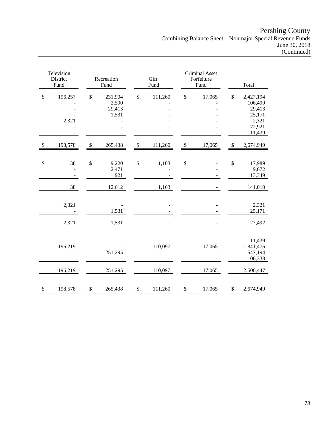| Television<br>District<br>Fund       | Recreation<br>Fund                        | Gift<br>Fund             | Criminal Asset<br>Forfeiture<br>Fund | Total                                                                       |
|--------------------------------------|-------------------------------------------|--------------------------|--------------------------------------|-----------------------------------------------------------------------------|
| $\mathcal{S}$<br>196,257<br>2,321    | \$<br>231,904<br>2,590<br>29,413<br>1,531 | $\$$<br>111,260          | \$<br>17,065                         | \$<br>2,427,194<br>106,490<br>29,413<br>25,171<br>2,321<br>72,921<br>11,439 |
| $\boldsymbol{\mathsf{S}}$<br>198,578 | $\boldsymbol{\$}$<br>265,438              | $\mathcal{S}$<br>111,260 | $\boldsymbol{\$}$<br>17,065          | $\boldsymbol{\mathsf{S}}$<br>2,674,949                                      |
| \$<br>38                             | \$<br>9,220<br>2,471<br>921               | \$<br>1,163              | \$                                   | \$<br>117,989<br>9,672<br>13,349                                            |
| 38                                   | 12,612                                    | 1,163                    |                                      | 141,010                                                                     |
| 2,321                                | 1,531                                     |                          |                                      | 2,321<br>25,171                                                             |
| 2,321                                | 1,531                                     |                          |                                      | 27,492                                                                      |
| 196,219                              | 251,295                                   | 110,097                  | 17,065                               | 11,439<br>1,841,476<br>547,194<br>106,338                                   |
| 196,219                              | 251,295                                   | 110,097                  | 17,065                               | 2,506,447                                                                   |
| \$<br>198,578                        | \$<br>265,438                             | \$<br>111,260            | \$<br>17,065                         | \$<br>2,674,949                                                             |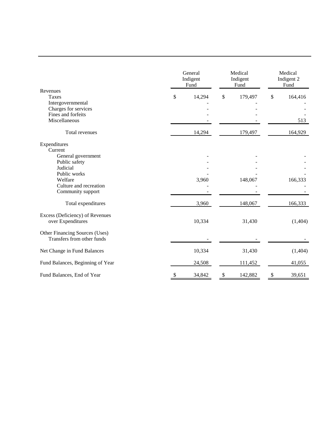|                                           | General<br>Indigent<br>Fund |    |         | Medical<br>Indigent 2<br>Fund |         |
|-------------------------------------------|-----------------------------|----|---------|-------------------------------|---------|
| Revenues                                  |                             |    |         |                               |         |
| <b>Taxes</b>                              | \$<br>14,294                | \$ | 179,497 | \$                            | 164,416 |
| Intergovernmental<br>Charges for services |                             |    |         |                               |         |
| Fines and forfeits                        |                             |    |         |                               |         |
| Miscellaneous                             |                             |    |         |                               | 513     |
|                                           |                             |    |         |                               |         |
| Total revenues                            | 14,294                      |    | 179,497 |                               | 164,929 |
| Expenditures                              |                             |    |         |                               |         |
| Current                                   |                             |    |         |                               |         |
| General government                        |                             |    |         |                               |         |
| Public safety                             |                             |    |         |                               |         |
| Judicial                                  |                             |    |         |                               |         |
| Public works                              |                             |    |         |                               |         |
| Welfare<br>Culture and recreation         | 3,960                       |    | 148,067 |                               | 166,333 |
|                                           |                             |    |         |                               |         |
| Community support                         |                             |    |         |                               |         |
| Total expenditures                        | 3,960                       |    | 148,067 |                               | 166,333 |
| Excess (Deficiency) of Revenues           |                             |    |         |                               |         |
| over Expenditures                         | 10,334                      |    | 31,430  |                               | (1,404) |
|                                           |                             |    |         |                               |         |
| Other Financing Sources (Uses)            |                             |    |         |                               |         |
| Transfers from other funds                |                             |    |         |                               |         |
|                                           |                             |    |         |                               |         |
| Net Change in Fund Balances               | 10,334                      |    | 31,430  |                               | (1,404) |
| Fund Balances, Beginning of Year          | 24,508                      |    | 111,452 |                               | 41,055  |
| Fund Balances, End of Year                | \$<br>34,842                | \$ | 142,882 | \$                            | 39,651  |
|                                           |                             |    |         |                               |         |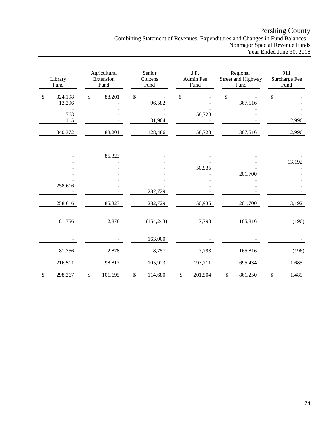### Pershing County Combining Statement of Revenues, Expenditures and Changes in Fund Balances – Nonmajor Special Revenue Funds Year Ended June 30, 2018

| Library<br>Fund         |      | Agricultural<br>Extension<br>Fund | Senior<br>Citizens<br>Fund | J.P.<br>Admin Fee<br>Fund |      | Regional<br>Street and Highway<br>Fund | 911<br>Surcharge Fee<br>Fund |
|-------------------------|------|-----------------------------------|----------------------------|---------------------------|------|----------------------------------------|------------------------------|
| \$<br>324,198<br>13,296 | \$   | 88,201                            | \$<br>96,582               | \$                        | $\$$ | 367,516                                | \$                           |
|                         |      |                                   |                            |                           |      |                                        |                              |
| 1,763<br>1,115          |      |                                   | 31,904                     | 58,728                    |      |                                        | 12,996                       |
| 340,372                 |      | 88,201                            | 128,486                    | 58,728                    |      | 367,516                                | 12,996                       |
| 258,616                 |      | 85,323                            | 282,729                    | 50,935                    |      | 201,700                                | 13,192                       |
| 258,616                 |      | 85,323                            | 282,729                    | 50,935                    |      | 201,700                                | 13,192                       |
| 81,756                  |      | 2,878                             | (154, 243)                 | 7,793                     |      | 165,816                                | (196)                        |
|                         |      |                                   | 163,000                    |                           |      |                                        |                              |
| 81,756                  |      | 2,878                             | 8,757                      | 7,793                     |      | 165,816                                | (196)                        |
| 216,511                 |      | 98,817                            | 105,923                    | 193,711                   |      | 695,434                                | 1,685                        |
| \$<br>298,267           | $\$$ | 101,695                           | \$<br>114,680              | \$<br>201,504             | \$   | 861,250                                | \$<br>1,489                  |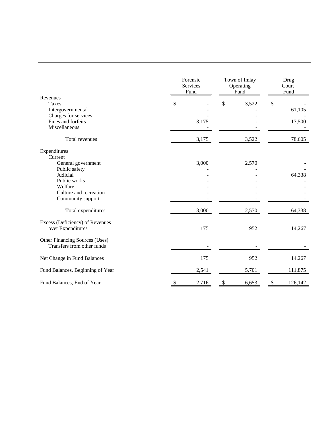|                                     | Forensic<br>Services<br>Fund | Town of Imlay<br>Operating<br>Fund |       | Drug<br>Court<br>Fund |         |
|-------------------------------------|------------------------------|------------------------------------|-------|-----------------------|---------|
| Revenues                            |                              |                                    |       |                       |         |
| <b>Taxes</b><br>Intergovernmental   | \$                           | \$                                 | 3,522 | \$                    | 61,105  |
| Charges for services                |                              |                                    |       |                       |         |
| Fines and forfeits                  | 3,175                        |                                    |       |                       | 17,500  |
| Miscellaneous                       |                              |                                    |       |                       |         |
| Total revenues                      | 3,175                        |                                    | 3,522 |                       | 78,605  |
| Expenditures                        |                              |                                    |       |                       |         |
| Current                             |                              |                                    |       |                       |         |
| General government<br>Public safety | 3,000                        |                                    | 2,570 |                       |         |
| Judicial                            |                              |                                    |       |                       | 64,338  |
| Public works                        |                              |                                    |       |                       |         |
| Welfare                             |                              |                                    |       |                       |         |
| Culture and recreation              |                              |                                    |       |                       |         |
| Community support                   |                              |                                    |       |                       |         |
| Total expenditures                  | 3,000                        |                                    | 2,570 |                       | 64,338  |
| Excess (Deficiency) of Revenues     |                              |                                    |       |                       |         |
| over Expenditures                   |                              | 175                                | 952   |                       | 14,267  |
| Other Financing Sources (Uses)      |                              |                                    |       |                       |         |
| Transfers from other funds          |                              |                                    |       |                       |         |
| Net Change in Fund Balances         |                              | 175                                | 952   |                       | 14,267  |
| Fund Balances, Beginning of Year    | 2,541                        |                                    | 5,701 |                       | 111,875 |
| Fund Balances, End of Year          | \$<br>2,716                  | \$                                 | 6,653 | \$                    | 126,142 |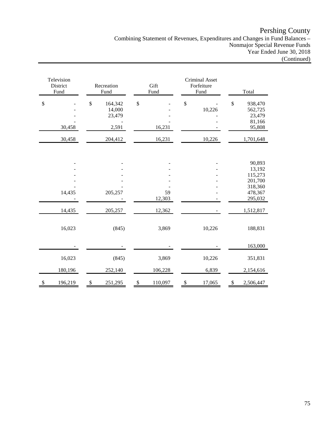### Pershing County Combining Statement of Revenues, Expenditures and Changes in Fund Balances – Nonmajor Special Revenue Funds Year Ended June 30, 2018 (Continued)

Television Criminal Asset<br>
District Recreation Gift Forfeiture District Recreation Gift Forfeitu<br>
Fund Fund Fund Fund Fund Fund Fund Fund Fund Total  $\text{\$}$  - \$ 164,342 \$ - \$ 938,470  $-$  14,000  $-$  10,226 562,725  $-$  23,479  $-$  23,479  $-$  81,166 30,458 2,591 16,231 - 95,808 30,458 204,412 16,231 10,226 1,701,648  $-$  - 90,893 - - - - 13,192 - - - - 115,273  $-$  201,700  $-$  318,360 14,435 205,257 59 - 478,367  $12,303$   $295,032$  14,435 205,257 12,362 - 1,512,817 16,023 (845) 3,869 10,226 188,831  $-$  -  $-$  163,000 16,023 (845) 3,869 10,226 351,831 180,196 252,140 106,228 6,839 2,154,616 \$ 196,219 \$ 251,295 \$ 110,097 \$ 17,065 \$ 2,506,447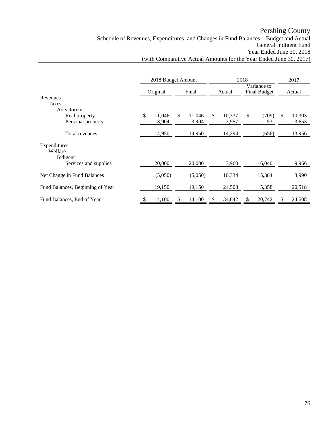#### Pershing County Schedule of Revenues, Expenditures, and Changes in Fund Balances – Budget and Actual General Indigent Fund Year Ended June 30, 2018

| (with Comparative Actual Amounts for the Year Ended June 30, 2017) |  |
|--------------------------------------------------------------------|--|
|--------------------------------------------------------------------|--|

|                                     | 2018 Budget Amount |         |       |         |        | 2018   | 2017                        |        |     |        |
|-------------------------------------|--------------------|---------|-------|---------|--------|--------|-----------------------------|--------|-----|--------|
|                                     | Original           |         | Final |         | Actual |        | Variance to<br>Final Budget |        |     | Actual |
| Revenues                            |                    |         |       |         |        |        |                             |        |     |        |
| Taxes                               |                    |         |       |         |        |        |                             |        |     |        |
| Ad valorem                          |                    |         |       |         |        |        |                             |        |     |        |
| Real property                       | \$                 | 11,046  | \$    | 11,046  | \$     | 10,337 | \$                          | (709)  | \$. | 10,303 |
| Personal property                   |                    | 3,904   |       | 3,904   |        | 3,957  |                             | 53     |     | 3,653  |
| Total revenues                      |                    | 14,950  |       | 14,950  |        | 14,294 |                             | (656)  |     | 13,956 |
| Expenditures<br>Welfare<br>Indigent |                    |         |       |         |        |        |                             |        |     |        |
| Services and supplies               |                    | 20,000  |       | 20,000  |        | 3,960  |                             | 16,040 |     | 9,966  |
| Net Change in Fund Balances         |                    | (5,050) |       | (5,050) |        | 10,334 |                             | 15,384 |     | 3,990  |
| Fund Balances, Beginning of Year    |                    | 19,150  |       | 19,150  |        | 24,508 |                             | 5,358  |     | 20,518 |
| Fund Balances, End of Year          | S                  | 14,100  | \$    | 14,100  | \$     | 34,842 | S                           | 20,742 |     | 24,508 |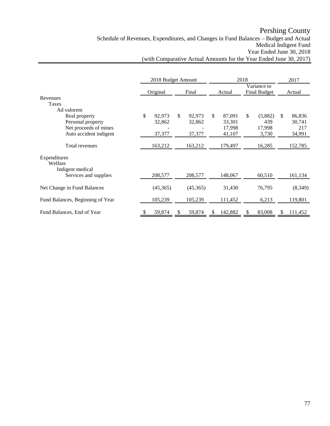#### Pershing County Schedule of Revenues, Expenditures, and Changes in Fund Balances – Budget and Actual Medical Indigent Fund Year Ended June 30, 2018

| (with Comparative Actual Amounts for the Year Ended June 30, 2017) |  |  |  |  |
|--------------------------------------------------------------------|--|--|--|--|
|                                                                    |  |  |  |  |

|                                  | 2018 Budget Amount |          |       |          |        | 2018    |                                    |         |    | 2017    |  |
|----------------------------------|--------------------|----------|-------|----------|--------|---------|------------------------------------|---------|----|---------|--|
|                                  | Original           |          | Final |          | Actual |         | Variance to<br><b>Final Budget</b> |         |    | Actual  |  |
| Revenues                         |                    |          |       |          |        |         |                                    |         |    |         |  |
| Taxes                            |                    |          |       |          |        |         |                                    |         |    |         |  |
| Ad valorem                       |                    |          |       |          |        |         |                                    |         |    |         |  |
| Real property                    | \$                 | 92,973   | \$    | 92,973   | \$     | 87,091  | \$                                 | (5,882) | \$ | 86,836  |  |
| Personal property                |                    | 32,862   |       | 32,862   |        | 33,301  |                                    | 439     |    | 30,741  |  |
| Net proceeds of mines            |                    |          |       |          |        | 17,998  |                                    | 17,998  |    | 217     |  |
| Auto accident indigent           |                    | 37,377   |       | 37,377   |        | 41,107  |                                    | 3,730   |    | 34,991  |  |
|                                  |                    |          |       |          |        |         |                                    |         |    |         |  |
| Total revenues                   |                    | 163,212  |       | 163,212  |        | 179,497 |                                    | 16,285  |    | 152,785 |  |
| Expenditures                     |                    |          |       |          |        |         |                                    |         |    |         |  |
| Welfare                          |                    |          |       |          |        |         |                                    |         |    |         |  |
| Indigent medical                 |                    |          |       |          |        |         |                                    |         |    |         |  |
| Services and supplies            |                    | 208,577  |       | 208,577  |        | 148,067 |                                    | 60,510  |    | 161,134 |  |
|                                  |                    |          |       |          |        |         |                                    |         |    |         |  |
| Net Change in Fund Balances      |                    | (45,365) |       | (45,365) |        | 31,430  |                                    | 76,795  |    | (8,349) |  |
| Fund Balances, Beginning of Year |                    | 105,239  |       | 105,239  |        | 111,452 |                                    | 6,213   |    | 119,801 |  |
|                                  |                    |          |       |          |        |         |                                    |         |    |         |  |
| Fund Balances, End of Year       | \$                 | 59,874   | \$    | 59,874   | \$     | 142,882 | S                                  | 83,008  | S. | 111,452 |  |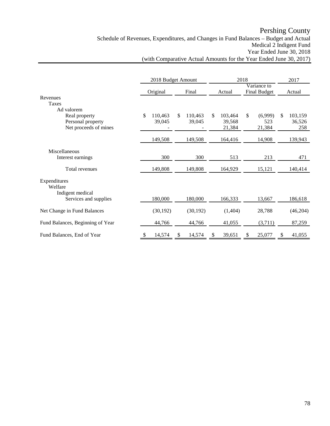## Pershing County Schedule of Revenues, Expenditures, and Changes in Fund Balances – Budget and Actual Medical 2 Indigent Fund Year Ended June 30, 2018

|                                                             | 2018 Budget Amount |                   |       |                   |        | 2018                        |                                    | 2017 |                          |
|-------------------------------------------------------------|--------------------|-------------------|-------|-------------------|--------|-----------------------------|------------------------------------|------|--------------------------|
|                                                             |                    | Original          | Final |                   | Actual |                             | Variance to<br><b>Final Budget</b> |      | Actual                   |
| Revenues<br><b>Taxes</b><br>Ad valorem                      |                    |                   |       |                   |        |                             |                                    |      |                          |
| Real property<br>Personal property<br>Net proceeds of mines | \$                 | 110,463<br>39,045 | \$    | 110,463<br>39,045 | \$     | 103,464<br>39,568<br>21,384 | \$<br>(6,999)<br>523<br>21,384     | \$.  | 103,159<br>36,526<br>258 |
|                                                             |                    | 149,508           |       | 149,508           |        | 164,416                     | 14,908                             |      | 139,943                  |
| Miscellaneous<br>Interest earnings                          |                    | 300               |       | 300               |        | 513                         | 213                                |      | 471                      |
| Total revenues                                              |                    | 149,808           |       | 149,808           |        | 164,929                     | 15,121                             |      | 140,414                  |
| Expenditures<br>Welfare<br>Indigent medical                 |                    |                   |       |                   |        |                             |                                    |      |                          |
| Services and supplies                                       |                    | 180,000           |       | 180,000           |        | 166,333                     | 13,667                             |      | 186,618                  |
| Net Change in Fund Balances                                 |                    | (30, 192)         |       | (30, 192)         |        | (1,404)                     | 28,788                             |      | (46,204)                 |
| Fund Balances, Beginning of Year                            |                    | 44,766            |       | 44,766            |        | 41,055                      | (3,711)                            |      | 87,259                   |
| Fund Balances, End of Year                                  |                    | 14,574            | S     | 14,574            |        | 39,651                      | 25,077                             |      | 41,055                   |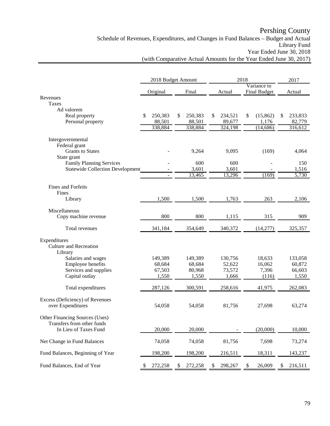## Pershing County Schedule of Revenues, Expenditures, and Changes in Fund Balances – Budget and Actual Library Fund Year Ended June 30, 2018

|                                         |               | 2018 Budget Amount | 2018          | 2017                        |               |
|-----------------------------------------|---------------|--------------------|---------------|-----------------------------|---------------|
|                                         | Original      | Final              | Actual        | Variance to<br>Final Budget | Actual        |
| Revenues                                |               |                    |               |                             |               |
| Taxes                                   |               |                    |               |                             |               |
| Ad valorem                              |               |                    |               |                             |               |
| Real property                           | 250,383<br>\$ | 250,383<br>\$      | 234,521<br>\$ | (15, 862)<br>\$             | 233,833<br>\$ |
| Personal property                       | 88,501        | 88,501             | 89,677        | 1,176                       | 82,779        |
|                                         | 338,884       | 338,884            | 324,198       | (14, 686)                   | 316,612       |
| Intergovernmental                       |               |                    |               |                             |               |
| Federal grant                           |               |                    |               |                             |               |
| <b>Grants</b> to States                 |               | 9,264              | 9,095         | (169)                       | 4,064         |
| State grant                             |               |                    |               |                             |               |
| <b>Family Planning Services</b>         |               | 600                | 600           |                             | 150           |
| <b>Statewide Collection Development</b> |               | 3,601              | 3,601         |                             | 1,516         |
|                                         |               | 13,465             | 13,296        | (169)                       | 5,730         |
| Fines and Forfeits                      |               |                    |               |                             |               |
| Fines                                   |               |                    |               |                             |               |
| Library                                 | 1,500         | 1,500              | 1,763         | 263                         | 2,106         |
|                                         |               |                    |               |                             |               |
| Miscellaneous                           |               |                    |               |                             |               |
| Copy machine revenue                    | 800           | 800                | 1,115         | 315                         | 909           |
| Total revenues                          | 341,184       | 354,649            | 340,372       | (14,277)                    | 325,357       |
| Expenditures                            |               |                    |               |                             |               |
| <b>Culture and Recreation</b>           |               |                    |               |                             |               |
| Library                                 |               |                    |               |                             |               |
| Salaries and wages                      | 149,389       | 149,389            | 130,756       | 18,633                      | 133,058       |
| Employee benefits                       | 68,684        | 68,684             | 52,622        | 16,062                      | 60,872        |
| Services and supplies                   | 67,503        | 80,968             | 73,572        | 7,396                       | 66,603        |
| Capital outlay                          | 1,550         | 1,550              | 1,666         | (116)                       | 1,550         |
|                                         |               |                    |               |                             |               |
| Total expenditures                      | 287,126       | 300,591            | 258,616       | 41,975                      | 262,083       |
| Excess (Deficiency) of Revenues         |               |                    |               |                             |               |
| over Expenditures                       | 54,058        | 54,058             | 81,756        | 27,698                      | 63,274        |
|                                         |               |                    |               |                             |               |
| Other Financing Sources (Uses)          |               |                    |               |                             |               |
| Transfers from other funds              |               |                    |               |                             |               |
| In Lieu of Taxes Fund                   | 20,000        | 20,000             |               | (20,000)                    | 10,000        |
| Net Change in Fund Balances             | 74,058        | 74,058             | 81,756        | 7,698                       | 73,274        |
|                                         |               |                    |               |                             |               |
| Fund Balances, Beginning of Year        | 198,200       | 198,200            | 216,511       | 18,311                      | 143,237       |
| Fund Balances, End of Year              | 272,258       | 272,258<br>\$      | 298,267       | 26,009<br>\$                | 216,511<br>\$ |
|                                         |               |                    |               |                             |               |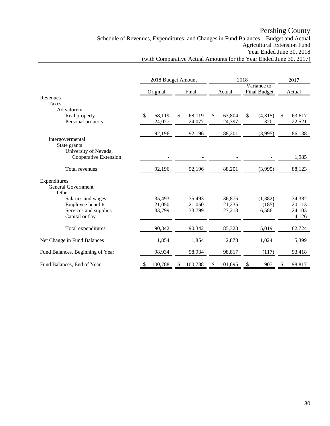#### Pershing County Schedule of Revenues, Expenditures, and Changes in Fund Balances – Budget and Actual Agricultural Extension Fund Year Ended June 30, 2018

|  | (with Comparative Actual Amounts for the Year Ended June 30, 2017) |  |  |  |  |  |  |
|--|--------------------------------------------------------------------|--|--|--|--|--|--|
|--|--------------------------------------------------------------------|--|--|--|--|--|--|

|                                                                                    |    | 2018 Budget Amount         |    |                            | 2018   |                            |                                    |                            |    | 2017                                |  |
|------------------------------------------------------------------------------------|----|----------------------------|----|----------------------------|--------|----------------------------|------------------------------------|----------------------------|----|-------------------------------------|--|
|                                                                                    |    | Original                   |    | Final                      | Actual |                            | Variance to<br><b>Final Budget</b> |                            |    | Actual                              |  |
| Revenues<br>Taxes                                                                  |    |                            |    |                            |        |                            |                                    |                            |    |                                     |  |
| Ad valorem<br>Real property<br>Personal property                                   | \$ | 68,119<br>24,077           | \$ | 68,119<br>24,077           | \$     | 63,804<br>24,397           | \$                                 | (4,315)<br>320             | \$ | 63,617<br>22,521                    |  |
|                                                                                    |    | 92,196                     |    | 92,196                     |        | 88,201                     |                                    | (3,995)                    |    | 86,138                              |  |
| Intergovermental<br>State grants<br>University of Nevada,<br>Cooperative Extension |    |                            |    |                            |        |                            |                                    |                            |    | 1,985                               |  |
| Total revenues                                                                     |    | 92,196                     |    | 92,196                     |        | 88,201                     |                                    | (3,995)                    |    | 88,123                              |  |
| Expenditures<br><b>General Government</b><br>Other                                 |    |                            |    |                            |        |                            |                                    |                            |    |                                     |  |
| Salaries and wages<br>Employee benefits<br>Services and supplies<br>Capital outlay |    | 35,493<br>21,050<br>33,799 |    | 35,493<br>21,050<br>33,799 |        | 36,875<br>21,235<br>27,213 |                                    | (1, 382)<br>(185)<br>6,586 |    | 34,382<br>20,113<br>24,103<br>4,126 |  |
| Total expenditures                                                                 |    | 90,342                     |    | 90,342                     |        | 85,323                     |                                    | 5,019                      |    | 82,724                              |  |
| Net Change in Fund Balances                                                        |    | 1,854                      |    | 1,854                      |        | 2,878                      |                                    | 1,024                      |    | 5,399                               |  |
| Fund Balances, Beginning of Year                                                   |    | 98,934                     |    | 98,934                     |        | 98,817                     |                                    | (117)                      |    | 93,418                              |  |
| Fund Balances, End of Year                                                         | S. | 100,788                    | \$ | 100,788                    | S      | 101,695                    | \$                                 | 907                        |    | 98,817                              |  |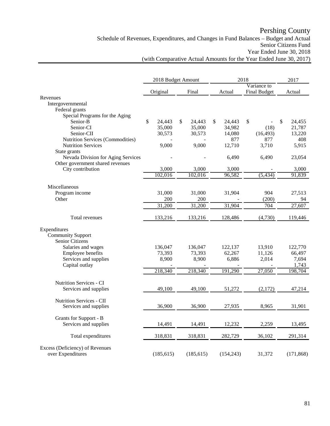### Pershing County Schedule of Revenues, Expenditures, and Changes in Fund Balances – Budget and Actual Senior Citizens Fund Year Ended June 30, 2018

|                                                                                                           | 2018 Budget Amount               |     |    |                            |    | 2018                              | 2017                               |    |                                   |
|-----------------------------------------------------------------------------------------------------------|----------------------------------|-----|----|----------------------------|----|-----------------------------------|------------------------------------|----|-----------------------------------|
|                                                                                                           | Original                         |     |    | Final                      |    | Actual                            | Variance to<br><b>Final Budget</b> |    | Actual                            |
| Revenues                                                                                                  |                                  |     |    |                            |    |                                   |                                    |    |                                   |
| Intergovernmental<br>Federal grants                                                                       |                                  |     |    |                            |    |                                   |                                    |    |                                   |
| Special Programs for the Aging<br>Senior-B<br>Senior-CI<br>Senior-CII<br>Nutrition Services (Commodities) | \$<br>24,443<br>35,000<br>30,573 |     | \$ | 24,443<br>35,000<br>30,573 | \$ | 24,443<br>34,982<br>14,080<br>877 | \$<br>(18)<br>(16, 493)<br>877     | \$ | 24,455<br>21,787<br>13,220<br>408 |
| <b>Nutrition Services</b>                                                                                 | 9,000                            |     |    | 9,000                      |    | 12,710                            | 3,710                              |    | 5,915                             |
| State grants<br>Nevada Division for Aging Services<br>Other government shared revenues                    |                                  |     |    |                            |    | 6,490                             | 6,490                              |    | 23,054                            |
| City contribution                                                                                         | 3,000                            |     |    | 3,000                      |    | 3,000                             |                                    |    | 3,000                             |
|                                                                                                           | 102,016                          |     |    | 102,016                    |    | 96,582                            | (5, 434)                           |    | 91,839                            |
| Miscellaneous                                                                                             |                                  |     |    |                            |    |                                   |                                    |    |                                   |
| Program income                                                                                            | 31,000                           |     |    | 31,000                     |    | 31,904                            | 904                                |    | 27,513                            |
| Other                                                                                                     |                                  | 200 |    | 200                        |    |                                   | (200)                              |    | 94                                |
|                                                                                                           | 31,200                           |     |    | 31,200                     |    | 31,904                            | 704                                |    | 27,607                            |
| Total revenues                                                                                            | 133,216                          |     |    | 133,216                    |    | 128,486                           | (4,730)                            |    | 119,446                           |
| Expenditures<br><b>Community Support</b><br>Senior Citizens                                               |                                  |     |    |                            |    |                                   |                                    |    |                                   |
| Salaries and wages                                                                                        | 136,047                          |     |    | 136,047                    |    | 122,137                           | 13,910                             |    | 122,770                           |
| Employee benefits                                                                                         | 73,393                           |     |    | 73,393                     |    | 62,267                            | 11,126                             |    | 66,497                            |
| Services and supplies<br>Capital outlay                                                                   | 8,900                            |     |    | 8,900                      |    | 6,886                             | 2,014                              |    | 7,694<br>1,743                    |
|                                                                                                           | 218,340                          |     |    | 218,340                    |    | 191,290                           | 27,050                             |    | 198,704                           |
|                                                                                                           |                                  |     |    |                            |    |                                   |                                    |    |                                   |
| Nutrition Services - CI<br>Services and supplies                                                          | 49,100                           |     |    | 49,100                     |    | 51,272                            | (2,172)                            |    | 47,214                            |
| <b>Nutrition Services - CII</b><br>Services and supplies                                                  | 36,900                           |     |    | 36,900                     |    | 27,935                            | 8,965                              |    | 31,901                            |
| Grants for Support - B<br>Services and supplies                                                           | 14,491                           |     |    | 14,491                     |    | 12,232                            | 2,259                              |    | 13,495                            |
| Total expenditures                                                                                        | 318,831                          |     |    | 318,831                    |    | 282,729                           | 36,102                             |    | 291,314                           |
| Excess (Deficiency) of Revenues<br>over Expenditures                                                      | (185, 615)                       |     |    | (185, 615)                 |    | (154, 243)                        | 31,372                             |    | (171, 868)                        |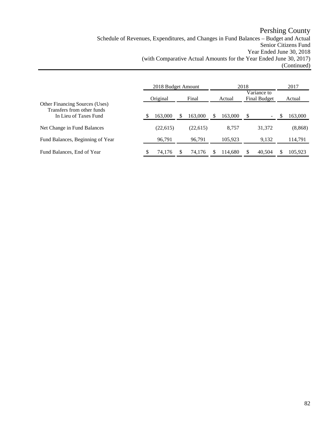## Pershing County Schedule of Revenues, Expenditures, and Changes in Fund Balances – Budget and Actual Senior Citizens Fund Year Ended June 30, 2018 (with Comparative Actual Amounts for the Year Ended June 30, 2017)

(Continued)

|                                                                                       | 2018 Budget Amount |          |       |           |        | 2018    | 2017                        |        |          |
|---------------------------------------------------------------------------------------|--------------------|----------|-------|-----------|--------|---------|-----------------------------|--------|----------|
|                                                                                       |                    | Original | Final |           | Actual |         | Variance to<br>Final Budget |        | Actual   |
| Other Financing Sources (Uses)<br>Transfers from other funds<br>In Lieu of Taxes Fund |                    | 163.000  |       | 163,000   |        | 163,000 | <sup>\$</sup>               | ۰      | 163,000  |
| Net Change in Fund Balances                                                           |                    | (22,615) |       | (22, 615) |        | 8.757   |                             | 31,372 | (8, 868) |
| Fund Balances, Beginning of Year                                                      |                    | 96.791   |       | 96.791    |        | 105.923 |                             | 9,132  | 114,791  |
| Fund Balances, End of Year                                                            |                    | 74.176   |       | 74.176    |        | 114,680 |                             | 40.504 | 105,923  |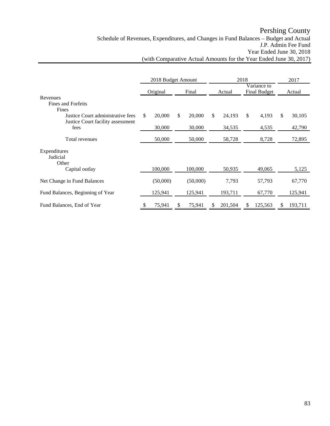#### Pershing County Schedule of Revenues, Expenditures, and Changes in Fund Balances – Budget and Actual J.P. Admin Fee Fund Year Ended June 30, 2018

| (with Comparative Actual Amounts for the Year Ended June 30, 2017) |  |  |
|--------------------------------------------------------------------|--|--|
|--------------------------------------------------------------------|--|--|

|                                   | 2018 Budget Amount |          |       |          |        | 2018    | 2017                               |         |    |         |
|-----------------------------------|--------------------|----------|-------|----------|--------|---------|------------------------------------|---------|----|---------|
|                                   | Original           |          | Final |          | Actual |         | Variance to<br><b>Final Budget</b> |         |    | Actual  |
| Revenues                          |                    |          |       |          |        |         |                                    |         |    |         |
| <b>Fines and Forfeits</b>         |                    |          |       |          |        |         |                                    |         |    |         |
| Fines                             |                    |          |       |          |        |         |                                    |         |    |         |
| Justice Court administrative fees | S.                 | 20,000   | \$    | 20,000   | \$     | 24,193  | \$                                 | 4,193   | \$ | 30,105  |
| Justice Court facility assessment |                    |          |       |          |        |         |                                    |         |    |         |
| fees                              |                    | 30,000   |       | 30,000   |        | 34,535  |                                    | 4,535   |    | 42,790  |
|                                   |                    |          |       |          |        |         |                                    |         |    |         |
| Total revenues                    |                    | 50,000   |       | 50,000   |        | 58,728  |                                    | 8,728   |    | 72,895  |
| Expenditures<br>Judicial<br>Other |                    |          |       |          |        |         |                                    |         |    |         |
| Capital outlay                    |                    | 100,000  |       | 100,000  |        | 50,935  |                                    | 49,065  |    | 5,125   |
| Net Change in Fund Balances       |                    | (50,000) |       | (50,000) |        | 7,793   |                                    | 57,793  |    | 67,770  |
| Fund Balances, Beginning of Year  |                    | 125,941  |       | 125,941  |        | 193,711 |                                    | 67,770  |    | 125,941 |
| Fund Balances, End of Year        | S,                 | 75,941   | \$    | 75,941   | S      | 201,504 |                                    | 125,563 | S  | 193,711 |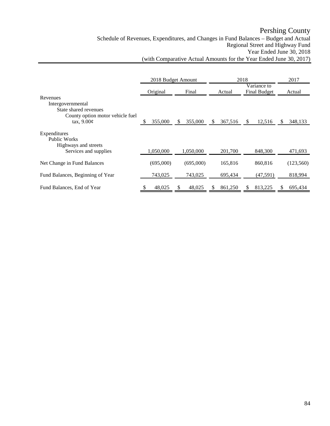# Pershing County

Schedule of Revenues, Expenditures, and Changes in Fund Balances – Budget and Actual Regional Street and Highway Fund Year Ended June 30, 2018

|                                                                                            |    | 2018 Budget Amount |       |           | 2018   |         |   |                                    |   | 2017      |
|--------------------------------------------------------------------------------------------|----|--------------------|-------|-----------|--------|---------|---|------------------------------------|---|-----------|
|                                                                                            |    | Original           | Final |           | Actual |         |   | Variance to<br><b>Final Budget</b> |   | Actual    |
| Revenues<br>Intergovernmental<br>State shared revenues<br>County option motor vehicle fuel |    |                    |       |           |        |         |   |                                    |   |           |
| tax, $9.00\text{¢}$                                                                        | S  | 355,000            | S     | 355,000   | \$     | 367,516 | S | 12,516                             | S | 348,133   |
| Expenditures<br><b>Public Works</b><br>Highways and streets<br>Services and supplies       |    | 1,050,000          |       | 1,050,000 |        | 201,700 |   | 848,300                            |   | 471,693   |
| Net Change in Fund Balances                                                                |    | (695,000)          |       | (695,000) |        | 165,816 |   | 860,816                            |   | (123,560) |
| Fund Balances, Beginning of Year                                                           |    | 743,025            |       | 743,025   |        | 695,434 |   | (47, 591)                          |   | 818,994   |
| Fund Balances, End of Year                                                                 | \$ | 48,025             | \$    | 48,025    | S      | 861,250 | S | 813,225                            | S | 695,434   |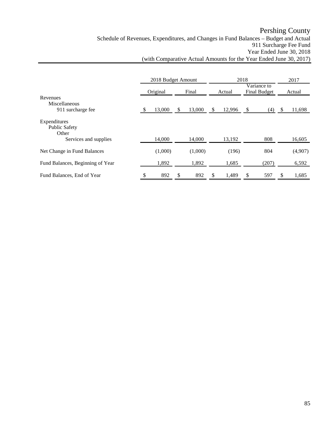#### Pershing County Schedule of Revenues, Expenditures, and Changes in Fund Balances – Budget and Actual 911 Surcharge Fee Fund Year Ended June 30, 2018

|                                               | 2018 Budget Amount |          |    |         |    | 2018   | 2017 |                                    |    |         |
|-----------------------------------------------|--------------------|----------|----|---------|----|--------|------|------------------------------------|----|---------|
|                                               |                    | Original |    | Final   |    | Actual |      | Variance to<br><b>Final Budget</b> |    | Actual  |
| Revenues                                      |                    |          |    |         |    |        |      |                                    |    |         |
| Miscellaneous                                 |                    |          |    |         |    |        |      |                                    |    |         |
| 911 surcharge fee                             | S.                 | 13,000   | \$ | 13,000  | \$ | 12,996 | -S   | (4)                                | S. | 11,698  |
| Expenditures<br><b>Public Safety</b><br>Other |                    |          |    |         |    |        |      |                                    |    |         |
| Services and supplies                         |                    | 14,000   |    | 14,000  |    | 13,192 |      | 808                                |    | 16,605  |
| Net Change in Fund Balances                   |                    | (1,000)  |    | (1,000) |    | (196)  |      | 804                                |    | (4,907) |
| Fund Balances, Beginning of Year              |                    | 1,892    |    | 1,892   |    | 1,685  |      | (207)                              |    | 6,592   |
| Fund Balances, End of Year                    |                    | 892      | \$ | 892     | S  | 1,489  | S    | 597                                |    | 1,685   |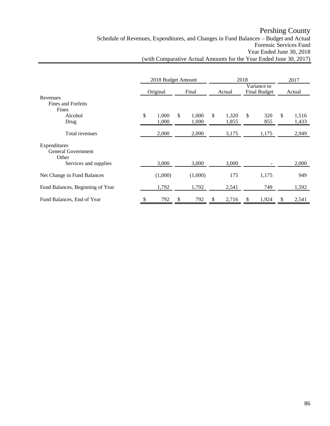#### Pershing County Schedule of Revenues, Expenditures, and Changes in Fund Balances – Budget and Actual Forensic Services Fund Year Ended June 30, 2018

| (with Comparative Actual Amounts for the Year Ended June 30, 2017) |  |  |  |
|--------------------------------------------------------------------|--|--|--|
|--------------------------------------------------------------------|--|--|--|

|                                           | 2018<br>2018 Budget Amount |          |              |         |    |        |    | 2017                        |    |        |
|-------------------------------------------|----------------------------|----------|--------------|---------|----|--------|----|-----------------------------|----|--------|
|                                           |                            | Original |              | Final   |    | Actual |    | Variance to<br>Final Budget |    | Actual |
| Revenues                                  |                            |          |              |         |    |        |    |                             |    |        |
| Fines and Forfeits                        |                            |          |              |         |    |        |    |                             |    |        |
| Fines                                     |                            |          |              |         |    |        |    |                             |    |        |
| Alcohol                                   | \$                         | 1.000    | $\mathbb{S}$ | 1.000   | \$ | 1,320  | \$ | 320                         | \$ | 1,516  |
| Drug                                      |                            | 1,000    |              | 1,000   |    | 1,855  |    | 855                         |    | 1,433  |
| Total revenues                            |                            | 2,000    |              | 2,000   |    | 3,175  |    | 1,175                       |    | 2,949  |
| Expenditures<br><b>General Government</b> |                            |          |              |         |    |        |    |                             |    |        |
| Other<br>Services and supplies            |                            | 3,000    |              | 3,000   |    | 3,000  |    |                             |    | 2,000  |
| Net Change in Fund Balances               |                            | (1,000)  |              | (1,000) |    | 175    |    | 1,175                       |    | 949    |
| Fund Balances, Beginning of Year          |                            | 1,792    |              | 1,792   |    | 2,541  |    | 749                         |    | 1,592  |
| Fund Balances, End of Year                |                            | 792      | \$           | 792     | \$ | 2,716  | S  | 1,924                       | Ж  | 2,541  |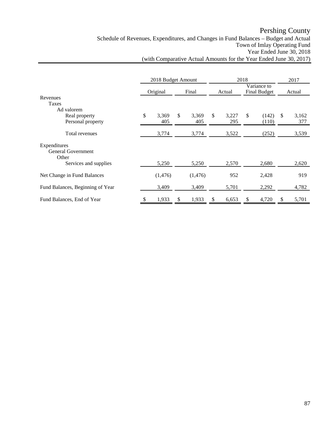## Pershing County Schedule of Revenues, Expenditures, and Changes in Fund Balances – Budget and Actual Town of Imlay Operating Fund Year Ended June 30, 2018

|                                                    | 2018<br>2018 Budget Amount |          |               |          |        |       |                                    |       | 2017          |       |
|----------------------------------------------------|----------------------------|----------|---------------|----------|--------|-------|------------------------------------|-------|---------------|-------|
|                                                    | Original                   |          | Final         |          | Actual |       | Variance to<br><b>Final Budget</b> |       | Actual        |       |
| Revenues                                           |                            |          |               |          |        |       |                                    |       |               |       |
| Taxes                                              |                            |          |               |          |        |       |                                    |       |               |       |
| Ad valorem                                         |                            |          |               |          |        |       |                                    |       |               |       |
| Real property                                      | \$                         | 3,369    | <sup>\$</sup> | 3,369    | \$     | 3,227 | <sup>\$</sup>                      | (142) | <sup>\$</sup> | 3,162 |
| Personal property                                  |                            | 405      |               | 405      |        | 295   |                                    | (110) |               | 377   |
| Total revenues                                     |                            | 3,774    |               | 3,774    |        | 3,522 |                                    | (252) |               | 3,539 |
| Expenditures<br><b>General Government</b><br>Other |                            |          |               |          |        |       |                                    |       |               |       |
| Services and supplies                              |                            | 5,250    |               | 5,250    |        | 2,570 |                                    | 2,680 |               | 2,620 |
| Net Change in Fund Balances                        |                            | (1, 476) |               | (1, 476) |        | 952   |                                    | 2,428 |               | 919   |
| Fund Balances, Beginning of Year                   |                            | 3,409    |               | 3,409    |        | 5,701 |                                    | 2,292 |               | 4,782 |
| Fund Balances, End of Year                         |                            | 1,933    | \$            | 1,933    | \$     | 6,653 | S                                  | 4,720 |               | 5,701 |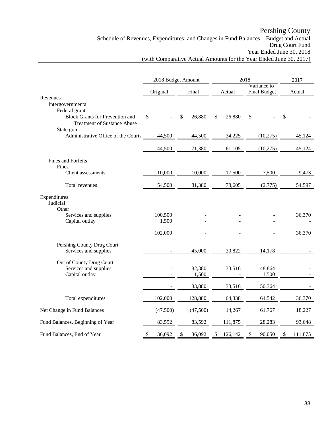### Pershing County Schedule of Revenues, Expenditures, and Changes in Fund Balances – Budget and Actual Drug Court Fund Year Ended June 30, 2018

|                                                                              |          | 2018 Budget Amount |                 |              |         | 2018 |                                    |        | 2017    |
|------------------------------------------------------------------------------|----------|--------------------|-----------------|--------------|---------|------|------------------------------------|--------|---------|
|                                                                              | Original |                    | Final           |              | Actual  |      | Variance to<br><b>Final Budget</b> | Actual |         |
| Revenues                                                                     |          |                    |                 |              |         |      |                                    |        |         |
| Intergovernmental                                                            |          |                    |                 |              |         |      |                                    |        |         |
| Federal grant:                                                               |          |                    |                 |              |         |      |                                    |        |         |
| <b>Block Grants for Prevention and</b><br><b>Treatment of Sustance Abuse</b> | \$       |                    | \$<br>26,880    | $\mathbb{S}$ | 26,880  | \$   |                                    | \$     |         |
| State grant<br>Administrative Office of the Courts                           |          | 44,500             | 44,500          |              | 34,225  |      | (10, 275)                          |        | 45,124  |
|                                                                              |          | 44,500             | 71,380          |              | 61,105  |      | (10, 275)                          |        | 45,124  |
| Fines and Forfeits<br>Fines                                                  |          |                    |                 |              |         |      |                                    |        |         |
| Client assessments                                                           |          | 10,000             | 10,000          |              | 17,500  |      | 7,500                              |        | 9,473   |
| Total revenues                                                               |          | 54,500             | 81,380          |              | 78,605  |      | (2,775)                            |        | 54,597  |
| Expenditures<br>Judicial                                                     |          |                    |                 |              |         |      |                                    |        |         |
| Other                                                                        |          |                    |                 |              |         |      |                                    |        |         |
| Services and supplies<br>Capital outlay                                      |          | 100,500<br>1,500   |                 |              |         |      |                                    |        | 36,370  |
|                                                                              |          | 102,000            |                 |              |         |      |                                    |        | 36,370  |
| Pershing County Drug Court                                                   |          |                    |                 |              |         |      |                                    |        |         |
| Services and supplies                                                        |          |                    | 45,000          |              | 30,822  |      | 14,178                             |        |         |
| Out of County Drug Court                                                     |          |                    |                 |              |         |      |                                    |        |         |
| Services and supplies<br>Capital outlay                                      |          |                    | 82,380<br>1,500 |              | 33,516  |      | 48,864<br>1,500                    |        |         |
|                                                                              |          |                    | 83,880          |              | 33,516  |      | 50,364                             |        |         |
| Total expenditures                                                           |          | 102,000            | 128,880         |              | 64,338  |      | 64,542                             |        | 36,370  |
| Net Change in Fund Balances                                                  |          | (47,500)           | (47,500)        |              | 14,267  |      | 61,767                             |        | 18,227  |
| Fund Balances, Beginning of Year                                             |          | 83,592             | 83,592          |              | 111,875 |      | 28,283                             |        | 93,648  |
| Fund Balances, End of Year                                                   | \$       | 36,092             | \$<br>36,092    | \$           | 126,142 | \$   | 90,050                             | \$     | 111,875 |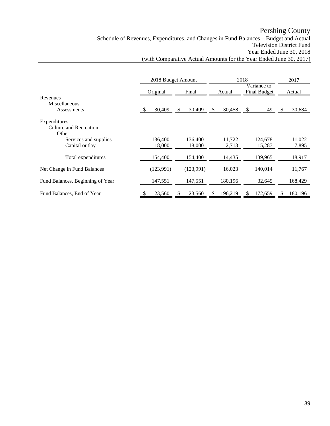## Pershing County Schedule of Revenues, Expenditures, and Changes in Fund Balances – Budget and Actual Television District Fund Year Ended June 30, 2018

|                                  |               | 2018 Budget Amount | 2018          | 2017                               |             |  |
|----------------------------------|---------------|--------------------|---------------|------------------------------------|-------------|--|
|                                  | Original      | Final              | Actual        | Variance to<br><b>Final Budget</b> | Actual      |  |
| Revenues                         |               |                    |               |                                    |             |  |
| Miscellaneous                    |               |                    |               |                                    |             |  |
| Assessments                      | 30,409<br>\$. | \$<br>30,409       | \$<br>30,458  | 49<br>\$                           | 30,684<br>S |  |
| Expenditures                     |               |                    |               |                                    |             |  |
| <b>Culture and Recreation</b>    |               |                    |               |                                    |             |  |
| Other                            |               |                    |               |                                    |             |  |
| Services and supplies            | 136,400       | 136,400            | 11,722        | 124,678                            | 11,022      |  |
| Capital outlay                   | 18,000        | 18,000             | 2,713         | 15,287                             | 7,895       |  |
| Total expenditures               | 154,400       | 154,400            | 14,435        | 139,965                            | 18,917      |  |
| Net Change in Fund Balances      | (123,991)     | (123,991)          | 16,023        | 140,014                            | 11,767      |  |
| Fund Balances, Beginning of Year | 147,551       | 147,551            | 180,196       | 32,645                             | 168,429     |  |
| Fund Balances, End of Year       | 23,560        | \$<br>23,560       | 196,219<br>S. | 172,659                            | 180,196     |  |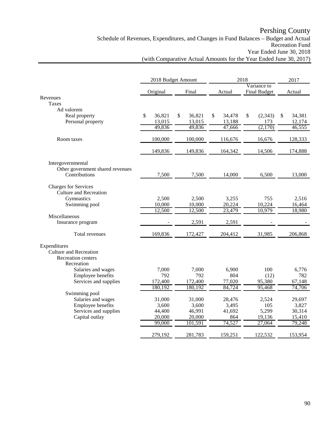## Pershing County Schedule of Revenues, Expenditures, and Changes in Fund Balances – Budget and Actual Recreation Fund Year Ended June 30, 2018

|                                  |              | 2018 Budget Amount |              | 2018                               | 2017         |
|----------------------------------|--------------|--------------------|--------------|------------------------------------|--------------|
|                                  | Original     | Final              | Actual       | Variance to<br><b>Final Budget</b> | Actual       |
| Revenues                         |              |                    |              |                                    |              |
| <b>Taxes</b>                     |              |                    |              |                                    |              |
| Ad valorem                       |              |                    |              |                                    |              |
| Real property                    | \$<br>36,821 | \$<br>36,821       | \$<br>34,478 | \$<br>(2, 343)                     | 34,381<br>\$ |
| Personal property                | 13,015       | 13,015             | 13,188       | 173                                | 12,174       |
|                                  | 49,836       | 49,836             | 47,666       | (2,170)                            | 46,555       |
| Room taxes                       | 100,000      | 100,000            | 116,676      | 16,676                             | 128,333      |
|                                  | 149,836      | 149,836            | 164,342      | 14,506                             | 174,888      |
| Intergovernmental                |              |                    |              |                                    |              |
| Other government shared revenues |              |                    |              |                                    |              |
| Contributions                    | 7,500        | 7,500              | 14,000       | 6,500                              | 13,000       |
| <b>Charges for Services</b>      |              |                    |              |                                    |              |
| <b>Culture and Recreation</b>    |              |                    |              |                                    |              |
| Gymnastics                       | 2,500        | 2,500              | 3,255        | 755                                | 2,516        |
| Swimming pool                    | 10,000       | 10,000             | 20,224       | 10,224                             | 16,464       |
|                                  | 12,500       | 12,500             | 23,479       | 10,979                             | 18,980       |
| Miscellaneous                    |              |                    |              |                                    |              |
| Insurance program                |              | 2,591              | 2,591        |                                    |              |
| Total revenues                   | 169,836      | 172,427            | 204,412      | 31,985                             | 206,868      |
| Expenditures                     |              |                    |              |                                    |              |
| <b>Culture and Recreation</b>    |              |                    |              |                                    |              |
| <b>Recreation centers</b>        |              |                    |              |                                    |              |
| Recreation                       |              |                    |              |                                    |              |
| Salaries and wages               | 7,000        | 7,000              | 6,900        | 100                                | 6,776        |
| Employee benefits                | 792          | 792                | 804          | (12)                               | 782          |
| Services and supplies            | 172,400      | 172,400            | 77,020       | 95,380                             | 67,148       |
|                                  | 180,192      | 180,192            | 84,724       | 95,468                             | 74,706       |
| Swimming pool                    |              |                    |              |                                    |              |
| Salaries and wages               | 31,000       | 31,000             | 28,476       | 2,524                              | 29,697       |
| Employee benefits                | 3,600        | 3,600              | 3,495        | 105                                | 3,827        |
| Services and supplies            | 44,400       | 46,991             | 41,692       | 5,299                              | 30,314       |
| Capital outlay                   | 20,000       | 20,000             | 864          | 19,136                             | 15,410       |
|                                  | 99,000       | 101,591            | 74,527       | 27,064                             | 79,248       |
|                                  | 279,192      | 281,783            | 159,251      | 122,532                            | 153,954      |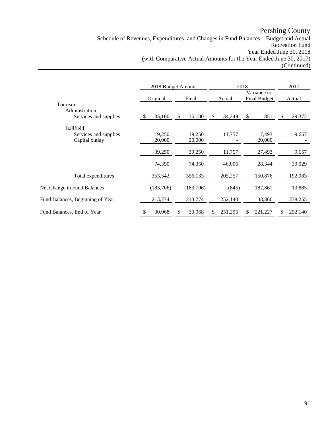# Pershing County

Schedule of Revenues, Expenditures, and Changes in Fund Balances – Budget and Actual Recreation Fund Year Ended June 30, 2018 (with Comparative Actual Amounts for the Year Ended June 30, 2017) (Continued)

|                                                      |               | 2018 Budget Amount |                           |                  | 2018   |         |    |                                    | 2017 |         |  |
|------------------------------------------------------|---------------|--------------------|---------------------------|------------------|--------|---------|----|------------------------------------|------|---------|--|
|                                                      | Original      |                    |                           | Final            | Actual |         |    | Variance to<br><b>Final Budget</b> |      | Actual  |  |
| Tourism<br>Adminstration<br>Services and supplies    | <sup>\$</sup> | 35,100             | $\boldsymbol{\mathsf{S}}$ | 35,100           | \$     | 34,249  | \$ | 851                                | S    | 29,372  |  |
| Ballfield<br>Services and supplies<br>Capital outlay |               | 19,250<br>20,000   |                           | 19,250<br>20,000 |        | 11,757  |    | 7.493<br>20,000                    |      | 9,657   |  |
|                                                      |               | 39,250             |                           | 39,250           |        | 11,757  |    | 27,493                             |      | 9,657   |  |
|                                                      |               | 74,350             |                           | 74,350           |        | 46,006  |    | 28,344                             |      | 39,029  |  |
| Total expenditures                                   |               | 353,542            |                           | 356,133          |        | 205,257 |    | 150,876                            |      | 192,983 |  |
| Net Change in Fund Balances                          |               | (183,706)          |                           | (183,706)        |        | (845)   |    | 182,861                            |      | 13,885  |  |
| Fund Balances, Beginning of Year                     |               | 213,774            |                           | 213,774          |        | 252,140 |    | 38,366                             |      | 238,255 |  |
| Fund Balances, End of Year                           | \$            | 30,068             | \$                        | 30,068           | S      | 251,295 | S  | 221,227                            | \$   | 252,140 |  |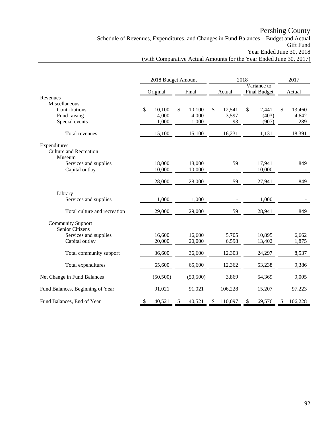### Pershing County Schedule of Revenues, Expenditures, and Changes in Fund Balances – Budget and Actual Gift Fund Year Ended June 30, 2018

|                                  | 2018 Budget Amount    |                |               | 2018 |                                    | 2017          |
|----------------------------------|-----------------------|----------------|---------------|------|------------------------------------|---------------|
|                                  | Original              | Final          | Actual        |      | Variance to<br><b>Final Budget</b> | Actual        |
| Revenues                         |                       |                |               |      |                                    |               |
| Miscellaneous                    |                       |                |               |      |                                    |               |
| Contributions                    | \$<br>10,100<br>4,000 | \$<br>10,100   | \$<br>12,541  | \$   | 2,441                              | \$<br>13,460  |
| Fund raising<br>Special events   | 1,000                 | 4,000<br>1,000 | 3,597<br>93   |      | (403)<br>(907)                     | 4,642<br>289  |
|                                  |                       |                |               |      |                                    |               |
| Total revenues                   | 15,100                | 15,100         | 16,231        |      | 1,131                              | 18,391        |
| Expenditures                     |                       |                |               |      |                                    |               |
| <b>Culture and Recreation</b>    |                       |                |               |      |                                    |               |
| Museum                           |                       |                |               |      |                                    |               |
| Services and supplies            | 18,000                | 18,000         | 59            |      | 17,941                             | 849           |
| Capital outlay                   | 10,000                | 10,000         |               |      | 10,000                             |               |
|                                  | 28,000                | 28,000         | 59            |      | 27,941                             | 849           |
| Library                          |                       |                |               |      |                                    |               |
| Services and supplies            | 1,000                 | 1,000          |               |      | 1,000                              |               |
| Total culture and recreation     | 29,000                | 29,000         | 59            |      | 28,941                             | 849           |
| <b>Community Support</b>         |                       |                |               |      |                                    |               |
| <b>Senior Citizens</b>           |                       |                |               |      |                                    |               |
| Services and supplies            | 16,600                | 16,600         | 5,705         |      | 10,895                             | 6,662         |
| Capital outlay                   | 20,000                | 20,000         | 6,598         |      | 13,402                             | 1,875         |
| Total community support          | 36,600                | 36,600         | 12,303        |      | 24,297                             | 8,537         |
| Total expenditures               | 65,600                | 65,600         | 12,362        |      | 53,238                             | 9,386         |
| Net Change in Fund Balances      | (50, 500)             | (50, 500)      | 3,869         |      | 54,369                             | 9,005         |
| Fund Balances, Beginning of Year | 91,021                | 91,021         | 106,228       |      | 15,207                             | 97,223        |
| Fund Balances, End of Year       | \$<br>40,521          | \$<br>40,521   | \$<br>110,097 | \$   | 69,576                             | \$<br>106,228 |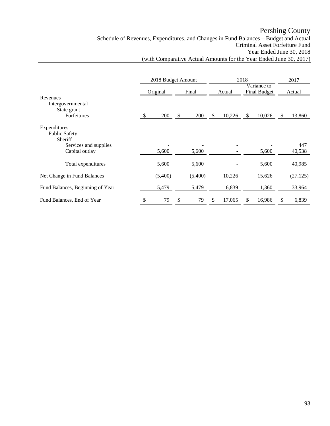#### Pershing County Schedule of Revenues, Expenditures, and Changes in Fund Balances – Budget and Actual Criminal Asset Forfeiture Fund Year Ended June 30, 2018

| (with Comparative Actual Amounts for the Year Ended June 30, 2017) |  |  |
|--------------------------------------------------------------------|--|--|
|--------------------------------------------------------------------|--|--|

|                                                             | 2018 Budget Amount |          |    |         |    | 2018   | 2017 |                                    |  |               |
|-------------------------------------------------------------|--------------------|----------|----|---------|----|--------|------|------------------------------------|--|---------------|
|                                                             |                    | Original |    | Final   |    | Actual |      | Variance to<br><b>Final Budget</b> |  | Actual        |
| Revenues<br>Intergovernmental<br>State grant<br>Forfeitures | \$                 | 200      | \$ | 200     | \$ | 10,226 | S    | 10,026                             |  | 13,860        |
| Expenditures<br><b>Public Safety</b><br><b>Sheriff</b>      |                    |          |    |         |    |        |      |                                    |  |               |
| Services and supplies<br>Capital outlay                     |                    | 5,600    |    | 5,600   |    |        |      | 5,600                              |  | 447<br>40,538 |
| Total expenditures                                          |                    | 5,600    |    | 5,600   |    |        |      | 5,600                              |  | 40,985        |
| Net Change in Fund Balances                                 |                    | (5,400)  |    | (5,400) |    | 10,226 |      | 15,626                             |  | (27, 125)     |
| Fund Balances, Beginning of Year                            |                    | 5,479    |    | 5,479   |    | 6,839  |      | 1,360                              |  | 33,964        |
| Fund Balances, End of Year                                  | \$                 | 79       | \$ | 79      | \$ | 17,065 | S    | 16,986                             |  | 6,839         |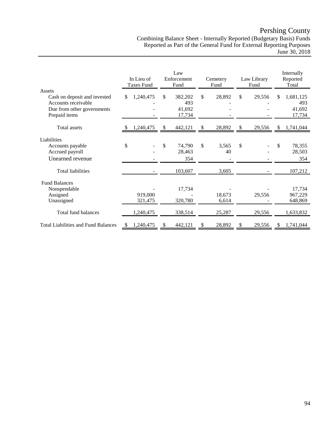# Pershing County

Combining Balance Sheet - Internally Reported (Budgetary Basis) Funds Reported as Part of the General Fund for External Reporting Purposes June 30, 2018

|                                            |     | In Lieu of<br><b>Taxes Fund</b> | Law<br>Enforcement<br>Fund |    | Cemetery<br>Fund | Law Library<br>Fund |    | Internally<br>Reported<br>Total |
|--------------------------------------------|-----|---------------------------------|----------------------------|----|------------------|---------------------|----|---------------------------------|
| Assets<br>Cash on deposit and invested     | \$  | 1,240,475                       | \$<br>382,202              | \$ | 28,892           | \$<br>29,556        | \$ | 1,681,125                       |
| Accounts receivable                        |     |                                 | 493                        |    |                  |                     |    | 493                             |
| Due from other governments                 |     |                                 | 41,692                     |    |                  |                     |    | 41,692                          |
| Prepaid items                              |     |                                 | 17,734                     |    |                  |                     |    | 17,734                          |
| <b>Total</b> assets                        |     | 1,240,475                       | \$<br>442,121              | \$ | 28,892           | \$<br>29,556        | \$ | 1,741,044                       |
| Liabilities                                |     |                                 |                            |    |                  |                     |    |                                 |
| Accounts payable                           | \$  |                                 | \$<br>74,790               | \$ | 3,565            | \$                  | \$ | 78,355                          |
| Accrued payroll                            |     |                                 | 28,463                     |    | 40               |                     |    | 28,503                          |
| Unearned revenue                           |     |                                 | 354                        |    |                  |                     |    | 354                             |
| <b>Total liabilities</b>                   |     |                                 | 103,607                    |    | 3,605            |                     |    | 107,212                         |
| <b>Fund Balances</b>                       |     |                                 |                            |    |                  |                     |    |                                 |
| Nonspendable                               |     |                                 | 17,734                     |    |                  |                     |    | 17,734                          |
| Assigned                                   |     | 919,000                         |                            |    | 18,673           | 29,556              |    | 967,229                         |
| Unassigned                                 |     | 321,475                         | 320,780                    |    | 6,614            |                     |    | 648,869                         |
| Total fund balances                        |     | 1,240,475                       | 338,514                    |    | 25,287           | 29,556              |    | 1,633,832                       |
| <b>Total Liabilities and Fund Balances</b> | \$. | 1,240,475                       | \$<br>442,121              | S  | 28,892           | \$<br>29,556        | S. | 1,741,044                       |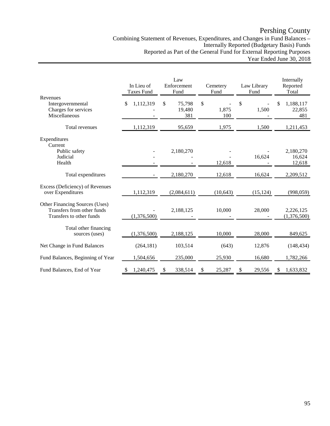# Pershing County

Combining Statement of Revenues, Expenditures, and Changes in Fund Balances – Internally Reported (Budgetary Basis) Funds Reported as Part of the General Fund for External Reporting Purposes Year Ended June 30, 2018

|                                                                                          | In Lieu of<br><b>Taxes Fund</b> | Law<br>Enforcement<br>Fund |                         | Cemetery<br>Fund   |    | Law Library<br>Fund |    | Internally<br>Reported<br>Total |  |
|------------------------------------------------------------------------------------------|---------------------------------|----------------------------|-------------------------|--------------------|----|---------------------|----|---------------------------------|--|
| Revenues<br>Intergovernmental<br>Charges for services<br>Miscellaneous                   | \$<br>1,112,319                 | \$                         | 75,798<br>19.480<br>381 | \$<br>1,875<br>100 | \$ | 1,500               | \$ | 1,188,117<br>22,855<br>481      |  |
| Total revenues                                                                           | 1,112,319                       |                            | 95,659                  | 1,975              |    | 1,500               |    | 1,211,453                       |  |
| Expenditures<br>Current<br>Public safety<br>Judicial<br>Health                           |                                 |                            | 2,180,270               | 12,618             |    | 16,624              |    | 2,180,270<br>16,624<br>12,618   |  |
| Total expenditures                                                                       |                                 |                            | 2,180,270               | 12,618             |    | 16,624              |    | 2,209,512                       |  |
| Excess (Deficiency) of Revenues<br>over Expenditures                                     | 1,112,319                       |                            | (2,084,611)             | (10, 643)          |    | (15, 124)           |    | (998, 059)                      |  |
| Other Financing Sources (Uses)<br>Transfers from other funds<br>Transfers to other funds | (1,376,500)                     |                            | 2,188,125               | 10,000             |    | 28,000              |    | 2,226,125<br>(1,376,500)        |  |
| Total other financing<br>sources (uses)                                                  | (1,376,500)                     |                            | 2,188,125               | 10,000             |    | 28,000              |    | 849,625                         |  |
| Net Change in Fund Balances                                                              | (264, 181)                      |                            | 103,514                 | (643)              |    | 12,876              |    | (148, 434)                      |  |
| Fund Balances, Beginning of Year                                                         | 1,504,656                       |                            | 235,000                 | 25,930             |    | 16,680              |    | 1,782,266                       |  |
| Fund Balances, End of Year                                                               | \$<br>1,240,475                 | \$                         | 338,514                 | \$<br>25,287       | \$ | 29,556              | \$ | 1,633,832                       |  |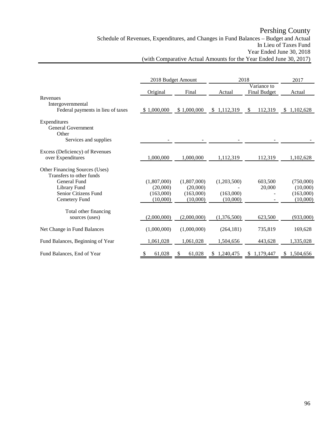#### Pershing County Schedule of Revenues, Expenditures, and Changes in Fund Balances – Budget and Actual In Lieu of Taxes Fund Year Ended June 30, 2018

| (with Comparative Actual Amounts for the Year Ended June 30, 2017) |  |
|--------------------------------------------------------------------|--|
|--------------------------------------------------------------------|--|

|                                                                                                                                     |                                                  | 2018 Budget Amount                               | 2018                                 | 2017                               |                                                |  |
|-------------------------------------------------------------------------------------------------------------------------------------|--------------------------------------------------|--------------------------------------------------|--------------------------------------|------------------------------------|------------------------------------------------|--|
|                                                                                                                                     | Original                                         | Final                                            | Actual                               | Variance to<br><b>Final Budget</b> | Actual                                         |  |
| Revenues<br>Intergovernmental<br>Federal payments in lieu of taxes                                                                  | \$1,000,000                                      | \$1,000,000                                      | 1,112,319<br>\$                      | 112,319<br>\$                      | 1,102,628<br>\$                                |  |
| Expenditures<br><b>General Government</b><br>Other<br>Services and supplies                                                         |                                                  |                                                  |                                      |                                    |                                                |  |
| Excess (Deficiency) of Revenues<br>over Expenditures                                                                                | 1,000,000                                        | 1,000,000                                        | 1,112,319                            | 112,319                            | 1,102,628                                      |  |
| Other Financing Sources (Uses)<br>Transfers to other funds<br>General Fund<br>Library Fund<br>Senior Citizens Fund<br>Cemetery Fund | (1,807,000)<br>(20,000)<br>(163,000)<br>(10,000) | (1,807,000)<br>(20,000)<br>(163,000)<br>(10,000) | (1,203,500)<br>(163,000)<br>(10,000) | 603,500<br>20,000                  | (750,000)<br>(10,000)<br>(163,000)<br>(10,000) |  |
| Total other financing<br>sources (uses)                                                                                             | (2,000,000)                                      | (2,000,000)                                      | (1,376,500)                          | 623,500                            | (933,000)                                      |  |
| Net Change in Fund Balances                                                                                                         | (1,000,000)                                      | (1,000,000)                                      | (264, 181)                           | 735,819                            | 169,628                                        |  |
| Fund Balances, Beginning of Year                                                                                                    | 1,061,028                                        | 1,061,028                                        | 1,504,656                            | 443,628                            | 1,335,028                                      |  |
| Fund Balances, End of Year                                                                                                          | 61,028                                           | 61,028                                           | 1,240,475                            | 1,179,447                          | 1,504,656                                      |  |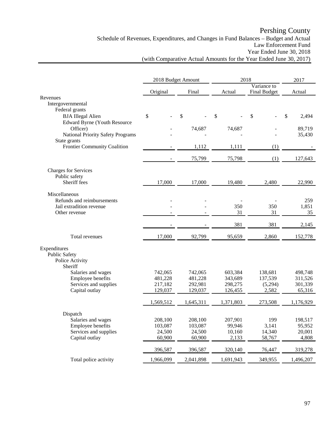### Pershing County Schedule of Revenues, Expenditures, and Changes in Fund Balances – Budget and Actual Law Enforcement Fund Year Ended June 30, 2018

|                                                        |                    | 2018 Budget Amount | 2018               | 2017                               |                    |
|--------------------------------------------------------|--------------------|--------------------|--------------------|------------------------------------|--------------------|
|                                                        | Original           | Final              | Actual             | Variance to<br><b>Final Budget</b> | Actual             |
| Revenues                                               |                    |                    |                    |                                    |                    |
| Intergovernmental                                      |                    |                    |                    |                                    |                    |
| Federal grants                                         |                    |                    |                    |                                    |                    |
| <b>BJA</b> Illegal Alien                               | \$                 | \$                 | \$                 | \$                                 | \$<br>2,494        |
| <b>Edward Byrne (Youth Resource</b><br>Officer)        |                    | 74,687             |                    |                                    | 89,719             |
| <b>National Priority Safety Programs</b>               |                    |                    | 74,687             |                                    | 35,430             |
| State grants                                           |                    |                    |                    |                                    |                    |
| Frontier Community Coalition                           |                    | 1,112              | 1,111              | (1)                                |                    |
|                                                        |                    | 75,799             | 75,798             | (1)                                | 127,643            |
| <b>Charges for Services</b>                            |                    |                    |                    |                                    |                    |
| Public safety                                          |                    |                    |                    |                                    |                    |
| Sheriff fees                                           | 17,000             | 17,000             | 19,480             | 2,480                              | 22,990             |
|                                                        |                    |                    |                    |                                    |                    |
| Miscellaneous                                          |                    |                    |                    |                                    |                    |
| Refunds and reimbursements<br>Jail extradition revenue |                    |                    | 350                | 350                                | 259<br>1,851       |
| Other revenue                                          |                    |                    | 31                 | 31                                 | 35                 |
|                                                        |                    |                    |                    |                                    |                    |
|                                                        |                    |                    | 381                | 381                                | 2,145              |
| Total revenues                                         | 17,000             | 92,799             | 95,659             | 2,860                              | 152,778            |
| Expenditures                                           |                    |                    |                    |                                    |                    |
| <b>Public Safety</b>                                   |                    |                    |                    |                                    |                    |
| Police Activity                                        |                    |                    |                    |                                    |                    |
| Sheriff                                                |                    |                    |                    |                                    |                    |
| Salaries and wages<br>Employee benefits                | 742,065<br>481,228 | 742,065<br>481,228 | 603,384<br>343,689 | 138,681<br>137,539                 | 498,748<br>311,526 |
| Services and supplies                                  | 217,182            | 292,981            | 298,275            | (5,294)                            | 301,339            |
| Capital outlay                                         | 129,037            | 129,037            | 126,455            | 2,582                              | 65,316             |
|                                                        | 1,569,512          | 1,645,311          | 1,371,803          | 273,508                            | 1,176,929          |
|                                                        |                    |                    |                    |                                    |                    |
| Dispatch                                               |                    |                    |                    |                                    |                    |
| Salaries and wages                                     | 208,100            | 208,100            | 207,901            | 199                                | 198,517            |
| Employee benefits<br>Services and supplies             | 103,087<br>24,500  | 103,087<br>24,500  | 99,946<br>10,160   | 3,141<br>14,340                    | 95,952<br>20,001   |
| Capital outlay                                         | 60,900             | 60,900             | 2,133              | 58,767                             | 4,808              |
|                                                        | 396,587            | 396,587            | 320,140            | 76,447                             | 319,278            |
| Total police activity                                  | 1,966,099          | 2,041,898          | 1,691,943          | 349,955                            | 1,496,207          |
|                                                        |                    |                    |                    |                                    |                    |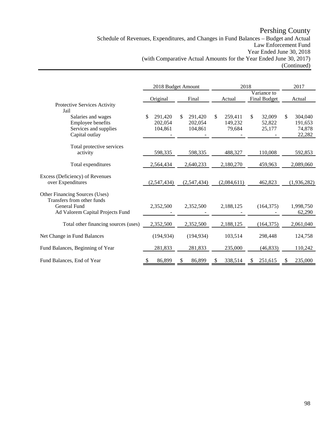## Pershing County Schedule of Revenues, Expenditures, and Changes in Fund Balances – Budget and Actual Law Enforcement Fund Year Ended June 30, 2018 (with Comparative Actual Amounts for the Year Ended June 30, 2017)

(Continued)

|                                                                                                                         | 2018 Budget Amount            |                                     | 2018                               | 2017                               |                                              |
|-------------------------------------------------------------------------------------------------------------------------|-------------------------------|-------------------------------------|------------------------------------|------------------------------------|----------------------------------------------|
|                                                                                                                         | Original                      | Final                               | Actual                             | Variance to<br><b>Final Budget</b> | Actual                                       |
| Protective Services Activity<br>Jail                                                                                    |                               |                                     |                                    |                                    |                                              |
| Salaries and wages<br>Employee benefits<br>Services and supplies<br>Capital outlay                                      | 291,420<br>202,054<br>104,861 | 291,420<br>\$<br>202,054<br>104,861 | \$<br>259,411<br>149,232<br>79,684 | \$<br>32,009<br>52,822<br>25,177   | \$<br>304,040<br>191,653<br>74,878<br>22,282 |
| Total protective services<br>activity                                                                                   | 598,335                       | 598,335                             | 488,327                            | 110,008                            | 592,853                                      |
| Total expenditures                                                                                                      | 2,564,434                     | 2,640,233                           | 2,180,270                          | 459,963                            | 2,089,060                                    |
| Excess (Deficiency) of Revenues<br>over Expenditures                                                                    | (2,547,434)                   | (2,547,434)                         | (2,084,611)                        | 462,823                            | (1,936,282)                                  |
| <b>Other Financing Sources (Uses)</b><br>Transfers from other funds<br>General Fund<br>Ad Valorem Capital Projects Fund | 2,352,500                     | 2,352,500                           | 2,188,125                          | (164, 375)                         | 1,998,750<br>62,290                          |
| Total other financing sources (uses)                                                                                    | 2,352,500                     | 2,352,500                           | 2,188,125                          | (164, 375)                         | 2,061,040                                    |
| Net Change in Fund Balances                                                                                             | (194, 934)                    | (194, 934)                          | 103,514                            | 298,448                            | 124,758                                      |
| Fund Balances, Beginning of Year                                                                                        | 281,833                       | 281,833                             | 235,000                            | (46, 833)                          | 110,242                                      |
| Fund Balances, End of Year                                                                                              | 86,899                        | 86,899                              | 338,514                            | 251,615                            | 235,000                                      |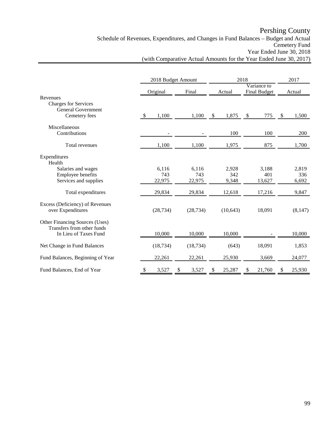## Pershing County Schedule of Revenues, Expenditures, and Changes in Fund Balances – Budget and Actual Cemetery Fund Year Ended June 30, 2018

|                                                                                                                  | 2018 Budget Amount |                                  |    | 2018                             |    |                                 |                           | 2017                               |    |                                |
|------------------------------------------------------------------------------------------------------------------|--------------------|----------------------------------|----|----------------------------------|----|---------------------------------|---------------------------|------------------------------------|----|--------------------------------|
|                                                                                                                  |                    | Original                         |    | Final                            |    | Actual                          |                           | Variance to<br><b>Final Budget</b> |    | Actual                         |
| Revenues<br><b>Charges for Services</b><br><b>General Government</b><br>Cemetery fees                            | $\mathcal{S}$      | 1,100                            |    | 1,100                            | \$ | 1,875                           | $\boldsymbol{\mathsf{S}}$ | 775                                | \$ | 1,500                          |
| Miscellaneous<br>Contributions                                                                                   |                    |                                  |    |                                  |    | 100                             |                           | 100                                |    | 200                            |
| Total revenues                                                                                                   |                    | 1,100                            |    | 1,100                            |    | 1,975                           |                           | 875                                |    | 1,700                          |
| Expenditures<br>Health<br>Salaries and wages<br>Employee benefits<br>Services and supplies<br>Total expenditures |                    | 6,116<br>743<br>22,975<br>29,834 |    | 6,116<br>743<br>22,975<br>29,834 |    | 2,928<br>342<br>9,348<br>12,618 |                           | 3,188<br>401<br>13,627<br>17,216   |    | 2,819<br>336<br>6,692<br>9,847 |
| Excess (Deficiency) of Revenues<br>over Expenditures                                                             |                    | (28, 734)                        |    | (28, 734)                        |    | (10, 643)                       |                           | 18,091                             |    | (8,147)                        |
| Other Financing Sources (Uses)<br>Transfers from other funds<br>In Lieu of Taxes Fund                            |                    | 10,000                           |    | 10,000                           |    | 10,000                          |                           |                                    |    | 10,000                         |
| Net Change in Fund Balances                                                                                      |                    | (18, 734)                        |    | (18, 734)                        |    | (643)                           |                           | 18,091                             |    | 1,853                          |
| Fund Balances, Beginning of Year                                                                                 |                    | 22,261                           |    | 22,261                           |    | 25,930                          |                           | 3,669                              |    | 24,077                         |
| Fund Balances, End of Year                                                                                       | \$                 | 3,527                            | \$ | 3,527                            | \$ | 25,287                          | \$                        | 21,760                             | \$ | 25,930                         |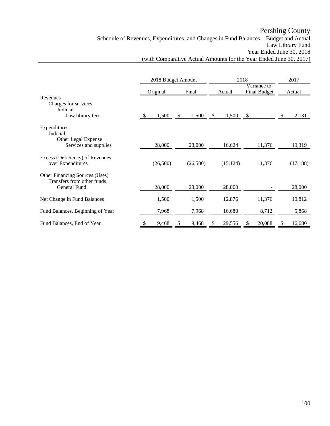## Pershing County Schedule of Revenues, Expenditures, and Changes in Fund Balances – Budget and Actual Law Library Fund Year Ended June 30, 2018

| (with Comparative Actual Amounts for the Year Ended June 30, 2017) |
|--------------------------------------------------------------------|
|--------------------------------------------------------------------|

|                                                                              | 2018 Budget Amount |          |    |          |        | 2018      |                                    |        |        | 2017      |  |
|------------------------------------------------------------------------------|--------------------|----------|----|----------|--------|-----------|------------------------------------|--------|--------|-----------|--|
|                                                                              | Original           |          |    | Final    | Actual |           | Variance to<br><b>Final Budget</b> |        | Actual |           |  |
| Revenues<br>Charges for services<br>Judicial<br>Law library fees             | -\$                | 1,500    | \$ | 1,500    | \$     | 1,500     | \$                                 |        | \$.    | 2,131     |  |
| Expenditures<br>Judicial<br>Other Legal Expense                              |                    |          |    |          |        |           |                                    |        |        |           |  |
| Services and supplies                                                        |                    | 28,000   |    | 28,000   |        | 16,624    |                                    | 11,376 |        | 19,319    |  |
| Excess (Deficiency) of Revenues<br>over Expenditures                         |                    | (26,500) |    | (26,500) |        | (15, 124) |                                    | 11,376 |        | (17, 188) |  |
| Other Financing Sources (Uses)<br>Transfers from other funds<br>General Fund |                    | 28,000   |    | 28,000   |        | 28,000    |                                    |        |        | 28,000    |  |
| Net Change in Fund Balances                                                  |                    | 1,500    |    | 1,500    |        | 12,876    |                                    | 11,376 |        | 10,812    |  |
| Fund Balances, Beginning of Year                                             |                    | 7,968    |    | 7,968    |        | 16,680    |                                    | 8,712  |        | 5,868     |  |
| Fund Balances, End of Year                                                   | P                  | 9,468    | SБ | 9,468    | S      | 29,556    | S                                  | 20,088 |        | 16,680    |  |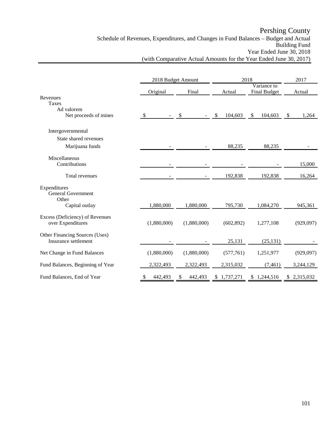## Pershing County Schedule of Revenues, Expenditures, and Changes in Fund Balances – Budget and Actual Building Fund Year Ended June 30, 2018

| (with Comparative Actual Amounts for the Year Ended June 30, 2017) |  |
|--------------------------------------------------------------------|--|
|--------------------------------------------------------------------|--|

|                                                        | 2018 Budget Amount |               | 2018                                 |                                    | 2017        |  |  |
|--------------------------------------------------------|--------------------|---------------|--------------------------------------|------------------------------------|-------------|--|--|
|                                                        | Original           | Final         | Actual                               | Variance to<br><b>Final Budget</b> | Actual      |  |  |
| Revenues                                               |                    |               |                                      |                                    |             |  |  |
| <b>Taxes</b>                                           |                    |               |                                      |                                    |             |  |  |
| Ad valorem<br>Net proceeds of mines                    | -\$                | - \$          | 104,603<br>$\boldsymbol{\mathsf{S}}$ | $\frac{1}{2}$<br>104,603           | \$<br>1,264 |  |  |
| Intergovernmental                                      |                    |               |                                      |                                    |             |  |  |
| State shared revenues                                  |                    |               |                                      |                                    |             |  |  |
| Marijuana funds                                        |                    |               | 88,235                               | 88,235                             |             |  |  |
| Miscellaneous<br>Contributions                         |                    |               |                                      |                                    | 15,000      |  |  |
| Total revenues                                         |                    |               | 192,838                              | 192,838                            | 16,264      |  |  |
| Expenditures<br><b>General Government</b><br>Other     |                    |               |                                      |                                    |             |  |  |
| Capital outlay                                         | 1,880,000          | 1,880,000     | 795,730                              | 1,084,270                          | 945,361     |  |  |
| Excess (Deficiency) of Revenues<br>over Expenditures   | (1,880,000)        | (1,880,000)   | (602, 892)                           | 1,277,108                          | (929,097)   |  |  |
| Other Financing Sources (Uses)<br>Insurance settlement |                    |               | 25,131                               | (25, 131)                          |             |  |  |
| Net Change in Fund Balances                            | (1,880,000)        | (1,880,000)   | (577,761)                            | 1,251,977                          | (929, 097)  |  |  |
| Fund Balances, Beginning of Year                       | 2,322,493          | 2,322,493     | 2,315,032                            | (7, 461)                           | 3,244,129   |  |  |
| Fund Balances, End of Year                             | 442,493<br>S,      | 442,493<br>\$ | \$1,737,271                          | \$1,244,516                        | \$2,315,032 |  |  |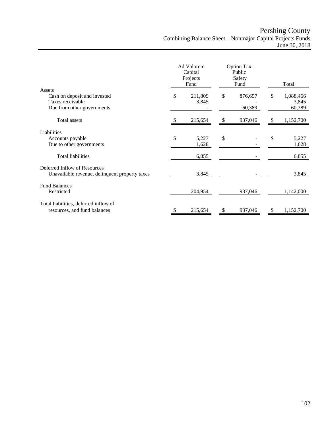|                                                                                          | Ad Valorem<br>Capital<br>Projects<br>Fund | <b>Option Tax-</b><br>Public<br>Safety<br>Fund | Total |                              |  |
|------------------------------------------------------------------------------------------|-------------------------------------------|------------------------------------------------|-------|------------------------------|--|
| Assets<br>Cash on deposit and invested<br>Taxes receivable<br>Due from other governments | \$<br>211,809<br>3,845                    | \$<br>876,657<br>60,389                        | \$    | 1,088,466<br>3,845<br>60,389 |  |
| <b>Total assets</b>                                                                      | 215,654                                   | 937,046                                        |       | 1,152,700                    |  |
| Liabilities<br>Accounts payable<br>Due to other governments<br><b>Total liabilities</b>  | \$<br>5,227<br>1,628<br>6,855             | \$                                             | \$    | 5,227<br>1,628<br>6,855      |  |
| Deferred Inflow of Resources<br>Unavailable revenue, delinquent property taxes           | 3,845                                     |                                                |       | 3,845                        |  |
| <b>Fund Balances</b><br>Restricted                                                       | 204,954                                   | 937,046                                        |       | 1,142,000                    |  |
| Total liabilities, deferred inflow of<br>resources, and fund balances                    | \$<br>215,654                             | \$<br>937,046                                  | \$    | 1,152,700                    |  |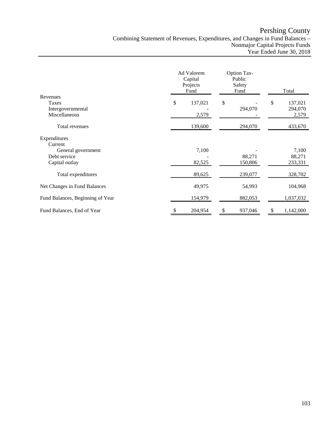|                                    | Ad Valorem<br>Capital<br>Projects<br>Fund | <b>Option Tax-</b><br>Public<br>Safety<br>Fund | Total            |
|------------------------------------|-------------------------------------------|------------------------------------------------|------------------|
| Revenues<br>Taxes                  | \$<br>137,021                             | \$                                             | \$<br>137,021    |
| Intergovernmental<br>Miscellaneous | 2,579                                     | 294,070                                        | 294,070<br>2,579 |
| Total revenues                     | 139,600                                   | 294,070                                        | 433,670          |
| Expenditures<br>Current            |                                           |                                                |                  |
| General government                 | 7,100                                     |                                                | 7,100            |
| Debt service                       |                                           | 88,271                                         | 88,271           |
| Capital outlay                     | 82,525                                    | 150,806                                        | 233,331          |
| Total expenditures                 | 89,625                                    | 239,077                                        | 328,702          |
| Net Changes in Fund Balances       | 49,975                                    | 54,993                                         | 104,968          |
| Fund Balances, Beginning of Year   | 154,979                                   | 882,053                                        | 1,037,032        |
| Fund Balances, End of Year         | \$<br>204,954                             | \$<br>937,046                                  | \$<br>1,142,000  |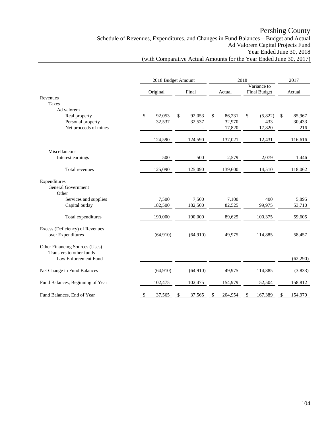## Pershing County Schedule of Revenues, Expenditures, and Changes in Fund Balances – Budget and Actual Ad Valorem Capital Projects Fund Year Ended June 30, 2018

|                                                                                    |          | 2018 Budget Amount     |                  |                                  | 2018                               | 2017                          |
|------------------------------------------------------------------------------------|----------|------------------------|------------------|----------------------------------|------------------------------------|-------------------------------|
|                                                                                    | Original |                        | Final            | Actual                           | Variance to<br><b>Final Budget</b> | Actual                        |
| Revenues<br><b>Taxes</b>                                                           |          |                        |                  |                                  |                                    |                               |
| Ad valorem<br>Real property<br>Personal property<br>Net proceeds of mines          | \$       | 92,053<br>\$<br>32,537 | 92,053<br>32,537 | \$<br>86,231<br>32,970<br>17,820 | \$<br>(5,822)<br>433<br>17,820     | 85,967<br>\$<br>30,433<br>216 |
|                                                                                    |          | 124,590                | 124,590          | 137,021                          | 12,431                             | 116,616                       |
| Miscellaneous<br>Interest earnings                                                 |          | 500                    | 500              | 2,579                            | 2,079                              | 1,446                         |
| Total revenues                                                                     |          | 125,090                | 125,090          | 139,600                          | 14,510                             | 118,062                       |
| Expenditures<br><b>General Government</b><br>Other                                 |          |                        |                  |                                  |                                    |                               |
| Services and supplies<br>Capital outlay                                            |          | 7,500<br>182,500       | 7,500<br>182,500 | 7,100<br>82,525                  | 400<br>99,975                      | 5,895<br>53,710               |
| Total expenditures                                                                 |          | 190,000                | 190,000          | 89,625                           | 100,375                            | 59,605                        |
| Excess (Deficiency) of Revenues<br>over Expenditures                               |          | (64,910)               | (64,910)         | 49,975                           | 114,885                            | 58,457                        |
| Other Financing Sources (Uses)<br>Transfers to other funds<br>Law Enforcement Fund |          |                        |                  |                                  |                                    | (62, 290)                     |
| Net Change in Fund Balances                                                        |          | (64,910)               | (64,910)         | 49,975                           | 114,885                            | (3,833)                       |
| Fund Balances, Beginning of Year                                                   |          | 102,475                | 102,475          | 154,979                          | 52,504                             | 158,812                       |
| Fund Balances, End of Year                                                         | \$       | 37,565<br>S            | 37,565           | 204,954                          | 167,389<br>S                       | 154,979                       |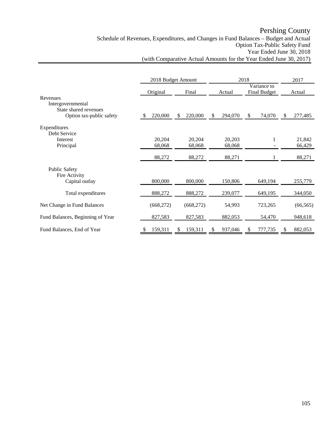## Pershing County Schedule of Revenues, Expenditures, and Changes in Fund Balances – Budget and Actual Option Tax-Public Safety Fund Year Ended June 30, 2018

|  | (with Comparative Actual Amounts for the Year Ended June 30, 2017) |  |  |  |  |  |  |  |
|--|--------------------------------------------------------------------|--|--|--|--|--|--|--|
|--|--------------------------------------------------------------------|--|--|--|--|--|--|--|

|                                                                                    |                  | 2018 Budget Amount | 2018             | 2017                               |                  |
|------------------------------------------------------------------------------------|------------------|--------------------|------------------|------------------------------------|------------------|
|                                                                                    | Original         | Final              | Actual           | Variance to<br><b>Final Budget</b> | Actual           |
| Revenues<br>Intergovernmental<br>State shared revenues<br>Option tax-public safety | 220,000<br>\$    | 220,000<br>\$      | \$<br>294,070    | 74,070<br>\$                       | \$<br>277,485    |
| Expenditures                                                                       |                  |                    |                  |                                    |                  |
| Debt Service<br>Interest<br>Principal                                              | 20,204<br>68,068 | 20,204<br>68,068   | 20,203<br>68,068 | 1                                  | 21,842<br>66,429 |
|                                                                                    | 88,272           | 88,272             | 88,271           |                                    | 88,271           |
| <b>Public Safety</b><br>Fire Activity                                              |                  |                    |                  |                                    |                  |
| Capital outlay                                                                     | 800,000          | 800,000            | 150,806          | 649,194                            | 255,779          |
| Total expenditures                                                                 | 888,272          | 888,272            | 239,077          | 649,195                            | 344,050          |
| Net Change in Fund Balances                                                        | (668, 272)       | (668, 272)         | 54,993           | 723,265                            | (66, 565)        |
| Fund Balances, Beginning of Year                                                   | 827,583          | 827,583            | 882,053          | 54,470                             | 948,618          |
| Fund Balances, End of Year                                                         | 159,311          | 159,311            | 937,046          | 777,735                            | 882,053<br>\$    |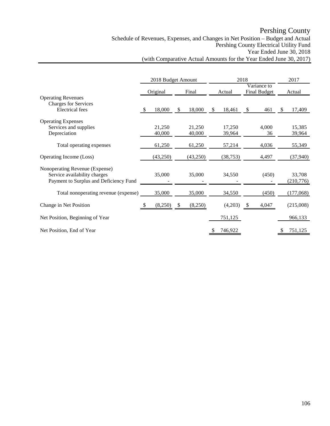# Pershing County

Schedule of Revenues, Expenses, and Changes in Net Position – Budget and Actual Pershing County Electrical Utility Fund Year Ended June 30, 2018

|                                                                                                          | 2018 Budget Amount |                  |    |                  |    | 2018             | 2017          |                                    |   |                     |
|----------------------------------------------------------------------------------------------------------|--------------------|------------------|----|------------------|----|------------------|---------------|------------------------------------|---|---------------------|
|                                                                                                          |                    | Original         |    | Final            |    | Actual           |               | Variance to<br><b>Final Budget</b> |   | Actual              |
| <b>Operating Revenues</b><br><b>Charges for Services</b><br>Electrical fees                              | -\$                | 18,000           | \$ | 18,000           | \$ | 18,461           | <sup>\$</sup> | 461                                |   | 17,409              |
| <b>Operating Expenses</b><br>Services and supplies<br>Depreciation                                       |                    | 21,250<br>40,000 |    | 21,250<br>40,000 |    | 17,250<br>39,964 |               | 4,000<br>36                        |   | 15,385<br>39,964    |
| Total operating expenses                                                                                 |                    | 61,250           |    | 61,250           |    | 57,214           |               | 4,036                              |   | 55,349              |
| Operating Income (Loss)                                                                                  |                    | (43,250)         |    | (43,250)         |    | (38, 753)        |               | 4,497                              |   | (37, 940)           |
| Nonoperating Revenue (Expense)<br>Service availability charges<br>Payment to Surplus and Deficiency Fund |                    | 35,000           |    | 35,000           |    | 34,550           |               | (450)                              |   | 33,708<br>(210,776) |
| Total nonoperating revenue (expense)                                                                     |                    | 35,000           |    | 35,000           |    | 34,550           |               | (450)                              |   | (177,068)           |
| Change in Net Position                                                                                   |                    | (8,250)          | -S | (8,250)          |    | (4,203)          | - \$          | 4,047                              |   | (215,008)           |
| Net Position, Beginning of Year                                                                          |                    |                  |    |                  |    | 751,125          |               |                                    |   | 966,133             |
| Net Position, End of Year                                                                                |                    |                  |    |                  | S  | 746,922          |               |                                    | S | 751,125             |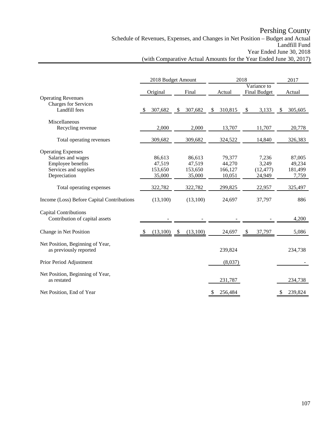## Pershing County Schedule of Revenues, Expenses, and Changes in Net Position – Budget and Actual Landfill Fund Year Ended June 30, 2018

|                                                                                                               | 2018 Budget Amount |                                       |               |                                       | 2018 |                                       |    |                                       | 2017 |                                      |  |
|---------------------------------------------------------------------------------------------------------------|--------------------|---------------------------------------|---------------|---------------------------------------|------|---------------------------------------|----|---------------------------------------|------|--------------------------------------|--|
|                                                                                                               |                    | Original                              |               | Final                                 |      | Actual                                |    | Variance to<br><b>Final Budget</b>    |      | Actual                               |  |
| <b>Operating Revenues</b><br><b>Charges for Services</b><br>Landfill fees                                     | \$.                | 307,682                               | $\mathcal{S}$ | 307,682                               | \$   | 310,815                               | \$ | 3,133                                 | \$   | 305,605                              |  |
| Miscellaneous<br>Recycling revenue                                                                            |                    | 2,000                                 |               | 2,000                                 |      | 13,707                                |    | 11,707                                |      | 20,778                               |  |
| Total operating revenues                                                                                      |                    | 309,682                               |               | 309,682                               |      | 324,522                               |    | 14,840                                |      | 326,383                              |  |
| <b>Operating Expenses</b><br>Salaries and wages<br>Employee benefits<br>Services and supplies<br>Depreciation |                    | 86,613<br>47,519<br>153,650<br>35,000 |               | 86,613<br>47,519<br>153,650<br>35,000 |      | 79,377<br>44,270<br>166,127<br>10,051 |    | 7,236<br>3,249<br>(12, 477)<br>24,949 |      | 87,005<br>49,234<br>181,499<br>7,759 |  |
| Total operating expenses                                                                                      |                    | 322,782                               |               | 322,782                               |      | 299,825                               |    | 22,957                                |      | 325,497                              |  |
| Income (Loss) Before Capital Contributions                                                                    |                    | (13,100)                              |               | (13,100)                              |      | 24,697                                |    | 37,797                                |      | 886                                  |  |
| <b>Capital Contributions</b><br>Contribution of capital assets                                                |                    |                                       |               |                                       |      |                                       |    |                                       |      | 4,200                                |  |
| Change in Net Position                                                                                        | -S                 | (13,100)                              | \$            | (13,100)                              |      | 24,697                                | \$ | 37,797                                |      | 5,086                                |  |
| Net Position, Beginning of Year,<br>as previously reported                                                    |                    |                                       |               |                                       |      | 239,824                               |    |                                       |      | 234,738                              |  |
| Prior Period Adjustment                                                                                       |                    |                                       |               |                                       |      | (8,037)                               |    |                                       |      |                                      |  |
| Net Position, Beginning of Year,<br>as restated                                                               |                    |                                       |               |                                       |      | 231,787                               |    |                                       |      | 234,738                              |  |
| Net Position, End of Year                                                                                     |                    |                                       |               |                                       |      | 256,484                               |    |                                       | \$   | 239,824                              |  |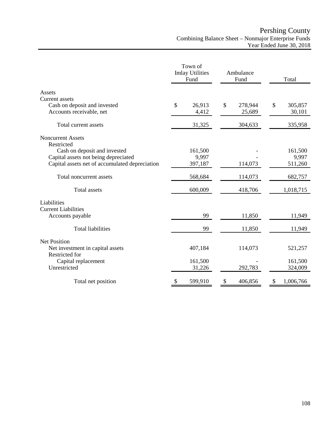## Pershing County Combining Balance Sheet – Nonmajor Enterprise Funds Year Ended June 30, 2018

| Fund    | Ambulance<br>Fund                                                                                                                | Total                                                          |
|---------|----------------------------------------------------------------------------------------------------------------------------------|----------------------------------------------------------------|
|         |                                                                                                                                  |                                                                |
|         |                                                                                                                                  |                                                                |
|         |                                                                                                                                  | \$<br>305,857                                                  |
|         |                                                                                                                                  | 30,101                                                         |
| 31,325  | 304,633                                                                                                                          | 335,958                                                        |
|         |                                                                                                                                  |                                                                |
|         |                                                                                                                                  |                                                                |
|         |                                                                                                                                  | 161,500                                                        |
|         |                                                                                                                                  | 9,997                                                          |
|         |                                                                                                                                  | 511,260                                                        |
| 568,684 | 114,073                                                                                                                          | 682,757                                                        |
| 600,009 | 418,706                                                                                                                          | 1,018,715                                                      |
|         |                                                                                                                                  |                                                                |
|         |                                                                                                                                  |                                                                |
| 99      | 11,850                                                                                                                           | 11,949                                                         |
| 99      | 11,850                                                                                                                           | 11,949                                                         |
|         |                                                                                                                                  |                                                                |
|         |                                                                                                                                  | 521,257                                                        |
|         |                                                                                                                                  |                                                                |
|         |                                                                                                                                  | 161,500                                                        |
| 31,226  | 292,783                                                                                                                          | 324,009                                                        |
|         |                                                                                                                                  | 1,006,766<br>\$                                                |
|         | <b>Imlay Utilities</b><br>$\mathcal{S}$<br>26,913<br>4,412<br>161,500<br>9,997<br>397,187<br>407,184<br>161,500<br>599,910<br>\$ | \$<br>278,944<br>25,689<br>114,073<br>114,073<br>406,856<br>\$ |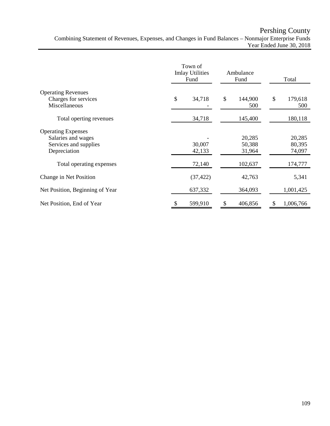## Pershing County

Combining Statement of Revenues, Expenses, and Changes in Fund Balances – Nonmajor Enterprise Funds Year Ended June 30, 2018

|                                                                                          | Town of<br><b>Imlay Utilities</b><br>Fund | Ambulance<br>Fund          | Total                           |  |  |
|------------------------------------------------------------------------------------------|-------------------------------------------|----------------------------|---------------------------------|--|--|
| <b>Operating Revenues</b><br>Charges for services<br>Miscellaneous                       | \$<br>34,718                              | \$<br>144,900<br>500       | $\mathcal{S}$<br>179,618<br>500 |  |  |
| Total operting revenues                                                                  | 34,718                                    | 145,400                    | 180,118                         |  |  |
| <b>Operating Expenses</b><br>Salaries and wages<br>Services and supplies<br>Depreciation | 30,007<br>42,133                          | 20,285<br>50,388<br>31,964 | 20,285<br>80,395<br>74,097      |  |  |
| Total operating expenses                                                                 | 72,140                                    | 102,637                    | 174,777                         |  |  |
| Change in Net Position                                                                   | (37, 422)                                 | 42,763                     | 5,341                           |  |  |
| Net Position, Beginning of Year                                                          | 637,332                                   | 364,093                    | 1,001,425                       |  |  |
| Net Position, End of Year                                                                | \$<br>599,910                             | 406,856<br>\$              | \$<br>1,006,766                 |  |  |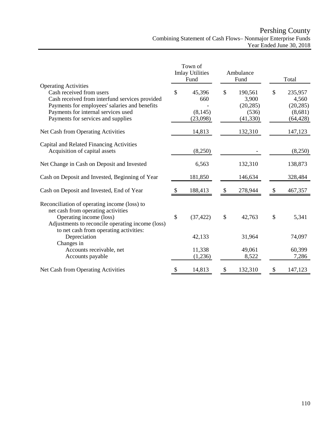|                                                                                                                                                                                                                                         | Town of<br><b>Imlay Utilities</b><br>Fund   | Ambulance<br>Fund                                         |               | Total                                                 |
|-----------------------------------------------------------------------------------------------------------------------------------------------------------------------------------------------------------------------------------------|---------------------------------------------|-----------------------------------------------------------|---------------|-------------------------------------------------------|
| <b>Operating Activities</b><br>Cash received from users<br>Cash received from interfund services provided<br>Payments for employees' salaries and benefits<br>Payments for internal services used<br>Payments for services and supplies | \$<br>45,396<br>660<br>(8, 145)<br>(23,098) | \$<br>190,561<br>3,900<br>(20, 285)<br>(536)<br>(41, 330) | \$            | 235,957<br>4,560<br>(20, 285)<br>(8,681)<br>(64, 428) |
| Net Cash from Operating Activities                                                                                                                                                                                                      | 14,813                                      | 132,310                                                   |               | 147,123                                               |
| Capital and Related Financing Activities<br>Acquisition of capital assets                                                                                                                                                               | (8,250)                                     |                                                           |               | (8,250)                                               |
| Net Change in Cash on Deposit and Invested                                                                                                                                                                                              | 6,563                                       | 132,310                                                   |               | 138,873                                               |
| Cash on Deposit and Invested, Beginning of Year                                                                                                                                                                                         | 181,850                                     | 146,634                                                   |               | 328,484                                               |
| Cash on Deposit and Invested, End of Year                                                                                                                                                                                               | 188,413                                     | 278,944                                                   | \$.           | 467,357                                               |
| Reconciliation of operating income (loss) to<br>net cash from operating activities<br>Operating income (loss)<br>Adjustments to reconcile operating income (loss)                                                                       | \$<br>(37, 422)                             | \$<br>42,763                                              | $\mathcal{S}$ | 5,341                                                 |
| to net cash from operating activities:<br>Depreciation<br>Changes in                                                                                                                                                                    | 42,133                                      | 31,964                                                    |               | 74,097                                                |
| Accounts receivable, net<br>Accounts payable                                                                                                                                                                                            | 11,338<br>(1,236)                           | 49,061<br>8,522                                           |               | 60,399<br>7,286                                       |
| Net Cash from Operating Activities                                                                                                                                                                                                      | 14,813                                      | \$<br>132,310                                             | \$            | 147,123                                               |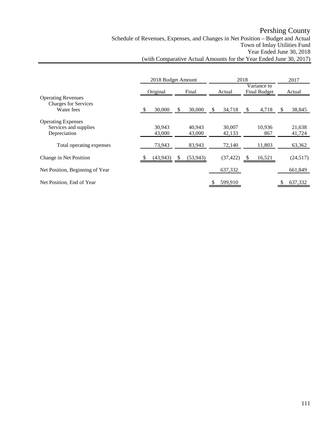## Pershing County Schedule of Revenues, Expenses, and Changes in Net Position – Budget and Actual Town of Imlay Utilities Fund Year Ended June 30, 2018

|                                                                        | 2018 Budget Amount |                  |    |                  |    | 2018                                         |               |               |        | 2017             |  |
|------------------------------------------------------------------------|--------------------|------------------|----|------------------|----|----------------------------------------------|---------------|---------------|--------|------------------|--|
|                                                                        |                    | Original         |    | Final            |    | Variance to<br><b>Final Budget</b><br>Actual |               |               | Actual |                  |  |
| <b>Operating Revenues</b><br><b>Charges for Services</b><br>Water fees | -S                 | 30,000           | \$ | 30,000           | \$ | 34,718                                       | <sup>\$</sup> | 4,718         | \$.    | 38,845           |  |
| <b>Operating Expenses</b>                                              |                    |                  |    |                  |    |                                              |               |               |        |                  |  |
| Services and supplies<br>Depreciation                                  |                    | 30,943<br>43,000 |    | 40.943<br>43,000 |    | 30,007<br>42,133                             |               | 10.936<br>867 |        | 21,638<br>41,724 |  |
| Total operating expenses                                               |                    | 73,943           |    | 83,943           |    | 72,140                                       |               | 11,803        |        | 63,362           |  |
| Change in Net Position                                                 |                    | (43, 943)        | S  | (53, 943)        |    | (37, 422)                                    |               | 16,521        |        | (24,517)         |  |
| Net Position, Beginning of Year                                        |                    |                  |    |                  |    | 637,332                                      |               |               |        | 661,849          |  |
| Net Position, End of Year                                              |                    |                  |    |                  |    | 599,910                                      |               |               |        | 637,332          |  |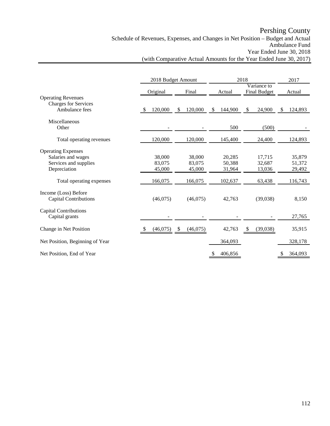## Pershing County Schedule of Revenues, Expenses, and Changes in Net Position – Budget and Actual Ambulance Fund Year Ended June 30, 2018

|                                                                                          |                            | 2018 Budget Amount         |                            | 2018                               | 2017                       |
|------------------------------------------------------------------------------------------|----------------------------|----------------------------|----------------------------|------------------------------------|----------------------------|
|                                                                                          | Original<br>Final          |                            | Actual                     | Variance to<br><b>Final Budget</b> | Actual                     |
| <b>Operating Revenues</b><br><b>Charges for Services</b>                                 |                            |                            |                            |                                    |                            |
| Ambulance fees                                                                           | 120,000<br>-\$             | 120,000<br>\$              | \$<br>144,900              | 24,900<br>\$                       | 124,893<br>S               |
| Miscellaneous<br>Other                                                                   |                            |                            | 500                        | (500)                              |                            |
| Total operating revenues                                                                 | 120,000                    | 120,000                    | 145,400                    | 24,400                             | 124,893                    |
| <b>Operating Expenses</b><br>Salaries and wages<br>Services and supplies<br>Depreciation | 38,000<br>83,075<br>45,000 | 38,000<br>83,075<br>45,000 | 20,285<br>50,388<br>31,964 | 17,715<br>32,687<br>13,036         | 35,879<br>51,372<br>29,492 |
| Total operating expenses                                                                 | 166,075                    | 166,075                    | 102,637                    | 63,438                             | 116,743                    |
| Income (Loss) Before<br><b>Capital Contributions</b>                                     | (46,075)                   | (46,075)                   | 42,763                     | (39,038)                           | 8,150                      |
| <b>Capital Contributions</b><br>Capital grants                                           |                            |                            |                            |                                    | 27,765                     |
| Change in Net Position                                                                   | (46,075)                   | (46,075)<br>\$             | 42,763                     | (39,038)<br>-S                     | 35,915                     |
| Net Position, Beginning of Year                                                          |                            |                            | 364,093                    |                                    | 328,178                    |
| Net Position, End of Year                                                                |                            |                            | 406,856                    |                                    | 364,093                    |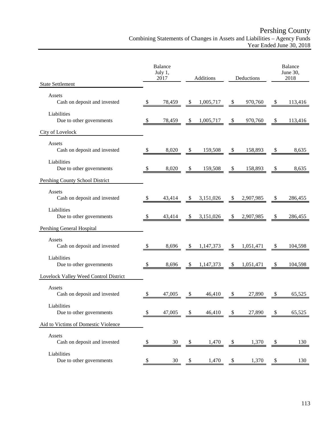Pershing County Combining Statements of Changes in Assets and Liabilities – Agency Funds

Year Ended June 30, 2018

| <b>State Settlement</b>                 |                           | <b>Balance</b><br>July 1,<br>2017 |                           | Additions   |               | Deductions |               | <b>Balance</b><br>June 30,<br>2018 |
|-----------------------------------------|---------------------------|-----------------------------------|---------------------------|-------------|---------------|------------|---------------|------------------------------------|
| Assets                                  |                           |                                   |                           |             |               |            |               |                                    |
| Cash on deposit and invested            | \$                        | 78,459                            | \$                        | 1,005,717   | $\frac{1}{2}$ | 970,760    | \$            | 113,416                            |
| Liabilities<br>Due to other governments | -S                        | 78,459                            | \$                        | 1,005,717   | - \$          | 970,760    | \$            | 113,416                            |
| City of Lovelock                        |                           |                                   |                           |             |               |            |               |                                    |
| Assets<br>Cash on deposit and invested  | \$                        | 8,020                             | \$                        | 159,508     | \$            | 158,893    | \$            | 8,635                              |
| Liabilities<br>Due to other governments | -S                        | 8,020                             | $\mathcal{S}$             | 159,508     | $\mathcal{S}$ | 158,893    | $\sqrt{2}$    | 8,635                              |
| Pershing County School District         |                           |                                   |                           |             |               |            |               |                                    |
| Assets<br>Cash on deposit and invested  |                           | 43,414                            |                           | \$3,151,026 | -SI           | 2,907,985  | $\mathcal{P}$ | 286,455                            |
| Liabilities<br>Due to other governments | $\mathcal{S}$             | 43,414                            | <sup>S</sup>              | 3,151,026   | $\sqrt{3}$    | 2,907,985  | \$            | 286,455                            |
| Pershing General Hospital               |                           |                                   |                           |             |               |            |               |                                    |
| Assets<br>Cash on deposit and invested  | <sup>8</sup>              | 8,696                             | S.                        | 1,147,373   | - \$          | 1,051,471  | <sup>2</sup>  | 104,598                            |
| Liabilities<br>Due to other governments | \$                        | 8,696                             | \$                        | 1,147,373   | \$            | 1,051,471  | \$            | 104,598                            |
| Lovelock Valley Weed Control District   |                           |                                   |                           |             |               |            |               |                                    |
| Assets<br>Cash on deposit and invested  | \$                        | 47,005                            | \$                        | 46,410      | \$            | 27,890     | \$            | 65,525                             |
| Liabilities<br>Due to other governments | -S                        | 47,005                            | \$                        | 46,410      | \$            | 27,890     | \$            | 65,525                             |
| Aid to Victims of Domestic Violence     |                           |                                   |                           |             |               |            |               |                                    |
| Assets<br>Cash on deposit and invested  | $\boldsymbol{\mathsf{S}}$ | 30                                | $\boldsymbol{\mathsf{S}}$ | 1,470       | \$            | 1,370      | \$            | 130                                |
| Liabilities<br>Due to other governments | \$                        | 30                                | $\sqrt{3}$                | 1,470       | \$            | 1,370      | \$            | 130                                |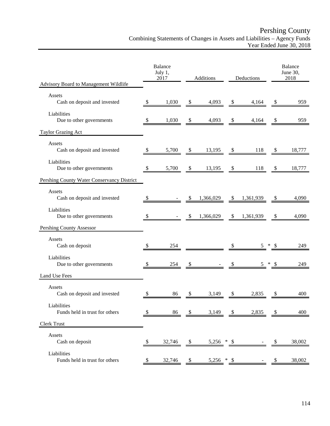Pershing County

Combining Statements of Changes in Assets and Liabilities – Agency Funds

Year Ended June 30, 2018

| Advisory Board to Management Wildlife         |                           | <b>Balance</b><br>July 1,<br>2017 |               | Additions    | Deductions    |           |                           | Balance<br>June 30,<br>2018 |
|-----------------------------------------------|---------------------------|-----------------------------------|---------------|--------------|---------------|-----------|---------------------------|-----------------------------|
| Assets                                        |                           |                                   |               |              |               |           |                           |                             |
| Cash on deposit and invested                  | S                         | 1,030                             | \$            | 4,093        | - S           | 4,164     | \$                        | 959                         |
| Liabilities<br>Due to other governments       | $\boldsymbol{\mathsf{S}}$ | 1,030                             | \$            | 4,093        | \$            | 4,164     | $\boldsymbol{\mathsf{S}}$ | 959                         |
| Taylor Grazing Act                            |                           |                                   |               |              |               |           |                           |                             |
| Assets<br>Cash on deposit and invested        | $\mathcal{S}$             | 5,700                             | $\mathcal{S}$ | 13,195       | $\mathcal{S}$ | 118       | - \$                      | 18,777                      |
| Liabilities<br>Due to other governments       | \$                        | 5,700                             | \$            | 13,195       | \$            | 118       | $\boldsymbol{\mathsf{S}}$ | 18,777                      |
| Pershing County Water Conservancy District    |                           |                                   |               |              |               |           |                           |                             |
| Assets<br>Cash on deposit and invested        | $\boldsymbol{\mathsf{S}}$ |                                   | \$            | 1,366,029    | $\mathcal{S}$ | 1,361,939 | \$                        | 4,090                       |
| Liabilities<br>Due to other governments       | $\boldsymbol{\mathsf{S}}$ |                                   | \$            | 1,366,029    | \$            | 1,361,939 | \$                        | 4,090                       |
| <b>Pershing County Assessor</b>               |                           |                                   |               |              |               |           |                           |                             |
| Assets<br>Cash on deposit                     | -S                        | 254                               |               |              | \$            |           | $5 * S$                   | 249                         |
| Liabilities<br>Due to other governments       |                           | 254                               | \$            |              |               | $5*$      | \$                        | 249                         |
| Land Use Fees                                 |                           |                                   |               |              |               |           |                           |                             |
| Assets<br>Cash on deposit and invested        | $\boldsymbol{\mathsf{S}}$ | 86                                | \$            | 3,149        | \$            | 2,835     | \$                        | 400                         |
| Liabilities<br>Funds held in trust for others | -S                        | 86                                | $\frac{1}{2}$ | 3,149        | \$            | 2,835     | \$                        | 400                         |
| Clerk Trust                                   |                           |                                   |               |              |               |           |                           |                             |
| Assets<br>Cash on deposit                     | $\boldsymbol{\mathsf{S}}$ | 32,746                            | \$            | $5,256$ * \$ |               |           | \$                        | 38,002                      |
| Liabilities<br>Funds held in trust for others | $\mathcal{P}$             | 32,746                            | $\mathcal{P}$ | 5,256        | -S            |           |                           | 38,002                      |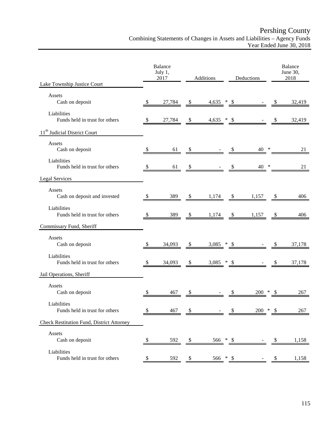Pershing County Combining Statements of Changes in Assets and Liabilities – Agency Funds Year Ended June 30, 2018

| Lake Township Justice Court                   |                           | Balance<br>July 1,<br>2017 |               | <b>Additions</b> |                            | Deductions |                    | Balance<br>June 30,<br>2018 |
|-----------------------------------------------|---------------------------|----------------------------|---------------|------------------|----------------------------|------------|--------------------|-----------------------------|
| Assets                                        |                           |                            |               |                  |                            |            |                    |                             |
| Cash on deposit                               | S                         | 27,784                     | \$            | $4,635$ * \$     |                            |            | \$                 | 32,419                      |
| Liabilities<br>Funds held in trust for others | \$                        | 27,784                     | \$            | 4,635 $*$ \$     |                            |            | \$                 | 32,419                      |
| 11 <sup>th</sup> Judicial District Court      |                           |                            |               |                  |                            |            |                    |                             |
| Assets<br>Cash on deposit                     | \$                        | 61                         | \$            |                  | \$                         | $40*$      |                    | 21                          |
| Liabilities<br>Funds held in trust for others | S                         | 61                         | \$            |                  | $\frac{1}{2}$              | 40 *       |                    | 21                          |
| Legal Services                                |                           |                            |               |                  |                            |            |                    |                             |
| Assets<br>Cash on deposit and invested        | \$                        | 389                        | \$            | 1,174            | \$                         | 1,157      | \$                 | 406                         |
| Liabilities<br>Funds held in trust for others | -\$                       | 389                        | \$            | 1,174            | $\boldsymbol{\mathcal{S}}$ | 1,157      | - \$               | 406                         |
| Commissary Fund, Sheriff                      |                           |                            |               |                  |                            |            |                    |                             |
| Assets<br>Cash on deposit                     | <sup>S</sup>              | 34,093                     | $\frac{1}{2}$ | $3,085$ * \$     |                            |            | \$                 | 37,178                      |
| Liabilities<br>Funds held in trust for others | \$                        | 34,093                     | \$            | $3,085$ * \$     |                            |            | \$                 | 37,178                      |
| Jail Operations, Sheriff                      |                           |                            |               |                  |                            |            |                    |                             |
| Assets<br>Cash on deposit                     | -S                        | 467                        | \$            |                  | \$                         | 200        | ∗<br><sup>\$</sup> | 267                         |
| Liabilities<br>Funds held in trust for others | $\boldsymbol{\mathsf{S}}$ | 467                        | \$            |                  | \$                         | 200        | ∗<br>- \$          | 267                         |
| Check Restitution Fund, District Attorney     |                           |                            |               |                  |                            |            |                    |                             |
| Assets<br>Cash on deposit                     | \$                        | 592                        | \$            | 566 *            | \$                         |            | \$                 | 1,158                       |
| Liabilities<br>Funds held in trust for others | \$                        | 592                        | \$            | 566              | $*$ \$                     |            | \$                 | 1,158                       |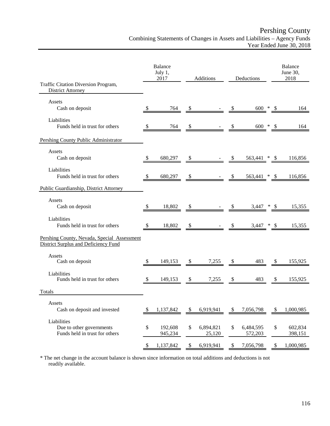Pershing County Combining Statements of Changes in Assets and Liabilities – Agency Funds Year Ended June 30, 2018

| Traffic Citation Diversion Program,                                                        | <b>Balance</b><br>July 1,<br>2017 |                    | <b>Additions</b> |                     | Deductions                |                      |        |      | Balance<br>June 30,<br>2018 |
|--------------------------------------------------------------------------------------------|-----------------------------------|--------------------|------------------|---------------------|---------------------------|----------------------|--------|------|-----------------------------|
| <b>District Attorney</b>                                                                   |                                   |                    |                  |                     |                           |                      |        |      |                             |
| Assets<br>Cash on deposit                                                                  | <sup>S</sup>                      | 764                | \$               |                     | \$                        | $600 *$              |        | \$   | 164                         |
| Liabilities<br>Funds held in trust for others                                              | S                                 | 764                | \$               |                     | \$                        | $600 *$              |        | \$   | 164                         |
| Pershing County Public Administrator                                                       |                                   |                    |                  |                     |                           |                      |        |      |                             |
| Assets<br>Cash on deposit                                                                  | $\mathcal{L}$                     | 680,297            | $\frac{1}{2}$    |                     | \$                        | 563,441 *            |        | - \$ | 116,856                     |
| Liabilities<br>Funds held in trust for others                                              | \$                                | 680,297            | \$               |                     | \$                        | 563,441              | $\ast$ | \$   | 116,856                     |
| Public Guardianship, District Attorney                                                     |                                   |                    |                  |                     |                           |                      |        |      |                             |
| Assets<br>Cash on deposit                                                                  | \$                                | 18,802             | \$               |                     | $\boldsymbol{\mathsf{S}}$ | $3,447$ * \$         |        |      | 15,355                      |
| Liabilities<br>Funds held in trust for others                                              | -S                                | 18,802             | \$               |                     | \$                        | $3,447$ * \$         |        |      | 15,355                      |
| Pershing County, Nevada, Special Assessment<br><b>District Surplus and Deficiency Fund</b> |                                   |                    |                  |                     |                           |                      |        |      |                             |
| Assets<br>Cash on deposit                                                                  | \$                                | 149,153            | \$               | 7,255               | -S                        | 483                  |        | \$   | 155,925                     |
| Liabilities<br>Funds held in trust for others                                              | - \$                              | 149,153            | \$               | 7,255               | \$                        | 483                  |        | \$   | 155,925                     |
| Totals                                                                                     |                                   |                    |                  |                     |                           |                      |        |      |                             |
| Assets<br>Cash on deposit and invested                                                     | \$                                | 1,137,842          | \$               | 6,919,941           | \$                        | 7,056,798            |        | \$   | 1,000,985                   |
| Liabilities<br>Due to other governments<br>Funds held in trust for others                  | \$                                | 192,608<br>945,234 | \$               | 6,894,821<br>25,120 | \$                        | 6,484,595<br>572,203 |        | \$   | 602,834<br>398,151          |
|                                                                                            | \$                                | 1,137,842          | \$               | 6,919,941           | \$                        | 7,056,798            |        | \$   | 1,000,985                   |

\* The net change in the account balance is shown since information on total additions and deductions is not readily available.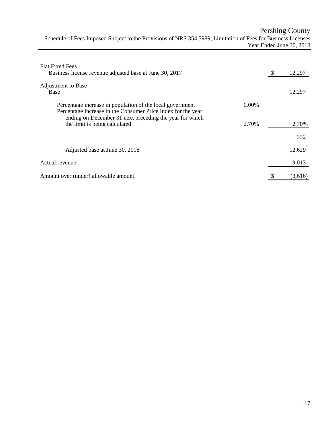Pershing County

Schedule of Fees Imposed Subject to the Provisions of NRS 354.5989, Limitation of Fees for Business Licenses Year Ended June 30, 2018

| <b>Flat Fixed Fees</b><br>Business license revenue adjusted base at June 30, 2017                                                                                                    |          | \$<br>12,297  |
|--------------------------------------------------------------------------------------------------------------------------------------------------------------------------------------|----------|---------------|
| Adjustment to Base<br>Base                                                                                                                                                           |          | 12,297        |
| Percentage increase in population of the local government<br>Percentage increase in the Consumer Price Index for the year<br>ending on December 31 next preceding the year for which | $0.00\%$ |               |
| the limit is being calculated                                                                                                                                                        | 2.70%    | 2.70%         |
|                                                                                                                                                                                      |          | 332           |
| Adjusted base at June 30, 2018                                                                                                                                                       |          | 12,629        |
| Actual revenue                                                                                                                                                                       |          | 9,013         |
| Amount over (under) allowable amount                                                                                                                                                 |          | \$<br>(3,616) |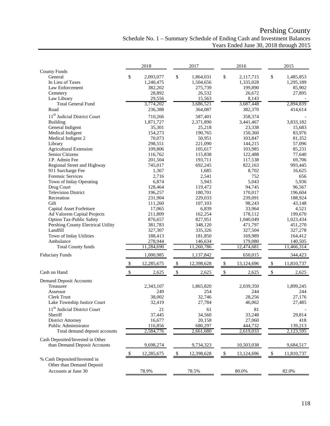## Pershing County

### Schedule No. 1 – Summary Schedule of Ending Cash and Investment Balances Years Ended June 30, 2018 through 2015

|                                          |                           | 2018       | 2017                      |            |                           | 2016       |              | 2015       |
|------------------------------------------|---------------------------|------------|---------------------------|------------|---------------------------|------------|--------------|------------|
| <b>County Funds</b>                      |                           |            |                           |            |                           |            |              |            |
| General                                  | \$                        | 2,093,077  | \$                        | 1,864,031  | \$                        | 2,117,715  | \$           | 1,485,853  |
| In Lieu of Taxes                         |                           | 1,240,475  |                           | 1,504,656  |                           | 1,335,028  |              | 1,295,189  |
| Law Enforcement                          |                           | 382,202    |                           | 275,739    |                           | 199,890    |              | 85,902     |
| Cemetery                                 |                           | 28,892     |                           | 26,532     |                           | 26,672     |              | 27,895     |
| Law Library                              |                           | 29,556     |                           | 15,563     |                           | 8,143      |              |            |
| <b>Total General Fund</b>                |                           | 3,774,202  |                           | 3,686,521  |                           | 3,687,448  |              | 2,894,839  |
| Road                                     |                           | 236,388    |                           | 364,087    |                           | 382,370    |              | 414,614    |
| 11 <sup>th</sup> Judicial District Court |                           | 710,266    |                           | 587,401    |                           | 358,374    |              |            |
| <b>Building</b>                          |                           | 1,871,727  |                           | 2,371,890  |                           | 3,441,467  |              | 3,833,182  |
| General Indigent                         |                           | 35,301     |                           | 25,218     |                           | 23,338     |              | 15,683     |
| Medical Indigent                         |                           | 154,273    |                           | 190,765    |                           | 150,360    |              | 83,976     |
| Medical Indigent 2                       |                           | 70,073     |                           | 50,951     |                           | 103,847    |              | 81,352     |
| Library                                  |                           | 298,551    |                           | 221,090    |                           | 144,215    |              | 57,096     |
| <b>Agricultural Extension</b>            |                           | 109,806    |                           | 105,617    |                           | 103,985    |              | 85,231     |
| Senior Citizens                          |                           | 116,762    |                           | 115,838    |                           | 122,488    |              | 77,640     |
| J.P. Admin Fee                           |                           | 201,504    |                           | 193,711    |                           | 117,538    |              | 69,706     |
| Regional Street and Highway              |                           | 745,017    |                           | 692,245    |                           | 822,163    |              | 993,445    |
| 911 Surcharge Fee                        |                           | 1,367      |                           | 1,685      |                           | 8,702      |              | 16,625     |
| <b>Forensic Services</b>                 |                           | 2,716      |                           | 2,541      |                           | 752        |              | 656        |
| Town of Imlay Operating                  |                           | 6,874      |                           | 5,943      |                           | 5,043      |              | 5,936      |
| Drug Court                               |                           | 128,464    |                           | 119,472    |                           | 94,745     |              | 96,567     |
| <b>Television District</b>               |                           | 196,257    |                           | 180,701    |                           | 170,017    |              | 196,604    |
| Recreation                               |                           | 231,904    |                           | 229,033    |                           | 239,091    |              | 188,924    |
| Gift                                     |                           | 111,260    |                           | 107,103    |                           | 98,243     |              | 43,148     |
| <b>Capital Asset Forfeiture</b>          |                           | 17,065     |                           | 6,839      |                           | 33,964     |              | 4,521      |
| Ad Valorem Capital Projects              |                           | 211,809    |                           | 162,254    |                           | 178,112    |              | 199,670    |
| Option Tax-Public Safety                 |                           | 876,657    |                           | 827,951    |                           | 1,040,049  |              | 1,023,434  |
| Pershing County Electrical Utility       |                           | 381,783    |                           | 348,120    |                           | 471,797    |              | 451,270    |
| Landfill                                 |                           | 327,307    |                           | 335,326    |                           | 327,504    |              | 327,278    |
| Town of Imlay Utilities                  |                           | 188,413    |                           | 181,850    |                           | 169,989    |              | 164,412    |
| Ambulance                                |                           | 278,944    |                           | 146,634    |                           | 179,080    |              | 140,505    |
| <b>Total County funds</b>                |                           | 11,284,690 |                           | 11,260,786 |                           | 12,474,681 |              | 11,466,314 |
| <b>Fiduciary Funds</b>                   |                           | 1,000,985  |                           | 1,137,842  |                           | 650,015    |              | 344,423    |
|                                          | $\$$                      | 12,285,675 | $\boldsymbol{\mathsf{S}}$ | 12,398,628 | $\boldsymbol{\mathsf{S}}$ | 13,124,696 | \$           | 11,810,737 |
| Cash on Hand                             | $\mathbb{S}$              | 2,625      | $\mathbb{S}$              | 2,625      | $\mathbb{S}$              | 2,625      | $\mathbb{S}$ | 2,625      |
|                                          |                           |            |                           |            |                           |            |              |            |
| Demand Deposit Accounts<br>Treasurer     |                           | 2,343,107  |                           | 1,865,820  |                           | 2,039,350  |              | 1,899,245  |
| Assessor                                 |                           | 249        |                           | 254        |                           | 244        |              | 244        |
| Clerk Trust                              |                           | 38,002     |                           | 32,746     |                           | 28,256     |              | 27,176     |
| Lake Township Justice Court              |                           | 32,419     |                           | 27,784     |                           | 46,062     |              | 27,485     |
|                                          |                           |            |                           |            |                           |            |              |            |
| 11 <sup>th</sup> Judicial District Court |                           | $21\,$     |                           | 61         |                           | 81         |              |            |
| Sheriff                                  |                           | 37,445     |                           | 34,560     |                           | 33,248     |              | 29,814     |
| <b>District Attorney</b>                 |                           | 16,677     |                           | 20,158     |                           | 27,060     |              | 418        |
| Public Administrator                     |                           | 116,856    |                           | 680,297    |                           | 444,732    |              | 139,213    |
| Total demand deposit accounts            |                           | 2,584,776  |                           | 2,661,680  |                           | 2,619,033  |              | 2,123,595  |
| Cash Deposited/Invested in Other         |                           |            |                           |            |                           |            |              |            |
| than Demand Deposit Accounts             |                           | 9,698,274  |                           | 9,734,323  |                           | 10,503,038 |              | 9,684,517  |
|                                          | $\boldsymbol{\mathsf{S}}$ | 12,285,675 | $\$$                      | 12,398,628 | $\mathbb{S}$              | 13,124,696 | $\$$         | 11,810,737 |
| % Cash Deposited/Invested in             |                           |            |                           |            |                           |            |              |            |
| Other than Demand Deposit                |                           |            |                           |            |                           |            |              |            |
| Accounts at June 30                      |                           | 78.9%      |                           | 78.5%      |                           | 80.0%      |              | 82.0%      |
|                                          |                           |            |                           |            |                           |            |              |            |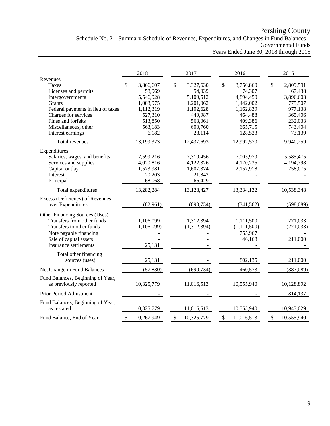## Pershing County Schedule No. 2 – Summary Schedule of Revenues, Expenditures, and Changes in Fund Balances – Governmental Funds

Years Ended June 30, 2018 through 2015

|                                                             | 2018             | 2017             | 2016             | 2015             |
|-------------------------------------------------------------|------------------|------------------|------------------|------------------|
| Revenues                                                    |                  |                  |                  |                  |
| <b>Taxes</b>                                                | \$<br>3,866,607  | \$<br>3,327,630  | \$<br>3,750,860  | \$<br>2,809,591  |
| Licenses and permits                                        | 58,969           | 54,939           | 74,307           | 67,438           |
| Intergovernmental                                           | 5,546,928        | 5,109,512        | 4,894,450        | 3,896,603        |
| <b>Grants</b>                                               | 1,003,975        | 1,201,062        | 1,442,002        | 775,507          |
| Federal payments in lieu of taxes                           | 1,112,319        | 1,102,628        | 1,162,839        | 977,138          |
| Charges for services                                        | 527,310          | 449,987          | 464,488          | 365,406          |
| Fines and forfeits                                          | 513,850          | 563,061          | 409,386          | 232,033          |
| Miscellaneous, other                                        | 563,183          | 600,760          | 665,715          | 743,404          |
| Interest earnings                                           | 6,182            | 28,114           | 128,523          | 73,139           |
| Total revenues                                              | 13,199,323       | 12,437,693       | 12,992,570       | 9,940,259        |
| Expenditures                                                |                  |                  |                  |                  |
| Salaries, wages, and benefits                               | 7,599,216        | 7,310,456        | 7,005,979        | 5,585,475        |
| Services and supplies                                       | 4,020,816        | 4,122,326        | 4,170,235        | 4,194,798        |
| Capital outlay                                              | 1,573,981        | 1,607,374        | 2,157,918        | 758,075          |
| Interest                                                    | 20,203           | 21,842           |                  |                  |
| Principal                                                   | 68,068           | 66,429           |                  |                  |
| Total expenditures                                          | 13,282,284       | 13,128,427       | 13,334,132       | 10,538,348       |
| Excess (Deficiency) of Revenues<br>over Expenditures        | (82,961)         | (690, 734)       | (341, 562)       | (598,089)        |
| Other Financing Sources (Uses)                              |                  |                  |                  |                  |
| Transfers from other funds                                  | 1,106,099        | 1,312,394        | 1,111,500        | 271,033          |
| Transfers to other funds                                    | (1,106,099)      | (1,312,394)      | (1, 111, 500)    | (271, 033)       |
| Note payable financing                                      |                  |                  | 755,967          |                  |
| Sale of capital assets                                      |                  |                  | 46,168           | 211,000          |
|                                                             |                  |                  |                  |                  |
| Insurance settlements                                       | 25,131           |                  |                  |                  |
| Total other financing<br>sources (uses)                     | 25,131           |                  | 802,135          | 211,000          |
| Net Change in Fund Balances                                 | (57, 830)        | (690, 734)       | 460,573          | (387,089)        |
| Fund Balances, Beginning of Year,<br>as previously reported | 10,325,779       | 11,016,513       | 10,555,940       | 10,128,892       |
| Prior Period Adjustment                                     |                  |                  |                  | 814,137          |
| Fund Balances, Beginning of Year,                           |                  |                  |                  |                  |
| as restated                                                 | 10,325,779       | 11,016,513       | 10,555,940       | 10,943,029       |
| Fund Balance, End of Year                                   | 10,267,949<br>\$ | 10,325,779<br>\$ | 11,016,513<br>\$ | \$<br>10,555,940 |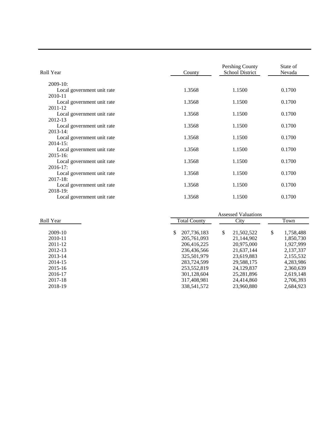| Roll Year                  | County | Pershing County<br><b>School District</b> | State of<br>Nevada |
|----------------------------|--------|-------------------------------------------|--------------------|
| $2009-10$ :                |        |                                           |                    |
| Local government unit rate | 1.3568 | 1.1500                                    | 0.1700             |
| 2010-11                    |        |                                           |                    |
| Local government unit rate | 1.3568 | 1.1500                                    | 0.1700             |
| 2011-12                    |        |                                           |                    |
| Local government unit rate | 1.3568 | 1.1500                                    | 0.1700             |
| 2012-13                    |        |                                           |                    |
| Local government unit rate | 1.3568 | 1.1500                                    | 0.1700             |
| $2013 - 14$ :              |        |                                           |                    |
| Local government unit rate | 1.3568 | 1.1500                                    | 0.1700             |
| $2014 - 15$ :              |        |                                           |                    |
| Local government unit rate | 1.3568 | 1.1500                                    | 0.1700             |
| $2015 - 16$ :              |        |                                           |                    |
| Local government unit rate | 1.3568 | 1.1500                                    | 0.1700             |
| $2016 - 17$ :              |        |                                           |                    |
| Local government unit rate | 1.3568 | 1.1500                                    | 0.1700             |
| $2017 - 18$ :              |        |                                           |                    |
| Local government unit rate | 1.3568 | 1.1500                                    | 0.1700             |
| 2018-19:                   |        |                                           |                    |
| Local government unit rate | 1.3568 | 1.1500                                    | 0.1700             |

|           |                     | <b>Assessed Valuations</b> |                 |  |
|-----------|---------------------|----------------------------|-----------------|--|
| Roll Year | <b>Total County</b> | City                       | Town            |  |
| 2009-10   | 207, 736, 183<br>\$ | 21,502,522<br>\$           | \$<br>1,758,488 |  |
| 2010-11   | 205,761,093         | 21,144,902                 | 1,850,730       |  |
| 2011-12   | 206,416,225         | 20,975,000                 | 1,927,999       |  |
| 2012-13   | 236,436,566         | 21,637,144                 | 2,137,337       |  |
| 2013-14   | 325,501,979         | 23,619,883                 | 2,155,532       |  |
| 2014-15   | 283.724.599         | 29,588,175                 | 4,283,986       |  |
| 2015-16   | 253,552,819         | 24,129,837                 | 2,360,639       |  |
| 2016-17   | 301,128,604         | 25, 281, 896               | 2,619,148       |  |
| 2017-18   | 317,408,981         | 24,414,860                 | 2,706,393       |  |
| 2018-19   | 338.541.572         | 23,960,880                 | 2.684.923       |  |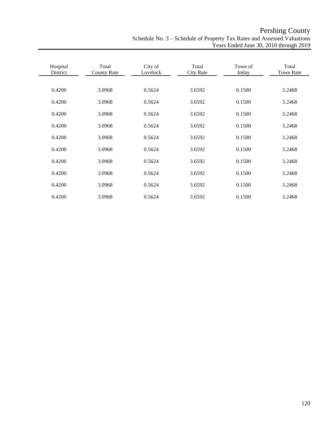## Pershing County Schedule No. 3 – Schedule of Property Tax Rates and Assessed Valuations Years Ended June 30, 2010 through 2019

| Hospital<br>District | Total<br><b>County Rate</b> | City of<br>Lovelock | Total<br><b>City Rate</b> | Town of<br>Imlay | Total<br><b>Town Rate</b> |
|----------------------|-----------------------------|---------------------|---------------------------|------------------|---------------------------|
| 0.4200               | 3.0968                      | 0.5624              | 3.6592                    | 0.1500           | 3.2468                    |
| 0.4200               | 3.0968                      | 0.5624              | 3.6592                    | 0.1500           | 3.2468                    |
| 0.4200               | 3.0968                      | 0.5624              | 3.6592                    | 0.1500           | 3.2468                    |
| 0.4200               | 3.0968                      | 0.5624              | 3.6592                    | 0.1500           | 3.2468                    |
| 0.4200               | 3.0968                      | 0.5624              | 3.6592                    | 0.1500           | 3.2468                    |
| 0.4200               | 3.0968                      | 0.5624              | 3.6592                    | 0.1500           | 3.2468                    |
| 0.4200               | 3.0968                      | 0.5624              | 3.6592                    | 0.1500           | 3.2468                    |
| 0.4200               | 3.0968                      | 0.5624              | 3.6592                    | 0.1500           | 3.2468                    |
| 0.4200               | 3.0968                      | 0.5624              | 3.6592                    | 0.1500           | 3.2468                    |
| 0.4200               | 3.0968                      | 0.5624              | 3.6592                    | 0.1500           | 3.2468                    |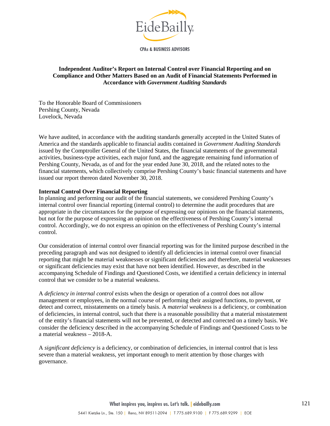

**CPAs & BUSINESS ADVISORS** 

## **Independent Auditor's Report on Internal Control over Financial Reporting and on Compliance and Other Matters Based on an Audit of Financial Statements Performed in Accordance with** *Government Auditing Standards*

To the Honorable Board of Commissioners Pershing County, Nevada Lovelock, Nevada

We have audited, in accordance with the auditing standards generally accepted in the United States of America and the standards applicable to financial audits contained in *Government Auditing Standards* issued by the Comptroller General of the United States, the financial statements of the governmental activities, business-type activities, each major fund, and the aggregate remaining fund information of Pershing County, Nevada, as of and for the year ended June 30, 2018, and the related notes to the financial statements, which collectively comprise Pershing County's basic financial statements and have issued our report thereon dated November 30, 2018.

### **Internal Control Over Financial Reporting**

In planning and performing our audit of the financial statements, we considered Pershing County's internal control over financial reporting (internal control) to determine the audit procedures that are appropriate in the circumstances for the purpose of expressing our opinions on the financial statements, but not for the purpose of expressing an opinion on the effectiveness of Pershing County's internal control. Accordingly, we do not express an opinion on the effectiveness of Pershing County's internal control.

Our consideration of internal control over financial reporting was for the limited purpose described in the preceding paragraph and was not designed to identify all deficiencies in internal control over financial reporting that might be material weaknesses or significant deficiencies and therefore, material weaknesses or significant deficiencies may exist that have not been identified. However, as described in the accompanying Schedule of Findings and Questioned Costs, we identified a certain deficiency in internal control that we consider to be a material weakness.

A *deficiency in internal control* exists when the design or operation of a control does not allow management or employees, in the normal course of performing their assigned functions, to prevent, or detect and correct, misstatements on a timely basis. A *material weakness* is a deficiency, or combination of deficiencies, in internal control, such that there is a reasonable possibility that a material misstatement of the entity's financial statements will not be prevented, or detected and corrected on a timely basis. We consider the deficiency described in the accompanying Schedule of Findings and Questioned Costs to be a material weakness – 2018-A.

A *significant deficiency* is a deficiency, or combination of deficiencies, in internal control that is less severe than a material weakness, yet important enough to merit attention by those charges with governance.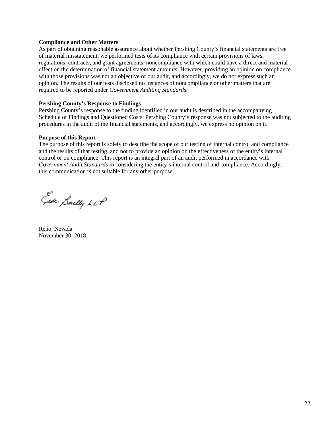#### **Compliance and Other Matters**

As part of obtaining reasonable assurance about whether Pershing County's financial statements are free of material misstatement, we performed tests of its compliance with certain provisions of laws, regulations, contracts, and grant agreements, noncompliance with which could have a direct and material effect on the determination of financial statement amounts. However, providing an opinion on compliance with those provisions was not an objective of our audit, and accordingly, we do not express such an opinion. The results of our tests disclosed no instances of noncompliance or other matters that are required to be reported under *Government Auditing Standards*.

#### **Pershing County's Response to Findings**

Pershing County's response to the finding identified in our audit is described in the accompanying Schedule of Findings and Questioned Costs. Pershing County's response was not subjected to the auditing procedures in the audit of the financial statements, and accordingly, we express no opinion on it.

#### **Purpose of this Report**

The purpose of this report is solely to describe the scope of our testing of internal control and compliance and the results of that testing, and not to provide an opinion on the effectiveness of the entity's internal control or on compliance. This report is an integral part of an audit performed in accordance with *Government Audit Standards* in considering the entity's internal control and compliance. Accordingly, this communication is not suitable for any other purpose.

Ede Sailly LLP

Reno, Nevada November 30, 2018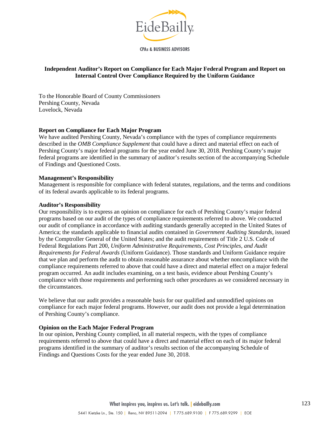

**CPAs & BUSINESS ADVISORS** 

## **Independent Auditor's Report on Compliance for Each Major Federal Program and Report on Internal Control Over Compliance Required by the Uniform Guidance**

To the Honorable Board of County Commissioners Pershing County, Nevada Lovelock, Nevada

### **Report on Compliance for Each Major Program**

We have audited Pershing County, Nevada's compliance with the types of compliance requirements described in the *OMB Compliance Supplement* that could have a direct and material effect on each of Pershing County's major federal programs for the year ended June 30, 2018. Pershing County's major federal programs are identified in the summary of auditor's results section of the accompanying Schedule of Findings and Questioned Costs.

#### **Management's Responsibility**

Management is responsible for compliance with federal statutes, regulations, and the terms and conditions of its federal awards applicable to its federal programs.

#### **Auditor's Responsibility**

Our responsibility is to express an opinion on compliance for each of Pershing County's major federal programs based on our audit of the types of compliance requirements referred to above. We conducted our audit of compliance in accordance with auditing standards generally accepted in the United States of America; the standards applicable to financial audits contained in *Government Auditing Standards*, issued by the Comptroller General of the United States; and the audit requirements of Title 2 U.S. Code of Federal Regulations Part 200, *Uniform Administrative Requirements, Cost Principles, and Audit Requirements for Federal Awards* (Uniform Guidance). Those standards and Uniform Guidance require that we plan and perform the audit to obtain reasonable assurance about whether noncompliance with the compliance requirements referred to above that could have a direct and material effect on a major federal program occurred. An audit includes examining, on a test basis, evidence about Pershing County's compliance with those requirements and performing such other procedures as we considered necessary in the circumstances.

We believe that our audit provides a reasonable basis for our qualified and unmodified opinions on compliance for each major federal programs. However, our audit does not provide a legal determination of Pershing County's compliance.

#### **Opinion on the Each Major Federal Program**

In our opinion, Pershing County complied, in all material respects, with the types of compliance requirements referred to above that could have a direct and material effect on each of its major federal programs identified in the summary of auditor's results section of the accompanying Schedule of Findings and Questions Costs for the year ended June 30, 2018.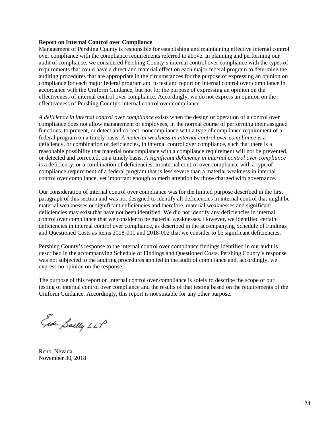#### **Report on Internal Control over Compliance**

Management of Pershing County is responsible for establishing and maintaining effective internal control over compliance with the compliance requirements referred to above. In planning and performing our audit of compliance, we considered Pershing County's internal control over compliance with the types of requirements that could have a direct and material effect on each major federal program to determine the auditing procedures that are appropriate in the circumstances for the purpose of expressing an opinion on compliance for each major federal program and to test and report on internal control over compliance in accordance with the Uniform Guidance, but not for the purpose of expressing an opinion on the effectiveness of internal control over compliance. Accordingly, we do not express an opinion on the effectiveness of Pershing County's internal control over compliance.

*A deficiency in internal control over compliance* exists when the design or operation of a control over compliance does not allow management or employees, in the normal course of performing their assigned functions, to prevent, or detect and correct, noncompliance with a type of compliance requirement of a federal program on a timely basis. *A material weakness in internal control over compliance* is a deficiency, or combination of deficiencies, in internal control over compliance, such that there is a reasonable possibility that material noncompliance with a compliance requirement will not be prevented, or detected and corrected, on a timely basis. *A significant deficiency in internal control over compliance* is a deficiency, or a combination of deficiencies, in internal control over compliance with a type of compliance requirement of a federal program that is less severe than a material weakness in internal control over compliance, yet important enough to merit attention by those charged with governance.

Our consideration of internal control over compliance was for the limited purpose described in the first paragraph of this section and was not designed to identify all deficiencies in internal control that might be material weaknesses or significant deficiencies and therefore, material weaknesses and significant deficiencies may exist that have not been identified. We did not identify any deficiencies in internal control over compliance that we consider to be material weaknesses. However, we identified certain deficiencies in internal control over compliance, as described in the accompanying Schedule of Findings and Questioned Costs as items 2018-001 and 2018-002 that we consider to be significant deficiencies.

Pershing County's response to the internal control over compliance findings identified in our audit is described in the accompanying Schedule of Findings and Questioned Costs. Pershing County's response was not subjected to the auditing procedures applied in the audit of compliance and, accordingly, we express no opinion on the response.

The purpose of this report on internal control over compliance is solely to describe the scope of our testing of internal control over compliance and the results of that testing based on the requirements of the Uniform Guidance. Accordingly, this report is not suitable for any other purpose.

Ede Sailly LLP

Reno, Nevada November 30, 2018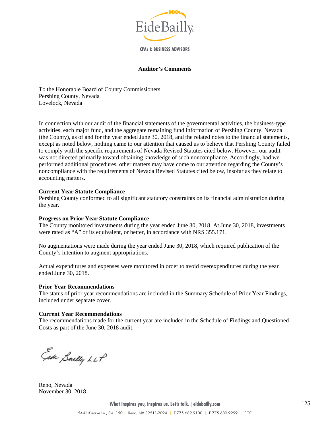

**CPAs & BUSINESS ADVISORS** 

#### **Auditor's Comments**

To the Honorable Board of County Commissioners Pershing County, Nevada Lovelock, Nevada

In connection with our audit of the financial statements of the governmental activities, the business-type activities, each major fund, and the aggregate remaining fund information of Pershing County, Nevada (the County), as of and for the year ended June 30, 2018, and the related notes to the financial statements, except as noted below, nothing came to our attention that caused us to believe that Pershing County failed to comply with the specific requirements of Nevada Revised Statutes cited below. However, our audit was not directed primarily toward obtaining knowledge of such noncompliance. Accordingly, had we performed additional procedures, other matters may have come to our attention regarding the County's noncompliance with the requirements of Nevada Revised Statutes cited below, insofar as they relate to accounting matters.

#### **Current Year Statute Compliance**

Pershing County conformed to all significant statutory constraints on its financial administration during the year.

#### **Progress on Prior Year Statute Compliance**

The County monitored investments during the year ended June 30, 2018. At June 30, 2018, investments were rated as "A" or its equivalent, or better, in accordance with NRS 355.171.

No augmentations were made during the year ended June 30, 2018, which required publication of the County's intention to augment appropriations.

Actual expenditures and expenses were monitored in order to avoid overexpenditures during the year ended June 30, 2018.

#### **Prior Year Recommendations**

The status of prior year recommendations are included in the Summary Schedule of Prior Year Findings, included under separate cover.

#### **Current Year Recommendations**

The recommendations made for the current year are included in the Schedule of Findings and Questioned Costs as part of the June 30, 2018 audit.

Ede Sailly LLP

Reno, Nevada November 30, 2018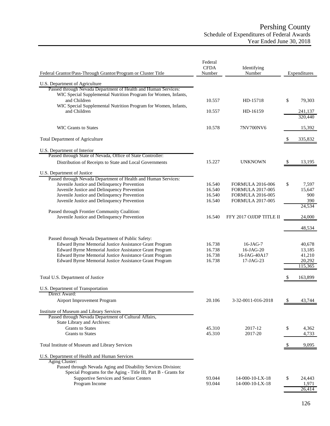| Federal Grantor/Pass-Through Grantor/Program or Cluster Title                   | Federal<br><b>CFDA</b><br>Number | Identifying<br>Number       |               | Expenditures     |
|---------------------------------------------------------------------------------|----------------------------------|-----------------------------|---------------|------------------|
| U.S. Department of Agriculture                                                  |                                  |                             |               |                  |
| Passed through Nevada Department of Health and Human Services:                  |                                  |                             |               |                  |
| WIC Special Supplemental Nutrition Program for Women, Infants,<br>and Children  |                                  |                             |               |                  |
| WIC Special Supplemental Nutrition Program for Women, Infants,                  | 10.557                           | HD-15718                    | \$            | 79,303           |
| and Children                                                                    | 10.557                           | HD-16159                    |               | 241,137          |
|                                                                                 |                                  |                             |               | 320,440          |
| <b>WIC Grants to States</b>                                                     | 10.578                           | 7NV700NV6                   |               | 15,392           |
|                                                                                 |                                  |                             |               |                  |
| <b>Total Department of Agriculture</b>                                          |                                  |                             | <sup>\$</sup> | 335,832          |
| U.S. Department of Interior                                                     |                                  |                             |               |                  |
| Passed through State of Nevada, Office of State Controller:                     |                                  |                             |               |                  |
| Distribution of Receipts to State and Local Governments                         | 15.227                           | <b>UNKNOWN</b>              |               | 13,195           |
| U.S. Department of Justice                                                      |                                  |                             |               |                  |
| Passed through Nevada Department of Health and Human Services:                  |                                  |                             |               |                  |
| Juvenile Justice and Delinquency Prevention                                     | 16.540                           | <b>FORMULA 2016-006</b>     | \$            | 7,597            |
| Juvenile Justice and Delinquency Prevention                                     | 16.540                           | <b>FORMULA 2017-005</b>     |               | 15,647           |
| Juvenile Justice and Delinquency Prevention                                     | 16.540                           | <b>FORMULA 2016-005</b>     |               | 900              |
| Juvenile Justice and Delinquency Prevention                                     | 16.540                           | <b>FORMULA 2017-005</b>     |               | 390<br>24,534    |
| Passed through Frontier Community Coalition:                                    |                                  |                             |               |                  |
| Juvenile Justice and Delinquency Prevention                                     | 16.540                           | FFY 2017 OJJDP TITLE II     |               | 24,000           |
|                                                                                 |                                  |                             |               | 48,534           |
|                                                                                 |                                  |                             |               |                  |
| Passed through Nevada Department of Public Safety:                              |                                  |                             |               |                  |
| Edward Byrne Memorial Justice Assistance Grant Program                          | 16.738                           | $16$ -JAG-7                 |               | 40,678           |
| Edward Byrne Memorial Justice Assistance Grant Program                          | 16.738                           | 16-JAG-20                   |               | 13,185           |
| Edward Byrne Memorial Justice Assistance Grant Program                          | 16.738<br>16.738                 | 16-JAG-40A17<br>$17-JAG-23$ |               | 41,210<br>20,292 |
| Edward Byrne Memorial Justice Assistance Grant Program                          |                                  |                             |               | 115,365          |
|                                                                                 |                                  |                             |               |                  |
| Total U.S. Department of Justice                                                |                                  |                             |               | 163,899          |
| U.S. Department of Transportation                                               |                                  |                             |               |                  |
| Direct Award:                                                                   |                                  |                             |               |                  |
| Airport Improvement Program                                                     | 20.106                           | 3-32-0011-016-2018          | \$.           | 43,744           |
| Institute of Museum and Library Services                                        |                                  |                             |               |                  |
| Passed through Nevada Department of Cultural Affairs,                           |                                  |                             |               |                  |
| State Library and Archives:                                                     |                                  |                             |               |                  |
| <b>Grants to States</b>                                                         | 45.310                           | 2017-12                     | \$            | 4,362            |
| <b>Grants</b> to States                                                         | 45.310                           | 2017-20                     |               | 4,733            |
| Total Institute of Museum and Library Services                                  |                                  |                             |               | 9,095            |
|                                                                                 |                                  |                             |               |                  |
| U.S. Department of Health and Human Services                                    |                                  |                             |               |                  |
| Aging Cluster:<br>Passed through Nevada Aging and Disability Services Division: |                                  |                             |               |                  |
| Special Programs for the Aging - Title III, Part B - Grants for                 |                                  |                             |               |                  |
| Supportive Services and Senior Centers                                          | 93.044                           | 14-000-10-LX-18             | \$            | 24,443           |
| Program Income                                                                  | 93.044                           | 14-000-10-LX-18             |               | 1,971            |
|                                                                                 |                                  |                             |               | 26,414           |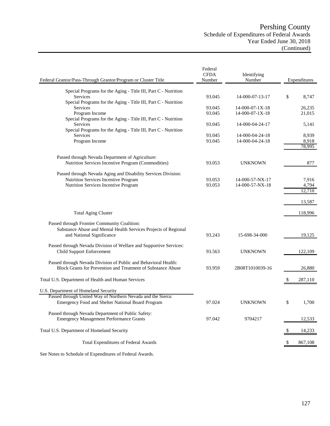## Pershing County Schedule of Expenditures of Federal Awards Year Ended June 30, 2018 (Continued)

| Special Programs for the Aging - Title III, Part C - Nutrition<br><b>Services</b><br>93.045<br>14-000-07-13-17<br>\$<br>8,747<br>Special Programs for the Aging - Title III, Part C - Nutrition<br><b>Services</b><br>93.045<br>26,235<br>$14-000-07-1X-18$<br>Program Income<br>93.045<br>14-000-07-1X-18<br>21,015<br>Special Programs for the Aging - Title III, Part C - Nutrition<br><b>Services</b><br>93.045<br>14-000-04-24-17<br>5,141<br>Special Programs for the Aging - Title III, Part C - Nutrition<br>Services<br>93.045<br>14-000-04-24-18<br>8,939<br>Program Income<br>14-000-04-24-18<br>93.045<br>8,918<br>78,995<br>Passed through Nevada Department of Agriculture:<br>Nutrition Services Incentive Program (Commodities)<br>93.053<br>877<br><b>UNKNOWN</b><br>Passed through Nevada Aging and Disability Services Division:<br>Nutrition Services Incentive Program<br>93.053<br>14-000-57-NX-17<br>7,916<br>Nutrition Services Incentive Program<br>93.053<br>14-000-57-NX-18<br>4,794<br>12,710<br>13,587<br>118,996<br><b>Total Aging Cluster</b><br>Passed through Frontier Community Coalition:<br>Substance Abuse and Mental Health Services Projects of Regional<br>and National Significance<br>93.243<br>19,125<br>15-698-34-000<br>Passed through Nevada Division of Welfare and Supportive Services:<br><b>Child Support Enforcement</b><br>93.563<br>122,109<br><b>UNKNOWN</b><br>Passed through Nevada Division of Public and Behavioral Health:<br>Block Grants for Prevention and Treatment of Substance Abuse<br>93.959<br>2B08T1010039-16<br>26,880<br>Total U.S. Department of Health and Human Services<br>287,110<br>\$<br>U.S. Department of Homeland Security<br>Passed through United Way of Northern Nevada and the Sierra:<br>Emergency Food and Shelter National Board Program<br>97.024<br><b>UNKNOWN</b><br>\$<br>1,700<br>Passed through Nevada Department of Public Safety:<br><b>Emergency Management Performance Grants</b><br>97.042<br>9704217<br>12,533<br>14,233<br>Total U.S. Department of Homeland Security<br>Total Expenditures of Federal Awards<br>867,108<br>S | Federal Grantor/Pass-Through Grantor/Program or Cluster Title | Federal<br><b>CFDA</b><br>Number | Identifying<br>Number | Expenditures |
|------------------------------------------------------------------------------------------------------------------------------------------------------------------------------------------------------------------------------------------------------------------------------------------------------------------------------------------------------------------------------------------------------------------------------------------------------------------------------------------------------------------------------------------------------------------------------------------------------------------------------------------------------------------------------------------------------------------------------------------------------------------------------------------------------------------------------------------------------------------------------------------------------------------------------------------------------------------------------------------------------------------------------------------------------------------------------------------------------------------------------------------------------------------------------------------------------------------------------------------------------------------------------------------------------------------------------------------------------------------------------------------------------------------------------------------------------------------------------------------------------------------------------------------------------------------------------------------------------------------------------------------------------------------------------------------------------------------------------------------------------------------------------------------------------------------------------------------------------------------------------------------------------------------------------------------------------------------------------------------------------------------------------------------------------------------------------------------------------------------------------------|---------------------------------------------------------------|----------------------------------|-----------------------|--------------|
|                                                                                                                                                                                                                                                                                                                                                                                                                                                                                                                                                                                                                                                                                                                                                                                                                                                                                                                                                                                                                                                                                                                                                                                                                                                                                                                                                                                                                                                                                                                                                                                                                                                                                                                                                                                                                                                                                                                                                                                                                                                                                                                                    |                                                               |                                  |                       |              |
|                                                                                                                                                                                                                                                                                                                                                                                                                                                                                                                                                                                                                                                                                                                                                                                                                                                                                                                                                                                                                                                                                                                                                                                                                                                                                                                                                                                                                                                                                                                                                                                                                                                                                                                                                                                                                                                                                                                                                                                                                                                                                                                                    |                                                               |                                  |                       |              |
|                                                                                                                                                                                                                                                                                                                                                                                                                                                                                                                                                                                                                                                                                                                                                                                                                                                                                                                                                                                                                                                                                                                                                                                                                                                                                                                                                                                                                                                                                                                                                                                                                                                                                                                                                                                                                                                                                                                                                                                                                                                                                                                                    |                                                               |                                  |                       |              |
|                                                                                                                                                                                                                                                                                                                                                                                                                                                                                                                                                                                                                                                                                                                                                                                                                                                                                                                                                                                                                                                                                                                                                                                                                                                                                                                                                                                                                                                                                                                                                                                                                                                                                                                                                                                                                                                                                                                                                                                                                                                                                                                                    |                                                               |                                  |                       |              |
|                                                                                                                                                                                                                                                                                                                                                                                                                                                                                                                                                                                                                                                                                                                                                                                                                                                                                                                                                                                                                                                                                                                                                                                                                                                                                                                                                                                                                                                                                                                                                                                                                                                                                                                                                                                                                                                                                                                                                                                                                                                                                                                                    |                                                               |                                  |                       |              |
|                                                                                                                                                                                                                                                                                                                                                                                                                                                                                                                                                                                                                                                                                                                                                                                                                                                                                                                                                                                                                                                                                                                                                                                                                                                                                                                                                                                                                                                                                                                                                                                                                                                                                                                                                                                                                                                                                                                                                                                                                                                                                                                                    |                                                               |                                  |                       |              |
|                                                                                                                                                                                                                                                                                                                                                                                                                                                                                                                                                                                                                                                                                                                                                                                                                                                                                                                                                                                                                                                                                                                                                                                                                                                                                                                                                                                                                                                                                                                                                                                                                                                                                                                                                                                                                                                                                                                                                                                                                                                                                                                                    |                                                               |                                  |                       |              |
|                                                                                                                                                                                                                                                                                                                                                                                                                                                                                                                                                                                                                                                                                                                                                                                                                                                                                                                                                                                                                                                                                                                                                                                                                                                                                                                                                                                                                                                                                                                                                                                                                                                                                                                                                                                                                                                                                                                                                                                                                                                                                                                                    |                                                               |                                  |                       |              |
|                                                                                                                                                                                                                                                                                                                                                                                                                                                                                                                                                                                                                                                                                                                                                                                                                                                                                                                                                                                                                                                                                                                                                                                                                                                                                                                                                                                                                                                                                                                                                                                                                                                                                                                                                                                                                                                                                                                                                                                                                                                                                                                                    |                                                               |                                  |                       |              |
|                                                                                                                                                                                                                                                                                                                                                                                                                                                                                                                                                                                                                                                                                                                                                                                                                                                                                                                                                                                                                                                                                                                                                                                                                                                                                                                                                                                                                                                                                                                                                                                                                                                                                                                                                                                                                                                                                                                                                                                                                                                                                                                                    |                                                               |                                  |                       |              |
|                                                                                                                                                                                                                                                                                                                                                                                                                                                                                                                                                                                                                                                                                                                                                                                                                                                                                                                                                                                                                                                                                                                                                                                                                                                                                                                                                                                                                                                                                                                                                                                                                                                                                                                                                                                                                                                                                                                                                                                                                                                                                                                                    |                                                               |                                  |                       |              |
|                                                                                                                                                                                                                                                                                                                                                                                                                                                                                                                                                                                                                                                                                                                                                                                                                                                                                                                                                                                                                                                                                                                                                                                                                                                                                                                                                                                                                                                                                                                                                                                                                                                                                                                                                                                                                                                                                                                                                                                                                                                                                                                                    |                                                               |                                  |                       |              |
|                                                                                                                                                                                                                                                                                                                                                                                                                                                                                                                                                                                                                                                                                                                                                                                                                                                                                                                                                                                                                                                                                                                                                                                                                                                                                                                                                                                                                                                                                                                                                                                                                                                                                                                                                                                                                                                                                                                                                                                                                                                                                                                                    |                                                               |                                  |                       |              |
|                                                                                                                                                                                                                                                                                                                                                                                                                                                                                                                                                                                                                                                                                                                                                                                                                                                                                                                                                                                                                                                                                                                                                                                                                                                                                                                                                                                                                                                                                                                                                                                                                                                                                                                                                                                                                                                                                                                                                                                                                                                                                                                                    |                                                               |                                  |                       |              |
|                                                                                                                                                                                                                                                                                                                                                                                                                                                                                                                                                                                                                                                                                                                                                                                                                                                                                                                                                                                                                                                                                                                                                                                                                                                                                                                                                                                                                                                                                                                                                                                                                                                                                                                                                                                                                                                                                                                                                                                                                                                                                                                                    |                                                               |                                  |                       |              |
|                                                                                                                                                                                                                                                                                                                                                                                                                                                                                                                                                                                                                                                                                                                                                                                                                                                                                                                                                                                                                                                                                                                                                                                                                                                                                                                                                                                                                                                                                                                                                                                                                                                                                                                                                                                                                                                                                                                                                                                                                                                                                                                                    |                                                               |                                  |                       |              |
|                                                                                                                                                                                                                                                                                                                                                                                                                                                                                                                                                                                                                                                                                                                                                                                                                                                                                                                                                                                                                                                                                                                                                                                                                                                                                                                                                                                                                                                                                                                                                                                                                                                                                                                                                                                                                                                                                                                                                                                                                                                                                                                                    |                                                               |                                  |                       |              |
|                                                                                                                                                                                                                                                                                                                                                                                                                                                                                                                                                                                                                                                                                                                                                                                                                                                                                                                                                                                                                                                                                                                                                                                                                                                                                                                                                                                                                                                                                                                                                                                                                                                                                                                                                                                                                                                                                                                                                                                                                                                                                                                                    |                                                               |                                  |                       |              |
|                                                                                                                                                                                                                                                                                                                                                                                                                                                                                                                                                                                                                                                                                                                                                                                                                                                                                                                                                                                                                                                                                                                                                                                                                                                                                                                                                                                                                                                                                                                                                                                                                                                                                                                                                                                                                                                                                                                                                                                                                                                                                                                                    |                                                               |                                  |                       |              |
|                                                                                                                                                                                                                                                                                                                                                                                                                                                                                                                                                                                                                                                                                                                                                                                                                                                                                                                                                                                                                                                                                                                                                                                                                                                                                                                                                                                                                                                                                                                                                                                                                                                                                                                                                                                                                                                                                                                                                                                                                                                                                                                                    |                                                               |                                  |                       |              |
|                                                                                                                                                                                                                                                                                                                                                                                                                                                                                                                                                                                                                                                                                                                                                                                                                                                                                                                                                                                                                                                                                                                                                                                                                                                                                                                                                                                                                                                                                                                                                                                                                                                                                                                                                                                                                                                                                                                                                                                                                                                                                                                                    |                                                               |                                  |                       |              |
|                                                                                                                                                                                                                                                                                                                                                                                                                                                                                                                                                                                                                                                                                                                                                                                                                                                                                                                                                                                                                                                                                                                                                                                                                                                                                                                                                                                                                                                                                                                                                                                                                                                                                                                                                                                                                                                                                                                                                                                                                                                                                                                                    |                                                               |                                  |                       |              |
|                                                                                                                                                                                                                                                                                                                                                                                                                                                                                                                                                                                                                                                                                                                                                                                                                                                                                                                                                                                                                                                                                                                                                                                                                                                                                                                                                                                                                                                                                                                                                                                                                                                                                                                                                                                                                                                                                                                                                                                                                                                                                                                                    |                                                               |                                  |                       |              |
|                                                                                                                                                                                                                                                                                                                                                                                                                                                                                                                                                                                                                                                                                                                                                                                                                                                                                                                                                                                                                                                                                                                                                                                                                                                                                                                                                                                                                                                                                                                                                                                                                                                                                                                                                                                                                                                                                                                                                                                                                                                                                                                                    |                                                               |                                  |                       |              |
|                                                                                                                                                                                                                                                                                                                                                                                                                                                                                                                                                                                                                                                                                                                                                                                                                                                                                                                                                                                                                                                                                                                                                                                                                                                                                                                                                                                                                                                                                                                                                                                                                                                                                                                                                                                                                                                                                                                                                                                                                                                                                                                                    |                                                               |                                  |                       |              |
|                                                                                                                                                                                                                                                                                                                                                                                                                                                                                                                                                                                                                                                                                                                                                                                                                                                                                                                                                                                                                                                                                                                                                                                                                                                                                                                                                                                                                                                                                                                                                                                                                                                                                                                                                                                                                                                                                                                                                                                                                                                                                                                                    |                                                               |                                  |                       |              |
|                                                                                                                                                                                                                                                                                                                                                                                                                                                                                                                                                                                                                                                                                                                                                                                                                                                                                                                                                                                                                                                                                                                                                                                                                                                                                                                                                                                                                                                                                                                                                                                                                                                                                                                                                                                                                                                                                                                                                                                                                                                                                                                                    |                                                               |                                  |                       |              |
|                                                                                                                                                                                                                                                                                                                                                                                                                                                                                                                                                                                                                                                                                                                                                                                                                                                                                                                                                                                                                                                                                                                                                                                                                                                                                                                                                                                                                                                                                                                                                                                                                                                                                                                                                                                                                                                                                                                                                                                                                                                                                                                                    |                                                               |                                  |                       |              |
|                                                                                                                                                                                                                                                                                                                                                                                                                                                                                                                                                                                                                                                                                                                                                                                                                                                                                                                                                                                                                                                                                                                                                                                                                                                                                                                                                                                                                                                                                                                                                                                                                                                                                                                                                                                                                                                                                                                                                                                                                                                                                                                                    |                                                               |                                  |                       |              |
|                                                                                                                                                                                                                                                                                                                                                                                                                                                                                                                                                                                                                                                                                                                                                                                                                                                                                                                                                                                                                                                                                                                                                                                                                                                                                                                                                                                                                                                                                                                                                                                                                                                                                                                                                                                                                                                                                                                                                                                                                                                                                                                                    |                                                               |                                  |                       |              |
|                                                                                                                                                                                                                                                                                                                                                                                                                                                                                                                                                                                                                                                                                                                                                                                                                                                                                                                                                                                                                                                                                                                                                                                                                                                                                                                                                                                                                                                                                                                                                                                                                                                                                                                                                                                                                                                                                                                                                                                                                                                                                                                                    |                                                               |                                  |                       |              |

See Notes to Schedule of Expenditures of Federal Awards.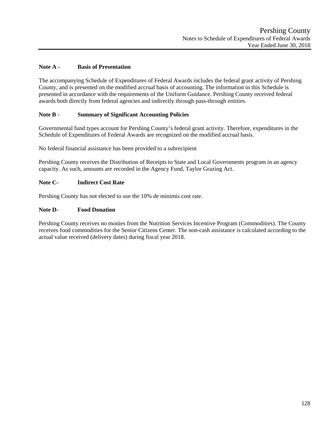## **Note A - Basis of Presentation**

The accompanying Schedule of Expenditures of Federal Awards includes the federal grant activity of Pershing County, and is presented on the modified accrual basis of accounting. The information in this Schedule is presented in accordance with the requirements of the Uniform Guidance. Pershing County received federal awards both directly from federal agencies and indirectly through pass-through entities.

### **Note B - Summary of Significant Accounting Policies**

Governmental fund types account for Pershing County's federal grant activity. Therefore, expenditures in the Schedule of Expenditures of Federal Awards are recognized on the modified accrual basis.

No federal financial assistance has been provided to a subrecipient

Pershing County receives the Distribution of Receipts to State and Local Governments program in an agency capacity. As such, amounts are recorded in the Agency Fund, Taylor Grazing Act.

### **Note C- Indirect Cost Rate**

Pershing County has not elected to use the 10% de minimis cost rate.

#### **Note D- Food Donation**

Pershing County receives no monies from the Nutrition Services Incentive Program (Commodities). The County receives food commodities for the Senior Citizens Center. The non-cash assistance is calculated according to the actual value received (delivery dates) during fiscal year 2018.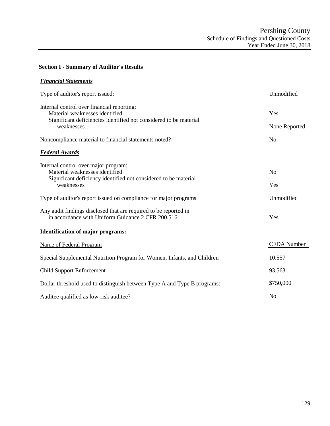## **Section I - Summary of Auditor's Results**

| <b>Financial Statements</b>                                                                                                                                     |                       |  |
|-----------------------------------------------------------------------------------------------------------------------------------------------------------------|-----------------------|--|
| Type of auditor's report issued:                                                                                                                                | Unmodified            |  |
| Internal control over financial reporting:<br>Material weaknesses identified<br>Significant deficiencies identified not considered to be material<br>weaknesses | Yes<br>None Reported  |  |
| Noncompliance material to financial statements noted?                                                                                                           | N <sub>0</sub>        |  |
| <b>Federal Awards</b>                                                                                                                                           |                       |  |
| Internal control over major program:<br>Material weaknesses identified<br>Significant deficiency identified not considered to be material<br>weaknesses         | N <sub>0</sub><br>Yes |  |
| Type of auditor's report issued on compliance for major programs                                                                                                | Unmodified            |  |
| Any audit findings disclosed that are required to be reported in<br>in accordance with Uniform Guidance 2 CFR 200.516                                           | Yes                   |  |
| <b>Identification of major programs:</b>                                                                                                                        |                       |  |
| Name of Federal Program                                                                                                                                         | <b>CFDA</b> Number    |  |
| Special Supplemental Nutrition Program for Women, Infants, and Children                                                                                         | 10.557                |  |
| <b>Child Support Enforcement</b>                                                                                                                                | 93.563                |  |
| Dollar threshold used to distinguish between Type A and Type B programs:                                                                                        | \$750,000             |  |
| Auditee qualified as low-risk auditee?                                                                                                                          | N <sub>o</sub>        |  |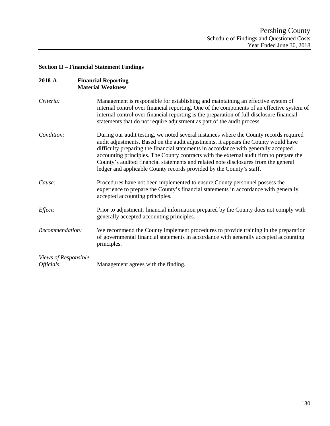## **Section II – Financial Statement Findings**

| 2018-A                             | <b>Financial Reporting</b><br><b>Material Weakness</b>                                                                                                                                                                                                                                                                                                                                                                                                                                                                         |
|------------------------------------|--------------------------------------------------------------------------------------------------------------------------------------------------------------------------------------------------------------------------------------------------------------------------------------------------------------------------------------------------------------------------------------------------------------------------------------------------------------------------------------------------------------------------------|
| Criteria:                          | Management is responsible for establishing and maintaining an effective system of<br>internal control over financial reporting. One of the components of an effective system of<br>internal control over financial reporting is the preparation of full disclosure financial<br>statements that do not require adjustment as part of the audit process.                                                                                                                                                                        |
| Condition:                         | During our audit testing, we noted several instances where the County records required<br>audit adjustments. Based on the audit adjustments, it appears the County would have<br>difficulty preparing the financial statements in accordance with generally accepted<br>accounting principles. The County contracts with the external audit firm to prepare the<br>County's audited financial statements and related note disclosures from the general<br>ledger and applicable County records provided by the County's staff. |
| Cause:                             | Procedures have not been implemented to ensure County personnel possess the<br>experience to prepare the County's financial statements in accordance with generally<br>accepted accounting principles.                                                                                                                                                                                                                                                                                                                         |
| Effect:                            | Prior to adjustment, financial information prepared by the County does not comply with<br>generally accepted accounting principles.                                                                                                                                                                                                                                                                                                                                                                                            |
| Recommendation:                    | We recommend the County implement procedures to provide training in the preparation<br>of governmental financial statements in accordance with generally accepted accounting<br>principles.                                                                                                                                                                                                                                                                                                                                    |
| Views of Responsible<br>Officials: | Management agrees with the finding.                                                                                                                                                                                                                                                                                                                                                                                                                                                                                            |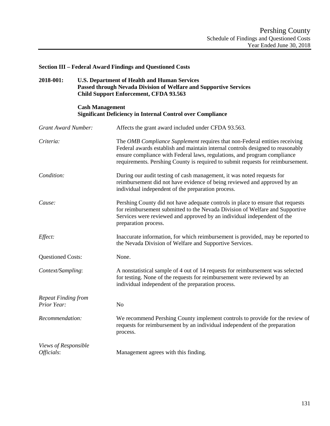#### **Section III – Federal Award Findings and Questioned Costs**

**2018-001: U.S. Department of Health and Human Services Passed through Nevada Division of Welfare and Supportive Services Child Support Enforcement, CFDA 93.563 Cash Management Significant Deficiency in Internal Control over Compliance**  *Grant Award Number:* Affects the grant award included under CFDA 93.563. *Criteria:* The *OMB Compliance Supplement* requires that non-Federal entities receiving Federal awards establish and maintain internal controls designed to reasonably ensure compliance with Federal laws, regulations, and program compliance requirements. Pershing County is required to submit requests for reimbursement. *Condition:* **During our audit testing of cash management, it was noted requests for** reimbursement did not have evidence of being reviewed and approved by an individual independent of the preparation process. *Cause:* Pershing County did not have adequate controls in place to ensure that requests for reimbursement submitted to the Nevada Division of Welfare and Supportive Services were reviewed and approved by an individual independent of the preparation process. *Effect:* Inaccurate information, for which reimbursement is provided, may be reported to the Nevada Division of Welfare and Supportive Services. Questioned Costs: None. *Context/Sampling*: A nonstatistical sample of 4 out of 14 requests for reimbursement was selected for testing. None of the requests for reimbursement were reviewed by an individual independent of the preparation process. *Repeat Finding from Prior Year:* No *Recommendation:* We recommend Pershing County implement controls to provide for the review of requests for reimbursement by an individual independent of the preparation process. *Views of Responsible Officials*: Management agrees with this finding.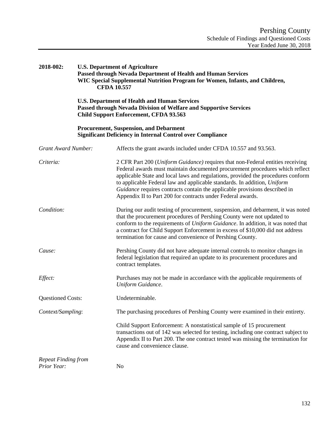| 2018-002:                                 | <b>U.S. Department of Agriculture</b><br>Passed through Nevada Department of Health and Human Services<br>WIC Special Supplemental Nutrition Program for Women, Infants, and Children,<br><b>CFDA 10.557</b> |                                                                                                                                                                                                                                                                                                                                                                                                                                                                             |  |
|-------------------------------------------|--------------------------------------------------------------------------------------------------------------------------------------------------------------------------------------------------------------|-----------------------------------------------------------------------------------------------------------------------------------------------------------------------------------------------------------------------------------------------------------------------------------------------------------------------------------------------------------------------------------------------------------------------------------------------------------------------------|--|
|                                           | <b>U.S. Department of Health and Human Services</b><br>Passed through Nevada Division of Welfare and Supportive Services<br><b>Child Support Enforcement, CFDA 93.563</b>                                    |                                                                                                                                                                                                                                                                                                                                                                                                                                                                             |  |
|                                           |                                                                                                                                                                                                              | <b>Procurement, Suspension, and Debarment</b><br><b>Significant Deficiency in Internal Control over Compliance</b>                                                                                                                                                                                                                                                                                                                                                          |  |
| <b>Grant Award Number:</b>                |                                                                                                                                                                                                              | Affects the grant awards included under CFDA 10.557 and 93.563.                                                                                                                                                                                                                                                                                                                                                                                                             |  |
| Criteria:                                 |                                                                                                                                                                                                              | 2 CFR Part 200 (Uniform Guidance) requires that non-Federal entities receiving<br>Federal awards must maintain documented procurement procedures which reflect<br>applicable State and local laws and regulations, provided the procedures conform<br>to applicable Federal law and applicable standards. In addition, Uniform<br>Guidance requires contracts contain the applicable provisions described in<br>Appendix II to Part 200 for contracts under Federal awards. |  |
| Condition:                                |                                                                                                                                                                                                              | During our audit testing of procurement, suspension, and debarment, it was noted<br>that the procurement procedures of Pershing County were not updated to<br>conform to the requirements of Uniform Guidance. In addition, it was noted that<br>a contract for Child Support Enforcement in excess of \$10,000 did not address<br>termination for cause and convenience of Pershing County.                                                                                |  |
| Cause:                                    |                                                                                                                                                                                                              | Pershing County did not have adequate internal controls to monitor changes in<br>federal legislation that required an update to its procurement procedures and<br>contract templates.                                                                                                                                                                                                                                                                                       |  |
| Effect:                                   |                                                                                                                                                                                                              | Purchases may not be made in accordance with the applicable requirements of<br>Uniform Guidance.                                                                                                                                                                                                                                                                                                                                                                            |  |
| <b>Questioned Costs:</b>                  |                                                                                                                                                                                                              | Undeterminable.                                                                                                                                                                                                                                                                                                                                                                                                                                                             |  |
| Context/Sampling:                         |                                                                                                                                                                                                              | The purchasing procedures of Pershing County were examined in their entirety.                                                                                                                                                                                                                                                                                                                                                                                               |  |
|                                           |                                                                                                                                                                                                              | Child Support Enforcement: A nonstatistical sample of 15 procurement<br>transactions out of 142 was selected for testing, including one contract subject to<br>Appendix II to Part 200. The one contract tested was missing the termination for<br>cause and convenience clause.                                                                                                                                                                                            |  |
| <b>Repeat Finding from</b><br>Prior Year: |                                                                                                                                                                                                              | No                                                                                                                                                                                                                                                                                                                                                                                                                                                                          |  |